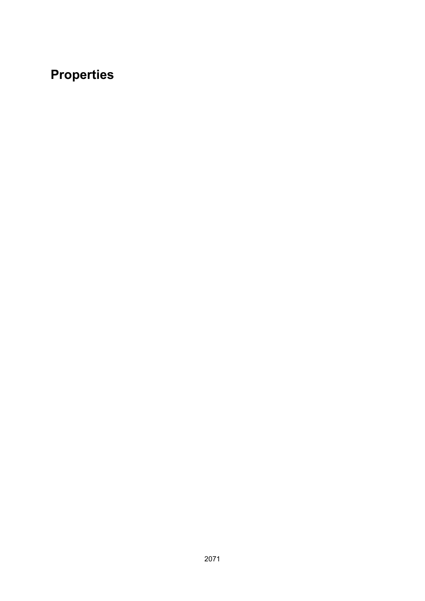# **Properties**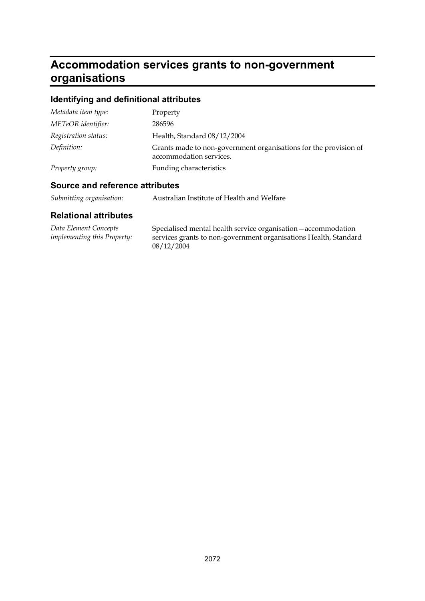## **Accommodation services grants to non-government organisations**

## **Identifying and definitional attributes**

| Metadata item type:  | Property                                                                                    |
|----------------------|---------------------------------------------------------------------------------------------|
| METeOR identifier:   | 286596                                                                                      |
| Registration status: | Health, Standard 08/12/2004                                                                 |
| Definition:          | Grants made to non-government organisations for the provision of<br>accommodation services. |
| Property group:      | Funding characteristics                                                                     |

### **Source and reference attributes**

| Submitting organisation: | Australian Institute of Health and Welfare |
|--------------------------|--------------------------------------------|
|--------------------------|--------------------------------------------|

| Data Element Concepts       | Specialised mental health service organisation — accommodation   |
|-----------------------------|------------------------------------------------------------------|
| implementing this Property: | services grants to non-government organisations Health, Standard |
|                             | 08/12/2004                                                       |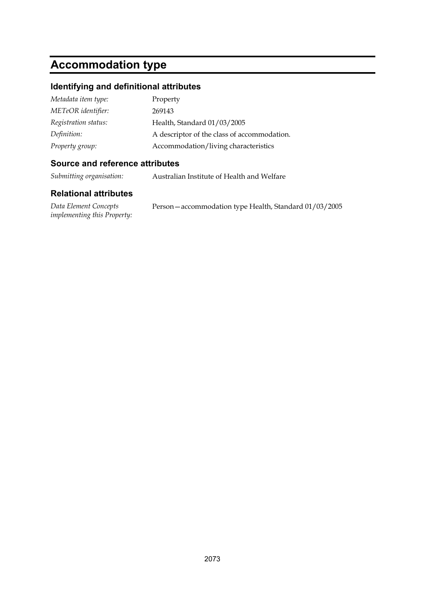## **Accommodation type**

#### **Identifying and definitional attributes**

| Metadata item type:  | Property                                    |
|----------------------|---------------------------------------------|
| METeOR identifier:   | 269143                                      |
| Registration status: | Health, Standard 01/03/2005                 |
| Definition:          | A descriptor of the class of accommodation. |
| Property group:      | Accommodation/living characteristics        |

#### **Source and reference attributes**

*Submitting organisation:* Australian Institute of Health and Welfare

| Data Element Concepts              | Person - accommodation type Health, Standard 01/03/2005 |
|------------------------------------|---------------------------------------------------------|
| <i>implementing this Property:</i> |                                                         |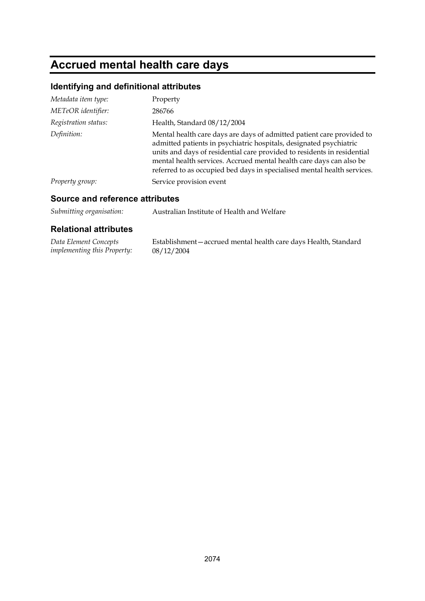# **Accrued mental health care days**

## **Identifying and definitional attributes**

| Metadata item type:  | Property                                                                                                                                                                                                                                                                                                                                                                 |
|----------------------|--------------------------------------------------------------------------------------------------------------------------------------------------------------------------------------------------------------------------------------------------------------------------------------------------------------------------------------------------------------------------|
| METeOR identifier:   | 286766                                                                                                                                                                                                                                                                                                                                                                   |
| Registration status: | Health, Standard 08/12/2004                                                                                                                                                                                                                                                                                                                                              |
| Definition:          | Mental health care days are days of admitted patient care provided to<br>admitted patients in psychiatric hospitals, designated psychiatric<br>units and days of residential care provided to residents in residential<br>mental health services. Accrued mental health care days can also be<br>referred to as occupied bed days in specialised mental health services. |
| Property group:      | Service provision event                                                                                                                                                                                                                                                                                                                                                  |

### **Source and reference attributes**

| Submitting organisation: | Australian Institute of Health and Welfare |
|--------------------------|--------------------------------------------|
|--------------------------|--------------------------------------------|

| Data Element Concepts              | Establishment – accrued mental health care days Health, Standard |
|------------------------------------|------------------------------------------------------------------|
| <i>implementing this Property:</i> | 08/12/2004                                                       |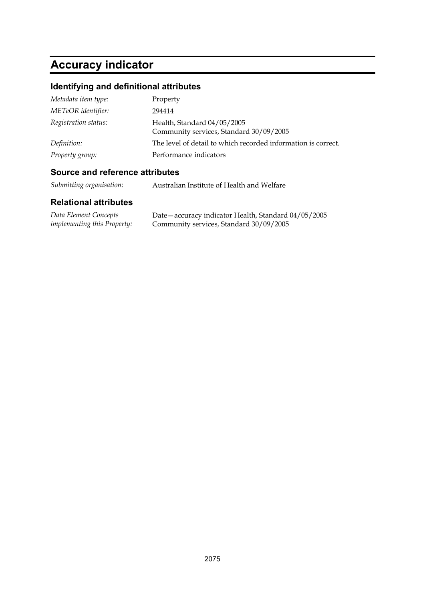# **Accuracy indicator**

### **Identifying and definitional attributes**

| Metadata item type:  | Property                                                               |
|----------------------|------------------------------------------------------------------------|
| METeOR identifier:   | 294414                                                                 |
| Registration status: | Health, Standard 04/05/2005<br>Community services, Standard 30/09/2005 |
| Definition:          | The level of detail to which recorded information is correct.          |
| Property group:      | Performance indicators                                                 |

### **Source and reference attributes**

| Submitting organisation: | Australian Institute of Health and Welfare |
|--------------------------|--------------------------------------------|
|--------------------------|--------------------------------------------|

| Data Element Concepts              | Date – accuracy indicator Health, Standard 04/05/2005 |
|------------------------------------|-------------------------------------------------------|
| <i>implementing this Property:</i> | Community services, Standard 30/09/2005               |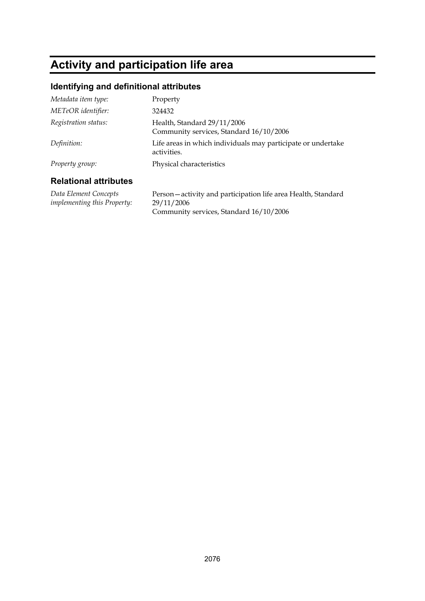## **Activity and participation life area**

#### **Identifying and definitional attributes**

| Metadata item type:          | Property                                                                    |
|------------------------------|-----------------------------------------------------------------------------|
| METeOR identifier:           | 324432                                                                      |
| Registration status:         | Health, Standard 29/11/2006<br>Community services, Standard 16/10/2006      |
| Definition:                  | Life areas in which individuals may participate or undertake<br>activities. |
| Property group:              | Physical characteristics                                                    |
| <b>Relational attributes</b> |                                                                             |

*Data Element Concepts implementing this Property:* Person—activity and participation life area Health, Standard 29/11/2006 Community services, Standard 16/10/2006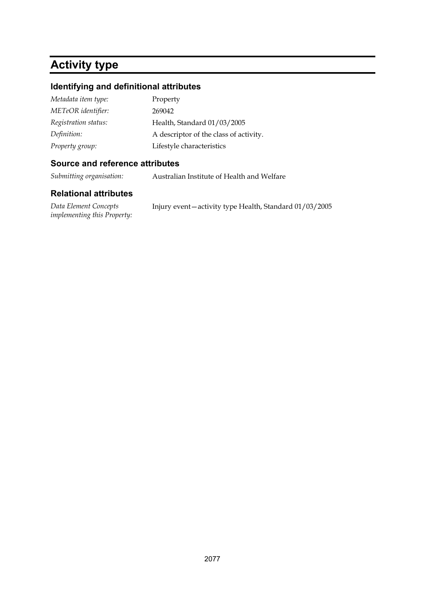## **Activity type**

### **Identifying and definitional attributes**

| Metadata item type:  | Property                               |
|----------------------|----------------------------------------|
| METeOR identifier:   | 269042                                 |
| Registration status: | Health, Standard 01/03/2005            |
| Definition:          | A descriptor of the class of activity. |
| Property group:      | Lifestyle characteristics              |

#### **Source and reference attributes**

*Submitting organisation:* Australian Institute of Health and Welfare

| Data Element Concepts              | Injury event-activity type Health, Standard 01/03/2005 |
|------------------------------------|--------------------------------------------------------|
| <i>implementing this Property:</i> |                                                        |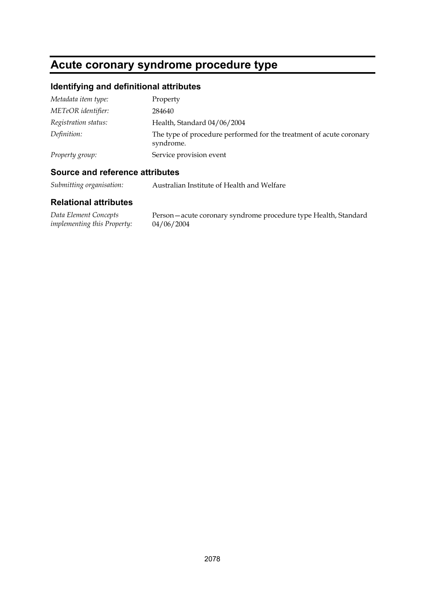## **Acute coronary syndrome procedure type**

### **Identifying and definitional attributes**

| Metadata item type:  | Property                                                                         |
|----------------------|----------------------------------------------------------------------------------|
| METeOR identifier:   | 284640                                                                           |
| Registration status: | Health, Standard 04/06/2004                                                      |
| Definition:          | The type of procedure performed for the treatment of acute coronary<br>syndrome. |
| Property group:      | Service provision event                                                          |

#### **Source and reference attributes**

*Submitting organisation:* Australian Institute of Health and Welfare

| Data Element Concepts       | Person-acute coronary syndrome procedure type Health, Standard |
|-----------------------------|----------------------------------------------------------------|
| implementing this Property: | 04/06/2004                                                     |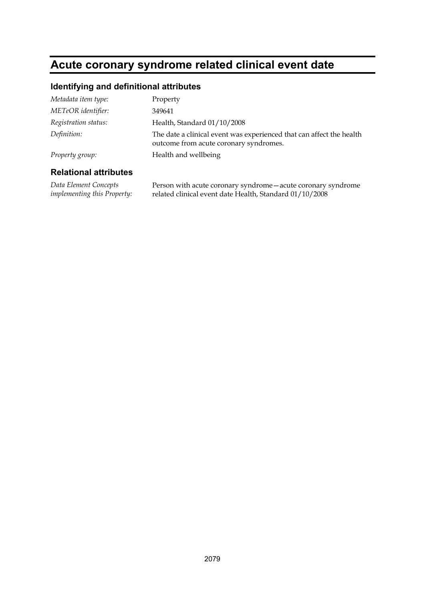## **Acute coronary syndrome related clinical event date**

#### **Identifying and definitional attributes**

| Metadata item type:  | Property                                                                                                       |
|----------------------|----------------------------------------------------------------------------------------------------------------|
| METeOR identifier:   | 349641                                                                                                         |
| Registration status: | Health, Standard 01/10/2008                                                                                    |
| Definition:          | The date a clinical event was experienced that can affect the health<br>outcome from acute coronary syndromes. |
| Property group:      | Health and wellbeing                                                                                           |
|                      |                                                                                                                |

#### **Relational attributes**

*Data Element Concepts implementing this Property:* Person with acute coronary syndrome—acute coronary syndrome related clinical event date Health, Standard 01/10/2008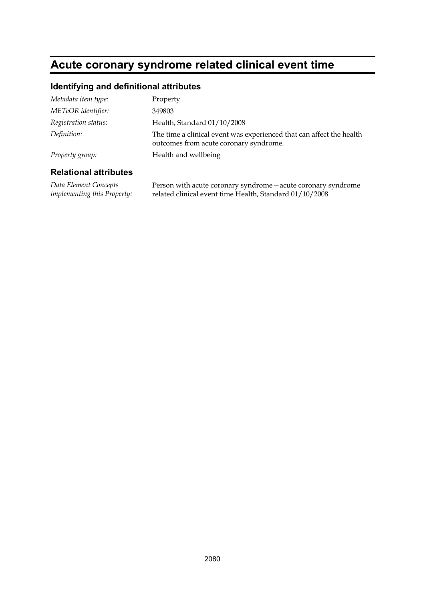## **Acute coronary syndrome related clinical event time**

#### **Identifying and definitional attributes**

| _____                |                                                                                                                |
|----------------------|----------------------------------------------------------------------------------------------------------------|
| Property group:      | Health and wellbeing                                                                                           |
| Definition:          | The time a clinical event was experienced that can affect the health<br>outcomes from acute coronary syndrome. |
| Registration status: | Health, Standard 01/10/2008                                                                                    |
| METeOR identifier:   | 349803                                                                                                         |
| Metadata item type:  | Property                                                                                                       |

#### **Relational attributes**

*Data Element Concepts implementing this Property:* Person with acute coronary syndrome—acute coronary syndrome related clinical event time Health, Standard 01/10/2008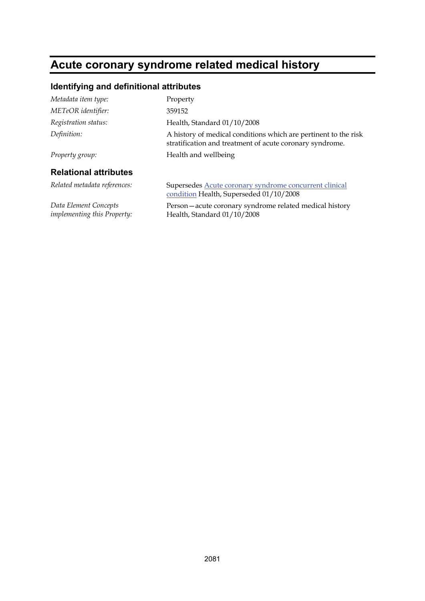## **Acute coronary syndrome related medical history**

### **Identifying and definitional attributes**

| Metadata item type:                                  | Property                                                                                                                    |
|------------------------------------------------------|-----------------------------------------------------------------------------------------------------------------------------|
| METeOR identifier:                                   | 359152                                                                                                                      |
| Registration status:                                 | Health, Standard 01/10/2008                                                                                                 |
| Definition:                                          | A history of medical conditions which are pertinent to the risk<br>stratification and treatment of acute coronary syndrome. |
| Property group:                                      | Health and wellbeing                                                                                                        |
| <b>Relational attributes</b>                         |                                                                                                                             |
| Related metadata references:                         | Supersedes Acute coronary syndrome concurrent clinical<br>condition Health, Superseded 01/10/2008                           |
| Data Element Concepts<br>implementing this Property: | Person-acute coronary syndrome related medical history<br>Health, Standard 01/10/2008                                       |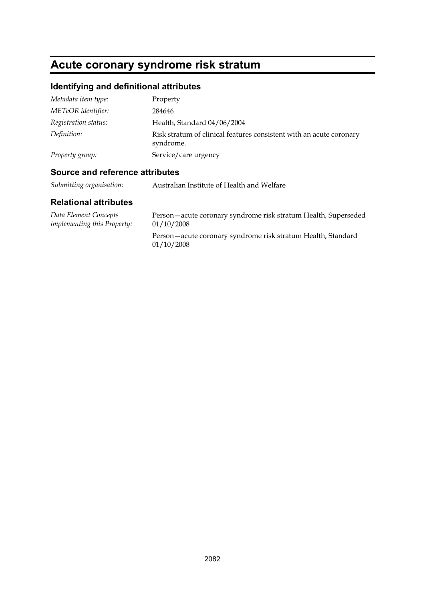# **Acute coronary syndrome risk stratum**

## **Identifying and definitional attributes**

| Metadata item type:  | Property                                                                         |
|----------------------|----------------------------------------------------------------------------------|
| METeOR identifier:   | 284646                                                                           |
| Registration status: | Health, Standard 04/06/2004                                                      |
| Definition:          | Risk stratum of clinical features consistent with an acute coronary<br>syndrome. |
| Property group:      | Service/care urgency                                                             |

#### **Source and reference attributes**

| Submitting organisation: | Australian Institute of Health and Welfare |
|--------------------------|--------------------------------------------|
|                          |                                            |

| Data Element Concepts              | Person-acute coronary syndrome risk stratum Health, Superseded             |
|------------------------------------|----------------------------------------------------------------------------|
| <i>implementing this Property:</i> | 01/10/2008                                                                 |
|                                    | Person-acute coronary syndrome risk stratum Health, Standard<br>01/10/2008 |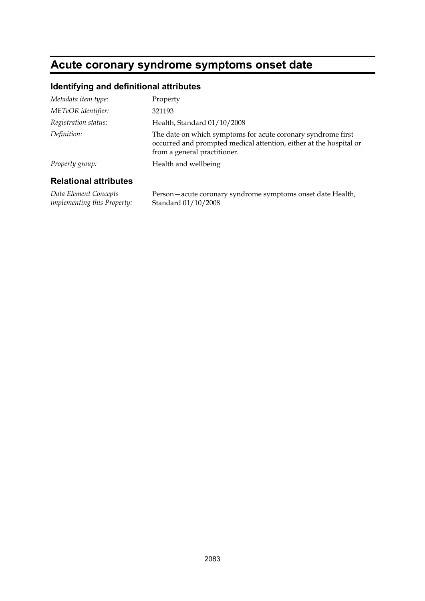## **Acute coronary syndrome symptoms onset date**

#### **Identifying and definitional attributes**

| Metadata item type:  | Property                                                                                                                                                           |
|----------------------|--------------------------------------------------------------------------------------------------------------------------------------------------------------------|
| METeOR identifier:   | 321193                                                                                                                                                             |
| Registration status: | Health, Standard 01/10/2008                                                                                                                                        |
| Definition:          | The date on which symptoms for acute coronary syndrome first<br>occurred and prompted medical attention, either at the hospital or<br>from a general practitioner. |
| Property group:      | Health and wellbeing                                                                                                                                               |
|                      |                                                                                                                                                                    |

#### **Relational attributes**

*Data Element Concepts implementing this Property:* Person—acute coronary syndrome symptoms onset date Health, Standard 01/10/2008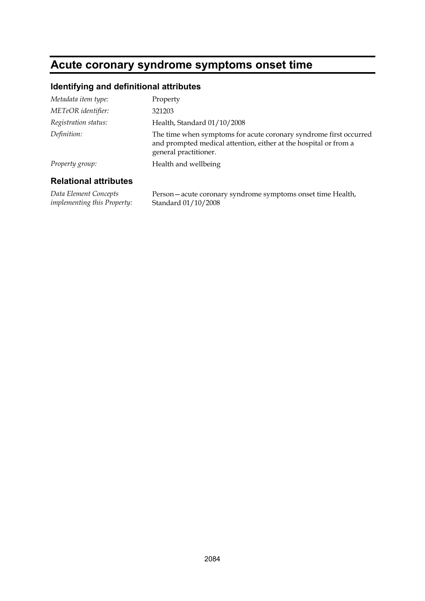## **Acute coronary syndrome symptoms onset time**

#### **Identifying and definitional attributes**

| Metadata item type:  | Property                                                                                                                                                       |
|----------------------|----------------------------------------------------------------------------------------------------------------------------------------------------------------|
| METeOR identifier:   | 321203                                                                                                                                                         |
| Registration status: | Health, Standard 01/10/2008                                                                                                                                    |
| Definition:          | The time when symptoms for acute coronary syndrome first occurred<br>and prompted medical attention, either at the hospital or from a<br>general practitioner. |
| Property group:      | Health and wellbeing                                                                                                                                           |
|                      |                                                                                                                                                                |

#### **Relational attributes**

*Data Element Concepts implementing this Property:* Person—acute coronary syndrome symptoms onset time Health, Standard 01/10/2008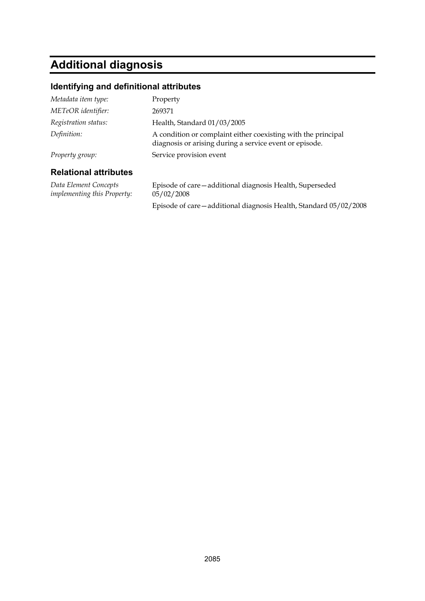# **Additional diagnosis**

#### **Identifying and definitional attributes**

| Metadata item type:          | Property                                                                                                                 |
|------------------------------|--------------------------------------------------------------------------------------------------------------------------|
| METeOR identifier:           | 269371                                                                                                                   |
| Registration status:         | Health, Standard 01/03/2005                                                                                              |
| Definition:                  | A condition or complaint either coexisting with the principal<br>diagnosis or arising during a service event or episode. |
| Property group:              | Service provision event                                                                                                  |
| <b>Relational attributes</b> |                                                                                                                          |
| Data Element Concepts        | Episode of care—additional diagnosis Health, Superseded                                                                  |

*implementing this Property:*

05/02/2008 Episode of care—additional diagnosis Health, Standard 05/02/2008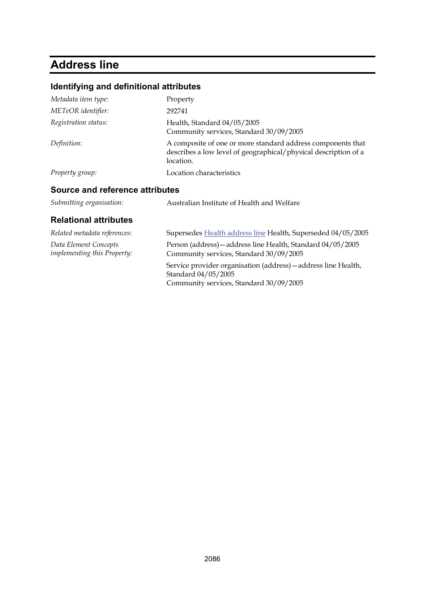## **Address line**

## **Identifying and definitional attributes**

| Metadata item type:             | Property                                                                                                                                    |
|---------------------------------|---------------------------------------------------------------------------------------------------------------------------------------------|
| METeOR identifier:              | 292741                                                                                                                                      |
| Registration status:            | Health, Standard 04/05/2005<br>Community services, Standard 30/09/2005                                                                      |
| Definition:                     | A composite of one or more standard address components that<br>describes a low level of geographical/physical description of a<br>location. |
| Property group:                 | Location characteristics                                                                                                                    |
| Source and reference attributes |                                                                                                                                             |
| Submitting organisation:        | Australian Institute of Health and Welfare                                                                                                  |

| <b>Relational attributes</b>                         |                                                                                                                                  |
|------------------------------------------------------|----------------------------------------------------------------------------------------------------------------------------------|
| Related metadata references:                         | Supersedes Health address line Health, Superseded 04/05/2005                                                                     |
| Data Element Concepts<br>implementing this Property: | Person (address) - address line Health, Standard 04/05/2005<br>Community services, Standard 30/09/2005                           |
|                                                      | Service provider organisation (address) - address line Health,<br>Standard 04/05/2005<br>Community services, Standard 30/09/2005 |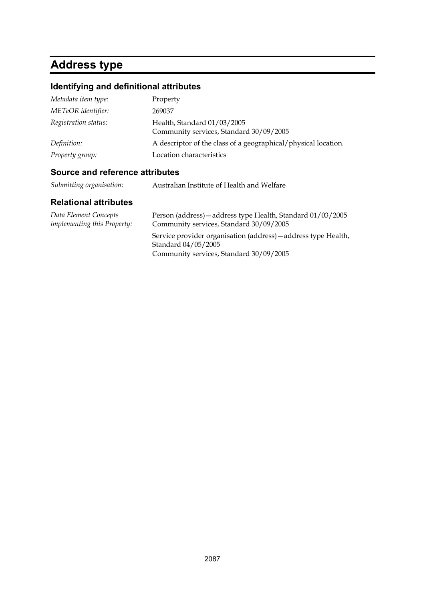## **Address type**

## **Identifying and definitional attributes**

| Metadata item type:  | Property                                                               |
|----------------------|------------------------------------------------------------------------|
| METeOR identifier:   | 269037                                                                 |
| Registration status: | Health, Standard 01/03/2005<br>Community services, Standard 30/09/2005 |
| Definition:          | A descriptor of the class of a geographical/physical location.         |
| Property group:      | Location characteristics                                               |

### **Source and reference attributes**

| Submitting organisation: | Australian Institute of Health and Welfare |
|--------------------------|--------------------------------------------|
|--------------------------|--------------------------------------------|

| Data Element Concepts<br><i>implementing this Property:</i> | Person (address) - address type Health, Standard 01/03/2005<br>Community services, Standard 30/09/2005 |
|-------------------------------------------------------------|--------------------------------------------------------------------------------------------------------|
|                                                             | Service provider organisation (address) - address type Health,<br>Standard 04/05/2005                  |
|                                                             | Community services, Standard 30/09/2005                                                                |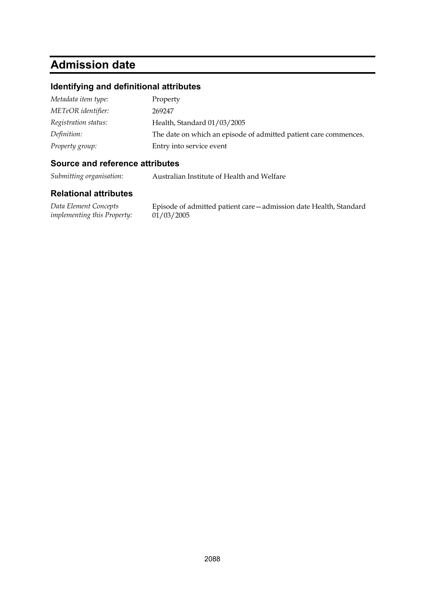## **Admission date**

#### **Identifying and definitional attributes**

| Metadata item type:  | Property                                                         |
|----------------------|------------------------------------------------------------------|
| METeOR identifier:   | 269247                                                           |
| Registration status: | Health, Standard 01/03/2005                                      |
| Definition:          | The date on which an episode of admitted patient care commences. |
| Property group:      | Entry into service event                                         |

#### **Source and reference attributes**

*Submitting organisation:* Australian Institute of Health and Welfare

#### **Relational attributes**

*Data Element Concepts implementing this Property:*

Episode of admitted patient care—admission date Health, Standard  $01/03/2005$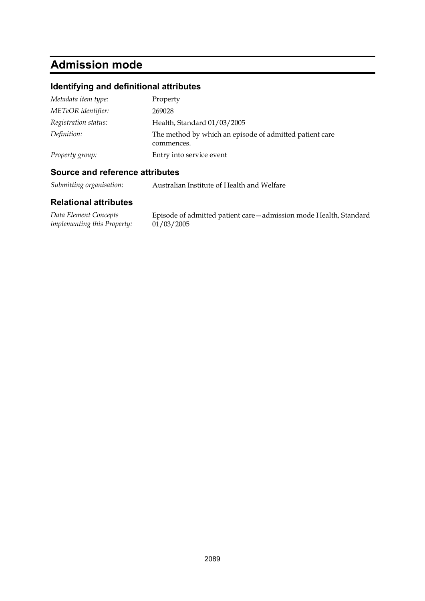## **Admission mode**

### **Identifying and definitional attributes**

| Metadata item type:  | Property                                                              |
|----------------------|-----------------------------------------------------------------------|
| METeOR identifier:   | 269028                                                                |
| Registration status: | Health, Standard 01/03/2005                                           |
| Definition:          | The method by which an episode of admitted patient care<br>commences. |
| Property group:      | Entry into service event                                              |

#### **Source and reference attributes**

*Submitting organisation:* Australian Institute of Health and Welfare

| Data Element Concepts       | Episode of admitted patient care – admission mode Health, Standard |
|-----------------------------|--------------------------------------------------------------------|
| implementing this Property: | 01/03/2005                                                         |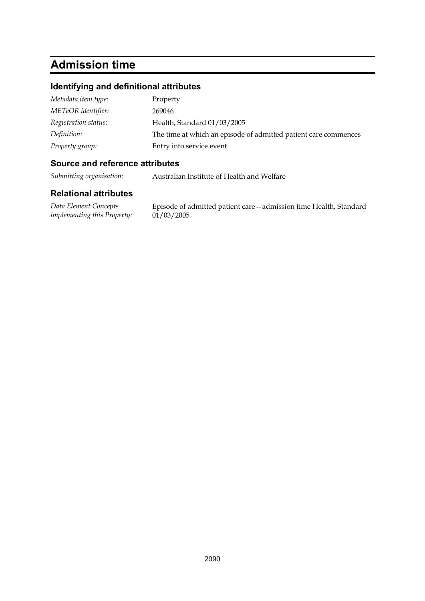## **Admission time**

#### **Identifying and definitional attributes**

| Metadata item type:  | Property                                                        |
|----------------------|-----------------------------------------------------------------|
| METeOR identifier:   | 269046                                                          |
| Registration status: | Health, Standard 01/03/2005                                     |
| Definition:          | The time at which an episode of admitted patient care commences |
| Property group:      | Entry into service event                                        |

#### **Source and reference attributes**

*Submitting organisation:* Australian Institute of Health and Welfare

#### **Relational attributes**

*Data Element Concepts implementing this Property:*

Episode of admitted patient care—admission time Health, Standard  $01/03/2005$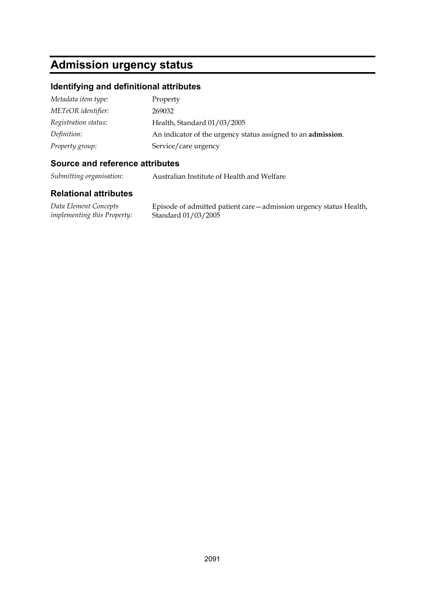## **Admission urgency status**

#### **Identifying and definitional attributes**

| Metadata item type:  | Property                                                             |
|----------------------|----------------------------------------------------------------------|
| METeOR identifier:   | 269032                                                               |
| Registration status: | Health, Standard 01/03/2005                                          |
| Definition:          | An indicator of the urgency status assigned to an <b>admission</b> . |
| Property group:      | Service/care urgency                                                 |

#### **Source and reference attributes**

*Submitting organisation:* Australian Institute of Health and Welfare

#### **Relational attributes**

*Data Element Concepts implementing this Property:*

Episode of admitted patient care—admission urgency status Health, Standard 01/03/2005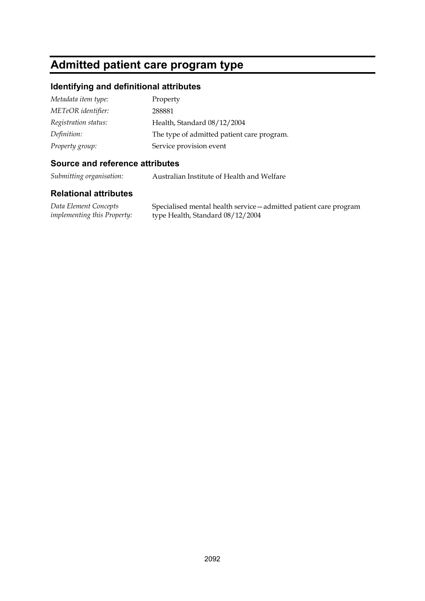## **Admitted patient care program type**

#### **Identifying and definitional attributes**

| Metadata item type:  | Property                                   |
|----------------------|--------------------------------------------|
| METeOR identifier:   | 288881                                     |
| Registration status: | Health, Standard 08/12/2004                |
| Definition:          | The type of admitted patient care program. |
| Property group:      | Service provision event                    |

#### **Source and reference attributes**

*Submitting organisation:* Australian Institute of Health and Welfare

#### **Relational attributes**

*Data Element Concepts implementing this Property:* Specialised mental health service—admitted patient care program type Health, Standard 08/12/2004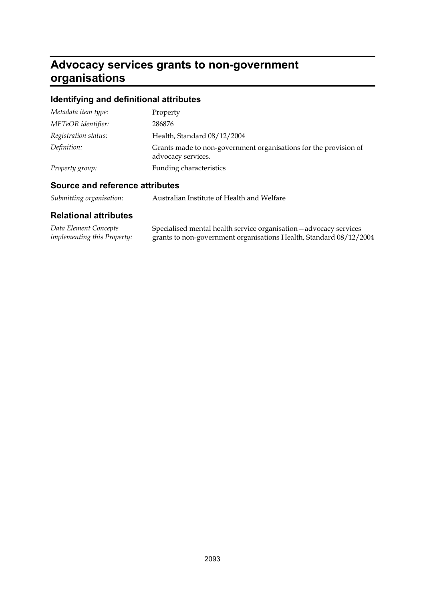## **Advocacy services grants to non-government organisations**

## **Identifying and definitional attributes**

| Metadata item type:  | Property                                                                               |
|----------------------|----------------------------------------------------------------------------------------|
| METeOR identifier:   | 286876                                                                                 |
| Registration status: | Health, Standard 08/12/2004                                                            |
| Definition:          | Grants made to non-government organisations for the provision of<br>advocacy services. |
| Property group:      | Funding characteristics                                                                |

### **Source and reference attributes**

| Submitting organisation: |  | Australian Institute of Health and Welfare |
|--------------------------|--|--------------------------------------------|
|--------------------------|--|--------------------------------------------|

| Data Element Concepts              | Specialised mental health service organisation - advocacy services |
|------------------------------------|--------------------------------------------------------------------|
| <i>implementing this Property:</i> | grants to non-government organisations Health, Standard 08/12/2004 |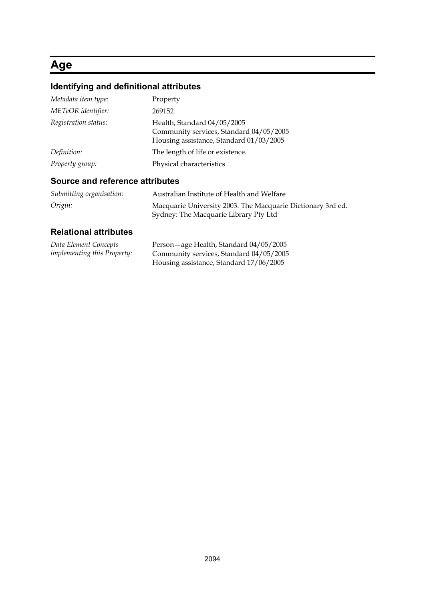## **Age**

## **Identifying and definitional attributes**

| Metadata item type:  | Property                                                                                                          |
|----------------------|-------------------------------------------------------------------------------------------------------------------|
| METeOR identifier:   | 269152                                                                                                            |
| Registration status: | Health, Standard 04/05/2005<br>Community services, Standard 04/05/2005<br>Housing assistance, Standard 01/03/2005 |
| Definition:          | The length of life or existence.                                                                                  |
| Property group:      | Physical characteristics                                                                                          |

### **Source and reference attributes**

| Submitting organisation: | Australian Institute of Health and Welfare                                                           |
|--------------------------|------------------------------------------------------------------------------------------------------|
| Origin:                  | Macquarie University 2003. The Macquarie Dictionary 3rd ed.<br>Sydney: The Macquarie Library Pty Ltd |

| Data Element Concepts              | Person-age Health, Standard 04/05/2005  |
|------------------------------------|-----------------------------------------|
| <i>implementing this Property:</i> | Community services, Standard 04/05/2005 |
|                                    | Housing assistance, Standard 17/06/2005 |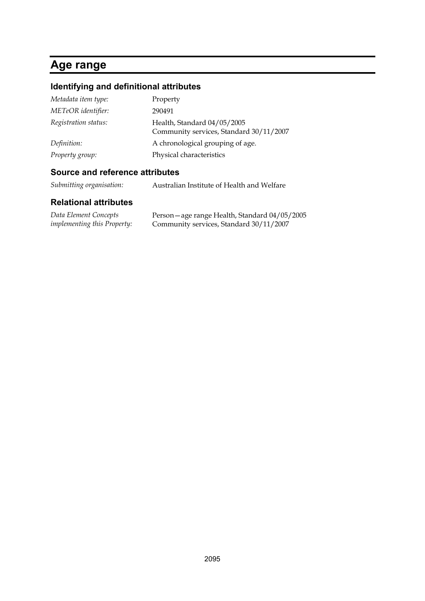## **Age range**

## **Identifying and definitional attributes**

| Metadata item type:  | Property                                                               |
|----------------------|------------------------------------------------------------------------|
| METeOR identifier:   | 290491                                                                 |
| Registration status: | Health, Standard 04/05/2005<br>Community services, Standard 30/11/2007 |
| Definition:          | A chronological grouping of age.                                       |
| Property group:      | Physical characteristics                                               |

### **Source and reference attributes**

| Submitting organisation: | Australian Institute of Health and Welfare |
|--------------------------|--------------------------------------------|
|--------------------------|--------------------------------------------|

| Data Element Concepts              | Person – age range Health, Standard 04/05/2005 |
|------------------------------------|------------------------------------------------|
| <i>implementing this Property:</i> | Community services, Standard 30/11/2007        |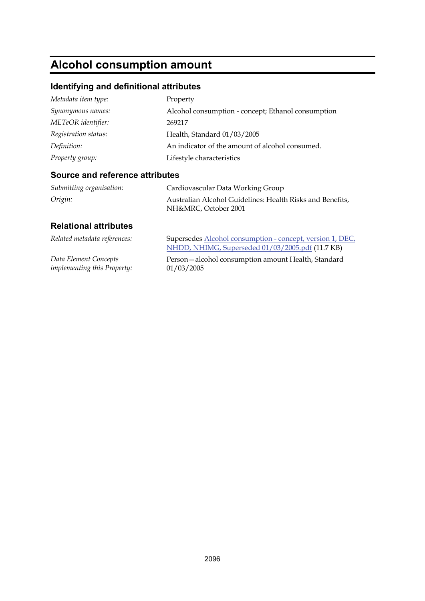## **Alcohol consumption amount**

## **Identifying and definitional attributes**

| Metadata item type:  | Property                                           |
|----------------------|----------------------------------------------------|
| Synonymous names:    | Alcohol consumption - concept; Ethanol consumption |
| METeOR identifier:   | 269217                                             |
| Registration status: | Health, Standard 01/03/2005                        |
| Definition:          | An indicator of the amount of alcohol consumed.    |
| Property group:      | Lifestyle characteristics                          |

#### **Source and reference attributes**

| Submitting organisation: | Cardiovascular Data Working Group                                                 |
|--------------------------|-----------------------------------------------------------------------------------|
| Origin:                  | Australian Alcohol Guidelines: Health Risks and Benefits,<br>NH&MRC, October 2001 |

| Related metadata references:       | Supersedes Alcohol consumption - concept, version 1, DEC,<br>NHDD, NHIMG, Superseded 01/03/2005.pdf (11.7 KB) |
|------------------------------------|---------------------------------------------------------------------------------------------------------------|
| Data Element Concepts              | Person-alcohol consumption amount Health, Standard                                                            |
| <i>implementing this Property:</i> | 01/03/2005                                                                                                    |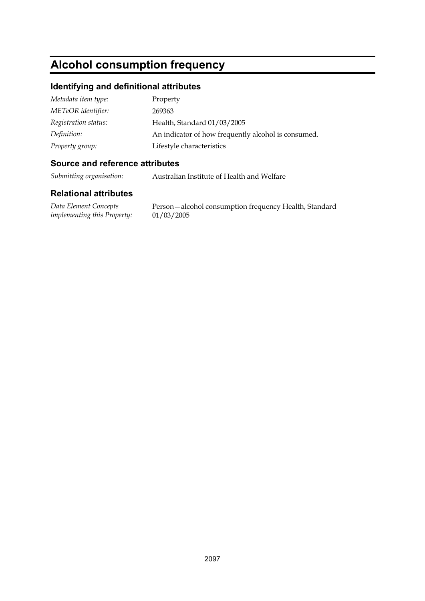## **Alcohol consumption frequency**

#### **Identifying and definitional attributes**

| Metadata item type:  | Property                                            |
|----------------------|-----------------------------------------------------|
| METeOR identifier:   | 269363                                              |
| Registration status: | Health, Standard 01/03/2005                         |
| Definition:          | An indicator of how frequently alcohol is consumed. |
| Property group:      | Lifestyle characteristics                           |

#### **Source and reference attributes**

*Submitting organisation:* Australian Institute of Health and Welfare

#### **Relational attributes**

*Data Element Concepts implementing this Property:*

Person—alcohol consumption frequency Health, Standard 01/03/2005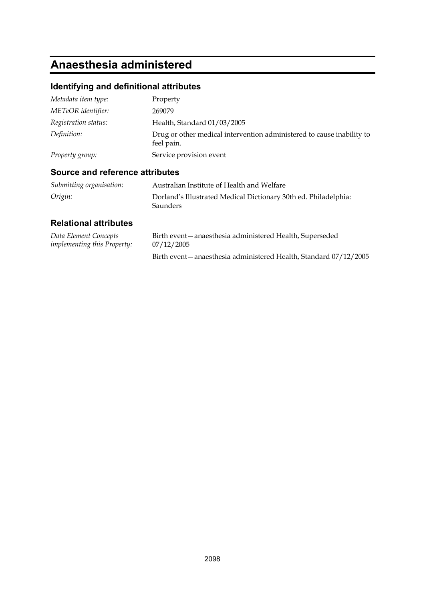## **Anaesthesia administered**

### **Identifying and definitional attributes**

| Metadata item type:  | Property                                                                            |
|----------------------|-------------------------------------------------------------------------------------|
| METeOR identifier:   | 269079                                                                              |
| Registration status: | Health, Standard 01/03/2005                                                         |
| Definition:          | Drug or other medical intervention administered to cause inability to<br>feel pain. |
| Property group:      | Service provision event                                                             |

### **Source and reference attributes**

| Submitting organisation: | Australian Institute of Health and Welfare                                  |
|--------------------------|-----------------------------------------------------------------------------|
| Origin:                  | Dorland's Illustrated Medical Dictionary 30th ed. Philadelphia:<br>Saunders |

| Data Element Concepts              | Birth event - anaesthesia administered Health, Superseded          |
|------------------------------------|--------------------------------------------------------------------|
| <i>implementing this Property:</i> | 07/12/2005                                                         |
|                                    | Birth event - anaesthesia administered Health, Standard 07/12/2005 |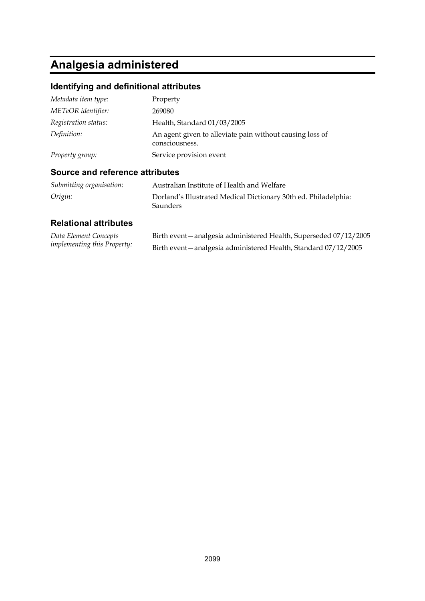# **Analgesia administered**

### **Identifying and definitional attributes**

| Metadata item type:  | Property                                                                   |
|----------------------|----------------------------------------------------------------------------|
| METeOR identifier:   | 269080                                                                     |
| Registration status: | Health, Standard 01/03/2005                                                |
| Definition:          | An agent given to alleviate pain without causing loss of<br>consciousness. |
| Property group:      | Service provision event                                                    |

### **Source and reference attributes**

| Submitting organisation: | Australian Institute of Health and Welfare                                  |
|--------------------------|-----------------------------------------------------------------------------|
| Origin:                  | Dorland's Illustrated Medical Dictionary 30th ed. Philadelphia:<br>Saunders |

| Data Element Concepts              | Birth event - analgesia administered Health, Superseded 07/12/2005 |
|------------------------------------|--------------------------------------------------------------------|
| <i>implementing this Property:</i> | Birth event - analgesia administered Health, Standard 07/12/2005   |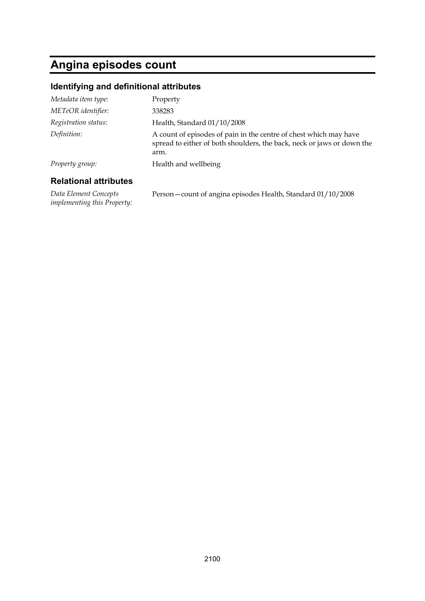## **Angina episodes count**

#### **Identifying and definitional attributes**

| Metadata item type:  | Property                                                                                                                                            |
|----------------------|-----------------------------------------------------------------------------------------------------------------------------------------------------|
| METeOR identifier:   | 338283                                                                                                                                              |
| Registration status: | Health, Standard 01/10/2008                                                                                                                         |
| Definition:          | A count of episodes of pain in the centre of chest which may have<br>spread to either of both shoulders, the back, neck or jaws or down the<br>arm. |
| Property group:      | Health and wellbeing                                                                                                                                |
|                      |                                                                                                                                                     |

#### **Relational attributes**

*Data Element Concepts implementing this Property:* Person—count of angina episodes Health, Standard 01/10/2008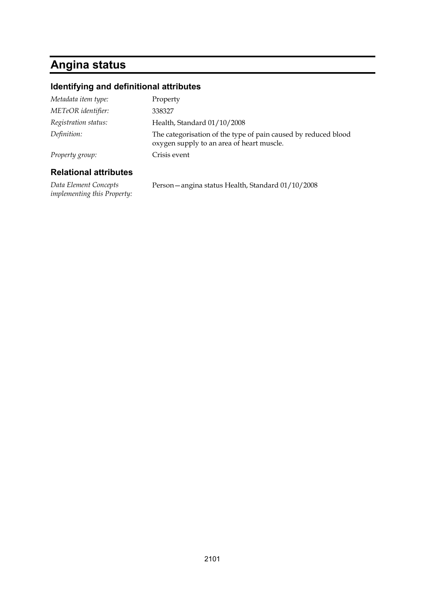# **Angina status**

### **Identifying and definitional attributes**

| <b>Relational attributes</b> |                                                                                                             |
|------------------------------|-------------------------------------------------------------------------------------------------------------|
| Property group:              | Crisis event                                                                                                |
| Definition:                  | The categorisation of the type of pain caused by reduced blood<br>oxygen supply to an area of heart muscle. |
| Registration status:         | Health, Standard 01/10/2008                                                                                 |
| METeOR identifier:           | 338327                                                                                                      |
| Metadata item type:          | Property                                                                                                    |

*Data Element Concepts implementing this Property:* Person—angina status Health, Standard 01/10/2008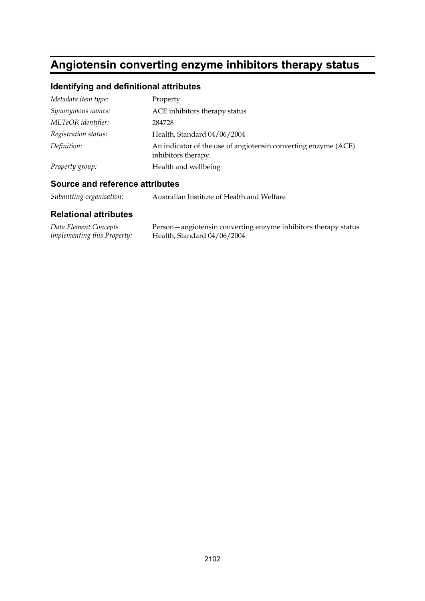## **Angiotensin converting enzyme inhibitors therapy status**

### **Identifying and definitional attributes**

| Metadata item type:  | Property                                                                              |
|----------------------|---------------------------------------------------------------------------------------|
| Synonymous names:    | ACE inhibitors therapy status                                                         |
| METeOR identifier:   | 284728                                                                                |
| Registration status: | Health, Standard 04/06/2004                                                           |
| Definition:          | An indicator of the use of angiotensin converting enzyme (ACE)<br>inhibitors therapy. |
| Property group:      | Health and wellbeing                                                                  |

#### **Source and reference attributes**

| Submitting organisation: | Australian Institute of Health and Welfare |
|--------------------------|--------------------------------------------|
|--------------------------|--------------------------------------------|

| Data Element Concepts              | Person - angiotensin converting enzyme inhibitors therapy status |
|------------------------------------|------------------------------------------------------------------|
| <i>implementing this Property:</i> | Health, Standard 04/06/2004                                      |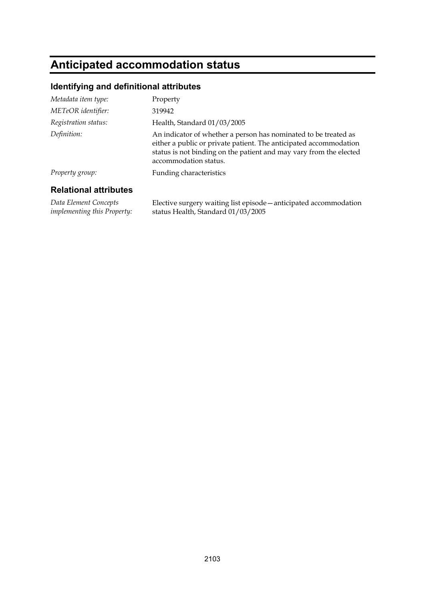## **Anticipated accommodation status**

#### **Identifying and definitional attributes**

| <b>Dolational attributos</b> |                                                                                                                                                                                                                                     |
|------------------------------|-------------------------------------------------------------------------------------------------------------------------------------------------------------------------------------------------------------------------------------|
| Property group:              | Funding characteristics                                                                                                                                                                                                             |
| Definition:                  | An indicator of whether a person has nominated to be treated as<br>either a public or private patient. The anticipated accommodation<br>status is not binding on the patient and may vary from the elected<br>accommodation status. |
| Registration status:         | Health, Standard 01/03/2005                                                                                                                                                                                                         |
| METeOR identifier:           | 319942                                                                                                                                                                                                                              |
| Metadata item type:          | Property                                                                                                                                                                                                                            |

#### **Relational attributes**

*Data Element Concepts implementing this Property:* Elective surgery waiting list episode—anticipated accommodation status Health, Standard 01/03/2005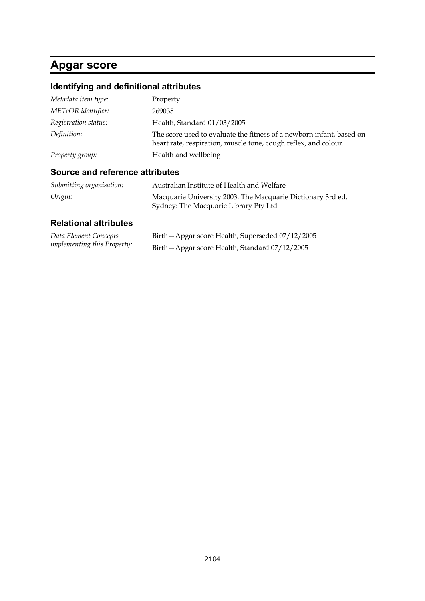## **Apgar score**

### **Identifying and definitional attributes**

| Metadata item type:  | Property                                                                                                                                |
|----------------------|-----------------------------------------------------------------------------------------------------------------------------------------|
| METeOR identifier:   | 269035                                                                                                                                  |
| Registration status: | Health, Standard 01/03/2005                                                                                                             |
| Definition:          | The score used to evaluate the fitness of a newborn infant, based on<br>heart rate, respiration, muscle tone, cough reflex, and colour. |
| Property group:      | Health and wellbeing                                                                                                                    |
|                      |                                                                                                                                         |

### **Source and reference attributes**

| Submitting organisation: | Australian Institute of Health and Welfare                  |
|--------------------------|-------------------------------------------------------------|
| Origin:                  | Macquarie University 2003. The Macquarie Dictionary 3rd ed. |
|                          | Sydney: The Macquarie Library Pty Ltd                       |

| Data Element Concepts              | Birth - Apgar score Health, Superseded 07/12/2005 |
|------------------------------------|---------------------------------------------------|
| <i>implementing this Property:</i> | Birth - Apgar score Health, Standard 07/12/2005   |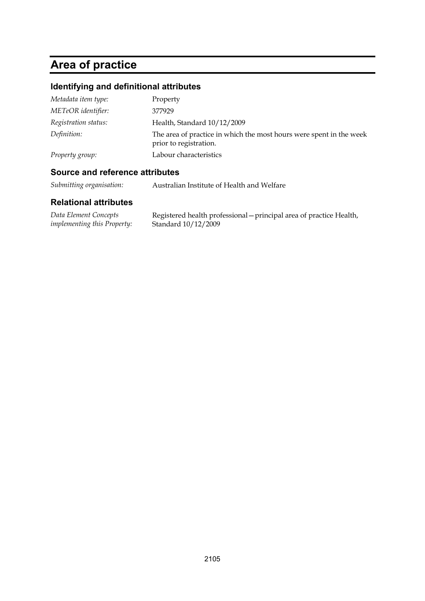## **Area of practice**

### **Identifying and definitional attributes**

| Metadata item type:  | Property                                                                                      |
|----------------------|-----------------------------------------------------------------------------------------------|
| METeOR identifier:   | 377929                                                                                        |
| Registration status: | Health, Standard 10/12/2009                                                                   |
| Definition:          | The area of practice in which the most hours were spent in the week<br>prior to registration. |
| Property group:      | Labour characteristics                                                                        |

### **Source and reference attributes**

*Submitting organisation:* Australian Institute of Health and Welfare

| Data Element Concepts              | Registered health professional – principal area of practice Health, |
|------------------------------------|---------------------------------------------------------------------|
| <i>implementing this Property:</i> | Standard 10/12/2009                                                 |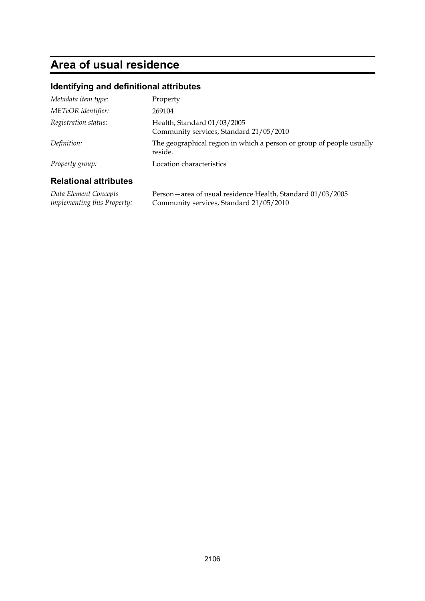## **Area of usual residence**

#### **Identifying and definitional attributes**

| Property group:      | reside.<br>Location characteristics                                    |
|----------------------|------------------------------------------------------------------------|
| Definition:          | The geographical region in which a person or group of people usually   |
| Registration status: | Health, Standard 01/03/2005<br>Community services, Standard 21/05/2010 |
| METeOR identifier:   | 269104                                                                 |
| Metadata item type:  | Property                                                               |

### **Relational attributes**

*Data Element Concepts implementing this Property:* Person—area of usual residence Health, Standard 01/03/2005 Community services, Standard 21/05/2010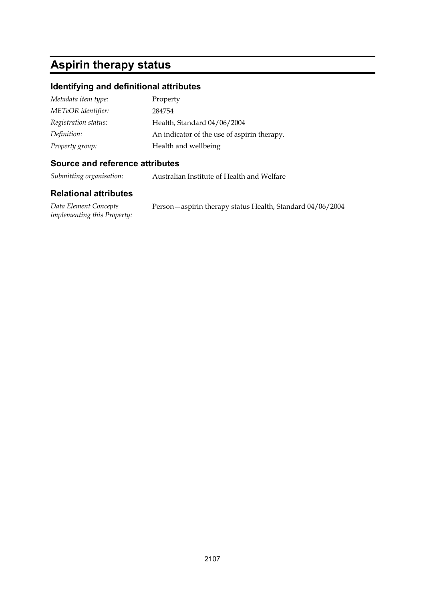## **Aspirin therapy status**

### **Identifying and definitional attributes**

| Metadata item type:  | Property                                    |
|----------------------|---------------------------------------------|
| METeOR identifier:   | 284754                                      |
| Registration status: | Health, Standard 04/06/2004                 |
| Definition:          | An indicator of the use of aspirin therapy. |
| Property group:      | Health and wellbeing                        |

### **Source and reference attributes**

*Submitting organisation:* Australian Institute of Health and Welfare

| Data Element Concepts              | Person - aspirin therapy status Health, Standard 04/06/2004 |
|------------------------------------|-------------------------------------------------------------|
| <i>implementing this Property:</i> |                                                             |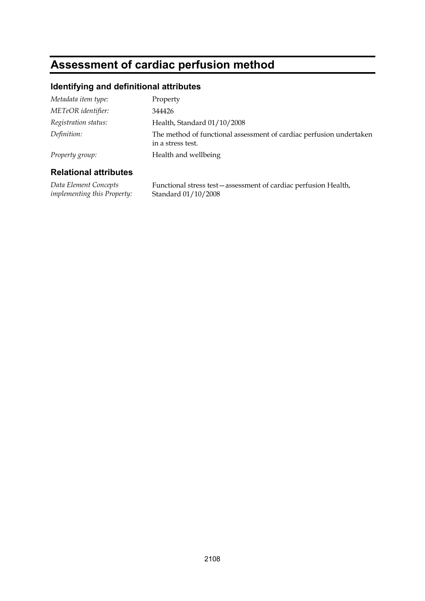## **Assessment of cardiac perfusion method**

### **Identifying and definitional attributes**

| Metadata item type:  | Property                                                                                 |
|----------------------|------------------------------------------------------------------------------------------|
| METeOR identifier:   | 344426                                                                                   |
| Registration status: | Health, Standard 01/10/2008                                                              |
| Definition:          | The method of functional assessment of cardiac perfusion undertaken<br>in a stress test. |
| Property group:      | Health and wellbeing                                                                     |

### **Relational attributes**

*Data Element Concepts implementing this Property:* Functional stress test—assessment of cardiac perfusion Health, Standard 01/10/2008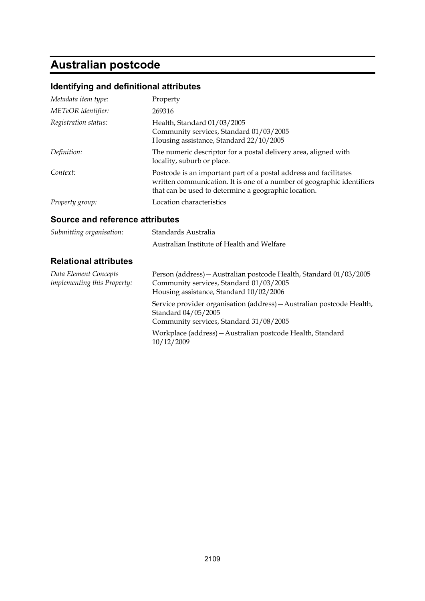## **Australian postcode**

### **Identifying and definitional attributes**

| Metadata item type:  | Property                                                                                                                                                                                            |
|----------------------|-----------------------------------------------------------------------------------------------------------------------------------------------------------------------------------------------------|
| METeOR identifier:   | 269316                                                                                                                                                                                              |
| Registration status: | Health, Standard 01/03/2005<br>Community services, Standard 01/03/2005<br>Housing assistance, Standard 22/10/2005                                                                                   |
| Definition:          | The numeric descriptor for a postal delivery area, aligned with<br>locality, suburb or place.                                                                                                       |
| Context:             | Postcode is an important part of a postal address and facilitates<br>written communication. It is one of a number of geographic identifiers<br>that can be used to determine a geographic location. |
| Property group:      | Location characteristics                                                                                                                                                                            |

### **Source and reference attributes**

| Submitting organisation:                                    | Standards Australia                                                                                                                                      |
|-------------------------------------------------------------|----------------------------------------------------------------------------------------------------------------------------------------------------------|
|                                                             | Australian Institute of Health and Welfare                                                                                                               |
| <b>Relational attributes</b>                                |                                                                                                                                                          |
| Data Element Concepts<br><i>implementing this Property:</i> | Person (address) - Australian postcode Health, Standard 01/03/2005<br>Community services, Standard 01/03/2005<br>Housing assistance, Standard 10/02/2006 |
|                                                             | Service provider organisation (address) - Australian postcode Health,<br>Standard 04/05/2005                                                             |

Community services, Standard 31/08/2005

Workplace (address)—Australian postcode Health, Standard 10/12/2009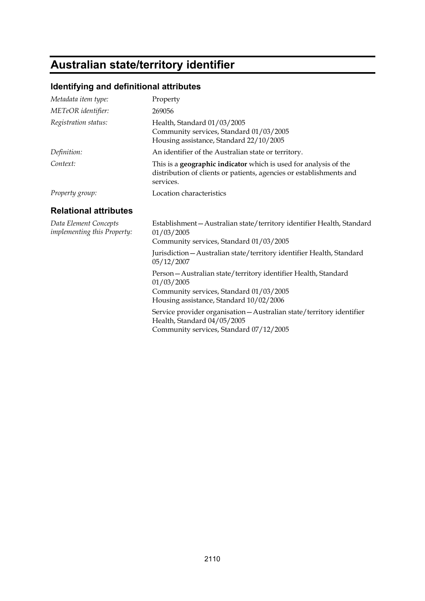# **Australian state/territory identifier**

## **Identifying and definitional attributes**

| Metadata item type:                                  | Property                                                                                                                                                            |  |
|------------------------------------------------------|---------------------------------------------------------------------------------------------------------------------------------------------------------------------|--|
| METeOR identifier:                                   | 269056                                                                                                                                                              |  |
| Registration status:                                 | Health, Standard 01/03/2005<br>Community services, Standard 01/03/2005<br>Housing assistance, Standard 22/10/2005                                                   |  |
| Definition:                                          | An identifier of the Australian state or territory.                                                                                                                 |  |
| Context:                                             | This is a <b>geographic indicator</b> which is used for analysis of the<br>distribution of clients or patients, agencies or establishments and<br>services.         |  |
| Property group:                                      | Location characteristics                                                                                                                                            |  |
| <b>Relational attributes</b>                         |                                                                                                                                                                     |  |
| Data Element Concepts<br>implementing this Property: | Establishment - Australian state/territory identifier Health, Standard<br>01/03/2005<br>Community services, Standard 01/03/2005                                     |  |
|                                                      | Jurisdiction-Australian state/territory identifier Health, Standard<br>05/12/2007                                                                                   |  |
|                                                      | Person - Australian state/territory identifier Health, Standard<br>01/03/2005<br>Community services, Standard 01/03/2005<br>Housing assistance, Standard 10/02/2006 |  |
|                                                      | Service provider organisation - Australian state/territory identifier<br>Health, Standard 04/05/2005<br>Community services, Standard 07/12/2005                     |  |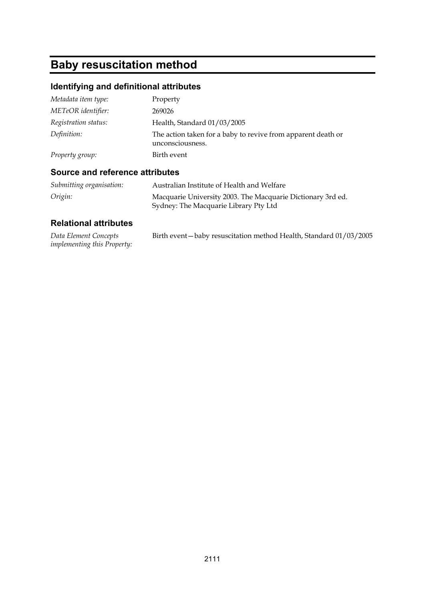# **Baby resuscitation method**

## **Identifying and definitional attributes**

| Metadata item type:  | Property                                                                         |
|----------------------|----------------------------------------------------------------------------------|
| METeOR identifier:   | 269026                                                                           |
| Registration status: | Health, Standard 01/03/2005                                                      |
| Definition:          | The action taken for a baby to revive from apparent death or<br>unconsciousness. |
| Property group:      | Birth event                                                                      |

### **Source and reference attributes**

| Submitting organisation: | Australian Institute of Health and Welfare                  |
|--------------------------|-------------------------------------------------------------|
| Origin:                  | Macquarie University 2003. The Macquarie Dictionary 3rd ed. |
|                          | Sydney: The Macquarie Library Pty Ltd                       |

| Data Element Concepts              | Birth event-baby resuscitation method Health, Standard 01/03/2005 |
|------------------------------------|-------------------------------------------------------------------|
| <i>implementing this Property:</i> |                                                                   |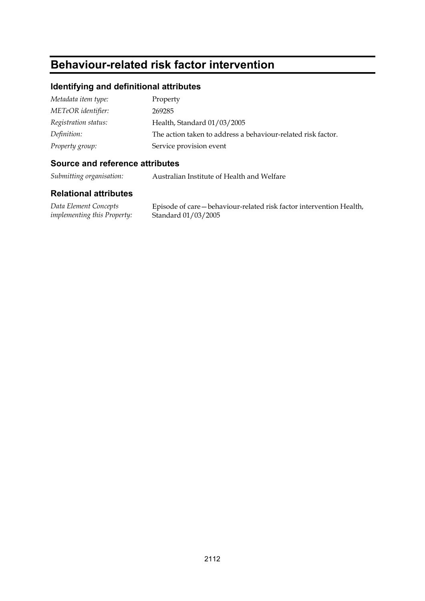## **Behaviour-related risk factor intervention**

### **Identifying and definitional attributes**

| Metadata item type:  | Property                                                     |
|----------------------|--------------------------------------------------------------|
| METeOR identifier:   | 269285                                                       |
| Registration status: | Health, Standard 01/03/2005                                  |
| Definition:          | The action taken to address a behaviour-related risk factor. |
| Property group:      | Service provision event                                      |

### **Source and reference attributes**

*Submitting organisation:* Australian Institute of Health and Welfare

### **Relational attributes**

*Data Element Concepts implementing this Property:*

Episode of care—behaviour-related risk factor intervention Health, Standard 01/03/2005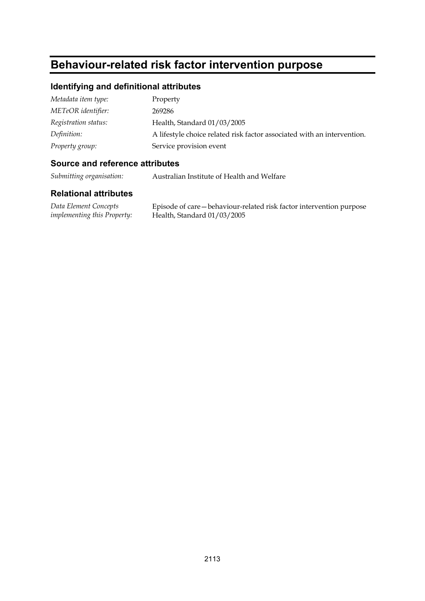## **Behaviour-related risk factor intervention purpose**

### **Identifying and definitional attributes**

| Metadata item type:  | Property                                                                |
|----------------------|-------------------------------------------------------------------------|
| METeOR identifier:   | 269286                                                                  |
| Registration status: | Health, Standard 01/03/2005                                             |
| Definition:          | A lifestyle choice related risk factor associated with an intervention. |
| Property group:      | Service provision event                                                 |

### **Source and reference attributes**

*Submitting organisation:* Australian Institute of Health and Welfare

### **Relational attributes**

*Data Element Concepts implementing this Property:* Episode of care—behaviour-related risk factor intervention purpose Health, Standard 01/03/2005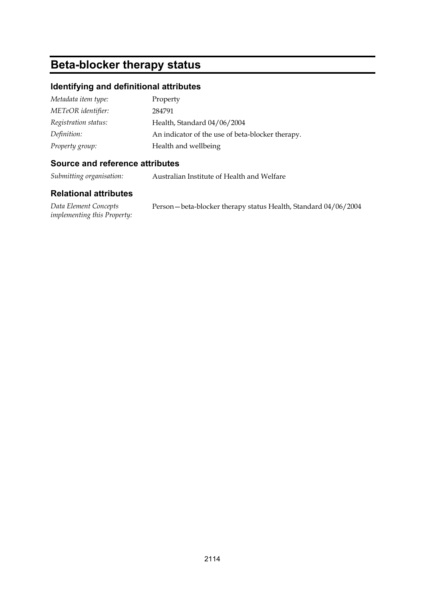## **Beta-blocker therapy status**

### **Identifying and definitional attributes**

| Metadata item type:  | Property                                         |
|----------------------|--------------------------------------------------|
| METeOR identifier:   | 284791                                           |
| Registration status: | Health, Standard 04/06/2004                      |
| Definition:          | An indicator of the use of beta-blocker therapy. |
| Property group:      | Health and wellbeing                             |

### **Source and reference attributes**

*Submitting organisation:* Australian Institute of Health and Welfare

### **Relational attributes**

*Data Element Concepts implementing this Property:* Person—beta-blocker therapy status Health, Standard 04/06/2004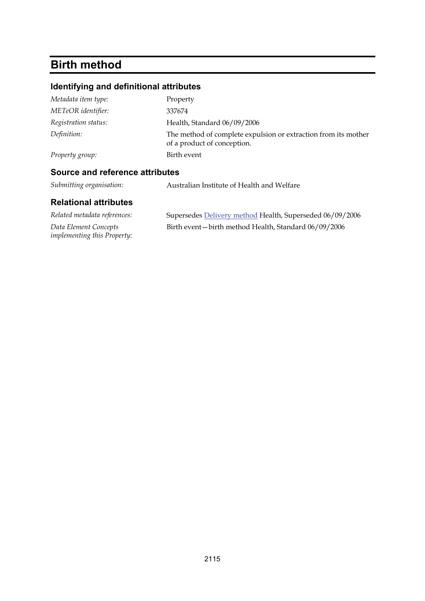## **Birth method**

### **Identifying and definitional attributes**

| Property group:      | of a product of conception.<br>Birth event                     |
|----------------------|----------------------------------------------------------------|
| Definition:          | The method of complete expulsion or extraction from its mother |
| Registration status: | Health, Standard 06/09/2006                                    |
| METeOR identifier:   | 337674                                                         |
| Metadata item type:  | Property                                                       |

*Submitting organisation:* Australian Institute of Health and Welfare

| Related metadata references:                                | Supersedes Delivery method Health, Superseded 06/09/2006 |
|-------------------------------------------------------------|----------------------------------------------------------|
| Data Element Concepts<br><i>implementing this Property:</i> | Birth event – birth method Health, Standard 06/09/2006   |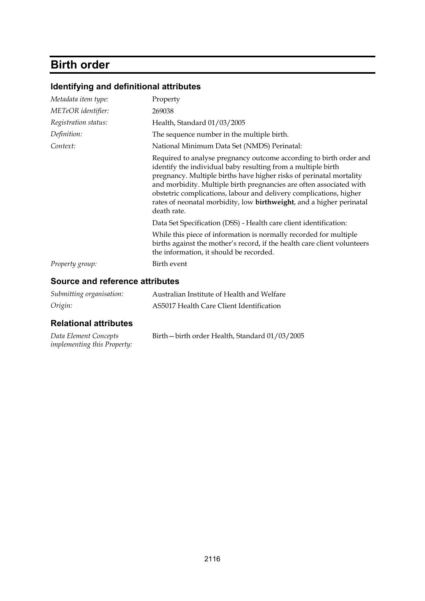## **Birth order**

### **Identifying and definitional attributes**

| Metadata item type:<br>METeOR identifier: | Property<br>269038                                                                                                                                                                                                                                                                                                                                                                                                                                    |
|-------------------------------------------|-------------------------------------------------------------------------------------------------------------------------------------------------------------------------------------------------------------------------------------------------------------------------------------------------------------------------------------------------------------------------------------------------------------------------------------------------------|
| Registration status:                      | Health, Standard 01/03/2005                                                                                                                                                                                                                                                                                                                                                                                                                           |
| Definition:                               | The sequence number in the multiple birth.                                                                                                                                                                                                                                                                                                                                                                                                            |
| Context:                                  | National Minimum Data Set (NMDS) Perinatal:                                                                                                                                                                                                                                                                                                                                                                                                           |
|                                           | Required to analyse pregnancy outcome according to birth order and<br>identify the individual baby resulting from a multiple birth<br>pregnancy. Multiple births have higher risks of perinatal mortality<br>and morbidity. Multiple birth pregnancies are often associated with<br>obstetric complications, labour and delivery complications, higher<br>rates of neonatal morbidity, low <b>birthweight</b> , and a higher perinatal<br>death rate. |
|                                           | Data Set Specification (DSS) - Health care client identification:                                                                                                                                                                                                                                                                                                                                                                                     |
|                                           | While this piece of information is normally recorded for multiple<br>births against the mother's record, if the health care client volunteers<br>the information, it should be recorded.                                                                                                                                                                                                                                                              |
| Property group:                           | Birth event                                                                                                                                                                                                                                                                                                                                                                                                                                           |

### **Source and reference attributes**

| Submitting organisation: | Australian Institute of Health and Welfare |
|--------------------------|--------------------------------------------|
| Origin:                  | AS5017 Health Care Client Identification   |

| Data Element Concepts              | Birth - birth order Health, Standard 01/03/2005 |
|------------------------------------|-------------------------------------------------|
| <i>implementing this Property:</i> |                                                 |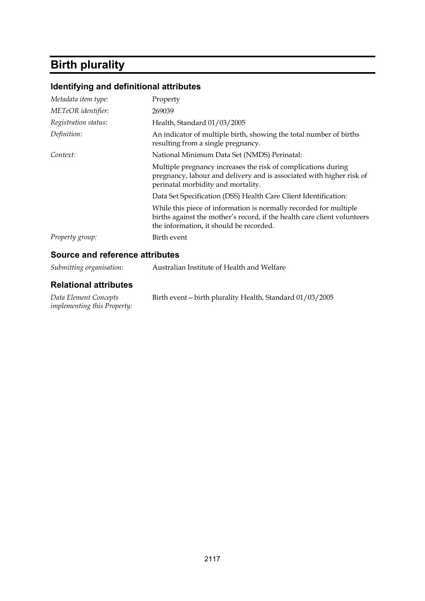## **Birth plurality**

## **Identifying and definitional attributes**

| Metadata item type:                | Property                                                                                                                                                                                 |
|------------------------------------|------------------------------------------------------------------------------------------------------------------------------------------------------------------------------------------|
| METeOR identifier:                 | 269039                                                                                                                                                                                   |
| Registration status:               | Health, Standard 01/03/2005                                                                                                                                                              |
| Definition:                        | An indicator of multiple birth, showing the total number of births<br>resulting from a single pregnancy.                                                                                 |
| Context:                           | National Minimum Data Set (NMDS) Perinatal:                                                                                                                                              |
|                                    | Multiple pregnancy increases the risk of complications during<br>pregnancy, labour and delivery and is associated with higher risk of<br>perinatal morbidity and mortality.              |
|                                    | Data Set Specification (DSS) Health Care Client Identification:                                                                                                                          |
|                                    | While this piece of information is normally recorded for multiple<br>births against the mother's record, if the health care client volunteers<br>the information, it should be recorded. |
| Property group:                    | Birth event                                                                                                                                                                              |
| Carreae and esfavorese atteilurisa |                                                                                                                                                                                          |

### **Source and reference attributes**

| Submitting organisation:                                    | Australian Institute of Health and Welfare              |
|-------------------------------------------------------------|---------------------------------------------------------|
| <b>Relational attributes</b>                                |                                                         |
| Data Element Concepts<br><i>implementing this Property:</i> | Birth event-birth plurality Health, Standard 01/03/2005 |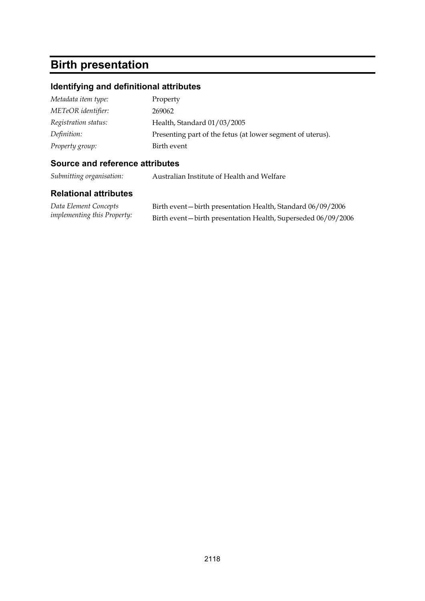## **Birth presentation**

### **Identifying and definitional attributes**

| Metadata item type:  | Property                                                   |
|----------------------|------------------------------------------------------------|
| METeOR identifier:   | 269062                                                     |
| Registration status: | Health, Standard 01/03/2005                                |
| Definition:          | Presenting part of the fetus (at lower segment of uterus). |
| Property group:      | Birth event                                                |

### **Source and reference attributes**

*Submitting organisation:* Australian Institute of Health and Welfare

| Data Element Concepts              | Birth event – birth presentation Health, Standard 06/09/2006   |
|------------------------------------|----------------------------------------------------------------|
| <i>implementing this Property:</i> | Birth event - birth presentation Health, Superseded 06/09/2006 |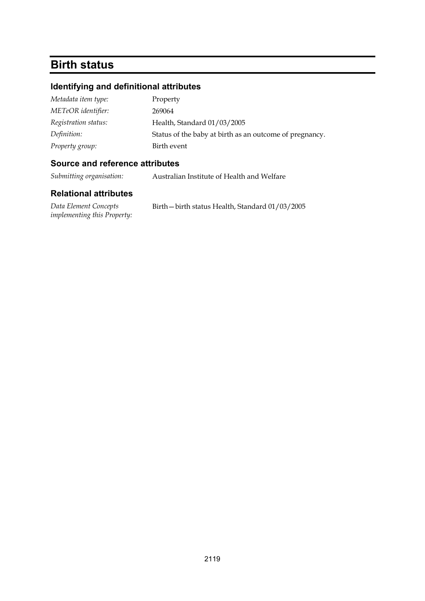## **Birth status**

### **Identifying and definitional attributes**

| Metadata item type:  | Property                                                |
|----------------------|---------------------------------------------------------|
| METeOR identifier:   | 269064                                                  |
| Registration status: | Health, Standard 01/03/2005                             |
| Definition:          | Status of the baby at birth as an outcome of pregnancy. |
| Property group:      | Birth event                                             |

### **Source and reference attributes**

*Submitting organisation:* Australian Institute of Health and Welfare

### **Relational attributes**

*Data Element Concepts implementing this Property:* Birth—birth status Health, Standard 01/03/2005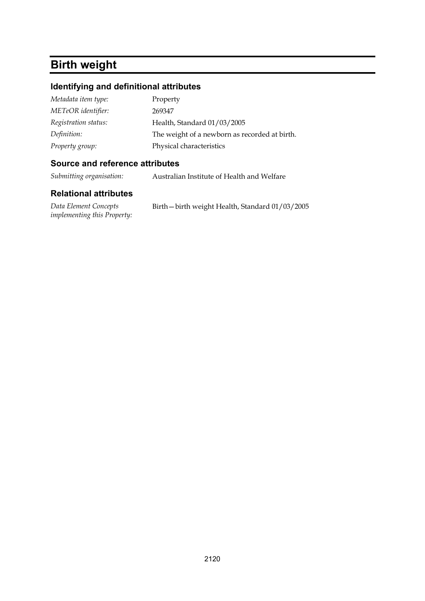## **Birth weight**

### **Identifying and definitional attributes**

| Metadata item type:  | Property                                      |
|----------------------|-----------------------------------------------|
| METeOR identifier:   | 269347                                        |
| Registration status: | Health, Standard 01/03/2005                   |
| Definition:          | The weight of a newborn as recorded at birth. |
| Property group:      | Physical characteristics                      |

### **Source and reference attributes**

*Submitting organisation:* Australian Institute of Health and Welfare

### **Relational attributes**

*Data Element Concepts implementing this Property:* Birth—birth weight Health, Standard 01/03/2005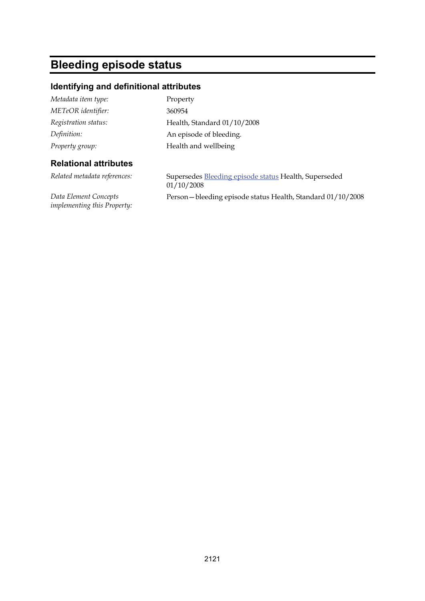## **Bleeding episode status**

*implementing this Property:*

### **Identifying and definitional attributes**

| Metadata item type:          | Property                                                            |
|------------------------------|---------------------------------------------------------------------|
| METeOR identifier:           | 360954                                                              |
| Registration status:         | Health, Standard 01/10/2008                                         |
| Definition:                  | An episode of bleeding.                                             |
| Property group:              | Health and wellbeing                                                |
| <b>Relational attributes</b> |                                                                     |
| Related metadata references: | Supersedes Bleeding episode status Health, Superseded<br>01/10/2008 |
| Data Element Concepts        | Person-bleeding episode status Health, Standard 01/10/2008          |

2121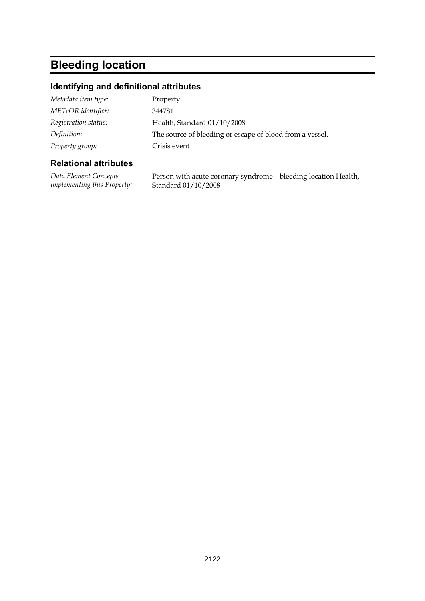## **Bleeding location**

### **Identifying and definitional attributes**

| Metadata item type:  | Property                                                 |
|----------------------|----------------------------------------------------------|
| METeOR identifier:   | 344781                                                   |
| Registration status: | Health, Standard 01/10/2008                              |
| Definition:          | The source of bleeding or escape of blood from a vessel. |
| Property group:      | Crisis event                                             |

### **Relational attributes**

*Data Element Concepts implementing this Property:* Person with acute coronary syndrome—bleeding location Health, Standard 01/10/2008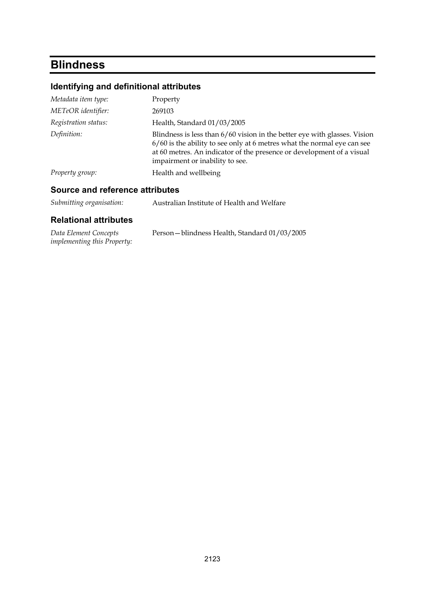## **Blindness**

## **Identifying and definitional attributes**

| Metadata item type:  | Property                                                                                                                                                                                                                                                           |
|----------------------|--------------------------------------------------------------------------------------------------------------------------------------------------------------------------------------------------------------------------------------------------------------------|
| METeOR identifier:   | 269103                                                                                                                                                                                                                                                             |
| Registration status: | Health, Standard 01/03/2005                                                                                                                                                                                                                                        |
| Definition:          | Blindness is less than 6/60 vision in the better eye with glasses. Vision<br>$6/60$ is the ability to see only at 6 metres what the normal eye can see<br>at 60 metres. An indicator of the presence or development of a visual<br>impairment or inability to see. |
| Property group:      | Health and wellbeing                                                                                                                                                                                                                                               |
|                      |                                                                                                                                                                                                                                                                    |

### **Source and reference attributes**

| Data Element Concepts              | Person - blindness Health, Standard 01/03/2005 |
|------------------------------------|------------------------------------------------|
| <i>implementing this Property:</i> |                                                |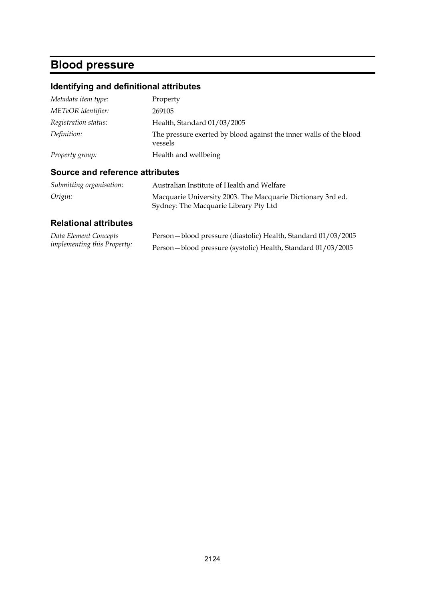## **Blood pressure**

## **Identifying and definitional attributes**

| Metadata item type:  | Property                                                                      |
|----------------------|-------------------------------------------------------------------------------|
| METeOR identifier:   | 269105                                                                        |
| Registration status: | Health, Standard 01/03/2005                                                   |
| Definition:          | The pressure exerted by blood against the inner walls of the blood<br>vessels |
| Property group:      | Health and wellbeing                                                          |

### **Source and reference attributes**

| Submitting organisation: | Australian Institute of Health and Welfare                  |
|--------------------------|-------------------------------------------------------------|
| Origin:                  | Macquarie University 2003. The Macquarie Dictionary 3rd ed. |
|                          | Sydney: The Macquarie Library Pty Ltd                       |

| Data Element Concepts              | Person-blood pressure (diastolic) Health, Standard 01/03/2005 |
|------------------------------------|---------------------------------------------------------------|
| <i>implementing this Property:</i> | Person-blood pressure (systolic) Health, Standard 01/03/2005  |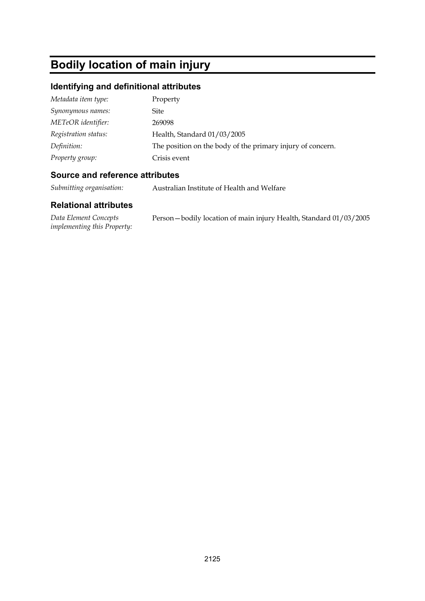## **Bodily location of main injury**

### **Identifying and definitional attributes**

| Metadata item type:  | Property                                                   |
|----------------------|------------------------------------------------------------|
| Synonymous names:    | Site                                                       |
| METeOR identifier:   | 269098                                                     |
| Registration status: | Health, Standard 01/03/2005                                |
| Definition:          | The position on the body of the primary injury of concern. |
| Property group:      | Crisis event                                               |

### **Source and reference attributes**

*Submitting organisation:* Australian Institute of Health and Welfare

| Data Element Concepts              | Person-bodily location of main injury Health, Standard 01/03/2005 |
|------------------------------------|-------------------------------------------------------------------|
| <i>implementing this Property:</i> |                                                                   |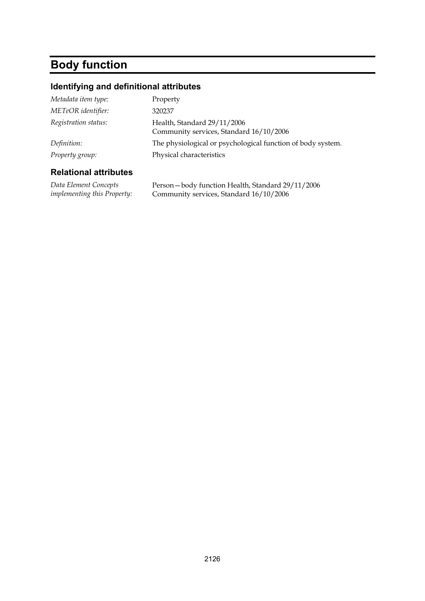# **Body function**

## **Identifying and definitional attributes**

| Metadata item type:  | Property                                                               |
|----------------------|------------------------------------------------------------------------|
| METeOR identifier:   | 320237                                                                 |
| Registration status: | Health, Standard 29/11/2006<br>Community services, Standard 16/10/2006 |
| Definition:          | The physiological or psychological function of body system.            |
| Property group:      | Physical characteristics                                               |
|                      |                                                                        |

| Data Element Concepts              | Person-body function Health, Standard 29/11/2006 |
|------------------------------------|--------------------------------------------------|
| <i>implementing this Property:</i> | Community services, Standard 16/10/2006          |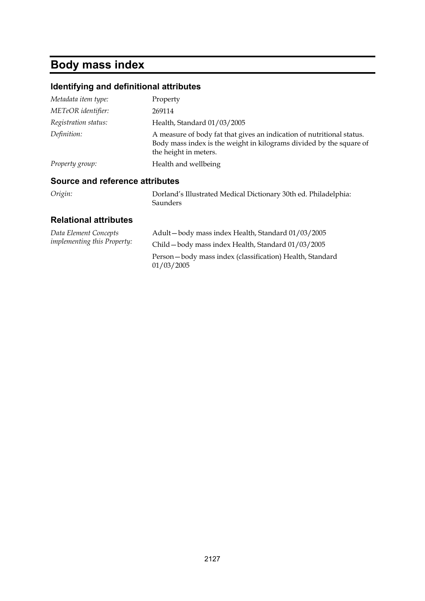## **Body mass index**

### **Identifying and definitional attributes**

| Metadata item type:  | Property                                                                                                                                                              |
|----------------------|-----------------------------------------------------------------------------------------------------------------------------------------------------------------------|
| METeOR identifier:   | 269114                                                                                                                                                                |
| Registration status: | Health, Standard 01/03/2005                                                                                                                                           |
| Definition:          | A measure of body fat that gives an indication of nutritional status.<br>Body mass index is the weight in kilograms divided by the square of<br>the height in meters. |
| Property group:      | Health and wellbeing                                                                                                                                                  |
|                      |                                                                                                                                                                       |

### **Source and reference attributes**

| Origin: | Dorland's Illustrated Medical Dictionary 30th ed. Philadelphia: |
|---------|-----------------------------------------------------------------|
|         | Saunders                                                        |

| Data Element Concepts<br><i>implementing this Property:</i> | Adult-body mass index Health, Standard 01/03/2005                      |
|-------------------------------------------------------------|------------------------------------------------------------------------|
|                                                             | Child - body mass index Health, Standard 01/03/2005                    |
|                                                             | Person-body mass index (classification) Health, Standard<br>01/03/2005 |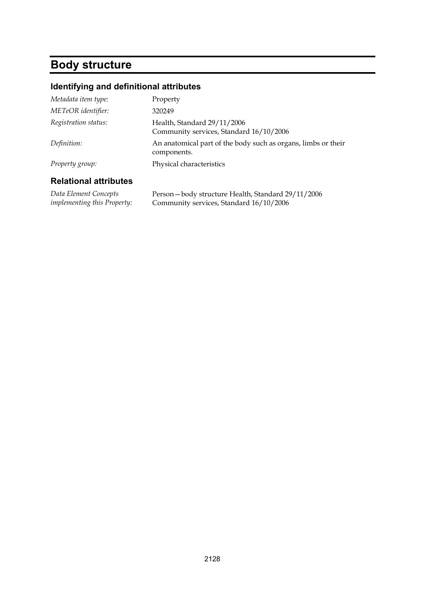## **Body structure**

### **Identifying and definitional attributes**

| <b>Relational attributes</b> |                                                                              |
|------------------------------|------------------------------------------------------------------------------|
| Property group:              | Physical characteristics                                                     |
| Definition:                  | An anatomical part of the body such as organs, limbs or their<br>components. |
| Registration status:         | Health, Standard 29/11/2006<br>Community services, Standard 16/10/2006       |
| METeOR identifier:           | 320249                                                                       |
| Metadata item type:          | Property                                                                     |

*Data Element Concepts implementing this Property:* Person—body structure Health, Standard 29/11/2006 Community services, Standard 16/10/2006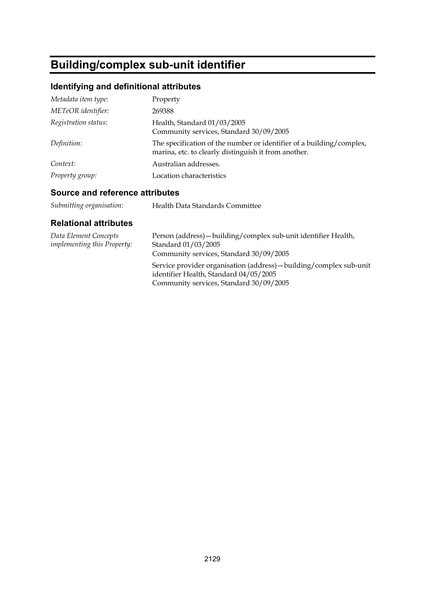## **Building/complex sub-unit identifier**

## **Identifying and definitional attributes**

| Metadata item type:  | Property                                                                                                                     |
|----------------------|------------------------------------------------------------------------------------------------------------------------------|
| METeOR identifier:   | 269388                                                                                                                       |
| Registration status: | Health, Standard 01/03/2005<br>Community services, Standard 30/09/2005                                                       |
| Definition:          | The specification of the number or identifier of a building/complex,<br>marina, etc. to clearly distinguish it from another. |
| Context:             | Australian addresses.                                                                                                        |
| Property group:      | Location characteristics                                                                                                     |

### **Source and reference attributes**

| Health Data Standards Committee |
|---------------------------------|
|                                 |

| Data Element Concepts<br><i>implementing this Property:</i> | Person (address) - building/complex sub-unit identifier Health,<br>Standard 01/03/2005<br>Community services, Standard 30/09/2005                        |
|-------------------------------------------------------------|----------------------------------------------------------------------------------------------------------------------------------------------------------|
|                                                             | Service provider organisation (address) - building/complex sub-unit<br>identifier Health, Standard 04/05/2005<br>Community services, Standard 30/09/2005 |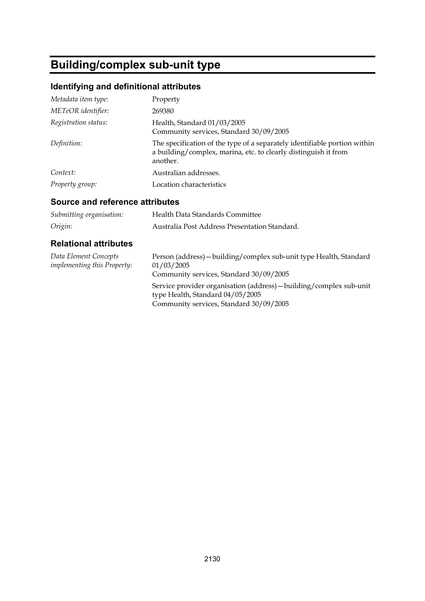## **Building/complex sub-unit type**

### **Identifying and definitional attributes**

| Metadata item type:  | Property                                                                                                                                                 |
|----------------------|----------------------------------------------------------------------------------------------------------------------------------------------------------|
| METeOR identifier:   | 269380                                                                                                                                                   |
| Registration status: | Health, Standard 01/03/2005<br>Community services, Standard 30/09/2005                                                                                   |
| Definition:          | The specification of the type of a separately identifiable portion within<br>a building/complex, marina, etc. to clearly distinguish it from<br>another. |
| Context:             | Australian addresses.                                                                                                                                    |
| Property group:      | Location characteristics                                                                                                                                 |

### **Source and reference attributes**

| Submitting organisation: | Health Data Standards Committee               |
|--------------------------|-----------------------------------------------|
| Origin:                  | Australia Post Address Presentation Standard. |

| Data Element Concepts<br><i>implementing this Property:</i> | Person (address) - building/complex sub-unit type Health, Standard<br>01/03/2005<br>Community services, Standard 30/09/2005                        |
|-------------------------------------------------------------|----------------------------------------------------------------------------------------------------------------------------------------------------|
|                                                             | Service provider organisation (address) – building/complex sub-unit<br>type Health, Standard 04/05/2005<br>Community services, Standard 30/09/2005 |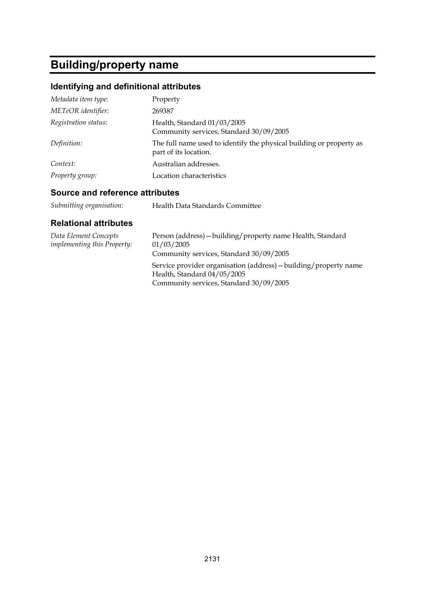## **Building/property name**

## **Identifying and definitional attributes**

| Metadata item type:  | Property                                                                                     |
|----------------------|----------------------------------------------------------------------------------------------|
| METeOR identifier:   | 269387                                                                                       |
| Registration status: | Health, Standard 01/03/2005<br>Community services, Standard 30/09/2005                       |
| Definition:          | The full name used to identify the physical building or property as<br>part of its location. |
| Context:             | Australian addresses.                                                                        |
| Property group:      | Location characteristics                                                                     |

### **Source and reference attributes**

| Health Data Standards Committee |
|---------------------------------|
|                                 |

| Data Element Concepts<br><i>implementing this Property:</i> | Person (address) - building/property name Health, Standard<br>01/03/2005<br>Community services, Standard 30/09/2005                        |
|-------------------------------------------------------------|--------------------------------------------------------------------------------------------------------------------------------------------|
|                                                             | Service provider organisation (address) – building/property name<br>Health, Standard 04/05/2005<br>Community services, Standard 30/09/2005 |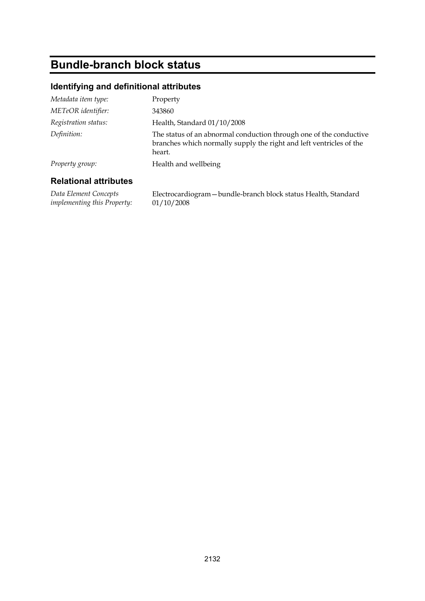## **Bundle-branch block status**

### **Identifying and definitional attributes**

| Metadata item type:  | Property                                                                                                                                            |
|----------------------|-----------------------------------------------------------------------------------------------------------------------------------------------------|
| METeOR identifier:   | 343860                                                                                                                                              |
| Registration status: | Health, Standard 01/10/2008                                                                                                                         |
| Definition:          | The status of an abnormal conduction through one of the conductive<br>branches which normally supply the right and left ventricles of the<br>heart. |
| Property group:      | Health and wellbeing                                                                                                                                |
|                      |                                                                                                                                                     |

### **Relational attributes**

*Data Element Concepts implementing this Property:* Electrocardiogram—bundle-branch block status Health, Standard 01/10/2008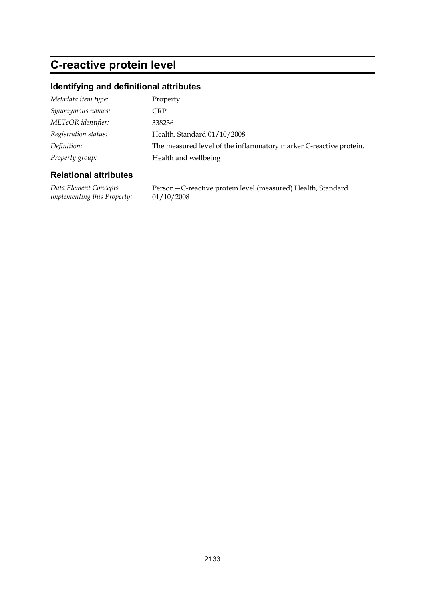## **C-reactive protein level**

### **Identifying and definitional attributes**

| Metadata item type:  | Property                                                          |
|----------------------|-------------------------------------------------------------------|
| Synonymous names:    | CRP                                                               |
| METeOR identifier:   | 338236                                                            |
| Registration status: | Health, Standard 01/10/2008                                       |
| Definition:          | The measured level of the inflammatory marker C-reactive protein. |
| Property group:      | Health and wellbeing                                              |

### **Relational attributes**

*Data Element Concepts implementing this Property:* Person—C-reactive protein level (measured) Health, Standard 01/10/2008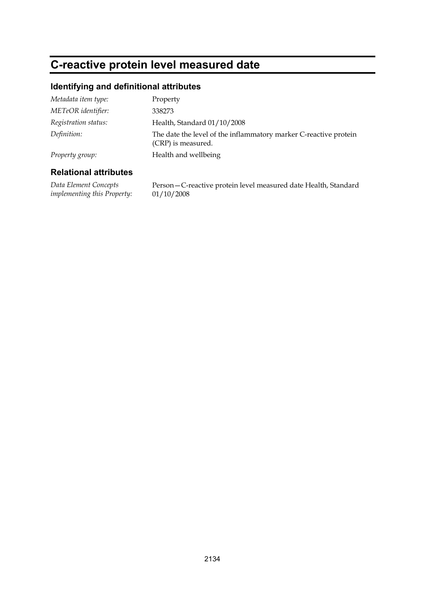## **C-reactive protein level measured date**

### **Identifying and definitional attributes**

| Metadata item type:  | Property                                                                               |
|----------------------|----------------------------------------------------------------------------------------|
| METeOR identifier:   | 338273                                                                                 |
| Registration status: | Health, Standard 01/10/2008                                                            |
| Definition:          | The date the level of the inflammatory marker C-reactive protein<br>(CRP) is measured. |
| Property group:      | Health and wellbeing                                                                   |

#### **Relational attributes**

*Data Element Concepts implementing this Property:* Person—C-reactive protein level measured date Health, Standard 01/10/2008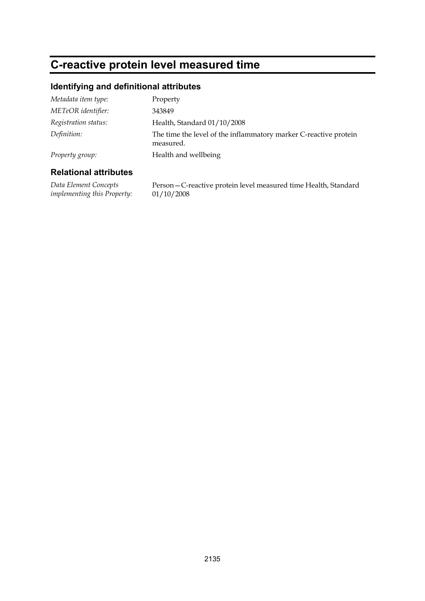## **C-reactive protein level measured time**

### **Identifying and definitional attributes**

| Metadata item type:  | Property                                                                      |
|----------------------|-------------------------------------------------------------------------------|
| METeOR identifier:   | 343849                                                                        |
| Registration status: | Health, Standard 01/10/2008                                                   |
| Definition:          | The time the level of the inflammatory marker C-reactive protein<br>measured. |
| Property group:      | Health and wellbeing                                                          |

### **Relational attributes**

*Data Element Concepts implementing this Property:* Person—C-reactive protein level measured time Health, Standard 01/10/2008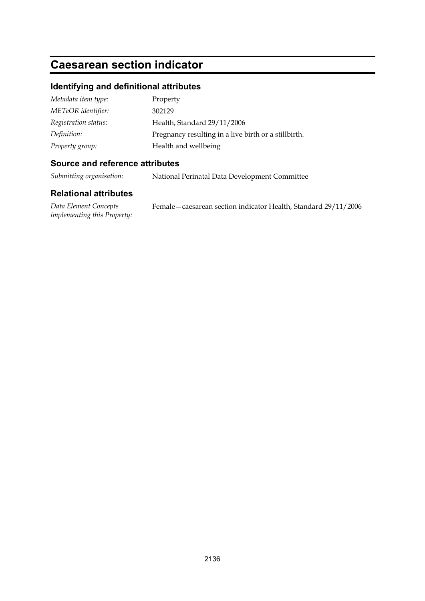## **Caesarean section indicator**

### **Identifying and definitional attributes**

| Metadata item type:  | Property                                             |
|----------------------|------------------------------------------------------|
| METeOR identifier:   | 302129                                               |
| Registration status: | Health, Standard 29/11/2006                          |
| Definition:          | Pregnancy resulting in a live birth or a stillbirth. |
| Property group:      | Health and wellbeing                                 |

### **Source and reference attributes**

*Submitting organisation:* National Perinatal Data Development Committee

### **Relational attributes**

*Data Element Concepts implementing this Property:* Female—caesarean section indicator Health, Standard 29/11/2006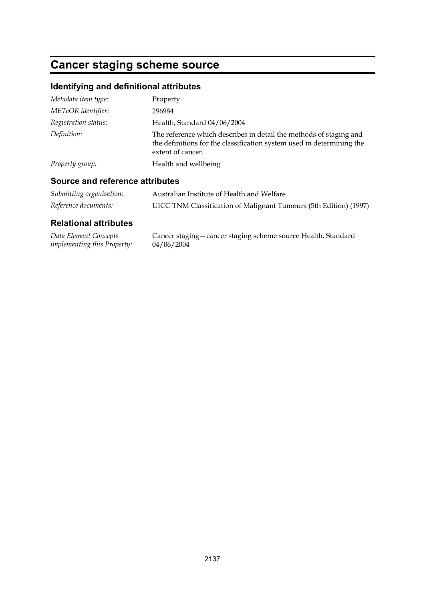## **Cancer staging scheme source**

## **Identifying and definitional attributes**

| Metadata item type:  | Property                                                                                                                                                         |
|----------------------|------------------------------------------------------------------------------------------------------------------------------------------------------------------|
| METeOR identifier:   | 296984                                                                                                                                                           |
| Registration status: | Health, Standard 04/06/2004                                                                                                                                      |
| Definition:          | The reference which describes in detail the methods of staging and<br>the definitions for the classification system used in determining the<br>extent of cancer. |
| Property group:      | Health and wellbeing                                                                                                                                             |

### **Source and reference attributes**

| Submitting organisation: | Australian Institute of Health and Welfare                        |
|--------------------------|-------------------------------------------------------------------|
| Reference documents:     | UICC TNM Classification of Malignant Tumours (5th Edition) (1997) |

| Data Element Concepts              | Cancer staging – cancer staging scheme source Health, Standard |
|------------------------------------|----------------------------------------------------------------|
| <i>implementing this Property:</i> | 04/06/2004                                                     |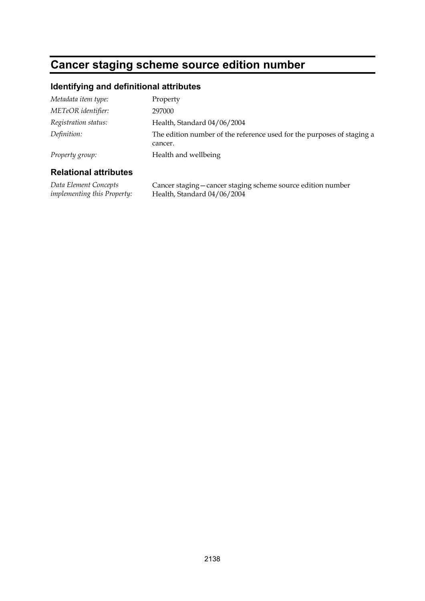## **Cancer staging scheme source edition number**

### **Identifying and definitional attributes**

| Metadata item type:  | Property                                                                          |
|----------------------|-----------------------------------------------------------------------------------|
| METeOR identifier:   | 297000                                                                            |
| Registration status: | Health, Standard 04/06/2004                                                       |
| Definition:          | The edition number of the reference used for the purposes of staging a<br>cancer. |
| Property group:      | Health and wellbeing                                                              |

#### **Relational attributes**

*Data Element Concepts implementing this Property:* Cancer staging—cancer staging scheme source edition number Health, Standard 04/06/2004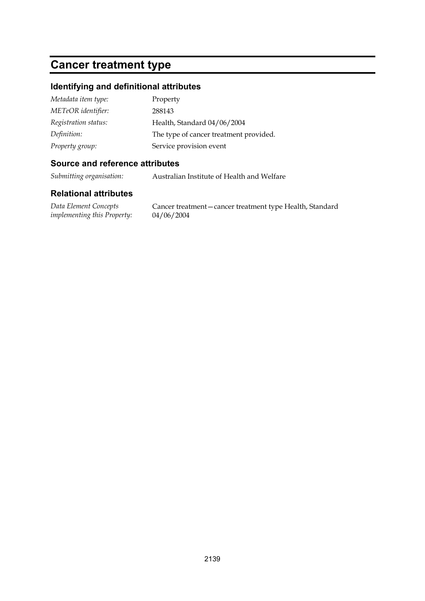## **Cancer treatment type**

### **Identifying and definitional attributes**

| Metadata item type:  | Property                               |
|----------------------|----------------------------------------|
| METeOR identifier:   | 288143                                 |
| Registration status: | Health, Standard 04/06/2004            |
| Definition:          | The type of cancer treatment provided. |
| Property group:      | Service provision event                |

### **Source and reference attributes**

*Submitting organisation:* Australian Institute of Health and Welfare

### **Relational attributes**

*Data Element Concepts implementing this Property:*

Cancer treatment—cancer treatment type Health, Standard 04/06/2004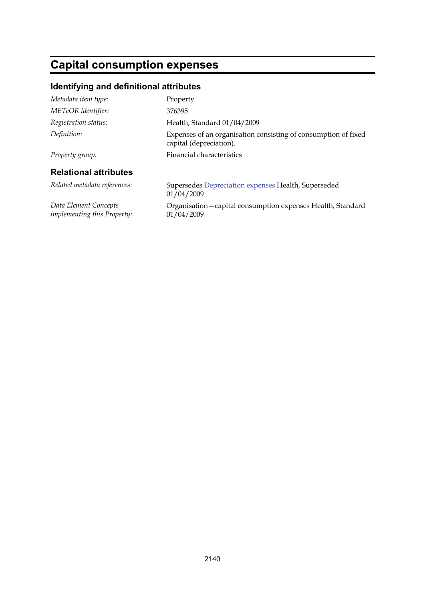## **Capital consumption expenses**

### **Identifying and definitional attributes**

| Metadata item type:                                  | Property                                                                                  |
|------------------------------------------------------|-------------------------------------------------------------------------------------------|
| METeOR identifier:                                   | 376395                                                                                    |
| Registration status:                                 | Health, Standard 01/04/2009                                                               |
| Definition:                                          | Expenses of an organisation consisting of consumption of fixed<br>capital (depreciation). |
| Property group:                                      | Financial characteristics                                                                 |
| <b>Relational attributes</b>                         |                                                                                           |
| Related metadata references:                         | Supersedes Depreciation expenses Health, Superseded<br>01/04/2009                         |
| Data Element Concepts<br>implementing this Property: | Organisation – capital consumption expenses Health, Standard<br>01/04/2009                |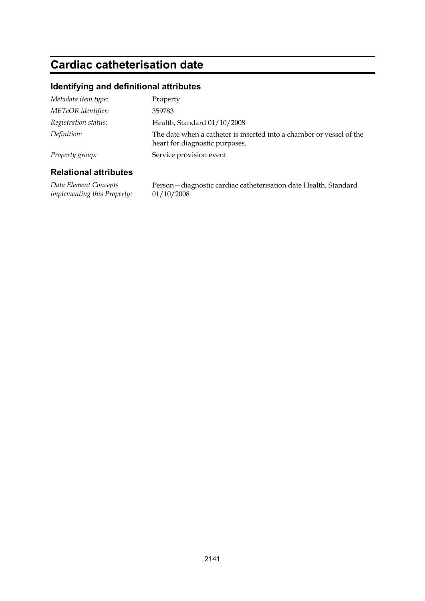## **Cardiac catheterisation date**

### **Identifying and definitional attributes**

| Metadata item type:  | Property                                                                                               |
|----------------------|--------------------------------------------------------------------------------------------------------|
| METeOR identifier:   | 359783                                                                                                 |
| Registration status: | Health, Standard 01/10/2008                                                                            |
| Definition:          | The date when a catheter is inserted into a chamber or vessel of the<br>heart for diagnostic purposes. |
| Property group:      | Service provision event                                                                                |

### **Relational attributes**

*Data Element Concepts implementing this Property:* Person—diagnostic cardiac catheterisation date Health, Standard 01/10/2008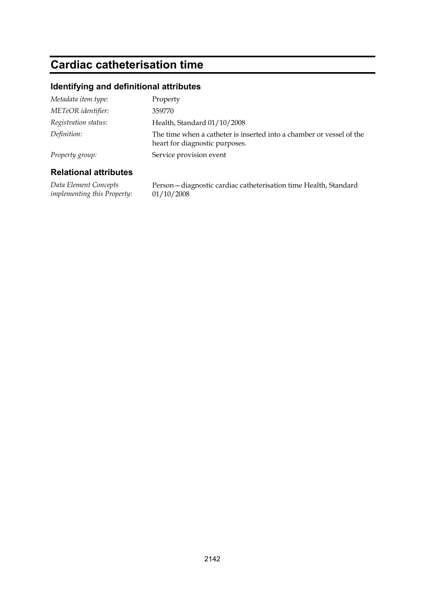## **Cardiac catheterisation time**

### **Identifying and definitional attributes**

| Metadata item type:  | Property                                                                                               |
|----------------------|--------------------------------------------------------------------------------------------------------|
| METeOR identifier:   | 359770                                                                                                 |
| Registration status: | Health, Standard 01/10/2008                                                                            |
| Definition:          | The time when a catheter is inserted into a chamber or vessel of the<br>heart for diagnostic purposes. |
| Property group:      | Service provision event                                                                                |
|                      |                                                                                                        |

### **Relational attributes**

*Data Element Concepts implementing this Property:* Person—diagnostic cardiac catheterisation time Health, Standard 01/10/2008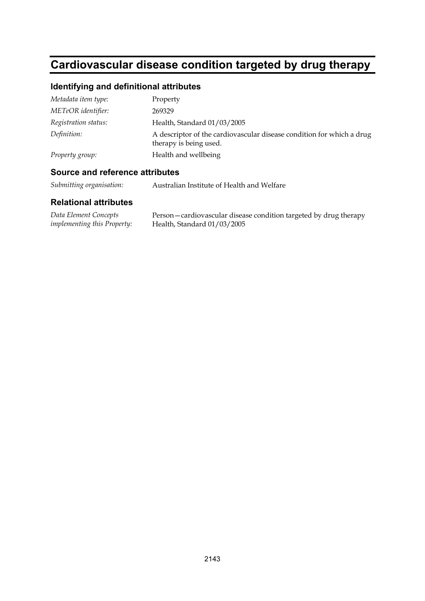# **Cardiovascular disease condition targeted by drug therapy**

## **Identifying and definitional attributes**

| Metadata item type:  | Property                                                                                        |
|----------------------|-------------------------------------------------------------------------------------------------|
| METeOR identifier:   | 269329                                                                                          |
| Registration status: | Health, Standard 01/03/2005                                                                     |
| Definition:          | A descriptor of the cardiovascular disease condition for which a drug<br>therapy is being used. |
| Property group:      | Health and wellbeing                                                                            |

#### **Source and reference attributes**

*Submitting organisation:* Australian Institute of Health and Welfare

| Data Element Concepts              | Person-cardiovascular disease condition targeted by drug therapy |
|------------------------------------|------------------------------------------------------------------|
| <i>implementing this Property:</i> | Health, Standard $01/03/2005$                                    |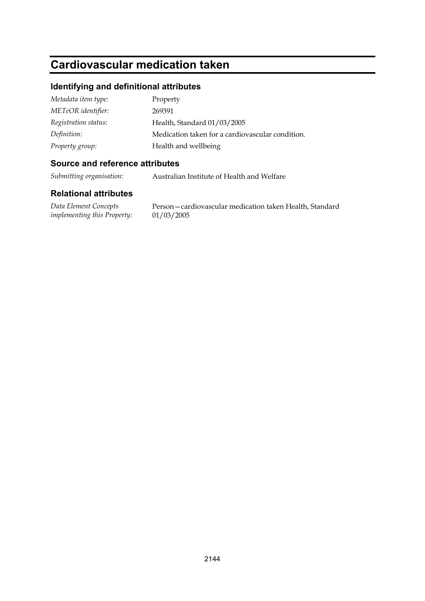# **Cardiovascular medication taken**

#### **Identifying and definitional attributes**

| Metadata item type:  | Property                                         |
|----------------------|--------------------------------------------------|
| METeOR identifier:   | 269391                                           |
| Registration status: | Health, Standard 01/03/2005                      |
| Definition:          | Medication taken for a cardiovascular condition. |
| Property group:      | Health and wellbeing                             |

#### **Source and reference attributes**

*Submitting organisation:* Australian Institute of Health and Welfare

#### **Relational attributes**

*Data Element Concepts implementing this Property:*

Person—cardiovascular medication taken Health, Standard 01/03/2005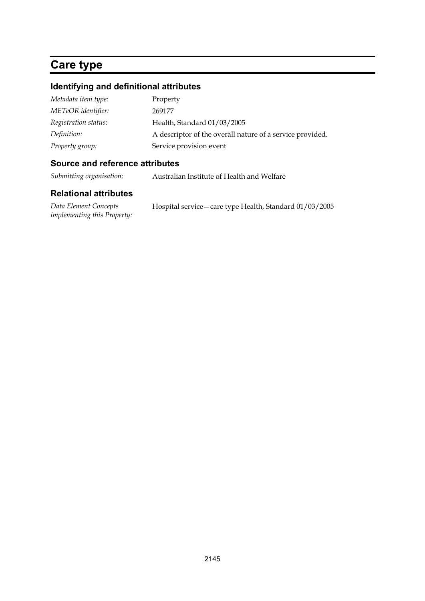# **Care type**

#### **Identifying and definitional attributes**

| Metadata item type:  | Property                                                  |
|----------------------|-----------------------------------------------------------|
| METeOR identifier:   | 269177                                                    |
| Registration status: | Health, Standard 01/03/2005                               |
| Definition:          | A descriptor of the overall nature of a service provided. |
| Property group:      | Service provision event                                   |

### **Source and reference attributes**

*Submitting organisation:* Australian Institute of Health and Welfare

| Data Element Concepts              | Hospital service – care type Health, Standard 01/03/2005 |
|------------------------------------|----------------------------------------------------------|
| <i>implementing this Property:</i> |                                                          |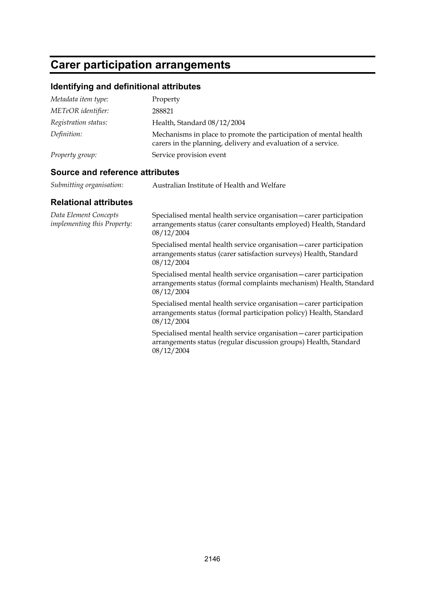## **Carer participation arrangements**

#### **Identifying and definitional attributes**

| Metadata item type:  | Property                                                                                                                           |
|----------------------|------------------------------------------------------------------------------------------------------------------------------------|
| METeOR identifier:   | 288821                                                                                                                             |
| Registration status: | Health, Standard 08/12/2004                                                                                                        |
| Definition:          | Mechanisms in place to promote the participation of mental health<br>carers in the planning, delivery and evaluation of a service. |
| Property group:      | Service provision event                                                                                                            |

#### **Source and reference attributes**

| Submitting organisation: | Australian Institute of Health and Welfare |
|--------------------------|--------------------------------------------|
|                          |                                            |

#### **Relational attributes**

*Data Element Concepts implementing this Property:* Specialised mental health service organisation—carer participation arrangements status (carer consultants employed) Health, Standard 08/12/2004 Specialised mental health service organisation—carer participation arrangements status (carer satisfaction surveys) Health, Standard 08/12/2004 Specialised mental health service organisation—carer participation arrangements status (formal complaints mechanism) Health, Standard 08/12/2004 Specialised mental health service organisation—carer participation arrangements status (formal participation policy) Health, Standard 08/12/2004 Specialised mental health service organisation—carer participation arrangements status (regular discussion groups) Health, Standard 08/12/2004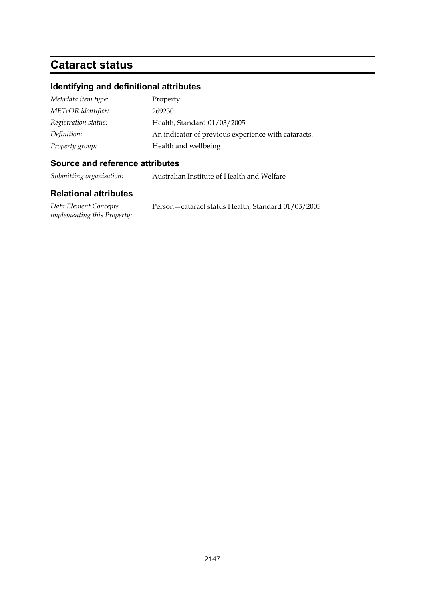## **Cataract status**

#### **Identifying and definitional attributes**

| Metadata item type:  | Property                                            |
|----------------------|-----------------------------------------------------|
| METeOR identifier:   | 269230                                              |
| Registration status: | Health, Standard 01/03/2005                         |
| Definition:          | An indicator of previous experience with cataracts. |
| Property group:      | Health and wellbeing                                |

#### **Source and reference attributes**

*Submitting organisation:* Australian Institute of Health and Welfare

#### **Relational attributes**

*Data Element Concepts implementing this Property:* Person—cataract status Health, Standard 01/03/2005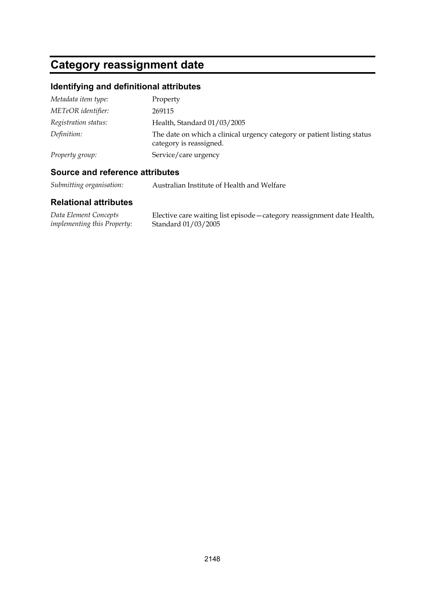# **Category reassignment date**

## **Identifying and definitional attributes**

| Metadata item type:  | Property                                                                                           |
|----------------------|----------------------------------------------------------------------------------------------------|
| METeOR identifier:   | 269115                                                                                             |
| Registration status: | Health, Standard 01/03/2005                                                                        |
| Definition:          | The date on which a clinical urgency category or patient listing status<br>category is reassigned. |
| Property group:      | Service/care urgency                                                                               |

#### **Source and reference attributes**

*Submitting organisation:* Australian Institute of Health and Welfare

| Data Element Concepts              | Elective care waiting list episode - category reassignment date Health, |
|------------------------------------|-------------------------------------------------------------------------|
| <i>implementing this Property:</i> | Standard 01/03/2005                                                     |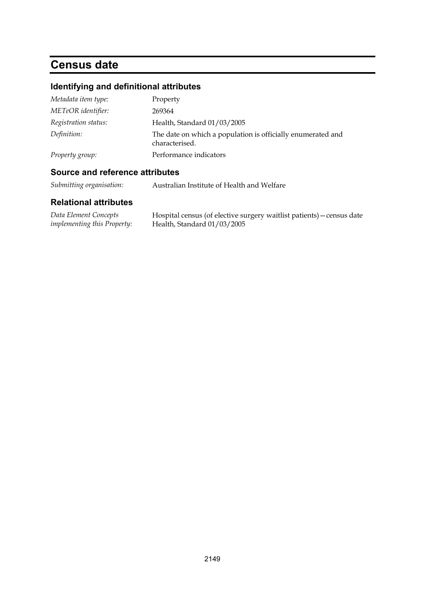## **Census date**

## **Identifying and definitional attributes**

| Metadata item type:  | Property                                                                      |
|----------------------|-------------------------------------------------------------------------------|
| METeOR identifier:   | 269364                                                                        |
| Registration status: | Health, Standard 01/03/2005                                                   |
| Definition:          | The date on which a population is officially enumerated and<br>characterised. |
| Property group:      | Performance indicators                                                        |

### **Source and reference attributes**

*Submitting organisation:* Australian Institute of Health and Welfare

| Data Element Concepts              | Hospital census (of elective surgery waitlist patients) – census date |
|------------------------------------|-----------------------------------------------------------------------|
| <i>implementing this Property:</i> | Health, Standard $01/03/2005$                                         |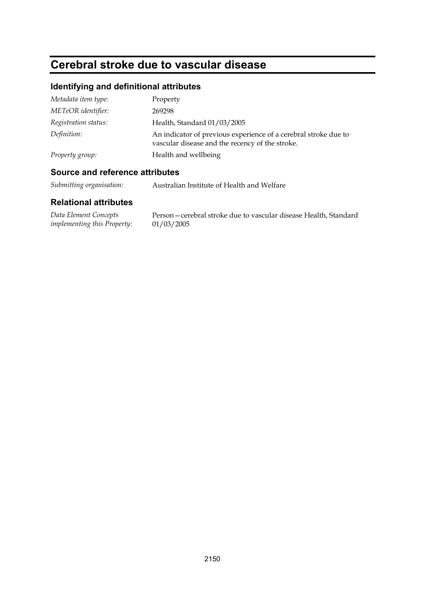# **Cerebral stroke due to vascular disease**

## **Identifying and definitional attributes**

| Metadata item type:  | Property                                                                                                           |
|----------------------|--------------------------------------------------------------------------------------------------------------------|
| METeOR identifier:   | 269298                                                                                                             |
| Registration status: | Health, Standard 01/03/2005                                                                                        |
| Definition:          | An indicator of previous experience of a cerebral stroke due to<br>vascular disease and the recency of the stroke. |
| Property group:      | Health and wellbeing                                                                                               |

## **Source and reference attributes**

*Submitting organisation:* Australian Institute of Health and Welfare

| Data Element Concepts       | Person – cerebral stroke due to vascular disease Health, Standard |
|-----------------------------|-------------------------------------------------------------------|
| implementing this Property: | 01/03/2005                                                        |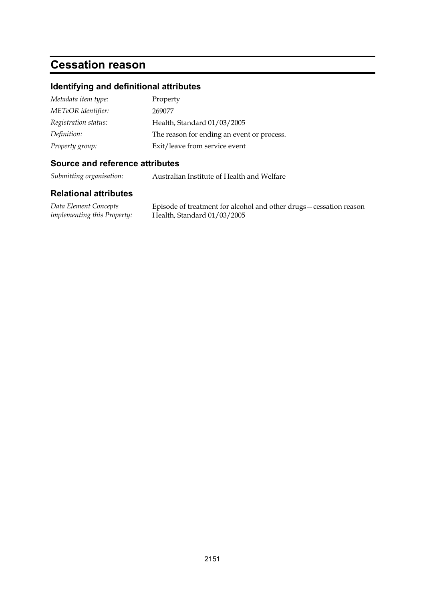# **Cessation reason**

#### **Identifying and definitional attributes**

| Metadata item type:  | Property                                   |
|----------------------|--------------------------------------------|
| METeOR identifier:   | 269077                                     |
| Registration status: | Health, Standard 01/03/2005                |
| Definition:          | The reason for ending an event or process. |
| Property group:      | Exit/leave from service event              |

#### **Source and reference attributes**

*Submitting organisation:* Australian Institute of Health and Welfare

#### **Relational attributes**

*Data Element Concepts implementing this Property:* Episode of treatment for alcohol and other drugs—cessation reason Health, Standard 01/03/2005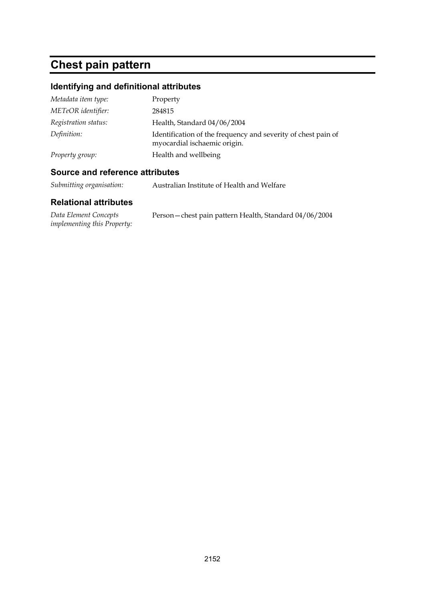# **Chest pain pattern**

## **Identifying and definitional attributes**

| Metadata item type:  | Property                                                                                      |
|----------------------|-----------------------------------------------------------------------------------------------|
| METeOR identifier:   | 284815                                                                                        |
| Registration status: | Health, Standard 04/06/2004                                                                   |
| Definition:          | Identification of the frequency and severity of chest pain of<br>myocardial ischaemic origin. |
| Property group:      | Health and wellbeing                                                                          |

## **Source and reference attributes**

*Submitting organisation:* Australian Institute of Health and Welfare

| Data Element Concepts              | Person - chest pain pattern Health, Standard 04/06/2004 |
|------------------------------------|---------------------------------------------------------|
| <i>implementing this Property:</i> |                                                         |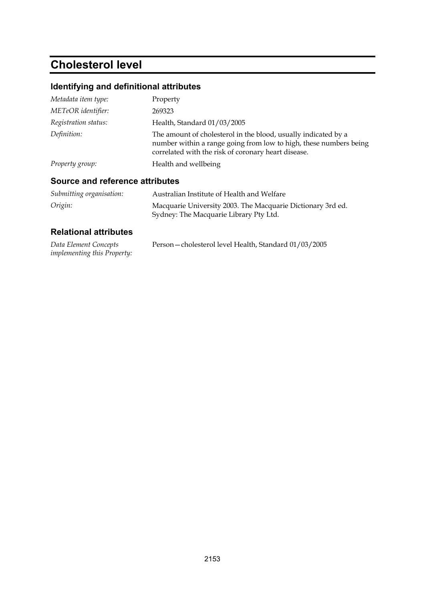# **Cholesterol level**

## **Identifying and definitional attributes**

| Metadata item type:  | Property                                                                                                                                                                                   |
|----------------------|--------------------------------------------------------------------------------------------------------------------------------------------------------------------------------------------|
| METeOR identifier:   | 269323                                                                                                                                                                                     |
| Registration status: | Health, Standard 01/03/2005                                                                                                                                                                |
| Definition:          | The amount of cholesterol in the blood, usually indicated by a<br>number within a range going from low to high, these numbers being<br>correlated with the risk of coronary heart disease. |
| Property group:      | Health and wellbeing                                                                                                                                                                       |

## **Source and reference attributes**

| Submitting organisation: | Australian Institute of Health and Welfare                                                            |
|--------------------------|-------------------------------------------------------------------------------------------------------|
| Origin:                  | Macquarie University 2003. The Macquarie Dictionary 3rd ed.<br>Sydney: The Macquarie Library Pty Ltd. |

| Data Element Concepts              | Person-cholesterol level Health, Standard 01/03/2005 |
|------------------------------------|------------------------------------------------------|
| <i>implementing this Property:</i> |                                                      |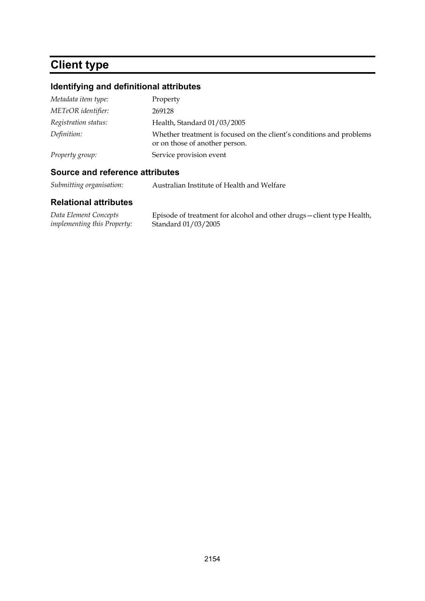# **Client type**

## **Identifying and definitional attributes**

| Metadata item type:  | Property                                                                                               |
|----------------------|--------------------------------------------------------------------------------------------------------|
| METeOR identifier:   | 269128                                                                                                 |
| Registration status: | Health, Standard 01/03/2005                                                                            |
| Definition:          | Whether treatment is focused on the client's conditions and problems<br>or on those of another person. |
| Property group:      | Service provision event                                                                                |

## **Source and reference attributes**

*Submitting organisation:* Australian Institute of Health and Welfare

| Data Element Concepts              | Episode of treatment for alcohol and other drugs-client type Health, |
|------------------------------------|----------------------------------------------------------------------|
| <i>implementing this Property:</i> | Standard 01/03/2005                                                  |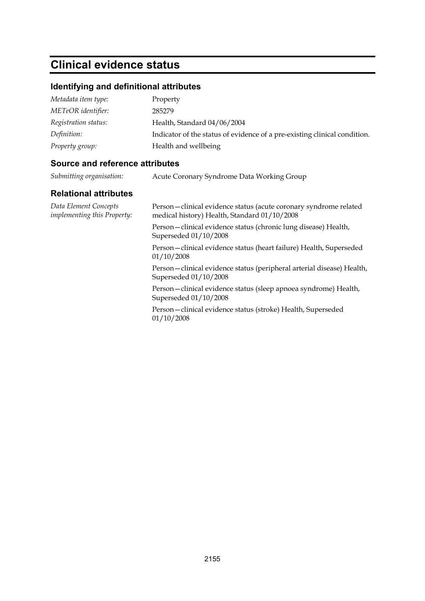# **Clinical evidence status**

## **Identifying and definitional attributes**

| Metadata item type:  | Property                                                                  |
|----------------------|---------------------------------------------------------------------------|
| METeOR identifier:   | 285279                                                                    |
| Registration status: | Health, Standard 04/06/2004                                               |
| Definition:          | Indicator of the status of evidence of a pre-existing clinical condition. |
| Property group:      | Health and wellbeing                                                      |

#### **Source and reference attributes**

| Submitting organisation: | Acute Coronary Syndrome Data Working Group |  |
|--------------------------|--------------------------------------------|--|
|                          |                                            |  |

| Data Element Concepts<br>implementing this Property: | Person-clinical evidence status (acute coronary syndrome related<br>medical history) Health, Standard 01/10/2008 |
|------------------------------------------------------|------------------------------------------------------------------------------------------------------------------|
|                                                      | Person – clinical evidence status (chronic lung disease) Health,<br>Superseded 01/10/2008                        |
|                                                      | Person - clinical evidence status (heart failure) Health, Superseded<br>01/10/2008                               |
|                                                      | Person – clinical evidence status (peripheral arterial disease) Health,<br>Superseded 01/10/2008                 |
|                                                      | Person – clinical evidence status (sleep apnoea syndrome) Health,<br>Superseded 01/10/2008                       |
|                                                      | Person-clinical evidence status (stroke) Health, Superseded<br>01/10/2008                                        |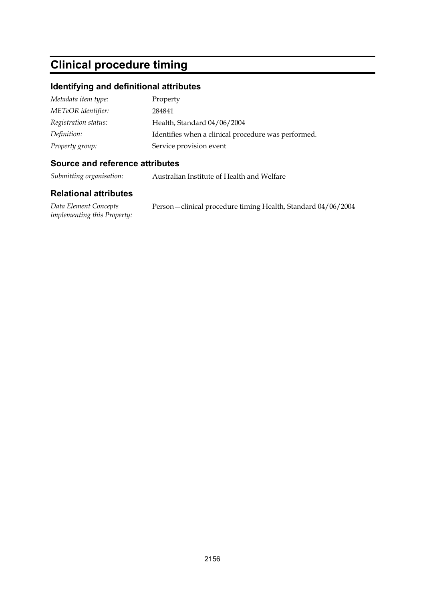# **Clinical procedure timing**

#### **Identifying and definitional attributes**

| Metadata item type:  | Property                                            |
|----------------------|-----------------------------------------------------|
| METeOR identifier:   | 284841                                              |
| Registration status: | Health, Standard 04/06/2004                         |
| Definition:          | Identifies when a clinical procedure was performed. |
| Property group:      | Service provision event                             |

#### **Source and reference attributes**

*Submitting organisation:* Australian Institute of Health and Welfare

| Data Element Concepts              | Person-clinical procedure timing Health, Standard 04/06/2004 |
|------------------------------------|--------------------------------------------------------------|
| <i>implementing this Property:</i> |                                                              |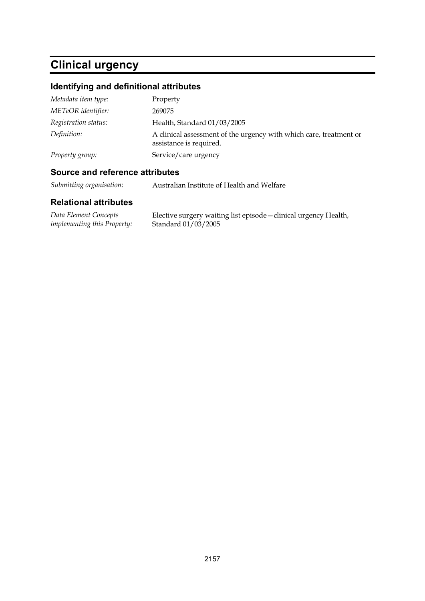# **Clinical urgency**

## **Identifying and definitional attributes**

| Metadata item type:  | Property                                                                                      |
|----------------------|-----------------------------------------------------------------------------------------------|
| METeOR identifier:   | 269075                                                                                        |
| Registration status: | Health, Standard 01/03/2005                                                                   |
| Definition:          | A clinical assessment of the urgency with which care, treatment or<br>assistance is required. |
| Property group:      | Service/care urgency                                                                          |

## **Source and reference attributes**

*Submitting organisation:* Australian Institute of Health and Welfare

| Data Element Concepts              | Elective surgery waiting list episode - clinical urgency Health, |
|------------------------------------|------------------------------------------------------------------|
| <i>implementing this Property:</i> | Standard 01/03/2005                                              |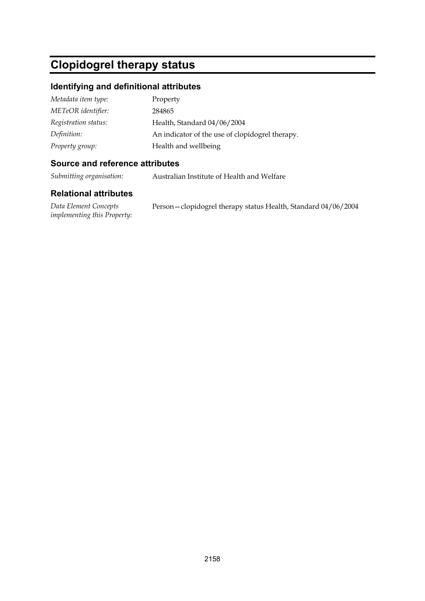# **Clopidogrel therapy status**

#### **Identifying and definitional attributes**

| Metadata item type:  | Property                                        |
|----------------------|-------------------------------------------------|
| METeOR identifier:   | 284865                                          |
| Registration status: | Health, Standard 04/06/2004                     |
| Definition:          | An indicator of the use of clopidogrel therapy. |
| Property group:      | Health and wellbeing                            |

#### **Source and reference attributes**

*Submitting organisation:* Australian Institute of Health and Welfare

#### **Relational attributes**

*Data Element Concepts implementing this Property:* Person—clopidogrel therapy status Health, Standard 04/06/2004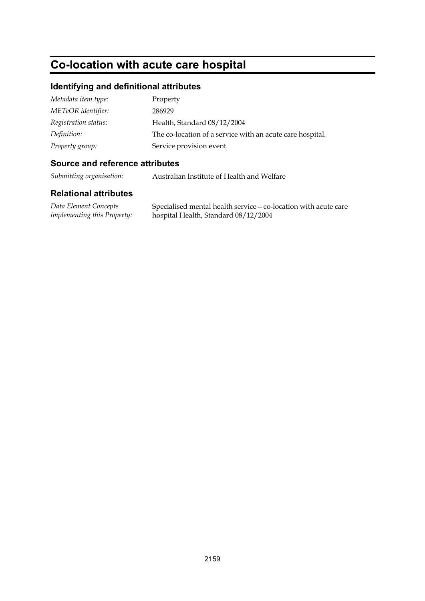# **Co-location with acute care hospital**

#### **Identifying and definitional attributes**

| Metadata item type:  | Property                                                  |
|----------------------|-----------------------------------------------------------|
| METeOR identifier:   | 286929                                                    |
| Registration status: | Health, Standard 08/12/2004                               |
| Definition:          | The co-location of a service with an acute care hospital. |
| Property group:      | Service provision event                                   |

#### **Source and reference attributes**

*Submitting organisation:* Australian Institute of Health and Welfare

#### **Relational attributes**

*Data Element Concepts implementing this Property:* Specialised mental health service—co-location with acute care hospital Health, Standard 08/12/2004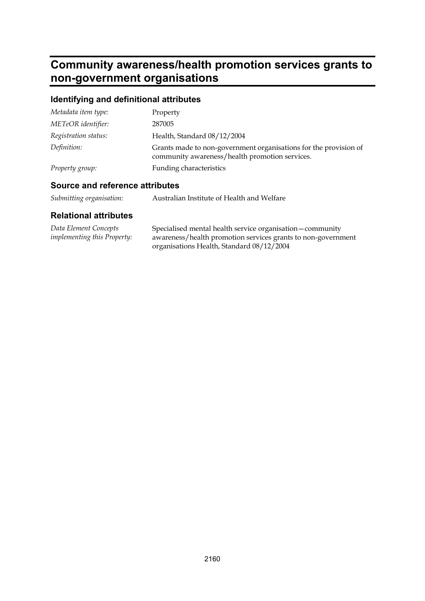## **Community awareness/health promotion services grants to non-government organisations**

## **Identifying and definitional attributes**

| Metadata item type:  | Property                                                                                                           |
|----------------------|--------------------------------------------------------------------------------------------------------------------|
| METeOR identifier:   | 287005                                                                                                             |
| Registration status: | Health, Standard 08/12/2004                                                                                        |
| Definition:          | Grants made to non-government organisations for the provision of<br>community awareness/health promotion services. |
| Property group:      | Funding characteristics                                                                                            |

#### **Source and reference attributes**

| Submitting organisation: | Australian Institute of Health and Welfare |
|--------------------------|--------------------------------------------|
|                          |                                            |

| Data Element Concepts              | Specialised mental health service organisation - community   |
|------------------------------------|--------------------------------------------------------------|
| <i>implementing this Property:</i> | awareness/health promotion services grants to non-government |
|                                    | organisations Health, Standard 08/12/2004                    |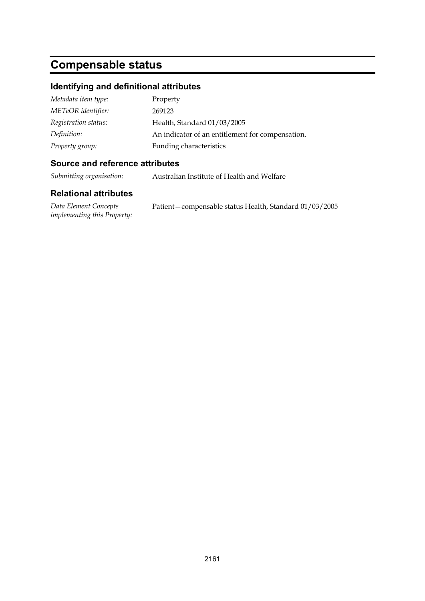# **Compensable status**

#### **Identifying and definitional attributes**

| Metadata item type:  | Property                                         |
|----------------------|--------------------------------------------------|
| METeOR identifier:   | 269123                                           |
| Registration status: | Health, Standard 01/03/2005                      |
| Definition:          | An indicator of an entitlement for compensation. |
| Property group:      | Funding characteristics                          |

#### **Source and reference attributes**

*Submitting organisation:* Australian Institute of Health and Welfare

| Data Element Concepts              | Patient – compensable status Health, Standard 01/03/2005 |
|------------------------------------|----------------------------------------------------------|
| <i>implementing this Property:</i> |                                                          |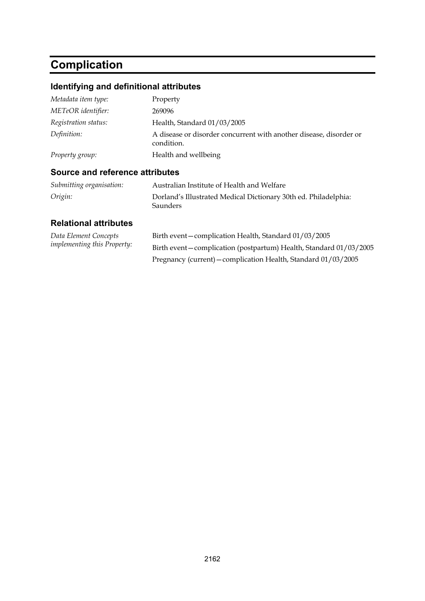# **Complication**

## **Identifying and definitional attributes**

| Metadata item type:  | Property                                                                         |
|----------------------|----------------------------------------------------------------------------------|
| METeOR identifier:   | 269096                                                                           |
| Registration status: | Health, Standard 01/03/2005                                                      |
| Definition:          | A disease or disorder concurrent with another disease, disorder or<br>condition. |
| Property group:      | Health and wellbeing                                                             |

## **Source and reference attributes**

| Submitting organisation: | Australian Institute of Health and Welfare                                         |
|--------------------------|------------------------------------------------------------------------------------|
| Origin:                  | Dorland's Illustrated Medical Dictionary 30th ed. Philadelphia:<br><b>Saunders</b> |

| Data Element Concepts              | Birth event - complication Health, Standard 01/03/2005              |
|------------------------------------|---------------------------------------------------------------------|
| <i>implementing this Property:</i> | Birth event – complication (postpartum) Health, Standard 01/03/2005 |
|                                    | Pregnancy (current) – complication Health, Standard 01/03/2005      |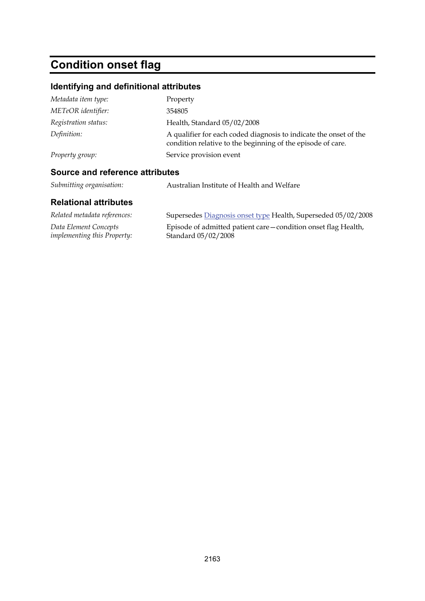# **Condition onset flag**

## **Identifying and definitional attributes**

| Source and reference attributes            |                                                                                                                                  |
|--------------------------------------------|----------------------------------------------------------------------------------------------------------------------------------|
| Service provision event<br>Property group: |                                                                                                                                  |
| Definition:                                | A qualifier for each coded diagnosis to indicate the onset of the<br>condition relative to the beginning of the episode of care. |
| Registration status:                       | Health, Standard 05/02/2008                                                                                                      |
| METeOR identifier:                         | 354805                                                                                                                           |
| Metadata item type:                        | Property                                                                                                                         |

*Submitting organisation:* Australian Institute of Health and Welfare

| Related metadata references:       | Supersedes Diagnosis onset type Health, Superseded 05/02/2008   |
|------------------------------------|-----------------------------------------------------------------|
| Data Element Concepts              | Episode of admitted patient care – condition onset flag Health, |
| <i>implementing this Property:</i> | Standard 05/02/2008                                             |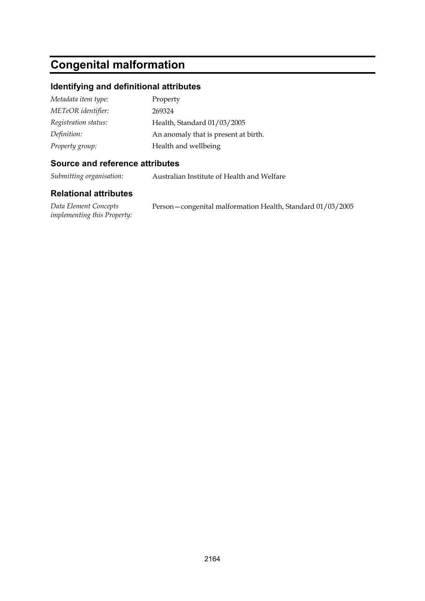# **Congenital malformation**

#### **Identifying and definitional attributes**

| Metadata item type:  | Property                             |
|----------------------|--------------------------------------|
| METeOR identifier:   | 269324                               |
| Registration status: | Health, Standard 01/03/2005          |
| Definition:          | An anomaly that is present at birth. |
| Property group:      | Health and wellbeing                 |

#### **Source and reference attributes**

*Submitting organisation:* Australian Institute of Health and Welfare

#### **Relational attributes**

*Data Element Concepts implementing this Property:* Person—congenital malformation Health, Standard 01/03/2005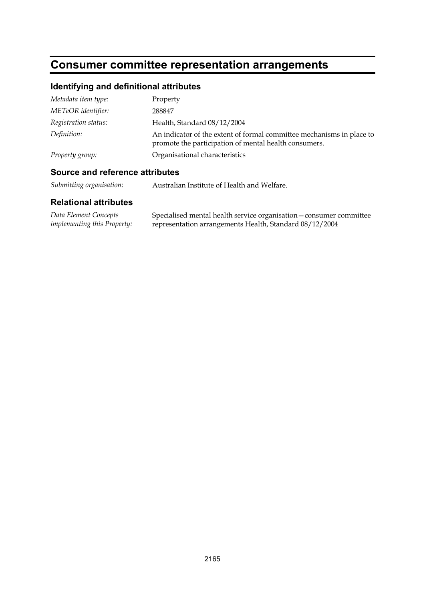# **Consumer committee representation arrangements**

## **Identifying and definitional attributes**

| Metadata item type:  | Property                                                                                                                       |
|----------------------|--------------------------------------------------------------------------------------------------------------------------------|
| METeOR identifier:   | 288847                                                                                                                         |
| Registration status: | Health, Standard 08/12/2004                                                                                                    |
| Definition:          | An indicator of the extent of formal committee mechanisms in place to<br>promote the participation of mental health consumers. |
| Property group:      | Organisational characteristics                                                                                                 |

#### **Source and reference attributes**

*Submitting organisation:* Australian Institute of Health and Welfare.

| Data Element Concepts              | Specialised mental health service organisation - consumer committee |
|------------------------------------|---------------------------------------------------------------------|
| <i>implementing this Property:</i> | representation arrangements Health, Standard 08/12/2004             |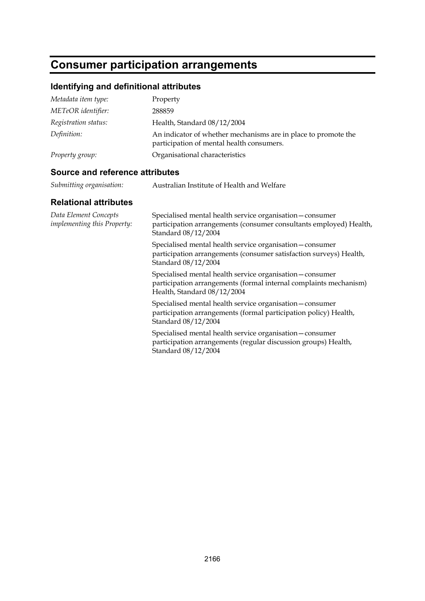# **Consumer participation arrangements**

## **Identifying and definitional attributes**

| Metadata item type:  | Property                                                                                                    |
|----------------------|-------------------------------------------------------------------------------------------------------------|
| METeOR identifier:   | 288859                                                                                                      |
| Registration status: | Health, Standard 08/12/2004                                                                                 |
| Definition:          | An indicator of whether mechanisms are in place to promote the<br>participation of mental health consumers. |
| Property group:      | Organisational characteristics                                                                              |

## **Source and reference attributes**

| Submitting organisation:                                    | Australian Institute of Health and Welfare                                                                                                                    |
|-------------------------------------------------------------|---------------------------------------------------------------------------------------------------------------------------------------------------------------|
| <b>Relational attributes</b>                                |                                                                                                                                                               |
| Data Element Concepts<br><i>implementing this Property:</i> | Specialised mental health service organisation-consumer<br>participation arrangements (consumer consultants employed) Health,<br>Standard 08/12/2004          |
|                                                             | Specialised mental health service organisation - consumer<br>participation arrangements (consumer satisfaction surveys) Health,<br>Standard 08/12/2004        |
|                                                             | Specialised mental health service organisation - consumer<br>participation arrangements (formal internal complaints mechanism)<br>Health, Standard 08/12/2004 |
|                                                             | Specialised mental health service organisation - consumer<br>participation arrangements (formal participation policy) Health,<br>Standard 08/12/2004          |
|                                                             | Specialised mental health service organisation - consumer<br>participation arrangements (regular discussion groups) Health,<br>Standard 08/12/2004            |
|                                                             |                                                                                                                                                               |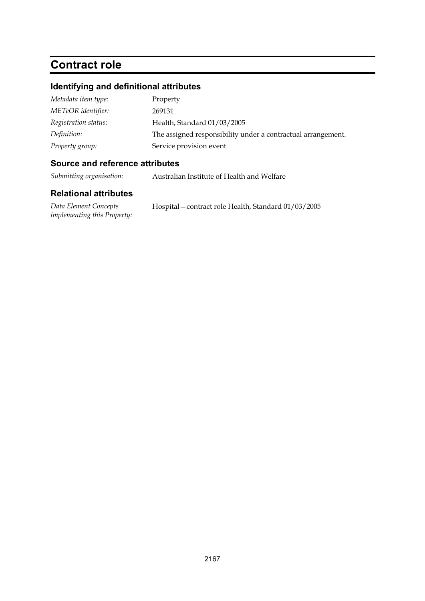# **Contract role**

#### **Identifying and definitional attributes**

| Metadata item type:  | Property                                                     |
|----------------------|--------------------------------------------------------------|
| METeOR identifier:   | 269131                                                       |
| Registration status: | Health, Standard 01/03/2005                                  |
| Definition:          | The assigned responsibility under a contractual arrangement. |
| Property group:      | Service provision event                                      |

#### **Source and reference attributes**

*Submitting organisation:* Australian Institute of Health and Welfare

#### **Relational attributes**

*Data Element Concepts implementing this Property:* Hospital—contract role Health, Standard 01/03/2005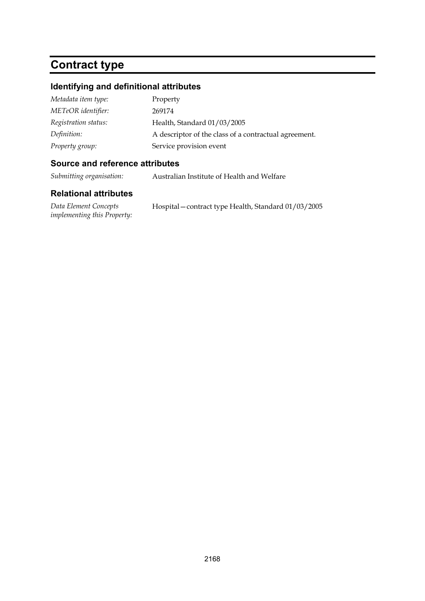# **Contract type**

#### **Identifying and definitional attributes**

| Metadata item type:  | Property                                              |
|----------------------|-------------------------------------------------------|
| METeOR identifier:   | 269174                                                |
| Registration status: | Health, Standard 01/03/2005                           |
| Definition:          | A descriptor of the class of a contractual agreement. |
| Property group:      | Service provision event                               |

#### **Source and reference attributes**

*Submitting organisation:* Australian Institute of Health and Welfare

#### **Relational attributes**

*Data Element Concepts implementing this Property:* Hospital—contract type Health, Standard 01/03/2005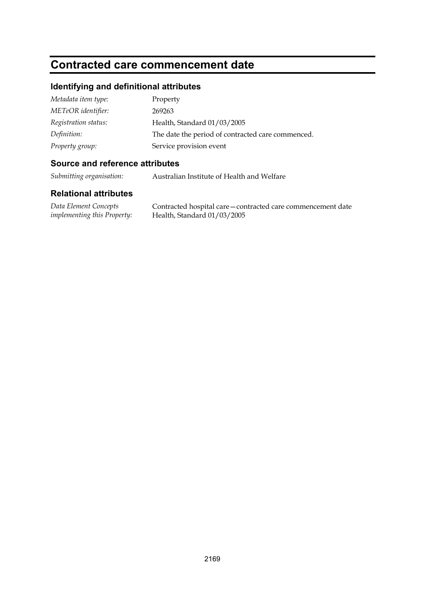## **Contracted care commencement date**

#### **Identifying and definitional attributes**

| Metadata item type:  | Property                                          |
|----------------------|---------------------------------------------------|
| METeOR identifier:   | 269263                                            |
| Registration status: | Health, Standard 01/03/2005                       |
| Definition:          | The date the period of contracted care commenced. |
| Property group:      | Service provision event                           |

#### **Source and reference attributes**

*Submitting organisation:* Australian Institute of Health and Welfare

#### **Relational attributes**

*Data Element Concepts implementing this Property:* Contracted hospital care—contracted care commencement date Health, Standard 01/03/2005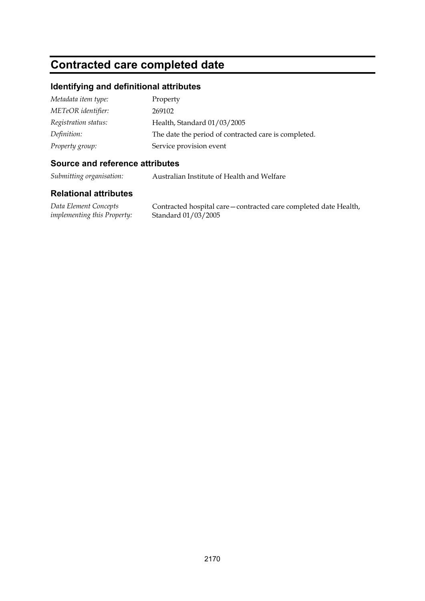# **Contracted care completed date**

#### **Identifying and definitional attributes**

| Metadata item type:  | Property                                             |
|----------------------|------------------------------------------------------|
| METeOR identifier:   | 269102                                               |
| Registration status: | Health, Standard 01/03/2005                          |
| Definition:          | The date the period of contracted care is completed. |
| Property group:      | Service provision event                              |

#### **Source and reference attributes**

*Submitting organisation:* Australian Institute of Health and Welfare

#### **Relational attributes**

*Data Element Concepts implementing this Property:*

Contracted hospital care—contracted care completed date Health, Standard 01/03/2005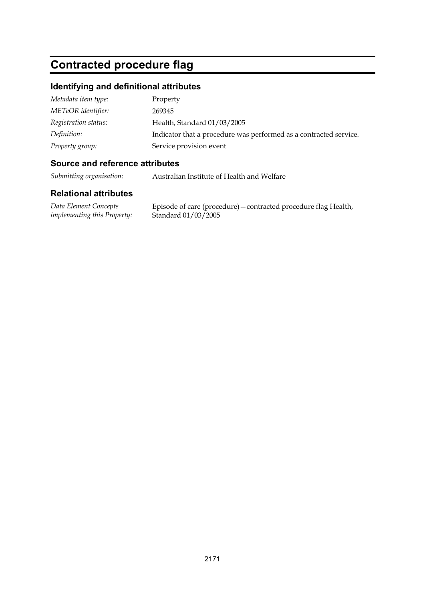# **Contracted procedure flag**

#### **Identifying and definitional attributes**

| Metadata item type:  | Property                                                          |
|----------------------|-------------------------------------------------------------------|
| METeOR identifier:   | 269345                                                            |
| Registration status: | Health, Standard 01/03/2005                                       |
| Definition:          | Indicator that a procedure was performed as a contracted service. |
| Property group:      | Service provision event                                           |

#### **Source and reference attributes**

*Submitting organisation:* Australian Institute of Health and Welfare

#### **Relational attributes**

*Data Element Concepts implementing this Property:*

Episode of care (procedure)—contracted procedure flag Health, Standard 01/03/2005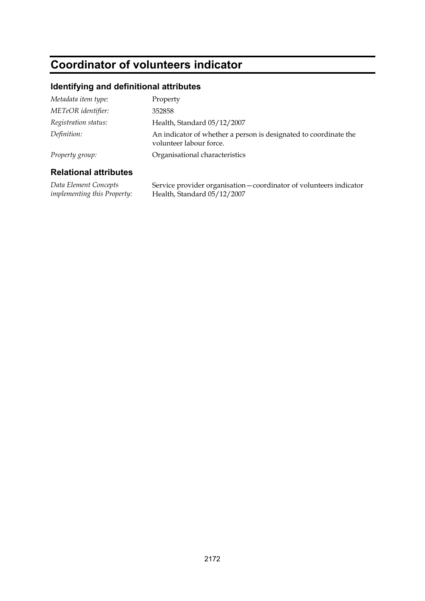# **Coordinator of volunteers indicator**

#### **Identifying and definitional attributes**

| <b>Relational attributes</b> |                                                                                             |
|------------------------------|---------------------------------------------------------------------------------------------|
| Property group:              | Organisational characteristics                                                              |
| Definition:                  | An indicator of whether a person is designated to coordinate the<br>volunteer labour force. |
| Registration status:         | Health, Standard 05/12/2007                                                                 |
| METeOR identifier:           | 352858                                                                                      |
| Metadata item type:          | Property                                                                                    |

*Data Element Concepts implementing this Property:*

Service provider organisation—coordinator of volunteers indicator Health, Standard 05/12/2007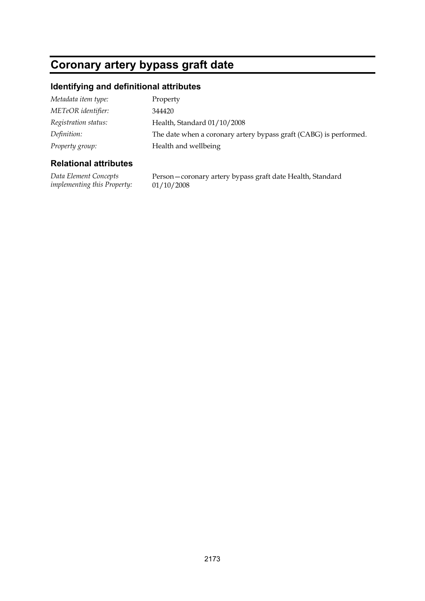# **Coronary artery bypass graft date**

## **Identifying and definitional attributes**

| Metadata item type:  | Property                                                          |
|----------------------|-------------------------------------------------------------------|
| METeOR identifier:   | 344420                                                            |
| Registration status: | Health, Standard 01/10/2008                                       |
| Definition:          | The date when a coronary artery bypass graft (CABG) is performed. |
| Property group:      | Health and wellbeing                                              |
|                      |                                                                   |

#### **Relational attributes**

*Data Element Concepts implementing this Property:* Person—coronary artery bypass graft date Health, Standard 01/10/2008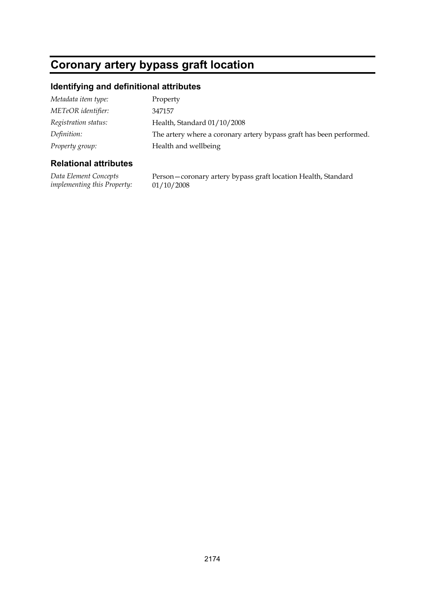# **Coronary artery bypass graft location**

## **Identifying and definitional attributes**

| Metadata item type:  | Property                                                            |
|----------------------|---------------------------------------------------------------------|
| METeOR identifier:   | 347157                                                              |
| Registration status: | Health, Standard 01/10/2008                                         |
| Definition:          | The artery where a coronary artery bypass graft has been performed. |
| Property group:      | Health and wellbeing                                                |

#### **Relational attributes**

*Data Element Concepts implementing this Property:* Person—coronary artery bypass graft location Health, Standard 01/10/2008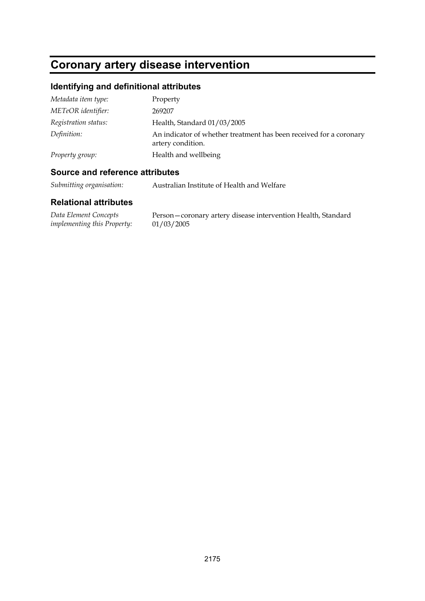# **Coronary artery disease intervention**

## **Identifying and definitional attributes**

| Metadata item type:  | Property                                                                                |
|----------------------|-----------------------------------------------------------------------------------------|
| METeOR identifier:   | 269207                                                                                  |
| Registration status: | Health, Standard 01/03/2005                                                             |
| Definition:          | An indicator of whether treatment has been received for a coronary<br>artery condition. |
| Property group:      | Health and wellbeing                                                                    |

### **Source and reference attributes**

*Submitting organisation:* Australian Institute of Health and Welfare

| Data Element Concepts       | Person-coronary artery disease intervention Health, Standard |
|-----------------------------|--------------------------------------------------------------|
| implementing this Property: | 01/03/2005                                                   |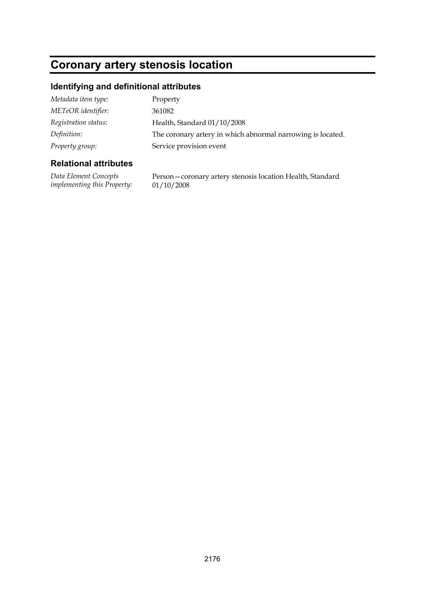# **Coronary artery stenosis location**

#### **Identifying and definitional attributes**

| Metadata item type:  | Property                                                    |
|----------------------|-------------------------------------------------------------|
| METeOR identifier:   | 361082                                                      |
| Registration status: | Health, Standard 01/10/2008                                 |
| Definition:          | The coronary artery in which abnormal narrowing is located. |
| Property group:      | Service provision event                                     |

#### **Relational attributes**

*Data Element Concepts implementing this Property:* Person—coronary artery stenosis location Health, Standard 01/10/2008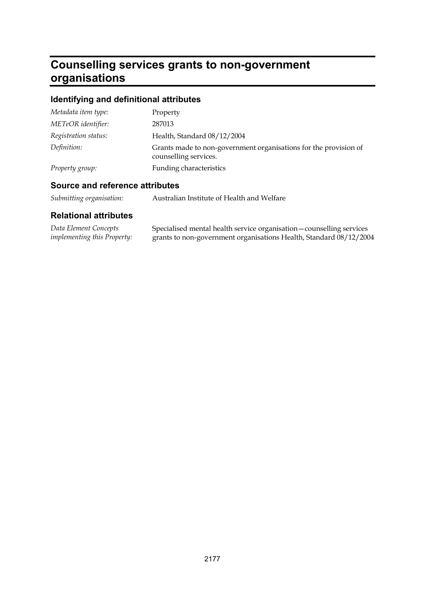# **Counselling services grants to non-government organisations**

## **Identifying and definitional attributes**

| Metadata item type:  | Property                                                                                  |
|----------------------|-------------------------------------------------------------------------------------------|
| METeOR identifier:   | 287013                                                                                    |
| Registration status: | Health, Standard 08/12/2004                                                               |
| Definition:          | Grants made to non-government organisations for the provision of<br>counselling services. |
| Property group:      | Funding characteristics                                                                   |

## **Source and reference attributes**

| Submitting organisation: |  | Australian Institute of Health and Welfare |
|--------------------------|--|--------------------------------------------|
|--------------------------|--|--------------------------------------------|

| Data Element Concepts              | Specialised mental health service organisation - counselling services |
|------------------------------------|-----------------------------------------------------------------------|
| <i>implementing this Property:</i> | grants to non-government organisations Health, Standard 08/12/2004    |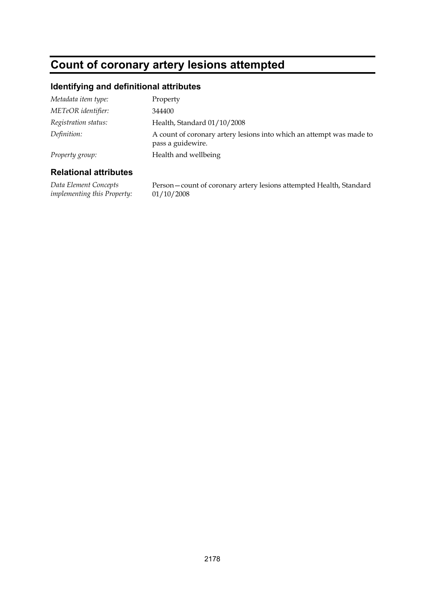## **Count of coronary artery lesions attempted**

#### **Identifying and definitional attributes**

| Metadata item type:  | Property                                                                                  |
|----------------------|-------------------------------------------------------------------------------------------|
| METeOR identifier:   | 344400                                                                                    |
| Registration status: | Health, Standard 01/10/2008                                                               |
| Definition:          | A count of coronary artery lesions into which an attempt was made to<br>pass a guidewire. |
| Property group:      | Health and wellbeing                                                                      |

#### **Relational attributes**

*Data Element Concepts implementing this Property:* Person—count of coronary artery lesions attempted Health, Standard 01/10/2008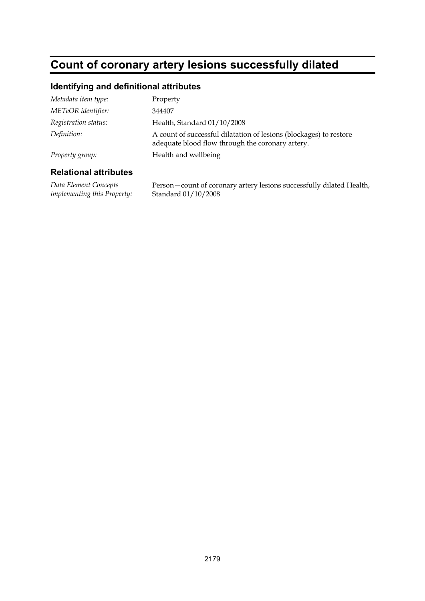## **Count of coronary artery lesions successfully dilated**

### **Identifying and definitional attributes**

| Metadata item type:  | Property                                                                                                               |
|----------------------|------------------------------------------------------------------------------------------------------------------------|
| METeOR identifier:   | 344407                                                                                                                 |
| Registration status: | Health, Standard 01/10/2008                                                                                            |
| Definition:          | A count of successful dilatation of lesions (blockages) to restore<br>adequate blood flow through the coronary artery. |
| Property group:      | Health and wellbeing                                                                                                   |
|                      |                                                                                                                        |

#### **Relational attributes**

*Data Element Concepts implementing this Property:*

Person—count of coronary artery lesions successfully dilated Health, Standard 01/10/2008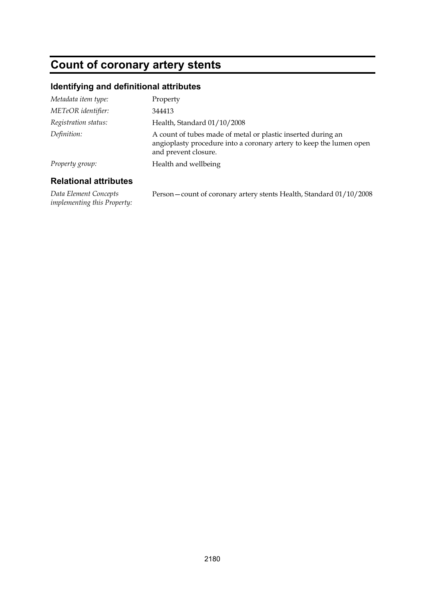# **Count of coronary artery stents**

### **Identifying and definitional attributes**

| Metadata item type:  | Property                                                                                                                                                    |
|----------------------|-------------------------------------------------------------------------------------------------------------------------------------------------------------|
| METeOR identifier:   | 344413                                                                                                                                                      |
| Registration status: | Health, Standard 01/10/2008                                                                                                                                 |
| Definition:          | A count of tubes made of metal or plastic inserted during an<br>angioplasty procedure into a coronary artery to keep the lumen open<br>and prevent closure. |
| Property group:      | Health and wellbeing                                                                                                                                        |
|                      |                                                                                                                                                             |

### **Relational attributes**

*Data Element Concepts implementing this Property:* Person—count of coronary artery stents Health, Standard 01/10/2008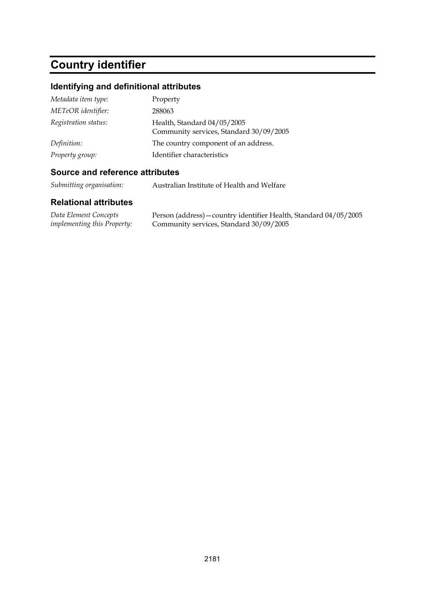# **Country identifier**

## **Identifying and definitional attributes**

| Metadata item type:  | Property                                                               |
|----------------------|------------------------------------------------------------------------|
| METeOR identifier:   | 288063                                                                 |
| Registration status: | Health, Standard 04/05/2005<br>Community services, Standard 30/09/2005 |
| Definition:          | The country component of an address.                                   |
| Property group:      | Identifier characteristics                                             |

### **Source and reference attributes**

*Submitting organisation:* Australian Institute of Health and Welfare

| Data Element Concepts              | Person (address) – country identifier Health, Standard 04/05/2005 |
|------------------------------------|-------------------------------------------------------------------|
| <i>implementing this Property:</i> | Community services, Standard 30/09/2005                           |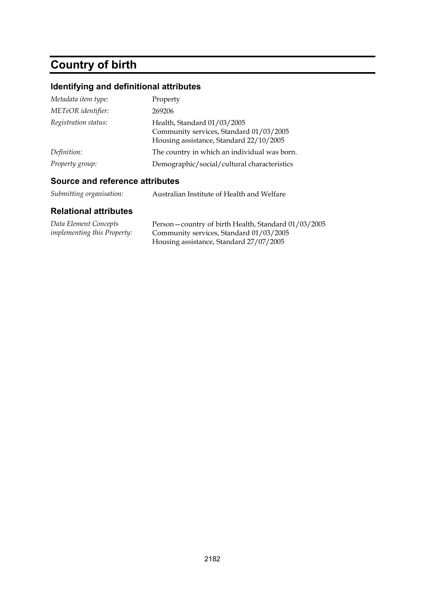# **Country of birth**

## **Identifying and definitional attributes**

| Metadata item type:  | Property                                                                                                          |
|----------------------|-------------------------------------------------------------------------------------------------------------------|
| METeOR identifier:   | 269206                                                                                                            |
| Registration status: | Health, Standard 01/03/2005<br>Community services, Standard 01/03/2005<br>Housing assistance, Standard 22/10/2005 |
| Definition:          | The country in which an individual was born.                                                                      |
| Property group:      | Demographic/social/cultural characteristics                                                                       |

### **Source and reference attributes**

| Submitting organisation:<br>Australian Institute of Health and Welfare |  |  |
|------------------------------------------------------------------------|--|--|
|------------------------------------------------------------------------|--|--|

| Data Element Concepts              | Person-country of birth Health, Standard 01/03/2005 |
|------------------------------------|-----------------------------------------------------|
| <i>implementing this Property:</i> | Community services, Standard 01/03/2005             |
|                                    | Housing assistance, Standard 27/07/2005             |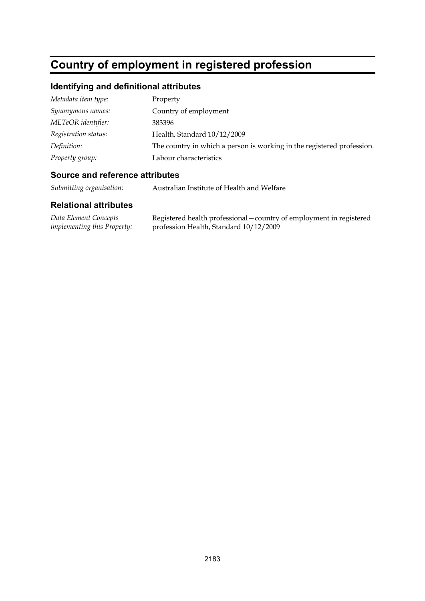# **Country of employment in registered profession**

## **Identifying and definitional attributes**

| Metadata item type:  | Property                                                               |
|----------------------|------------------------------------------------------------------------|
| Synonymous names:    | Country of employment                                                  |
| METeOR identifier:   | 383396                                                                 |
| Registration status: | Health, Standard 10/12/2009                                            |
| Definition:          | The country in which a person is working in the registered profession. |
| Property group:      | Labour characteristics                                                 |
|                      |                                                                        |

### **Source and reference attributes**

*Submitting organisation:* Australian Institute of Health and Welfare

| Data Element Concepts              | Registered health professional - country of employment in registered |
|------------------------------------|----------------------------------------------------------------------|
| <i>implementing this Property:</i> | profession Health, Standard 10/12/2009                               |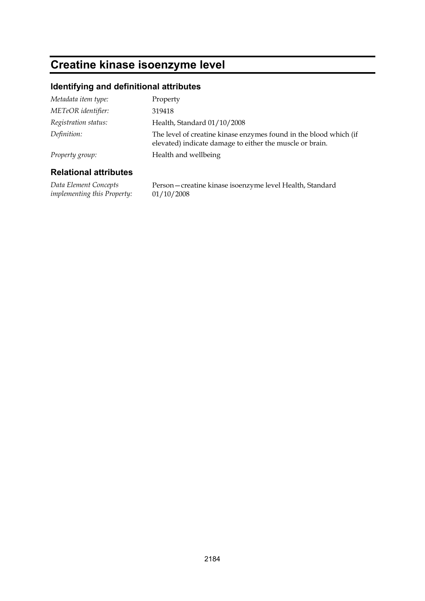# **Creatine kinase isoenzyme level**

### **Identifying and definitional attributes**

| Definition:                  | The level of creatine kinase enzymes found in the blood which (if<br>elevated) indicate damage to either the muscle or brain. |
|------------------------------|-------------------------------------------------------------------------------------------------------------------------------|
| Property group:              | Health and wellbeing                                                                                                          |
| <b>Relational attributes</b> |                                                                                                                               |

#### **Relational attributes**

*Data Element Concepts implementing this Property:* Person—creatine kinase isoenzyme level Health, Standard 01/10/2008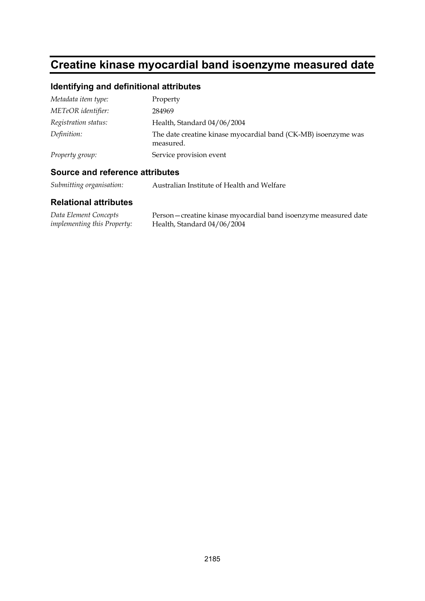# **Creatine kinase myocardial band isoenzyme measured date**

## **Identifying and definitional attributes**

| Metadata item type:  | Property                                                                    |
|----------------------|-----------------------------------------------------------------------------|
| METeOR identifier:   | 284969                                                                      |
| Registration status: | Health, Standard 04/06/2004                                                 |
| Definition:          | The date creatine kinase myocardial band (CK-MB) isoenzyme was<br>measured. |
| Property group:      | Service provision event                                                     |

#### **Source and reference attributes**

*Submitting organisation:* Australian Institute of Health and Welfare

| Data Element Concepts              | Person-creatine kinase myocardial band isoenzyme measured date |
|------------------------------------|----------------------------------------------------------------|
| <i>implementing this Property:</i> | Health, Standard 04/06/2004                                    |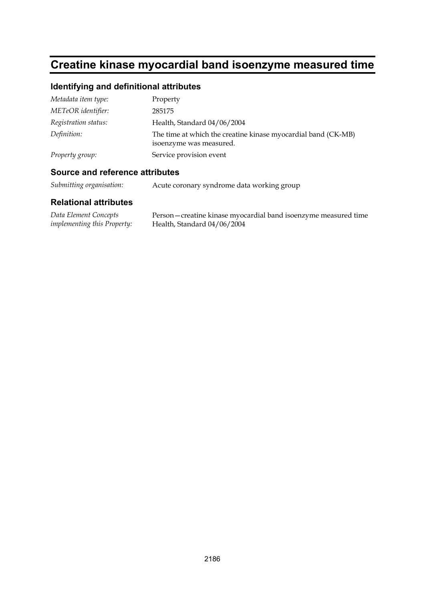# **Creatine kinase myocardial band isoenzyme measured time**

### **Identifying and definitional attributes**

| Metadata item type:  | Property                                                                                 |
|----------------------|------------------------------------------------------------------------------------------|
| METeOR identifier:   | 285175                                                                                   |
| Registration status: | Health, Standard 04/06/2004                                                              |
| Definition:          | The time at which the creatine kinase myocardial band (CK-MB)<br>isoenzyme was measured. |
| Property group:      | Service provision event                                                                  |

#### **Source and reference attributes**

*Submitting organisation:* Acute coronary syndrome data working group

| Data Element Concepts              | Person – creatine kinase myocardial band isoenzyme measured time |
|------------------------------------|------------------------------------------------------------------|
| <i>implementing this Property:</i> | Health, Standard 04/06/2004                                      |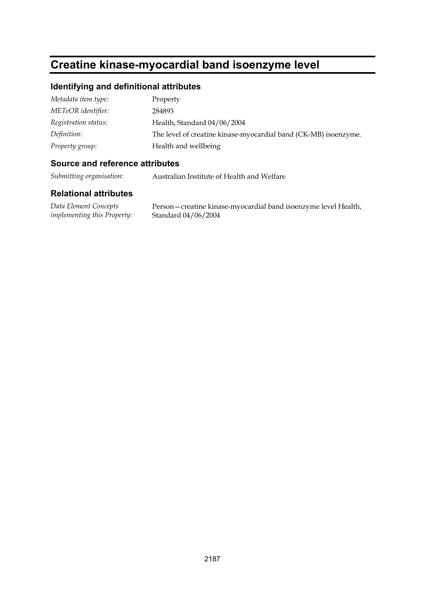# **Creatine kinase-myocardial band isoenzyme level**

### **Identifying and definitional attributes**

| Metadata item type:  | Property                                                        |
|----------------------|-----------------------------------------------------------------|
| METeOR identifier:   | 284893                                                          |
| Registration status: | Health, Standard 04/06/2004                                     |
| Definition:          | The level of creatine kinase-myocardial band (CK-MB) isoenzyme. |
| Property group:      | Health and wellbeing                                            |

### **Source and reference attributes**

*Submitting organisation:* Australian Institute of Health and Welfare

### **Relational attributes**

*Data Element Concepts implementing this Property:*

Person—creatine kinase-myocardial band isoenzyme level Health, Standard 04/06/2004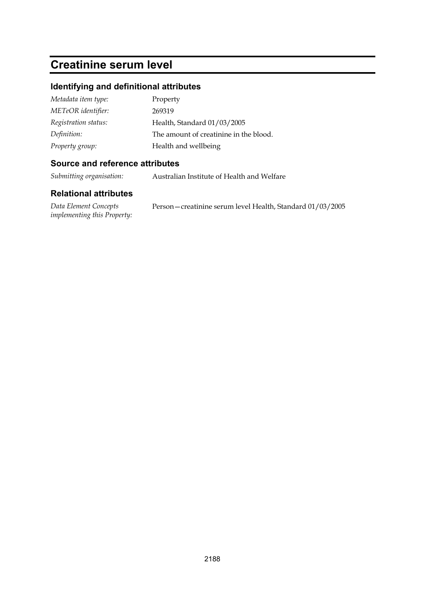## **Creatinine serum level**

### **Identifying and definitional attributes**

| Metadata item type:  | Property                               |
|----------------------|----------------------------------------|
| METeOR identifier:   | 269319                                 |
| Registration status: | Health, Standard 01/03/2005            |
| Definition:          | The amount of creatinine in the blood. |
| Property group:      | Health and wellbeing                   |

### **Source and reference attributes**

*Submitting organisation:* Australian Institute of Health and Welfare

| Data Element Concepts              | Person – creatinine serum level Health, Standard 01/03/2005 |
|------------------------------------|-------------------------------------------------------------|
| <i>implementing this Property:</i> |                                                             |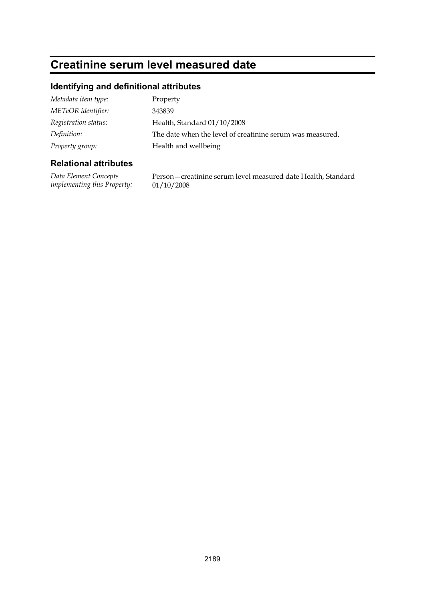## **Creatinine serum level measured date**

### **Identifying and definitional attributes**

| Metadata item type:  | Property                                                  |
|----------------------|-----------------------------------------------------------|
| METeOR identifier:   | 343839                                                    |
| Registration status: | Health, Standard 01/10/2008                               |
| Definition:          | The date when the level of creatinine serum was measured. |
| Property group:      | Health and wellbeing                                      |

### **Relational attributes**

*Data Element Concepts implementing this Property:* Person—creatinine serum level measured date Health, Standard 01/10/2008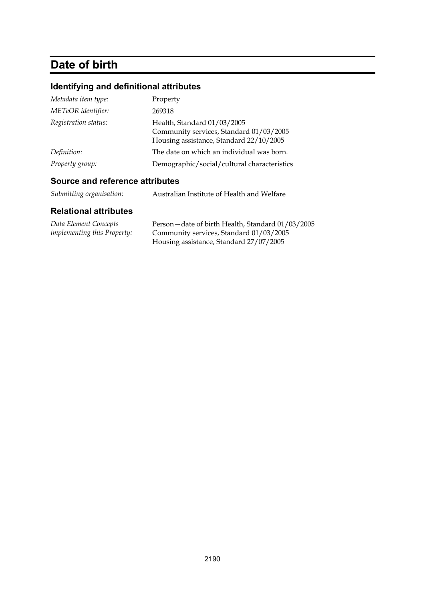# **Date of birth**

## **Identifying and definitional attributes**

| Metadata item type:  | Property                                                                                                          |
|----------------------|-------------------------------------------------------------------------------------------------------------------|
| METeOR identifier:   | 269318                                                                                                            |
| Registration status: | Health, Standard 01/03/2005<br>Community services, Standard 01/03/2005<br>Housing assistance, Standard 22/10/2005 |
| Definition:          | The date on which an individual was born.                                                                         |
| Property group:      | Demographic/social/cultural characteristics                                                                       |

### **Source and reference attributes**

| Submitting organisation:<br>Australian Institute of Health and Welfare |  |
|------------------------------------------------------------------------|--|
|------------------------------------------------------------------------|--|

| Data Element Concepts              | Person-date of birth Health, Standard 01/03/2005 |
|------------------------------------|--------------------------------------------------|
| <i>implementing this Property:</i> | Community services, Standard 01/03/2005          |
|                                    | Housing assistance, Standard 27/07/2005          |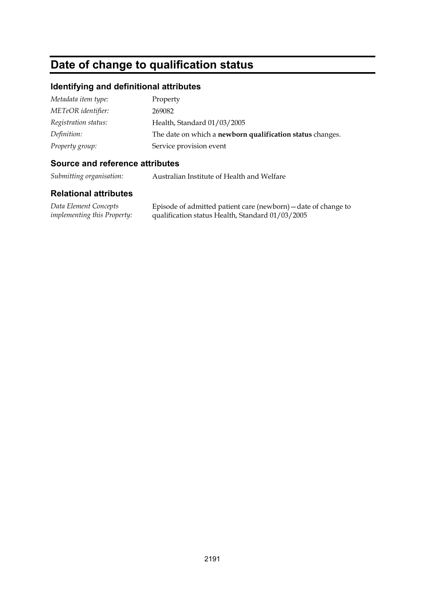## **Date of change to qualification status**

### **Identifying and definitional attributes**

| Metadata item type:  | Property                                                  |
|----------------------|-----------------------------------------------------------|
| METeOR identifier:   | 269082                                                    |
| Registration status: | Health, Standard 01/03/2005                               |
| Definition:          | The date on which a newborn qualification status changes. |
| Property group:      | Service provision event                                   |

### **Source and reference attributes**

*Submitting organisation:* Australian Institute of Health and Welfare

### **Relational attributes**

*Data Element Concepts implementing this Property:* Episode of admitted patient care (newborn)—date of change to qualification status Health, Standard 01/03/2005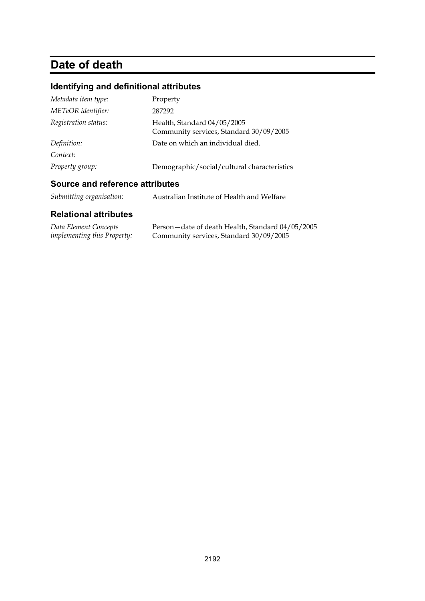# **Date of death**

## **Identifying and definitional attributes**

| Metadata item type:  | Property                                                               |
|----------------------|------------------------------------------------------------------------|
| METeOR identifier:   | 287292                                                                 |
| Registration status: | Health, Standard 04/05/2005<br>Community services, Standard 30/09/2005 |
| Definition:          | Date on which an individual died.                                      |
| Context:             |                                                                        |
| Property group:      | Demographic/social/cultural characteristics                            |

### **Source and reference attributes**

| Submitting organisation:<br>Australian Institute of Health and Welfare |
|------------------------------------------------------------------------|
|------------------------------------------------------------------------|

| Data Element Concepts              | Person – date of death Health, Standard 04/05/2005 |
|------------------------------------|----------------------------------------------------|
| <i>implementing this Property:</i> | Community services, Standard 30/09/2005            |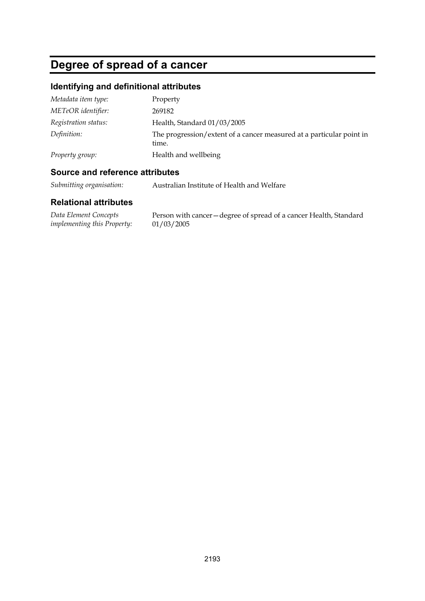# **Degree of spread of a cancer**

## **Identifying and definitional attributes**

| Metadata item type:  | Property                                                                      |
|----------------------|-------------------------------------------------------------------------------|
| METeOR identifier:   | 269182                                                                        |
| Registration status: | Health, Standard 01/03/2005                                                   |
| Definition:          | The progression/extent of a cancer measured at a particular point in<br>time. |
| Property group:      | Health and wellbeing                                                          |

### **Source and reference attributes**

*Submitting organisation:* Australian Institute of Health and Welfare

| Data Element Concepts              | Person with cancer – degree of spread of a cancer Health, Standard |
|------------------------------------|--------------------------------------------------------------------|
| <i>implementing this Property:</i> | 01/03/2005                                                         |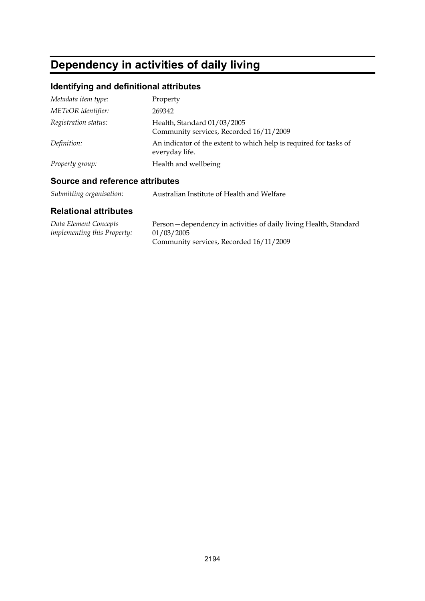# **Dependency in activities of daily living**

## **Identifying and definitional attributes**

| Metadata item type:  | Property                                                                            |
|----------------------|-------------------------------------------------------------------------------------|
| METeOR identifier:   | 269342                                                                              |
| Registration status: | Health, Standard 01/03/2005<br>Community services, Recorded 16/11/2009              |
| Definition:          | An indicator of the extent to which help is required for tasks of<br>everyday life. |
| Property group:      | Health and wellbeing                                                                |

## **Source and reference attributes**

| Submitting organisation: | Australian Institute of Health and Welfare |
|--------------------------|--------------------------------------------|
|--------------------------|--------------------------------------------|

| Data Element Concepts              | Person – dependency in activities of daily living Health, Standard |
|------------------------------------|--------------------------------------------------------------------|
| <i>implementing this Property:</i> | 01/03/2005                                                         |
|                                    | Community services, Recorded 16/11/2009                            |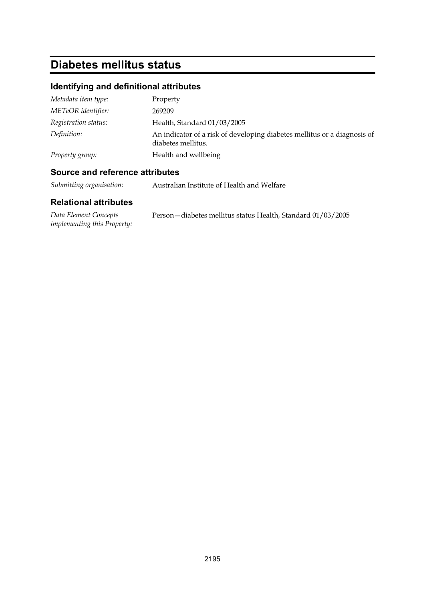# **Diabetes mellitus status**

## **Identifying and definitional attributes**

| Metadata item type:  | Property                                                                                       |
|----------------------|------------------------------------------------------------------------------------------------|
| METeOR identifier:   | 269209                                                                                         |
| Registration status: | Health, Standard 01/03/2005                                                                    |
| Definition:          | An indicator of a risk of developing diabetes mellitus or a diagnosis of<br>diabetes mellitus. |
| Property group:      | Health and wellbeing                                                                           |

### **Source and reference attributes**

*Submitting organisation:* Australian Institute of Health and Welfare

| Data Element Concepts              | Person – diabetes mellitus status Health, Standard 01/03/2005 |
|------------------------------------|---------------------------------------------------------------|
| <i>implementing this Property:</i> |                                                               |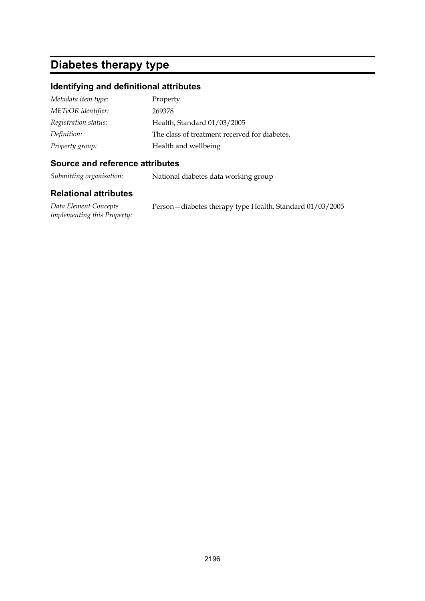## **Diabetes therapy type**

### **Identifying and definitional attributes**

| Metadata item type:  | Property                                      |
|----------------------|-----------------------------------------------|
| METeOR identifier:   | 269378                                        |
| Registration status: | Health, Standard 01/03/2005                   |
| Definition:          | The class of treatment received for diabetes. |
| Property group:      | Health and wellbeing                          |

### **Source and reference attributes**

*Submitting organisation:* National diabetes data working group

### **Relational attributes**

*Data Element Concepts implementing this Property:* Person—diabetes therapy type Health, Standard 01/03/2005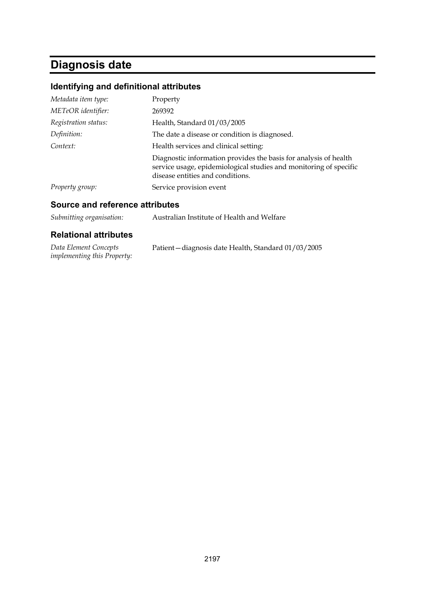# **Diagnosis date**

## **Identifying and definitional attributes**

| Metadata item type:  | Property                                                                                                                                                                  |
|----------------------|---------------------------------------------------------------------------------------------------------------------------------------------------------------------------|
| METeOR identifier:   | 269392                                                                                                                                                                    |
| Registration status: | Health, Standard 01/03/2005                                                                                                                                               |
| Definition:          | The date a disease or condition is diagnosed.                                                                                                                             |
| Context:             | Health services and clinical setting:                                                                                                                                     |
|                      | Diagnostic information provides the basis for analysis of health<br>service usage, epidemiological studies and monitoring of specific<br>disease entities and conditions. |
| Property group:      | Service provision event                                                                                                                                                   |

## **Source and reference attributes**

| Submitting organisation:     | Australian Institute of Health and Welfare |
|------------------------------|--------------------------------------------|
| <b>Relational attributes</b> |                                            |

| Data Element Concepts              | Patient-diagnosis date Health, Standard 01/03/2005 |
|------------------------------------|----------------------------------------------------|
| <i>implementing this Property:</i> |                                                    |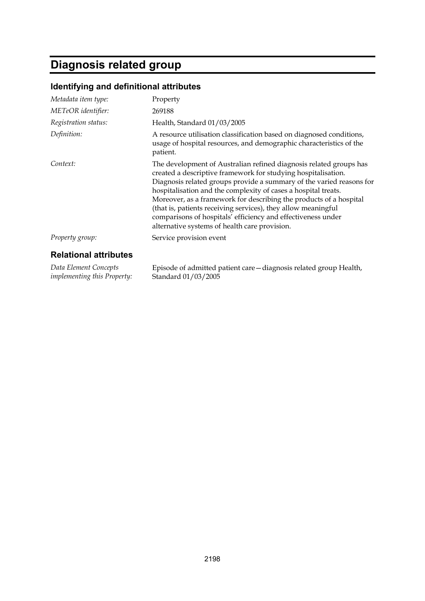# **Diagnosis related group**

## **Identifying and definitional attributes**

| Metadata item type:                                         | Property                                                                                                                                                                                                                                                                                                                                                                                                                                                                                                                              |
|-------------------------------------------------------------|---------------------------------------------------------------------------------------------------------------------------------------------------------------------------------------------------------------------------------------------------------------------------------------------------------------------------------------------------------------------------------------------------------------------------------------------------------------------------------------------------------------------------------------|
| METeOR identifier:                                          | 269188                                                                                                                                                                                                                                                                                                                                                                                                                                                                                                                                |
| Registration status:                                        | Health, Standard 01/03/2005                                                                                                                                                                                                                                                                                                                                                                                                                                                                                                           |
| Definition:                                                 | A resource utilisation classification based on diagnosed conditions,<br>usage of hospital resources, and demographic characteristics of the<br>patient.                                                                                                                                                                                                                                                                                                                                                                               |
| Context:                                                    | The development of Australian refined diagnosis related groups has<br>created a descriptive framework for studying hospitalisation.<br>Diagnosis related groups provide a summary of the varied reasons for<br>hospitalisation and the complexity of cases a hospital treats.<br>Moreover, as a framework for describing the products of a hospital<br>(that is, patients receiving services), they allow meaningful<br>comparisons of hospitals' efficiency and effectiveness under<br>alternative systems of health care provision. |
| Property group:                                             | Service provision event                                                                                                                                                                                                                                                                                                                                                                                                                                                                                                               |
| <b>Relational attributes</b>                                |                                                                                                                                                                                                                                                                                                                                                                                                                                                                                                                                       |
| Data Element Concepts<br><i>implementing this Property:</i> | Episode of admitted patient care – diagnosis related group Health,<br>Standard 01/03/2005                                                                                                                                                                                                                                                                                                                                                                                                                                             |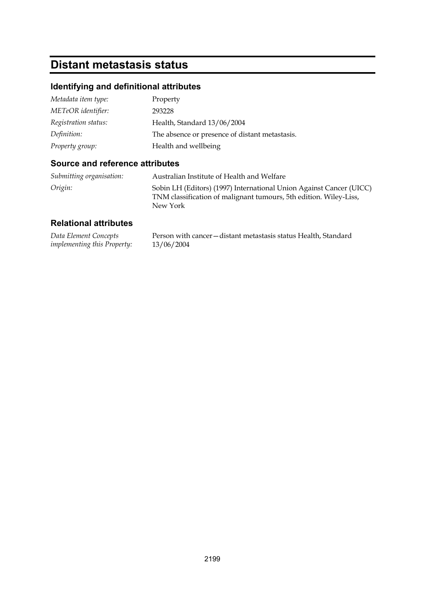# **Distant metastasis status**

## **Identifying and definitional attributes**

| Metadata item type:  | Property                                       |
|----------------------|------------------------------------------------|
| METeOR identifier:   | 293228                                         |
| Registration status: | Health, Standard 13/06/2004                    |
| Definition:          | The absence or presence of distant metastasis. |
| Property group:      | Health and wellbeing                           |

### **Source and reference attributes**

| Submitting organisation: | Australian Institute of Health and Welfare                                                                                                           |
|--------------------------|------------------------------------------------------------------------------------------------------------------------------------------------------|
| Origin:                  | Sobin LH (Editors) (1997) International Union Against Cancer (UICC)<br>TNM classification of malignant tumours, 5th edition. Wiley-Liss,<br>New York |

| Data Element Concepts              | Person with cancer – distant metastasis status Health, Standard |
|------------------------------------|-----------------------------------------------------------------|
| <i>implementing this Property:</i> | 13/06/2004                                                      |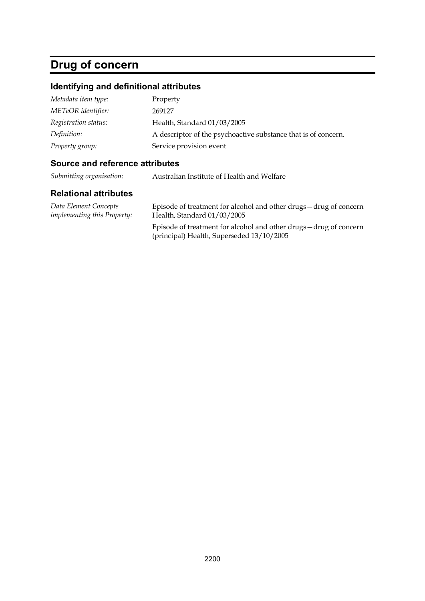# **Drug of concern**

## **Identifying and definitional attributes**

| Metadata item type:  | Property                                                       |
|----------------------|----------------------------------------------------------------|
| METeOR identifier:   | 269127                                                         |
| Registration status: | Health, Standard 01/03/2005                                    |
| Definition:          | A descriptor of the psychoactive substance that is of concern. |
| Property group:      | Service provision event                                        |

### **Source and reference attributes**

*Submitting organisation:* Australian Institute of Health and Welfare

| Data Element Concepts       | Episode of treatment for alcohol and other drugs - drug of concern                                              |
|-----------------------------|-----------------------------------------------------------------------------------------------------------------|
| implementing this Property: | Health, Standard 01/03/2005                                                                                     |
|                             | Episode of treatment for alcohol and other drugs - drug of concern<br>(principal) Health, Superseded 13/10/2005 |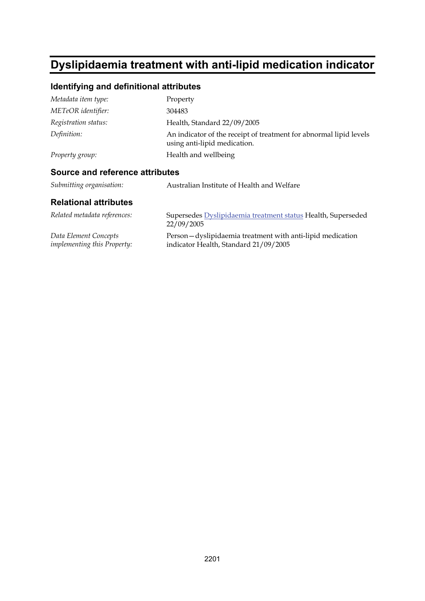# **Dyslipidaemia treatment with anti-lipid medication indicator**

## **Identifying and definitional attributes**

| Metadata item type:                    | Property                                                                                           |
|----------------------------------------|----------------------------------------------------------------------------------------------------|
| METeOR identifier:                     | 304483                                                                                             |
| Registration status:                   | Health, Standard 22/09/2005                                                                        |
| Definition:                            | An indicator of the receipt of treatment for abnormal lipid levels<br>using anti-lipid medication. |
| Property group:                        | Health and wellbeing                                                                               |
| <b>Source and reference attributes</b> |                                                                                                    |
| Submitting organisation:               | Australian Institute of Health and Welfare                                                         |

| Related metadata references:       | Supersedes Dyslipidaemia treatment status Health, Superseded<br>22/09/2005 |
|------------------------------------|----------------------------------------------------------------------------|
| Data Element Concepts              | Person — dyslipidaemia treatment with anti-lipid medication                |
| <i>implementing this Property:</i> | indicator Health, Standard 21/09/2005                                      |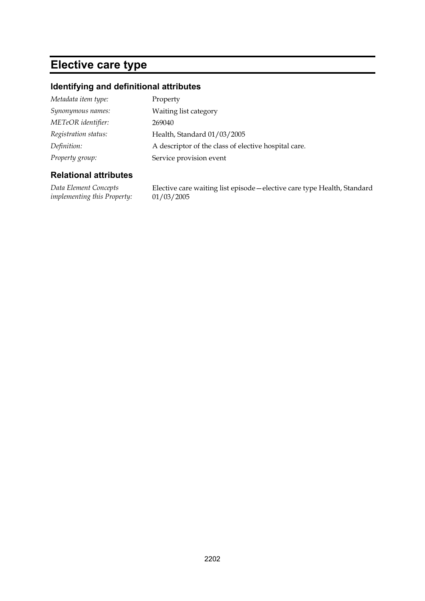# **Elective care type**

### **Identifying and definitional attributes**

| A descriptor of the class of elective hospital care. |
|------------------------------------------------------|
|                                                      |
|                                                      |

### **Relational attributes**

*Data Element Concepts implementing this Property:*

Elective care waiting list episode—elective care type Health, Standard 01/03/2005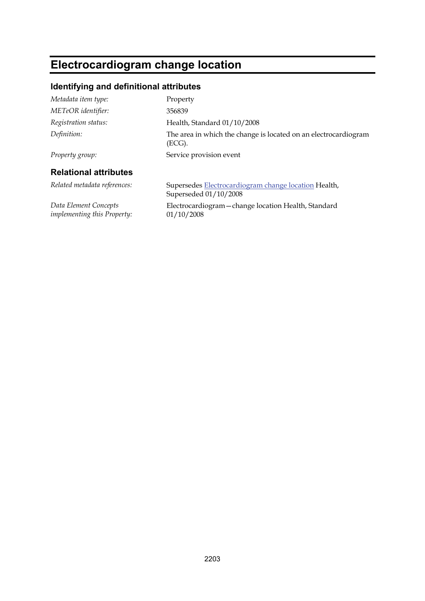# **Electrocardiogram change location**

## **Identifying and definitional attributes**

| Metadata item type:                                  | Property                                                                      |
|------------------------------------------------------|-------------------------------------------------------------------------------|
| METeOR identifier:                                   | 356839                                                                        |
| Registration status:                                 | Health, Standard 01/10/2008                                                   |
| Definition:                                          | The area in which the change is located on an electrocardiogram<br>(ECG).     |
| Property group:                                      | Service provision event                                                       |
| <b>Relational attributes</b>                         |                                                                               |
| Related metadata references:                         | Supersedes Electrocardiogram change location Health,<br>Superseded 01/10/2008 |
| Data Element Concepts<br>implementing this Property: | Electrocardiogram - change location Health, Standard<br>01/10/2008            |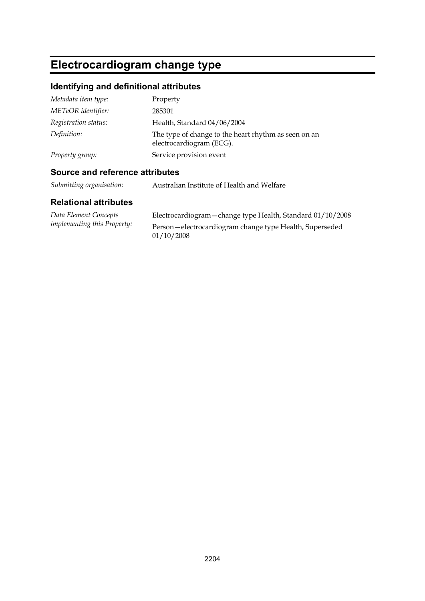# **Electrocardiogram change type**

## **Identifying and definitional attributes**

| Metadata item type:  | Property                                                                         |
|----------------------|----------------------------------------------------------------------------------|
| METeOR identifier:   | 285301                                                                           |
| Registration status: | Health, Standard 04/06/2004                                                      |
| Definition:          | The type of change to the heart rhythm as seen on an<br>electrocardiogram (ECG). |
| Property group:      | Service provision event                                                          |

### **Source and reference attributes**

*Submitting organisation:* Australian Institute of Health and Welfare

| Data Element Concepts              | Electrocardiogram - change type Health, Standard 01/10/2008 |
|------------------------------------|-------------------------------------------------------------|
| <i>implementing this Property:</i> | Person-electrocardiogram change type Health, Superseded     |
|                                    | 01/10/2008                                                  |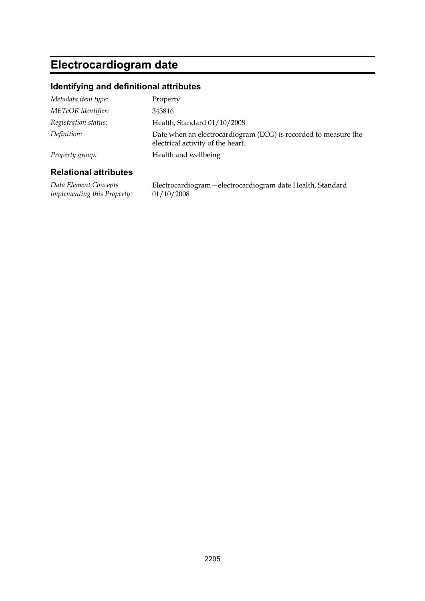# **Electrocardiogram date**

### **Identifying and definitional attributes**

| Property group:      | Health and wellbeing                                                                                 |
|----------------------|------------------------------------------------------------------------------------------------------|
| Definition:          | Date when an electrocardiogram (ECG) is recorded to measure the<br>electrical activity of the heart. |
| Registration status: | Health, Standard 01/10/2008                                                                          |
| METeOR identifier:   | 343816                                                                                               |
| Metadata item type:  | Property                                                                                             |

#### **Relational attributes**

*Data Element Concepts implementing this Property:* Electrocardiogram—electrocardiogram date Health, Standard 01/10/2008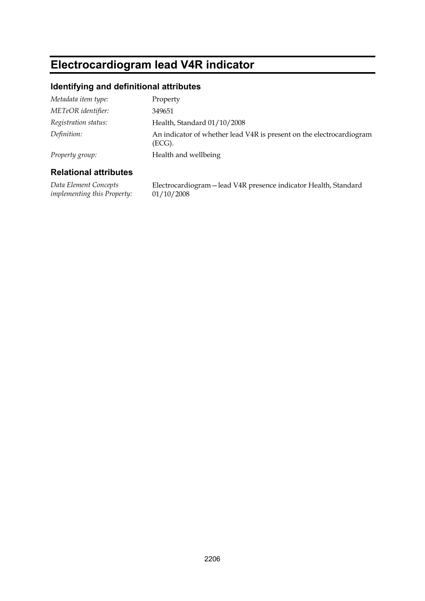## **Electrocardiogram lead V4R indicator**

### **Identifying and definitional attributes**

| Metadata item type:  | Property                                                                       |
|----------------------|--------------------------------------------------------------------------------|
| METeOR identifier:   | 349651                                                                         |
| Registration status: | Health, Standard 01/10/2008                                                    |
| Definition:          | An indicator of whether lead V4R is present on the electrocardiogram<br>(ECG). |
| Property group:      | Health and wellbeing                                                           |

### **Relational attributes**

*Data Element Concepts implementing this Property:*

Electrocardiogram—lead V4R presence indicator Health, Standard 01/10/2008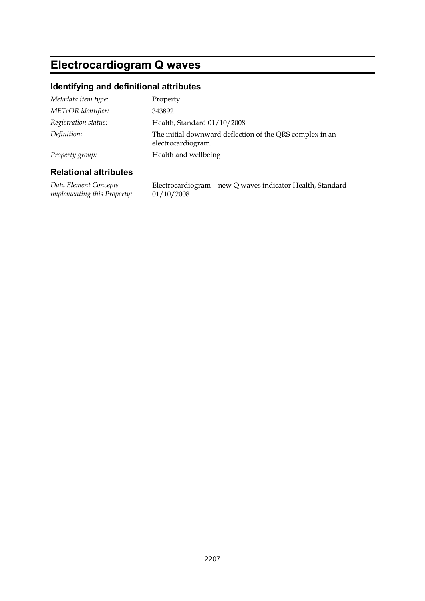# **Electrocardiogram Q waves**

### **Identifying and definitional attributes**

| Metadata item type:  | Property                                                                       |
|----------------------|--------------------------------------------------------------------------------|
| METeOR identifier:   | 343892                                                                         |
| Registration status: | Health, Standard 01/10/2008                                                    |
| Definition:          | The initial downward deflection of the QRS complex in an<br>electrocardiogram. |
| Property group:      | Health and wellbeing                                                           |
|                      |                                                                                |

### **Relational attributes**

*Data Element Concepts implementing this Property:* Electrocardiogram—new Q waves indicator Health, Standard 01/10/2008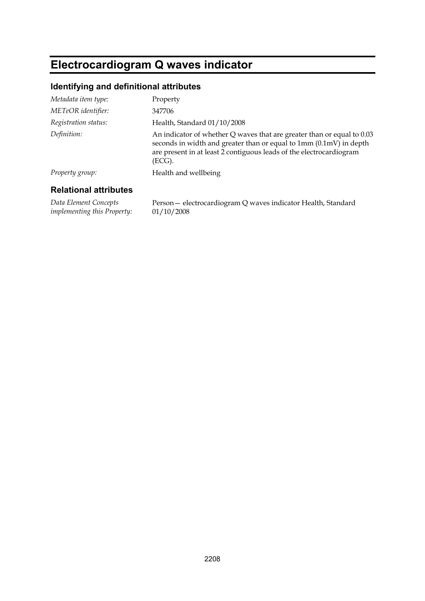# **Electrocardiogram Q waves indicator**

### **Identifying and definitional attributes**

| Metadata item type:  | Property                                                                                                                                                                                                                      |
|----------------------|-------------------------------------------------------------------------------------------------------------------------------------------------------------------------------------------------------------------------------|
| METeOR identifier:   | 347706                                                                                                                                                                                                                        |
| Registration status: | Health, Standard 01/10/2008                                                                                                                                                                                                   |
| Definition:          | An indicator of whether Q waves that are greater than or equal to 0.03<br>seconds in width and greater than or equal to 1mm (0.1mV) in depth<br>are present in at least 2 contiguous leads of the electrocardiogram<br>(ECG). |
| Property group:      | Health and wellbeing                                                                                                                                                                                                          |
|                      |                                                                                                                                                                                                                               |

### **Relational attributes**

*Data Element Concepts implementing this Property:* Person— electrocardiogram Q waves indicator Health, Standard 01/10/2008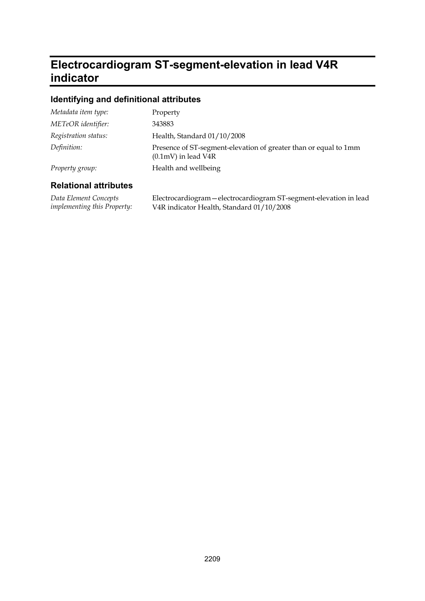## **Electrocardiogram ST-segment-elevation in lead V4R indicator**

### **Identifying and definitional attributes**

| Metadata item type:  | Property                                                                                          |
|----------------------|---------------------------------------------------------------------------------------------------|
| METeOR identifier:   | 343883                                                                                            |
| Registration status: | Health, Standard 01/10/2008                                                                       |
| Definition:          | Presence of ST-segment-elevation of greater than or equal to 1mm<br>$(0.1 \text{mV})$ in lead V4R |
| Property group:      | Health and wellbeing                                                                              |

### **Relational attributes**

*Data Element Concepts implementing this Property:* Electrocardiogram—electrocardiogram ST-segment-elevation in lead V4R indicator Health, Standard 01/10/2008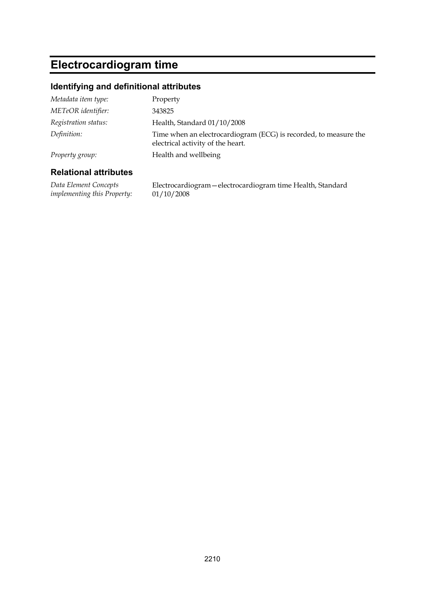# **Electrocardiogram time**

### **Identifying and definitional attributes**

| Dalational attributog |                                                                                                       |
|-----------------------|-------------------------------------------------------------------------------------------------------|
| Property group:       | Health and wellbeing                                                                                  |
| Definition:           | Time when an electrocardiogram (ECG) is recorded, to measure the<br>electrical activity of the heart. |
| Registration status:  | Health, Standard 01/10/2008                                                                           |
| METeOR identifier:    | 343825                                                                                                |
| Metadata item type:   | Property                                                                                              |

#### **Relational attributes**

*Data Element Concepts implementing this Property:* Electrocardiogram—electrocardiogram time Health, Standard 01/10/2008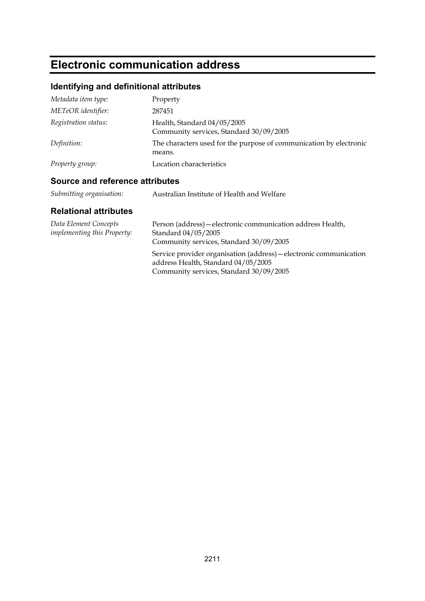# **Electronic communication address**

## **Identifying and definitional attributes**

| Metadata item type:  | Property                                                                     |
|----------------------|------------------------------------------------------------------------------|
| METeOR identifier:   | 287451                                                                       |
| Registration status: | Health, Standard 04/05/2005<br>Community services, Standard 30/09/2005       |
| Definition:          | The characters used for the purpose of communication by electronic<br>means. |
| Property group:      | Location characteristics                                                     |

### **Source and reference attributes**

| Submitting organisation: | Australian Institute of Health and Welfare |
|--------------------------|--------------------------------------------|
|--------------------------|--------------------------------------------|

| Data Element Concepts<br><i>implementing this Property:</i> | Person (address) — electronic communication address Health,<br>Standard 04/05/2005<br>Community services, Standard 30/09/2005                        |
|-------------------------------------------------------------|------------------------------------------------------------------------------------------------------------------------------------------------------|
|                                                             | Service provider organisation (address) - electronic communication<br>address Health, Standard 04/05/2005<br>Community services, Standard 30/09/2005 |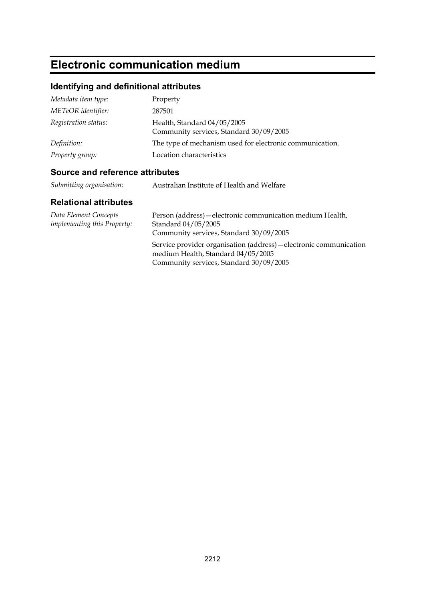# **Electronic communication medium**

## **Identifying and definitional attributes**

| Metadata item type:  | Property                                                               |
|----------------------|------------------------------------------------------------------------|
| METeOR identifier:   | 287501                                                                 |
| Registration status: | Health, Standard 04/05/2005<br>Community services, Standard 30/09/2005 |
| Definition:          | The type of mechanism used for electronic communication.               |
| Property group:      | Location characteristics                                               |

### **Source and reference attributes**

| Submitting organisation: | Australian Institute of Health and Welfare |
|--------------------------|--------------------------------------------|
|--------------------------|--------------------------------------------|

| Data Element Concepts<br><i>implementing this Property:</i> | Person (address) – electronic communication medium Health,<br>Standard 04/05/2005<br>Community services, Standard 30/09/2005                        |
|-------------------------------------------------------------|-----------------------------------------------------------------------------------------------------------------------------------------------------|
|                                                             | Service provider organisation (address) – electronic communication<br>medium Health, Standard 04/05/2005<br>Community services, Standard 30/09/2005 |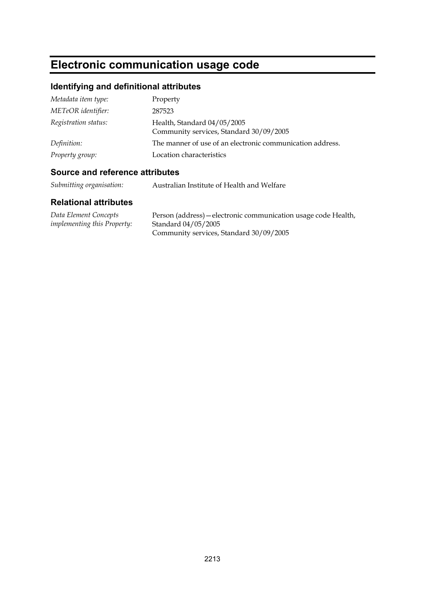# **Electronic communication usage code**

## **Identifying and definitional attributes**

| Metadata item type:  | Property                                                               |
|----------------------|------------------------------------------------------------------------|
| METeOR identifier:   | 287523                                                                 |
| Registration status: | Health, Standard 04/05/2005<br>Community services, Standard 30/09/2005 |
| Definition:          | The manner of use of an electronic communication address.              |
| Property group:      | Location characteristics                                               |

## **Source and reference attributes**

| Submitting organisation: | Australian Institute of Health and Welfare |
|--------------------------|--------------------------------------------|
|--------------------------|--------------------------------------------|

| Data Element Concepts              | Person (address) — electronic communication usage code Health, |
|------------------------------------|----------------------------------------------------------------|
| <i>implementing this Property:</i> | Standard 04/05/2005                                            |
|                                    | Community services, Standard 30/09/2005                        |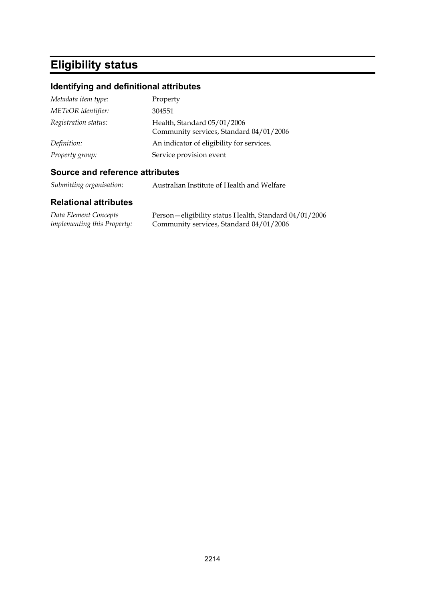# **Eligibility status**

## **Identifying and definitional attributes**

| Metadata item type:  | Property                                                               |
|----------------------|------------------------------------------------------------------------|
| METeOR identifier:   | 304551                                                                 |
| Registration status: | Health, Standard 05/01/2006<br>Community services, Standard 04/01/2006 |
| Definition:          | An indicator of eligibility for services.                              |
| Property group:      | Service provision event                                                |

### **Source and reference attributes**

*Submitting organisation:* Australian Institute of Health and Welfare

| Data Element Concepts              | Person-eligibility status Health, Standard 04/01/2006 |
|------------------------------------|-------------------------------------------------------|
| <i>implementing this Property:</i> | Community services, Standard 04/01/2006               |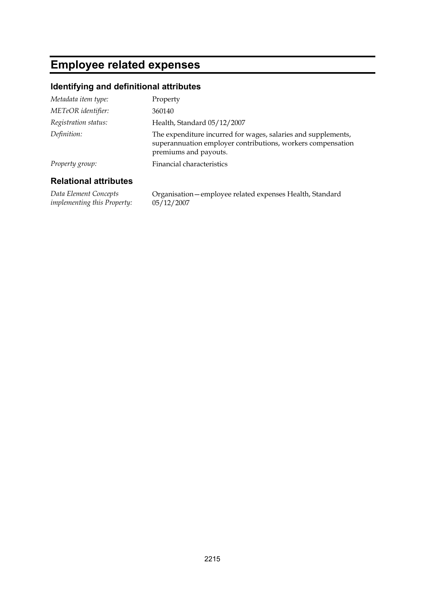# **Employee related expenses**

### **Identifying and definitional attributes**

| Metadata item type:  | Property                                                                                                                                              |
|----------------------|-------------------------------------------------------------------------------------------------------------------------------------------------------|
| METeOR identifier:   | 360140                                                                                                                                                |
| Registration status: | Health, Standard 05/12/2007                                                                                                                           |
| Definition:          | The expenditure incurred for wages, salaries and supplements,<br>superannuation employer contributions, workers compensation<br>premiums and payouts. |
| Property group:      | Financial characteristics                                                                                                                             |
|                      |                                                                                                                                                       |

### **Relational attributes**

*Data Element Concepts implementing this Property:* Organisation—employee related expenses Health, Standard 05/12/2007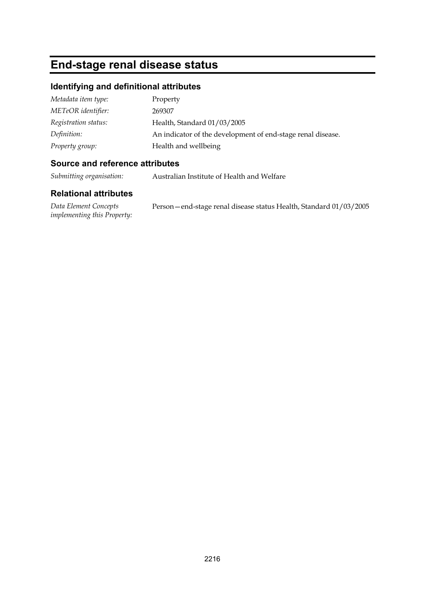# **End-stage renal disease status**

### **Identifying and definitional attributes**

| Metadata item type:  | Property                                                    |
|----------------------|-------------------------------------------------------------|
| METeOR identifier:   | 269307                                                      |
| Registration status: | Health, Standard 01/03/2005                                 |
| Definition:          | An indicator of the development of end-stage renal disease. |
| Property group:      | Health and wellbeing                                        |

### **Source and reference attributes**

*Submitting organisation:* Australian Institute of Health and Welfare

### **Relational attributes**

*Data Element Concepts implementing this Property:* Person—end-stage renal disease status Health, Standard 01/03/2005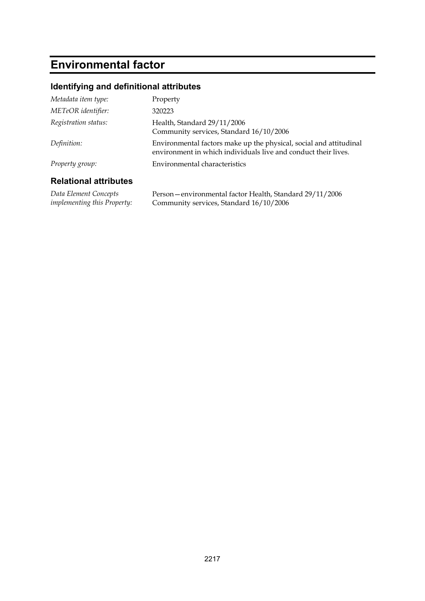# **Environmental factor**

# **Identifying and definitional attributes**

| Metadata item type:          | Property                                                                                                                             |
|------------------------------|--------------------------------------------------------------------------------------------------------------------------------------|
| METeOR identifier:           | 320223                                                                                                                               |
| Registration status:         | Health, Standard 29/11/2006<br>Community services, Standard 16/10/2006                                                               |
| Definition:                  | Environmental factors make up the physical, social and attitudinal<br>environment in which individuals live and conduct their lives. |
| Property group:              | Environmental characteristics                                                                                                        |
| <b>Relational attributes</b> |                                                                                                                                      |
| Data Element Concepts        | Person - environmental factor Health, Standard 29/11/2006                                                                            |

*Data Element Concepts implementing this Property:* Community services, Standard 16/10/2006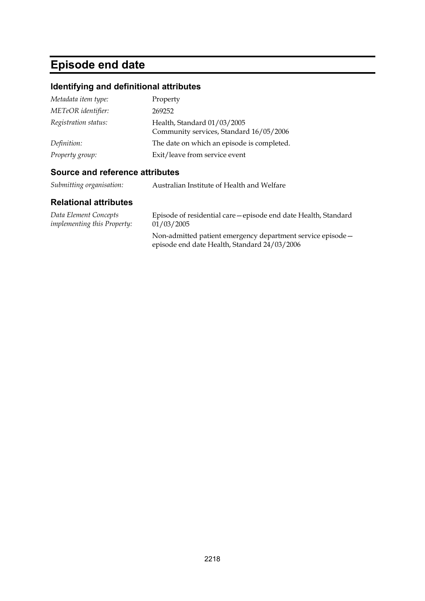# **Episode end date**

# **Identifying and definitional attributes**

| Metadata item type:  | Property                                                               |
|----------------------|------------------------------------------------------------------------|
| METeOR identifier:   | 269252                                                                 |
| Registration status: | Health, Standard 01/03/2005<br>Community services, Standard 16/05/2006 |
| Definition:          | The date on which an episode is completed.                             |
| Property group:      | Exit/leave from service event                                          |

## **Source and reference attributes**

| Submitting organisation:<br>Australian Institute of Health and Welfare |  |  |
|------------------------------------------------------------------------|--|--|
|------------------------------------------------------------------------|--|--|

| Data Element Concepts              | Episode of residential care—episode end date Health, Standard                                               |
|------------------------------------|-------------------------------------------------------------------------------------------------------------|
| <i>implementing this Property:</i> | 01/03/2005                                                                                                  |
|                                    | Non-admitted patient emergency department service episode -<br>episode end date Health, Standard 24/03/2006 |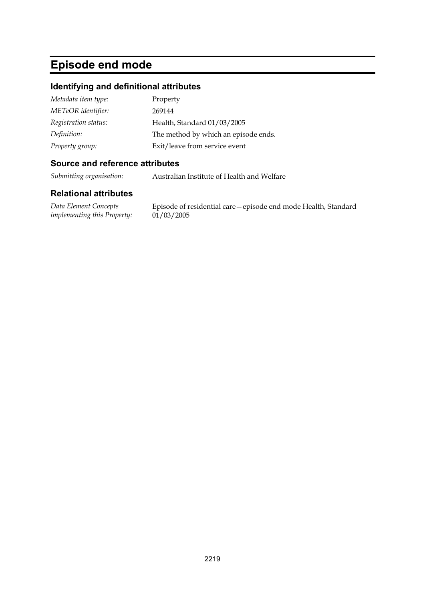# **Episode end mode**

### **Identifying and definitional attributes**

| Metadata item type:  | Property                             |
|----------------------|--------------------------------------|
| METeOR identifier:   | 269144                               |
| Registration status: | Health, Standard 01/03/2005          |
| Definition:          | The method by which an episode ends. |
| Property group:      | Exit/leave from service event        |

### **Source and reference attributes**

*Submitting organisation:* Australian Institute of Health and Welfare

#### **Relational attributes**

*Data Element Concepts implementing this Property:*

Episode of residential care—episode end mode Health, Standard  $01/03/2005$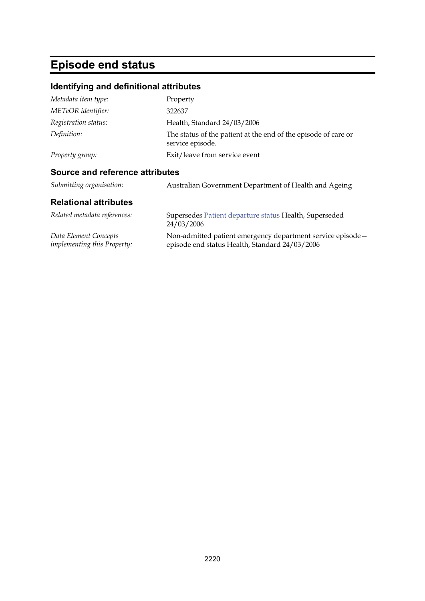# **Episode end status**

### **Identifying and definitional attributes**

| Metadata item type:                    | Property                                                                           |
|----------------------------------------|------------------------------------------------------------------------------------|
| METeOR identifier:                     | 322637                                                                             |
| Registration status:                   | Health, Standard 24/03/2006                                                        |
| Definition:                            | The status of the patient at the end of the episode of care or<br>service episode. |
| Property group:                        | Exit/leave from service event                                                      |
| <b>Source and reference attributes</b> |                                                                                    |
| Submitting organisation:               | Australian Government Department of Health and Ageing                              |
| <b>Relational attributes</b>           |                                                                                    |
| Related metadata references:           | Supersedes Patient departure status Health, Superseded                             |

24/03/2006 *Data Element Concepts implementing this Property:* Non-admitted patient emergency department service episode episode end status Health, Standard 24/03/2006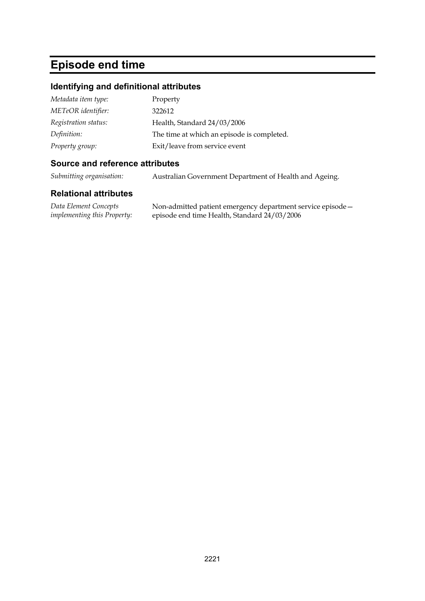# **Episode end time**

# **Identifying and definitional attributes**

| Metadata item type:  | Property                                   |
|----------------------|--------------------------------------------|
| METeOR identifier:   | 322612                                     |
| Registration status: | Health, Standard 24/03/2006                |
| Definition:          | The time at which an episode is completed. |
| Property group:      | Exit/leave from service event              |

## **Source and reference attributes**

*Submitting organisation:* Australian Government Department of Health and Ageing.

| Data Element Concepts              | Non-admitted patient emergency department service episode - |
|------------------------------------|-------------------------------------------------------------|
| <i>implementing this Property:</i> | episode end time Health, Standard 24/03/2006                |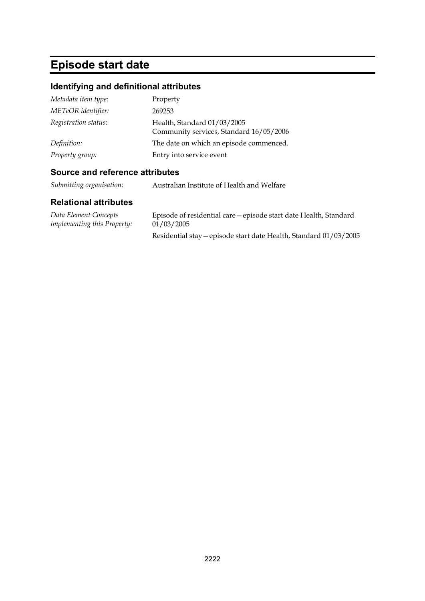# **Episode start date**

# **Identifying and definitional attributes**

| Metadata item type:  | Property                                                               |
|----------------------|------------------------------------------------------------------------|
| METeOR identifier:   | 269253                                                                 |
| Registration status: | Health, Standard 01/03/2005<br>Community services, Standard 16/05/2006 |
| Definition:          | The date on which an episode commenced.                                |
| Property group:      | Entry into service event                                               |

# **Source and reference attributes**

*Submitting organisation:* Australian Institute of Health and Welfare

| Data Element Concepts              | Episode of residential care - episode start date Health, Standard |
|------------------------------------|-------------------------------------------------------------------|
| <i>implementing this Property:</i> | 01/03/2005                                                        |
|                                    | Residential stay - episode start date Health, Standard 01/03/2005 |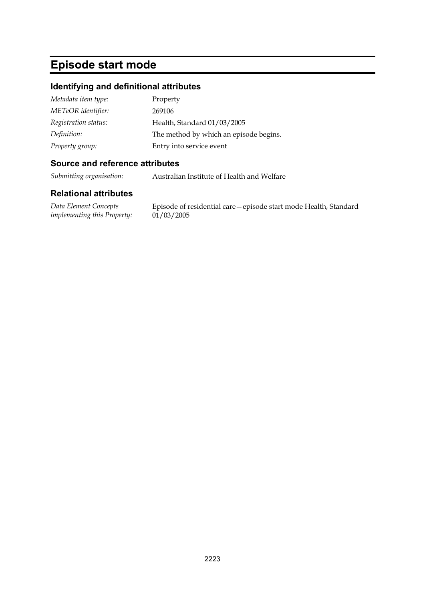# **Episode start mode**

### **Identifying and definitional attributes**

| Metadata item type:  | Property                               |
|----------------------|----------------------------------------|
| METeOR identifier:   | 269106                                 |
| Registration status: | Health, Standard 01/03/2005            |
| Definition:          | The method by which an episode begins. |
| Property group:      | Entry into service event               |

### **Source and reference attributes**

*Submitting organisation:* Australian Institute of Health and Welfare

### **Relational attributes**

*Data Element Concepts implementing this Property:*

Episode of residential care—episode start mode Health, Standard  $01/03/2005$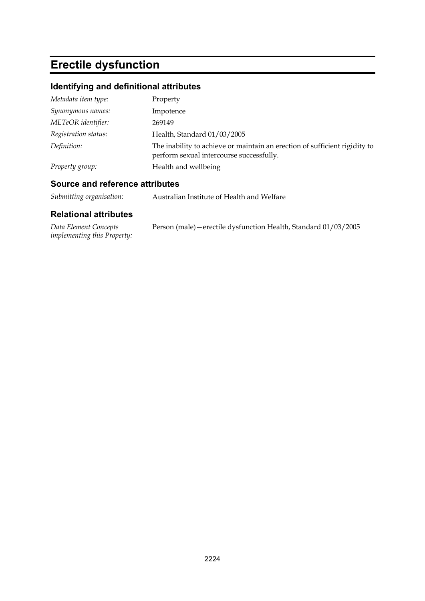# **Erectile dysfunction**

# **Identifying and definitional attributes**

| Metadata item type:  | Property                                                                                                               |
|----------------------|------------------------------------------------------------------------------------------------------------------------|
| Synonymous names:    | Impotence                                                                                                              |
| METeOR identifier:   | 269149                                                                                                                 |
| Registration status: | Health, Standard 01/03/2005                                                                                            |
| Definition:          | The inability to achieve or maintain an erection of sufficient rigidity to<br>perform sexual intercourse successfully. |
| Property group:      | Health and wellbeing                                                                                                   |

## **Source and reference attributes**

| Submitting organisation: | Australian Institute of Health and Welfare |
|--------------------------|--------------------------------------------|
|                          |                                            |

| Data Element Concepts              | Person (male) – erectile dysfunction Health, Standard 01/03/2005 |
|------------------------------------|------------------------------------------------------------------|
| <i>implementing this Property:</i> |                                                                  |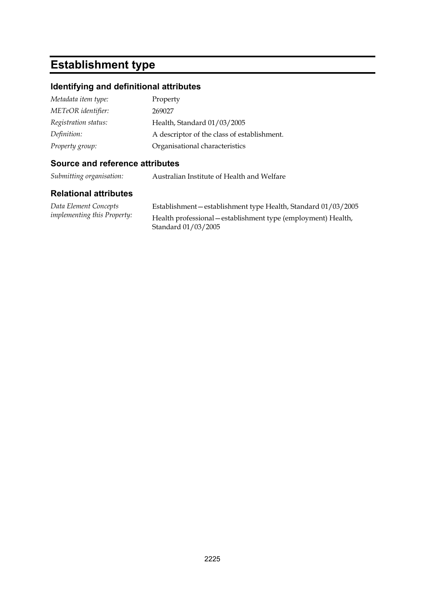# **Establishment type**

### **Identifying and definitional attributes**

| Metadata item type:  | Property                                    |
|----------------------|---------------------------------------------|
| METeOR identifier:   | 269027                                      |
| Registration status: | Health, Standard 01/03/2005                 |
| Definition:          | A descriptor of the class of establishment. |
| Property group:      | Organisational characteristics              |

### **Source and reference attributes**

*Submitting organisation:* Australian Institute of Health and Welfare

#### **Relational attributes**

*Data Element Concepts implementing this Property:*

Establishment—establishment type Health, Standard 01/03/2005 Health professional—establishment type (employment) Health, Standard 01/03/2005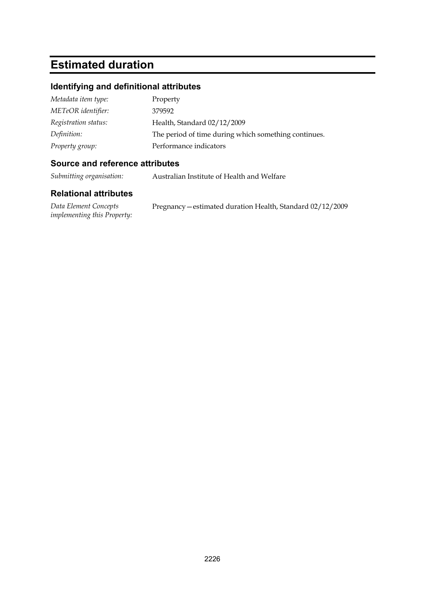# **Estimated duration**

## **Identifying and definitional attributes**

| Metadata item type:  | Property                                             |
|----------------------|------------------------------------------------------|
| METeOR identifier:   | 379592                                               |
| Registration status: | Health, Standard 02/12/2009                          |
| Definition:          | The period of time during which something continues. |
| Property group:      | Performance indicators                               |

### **Source and reference attributes**

*Submitting organisation:* Australian Institute of Health and Welfare

| Data Element Concepts              | Pregnancy – estimated duration Health, Standard 02/12/2009 |
|------------------------------------|------------------------------------------------------------|
| <i>implementing this Property:</i> |                                                            |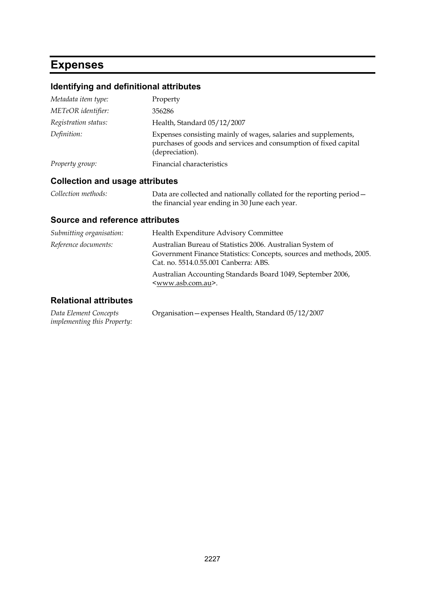# **Expenses**

## **Identifying and definitional attributes**

| Metadata item type:  | Property                                                                                                                                              |
|----------------------|-------------------------------------------------------------------------------------------------------------------------------------------------------|
| METeOR identifier:   | 356286                                                                                                                                                |
| Registration status: | Health, Standard 05/12/2007                                                                                                                           |
| Definition:          | Expenses consisting mainly of wages, salaries and supplements,<br>purchases of goods and services and consumption of fixed capital<br>(depreciation). |
| Property group:      | Financial characteristics                                                                                                                             |

## **Collection and usage attributes**

| Collection methods: | Data are collected and nationally collated for the reporting period - |
|---------------------|-----------------------------------------------------------------------|
|                     | the financial year ending in 30 June each year.                       |

### **Source and reference attributes**

| Submitting organisation:     | Health Expenditure Advisory Committee                                                                                                                                      |
|------------------------------|----------------------------------------------------------------------------------------------------------------------------------------------------------------------------|
| Reference documents:         | Australian Bureau of Statistics 2006. Australian System of<br>Government Finance Statistics: Concepts, sources and methods, 2005.<br>Cat. no. 5514.0.55.001 Canberra: ABS. |
|                              | Australian Accounting Standards Board 1049, September 2006,<br><www.asb.com.au>.</www.asb.com.au>                                                                          |
| <b>Relational attributes</b> |                                                                                                                                                                            |

#### *Data Element Concepts implementing this Property:* Organisation—expenses Health, Standard 05/12/2007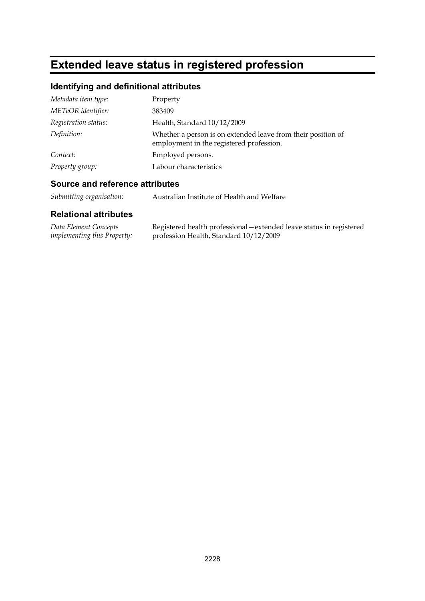# **Extended leave status in registered profession**

# **Identifying and definitional attributes**

| Metadata item type:  | Property                                                                                                 |
|----------------------|----------------------------------------------------------------------------------------------------------|
| METeOR identifier:   | 383409                                                                                                   |
| Registration status: | Health, Standard 10/12/2009                                                                              |
| Definition:          | Whether a person is on extended leave from their position of<br>employment in the registered profession. |
| Context:             | Employed persons.                                                                                        |
| Property group:      | Labour characteristics                                                                                   |

#### **Source and reference attributes**

| Submitting organisation: | Australian Institute of Health and Welfare |
|--------------------------|--------------------------------------------|
|--------------------------|--------------------------------------------|

| Data Element Concepts              | Registered health professional – extended leave status in registered |
|------------------------------------|----------------------------------------------------------------------|
| <i>implementing this Property:</i> | profession Health, Standard 10/12/2009                               |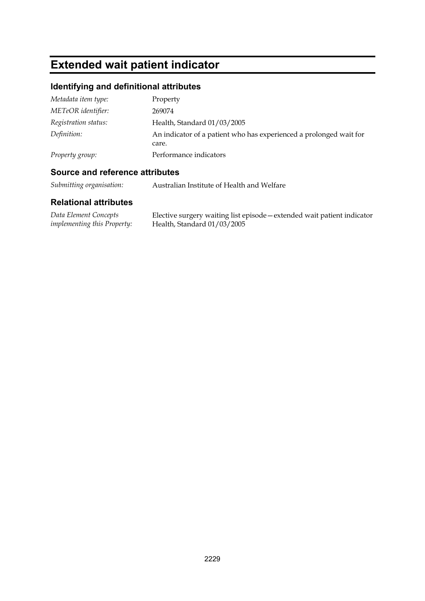# **Extended wait patient indicator**

# **Identifying and definitional attributes**

| Metadata item type:  | Property                                                                    |
|----------------------|-----------------------------------------------------------------------------|
| METeOR identifier:   | 269074                                                                      |
| Registration status: | Health, Standard 01/03/2005                                                 |
| Definition:          | An indicator of a patient who has experienced a prolonged wait for<br>care. |
| Property group:      | Performance indicators                                                      |

# **Source and reference attributes**

*Submitting organisation:* Australian Institute of Health and Welfare

| Data Element Concepts              | Elective surgery waiting list episode – extended wait patient indicator |
|------------------------------------|-------------------------------------------------------------------------|
| <i>implementing this Property:</i> | Health, Standard 01/03/2005                                             |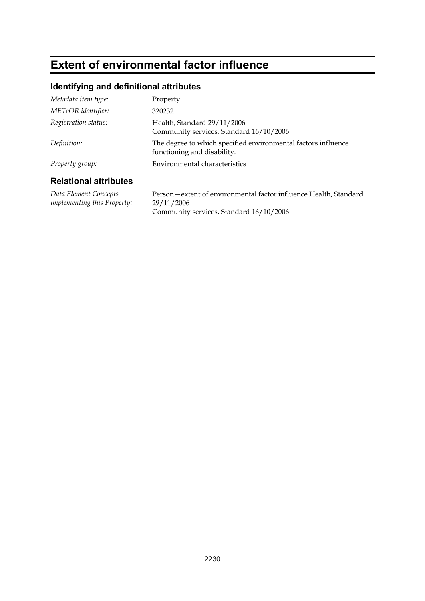# **Extent of environmental factor influence**

## **Identifying and definitional attributes**

| <b>Relational attributes</b> |                                                                                              |
|------------------------------|----------------------------------------------------------------------------------------------|
| Property group:              | Environmental characteristics                                                                |
| Definition:                  | The degree to which specified environmental factors influence<br>functioning and disability. |
| Registration status:         | Health, Standard 29/11/2006<br>Community services, Standard 16/10/2006                       |
| METeOR identifier:           | 320232                                                                                       |
| Metadata item type:          | Property                                                                                     |

*Data Element Concepts implementing this Property:* Person—extent of environmental factor influence Health, Standard 29/11/2006 Community services, Standard 16/10/2006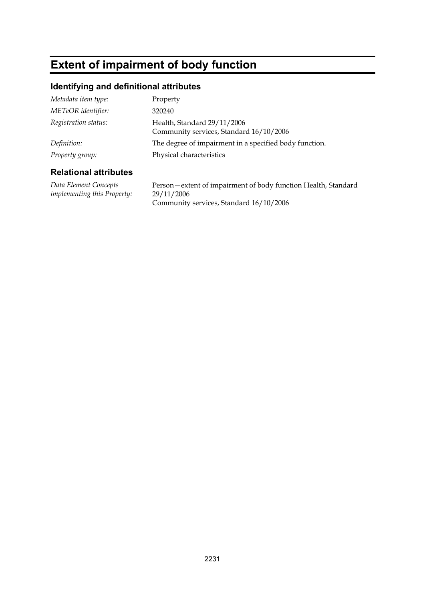# **Extent of impairment of body function**

## **Identifying and definitional attributes**

| Metadata item type:  | Property                                                               |
|----------------------|------------------------------------------------------------------------|
| METeOR identifier:   | 320240                                                                 |
| Registration status: | Health, Standard 29/11/2006<br>Community services, Standard 16/10/2006 |
| Definition:          | The degree of impairment in a specified body function.                 |
| Property group:      | Physical characteristics                                               |

### **Relational attributes**

*Data Element Concepts implementing this Property:* Person—extent of impairment of body function Health, Standard 29/11/2006 Community services, Standard 16/10/2006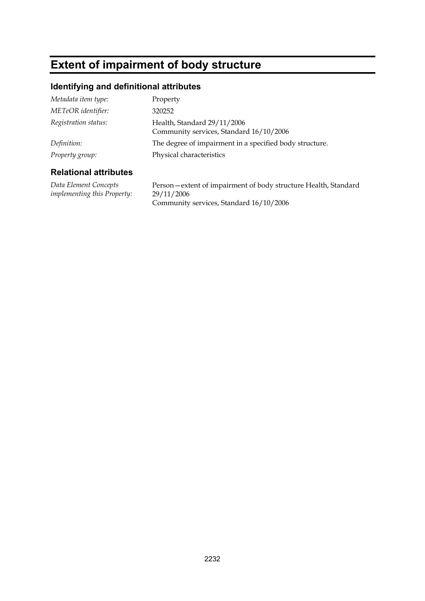# **Extent of impairment of body structure**

## **Identifying and definitional attributes**

| Metadata item type:  | Property                                                               |
|----------------------|------------------------------------------------------------------------|
| METeOR identifier:   | 320252                                                                 |
| Registration status: | Health, Standard 29/11/2006<br>Community services, Standard 16/10/2006 |
| Definition:          | The degree of impairment in a specified body structure.                |
| Property group:      | Physical characteristics                                               |

#### **Relational attributes**

*Data Element Concepts implementing this Property:* Person—extent of impairment of body structure Health, Standard 29/11/2006 Community services, Standard 16/10/2006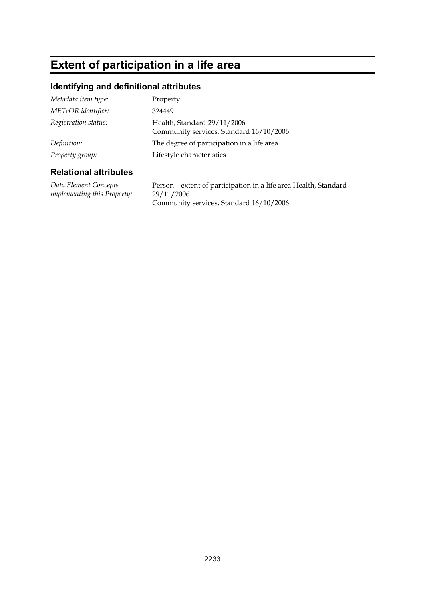# **Extent of participation in a life area**

## **Identifying and definitional attributes**

| Metadata item type:  | Property                                                               |
|----------------------|------------------------------------------------------------------------|
| METeOR identifier:   | 324449                                                                 |
| Registration status: | Health, Standard 29/11/2006<br>Community services, Standard 16/10/2006 |
| Definition:          | The degree of participation in a life area.                            |
| Property group:      | Lifestyle characteristics                                              |

### **Relational attributes**

*Data Element Concepts implementing this Property:* Person—extent of participation in a life area Health, Standard 29/11/2006 Community services, Standard 16/10/2006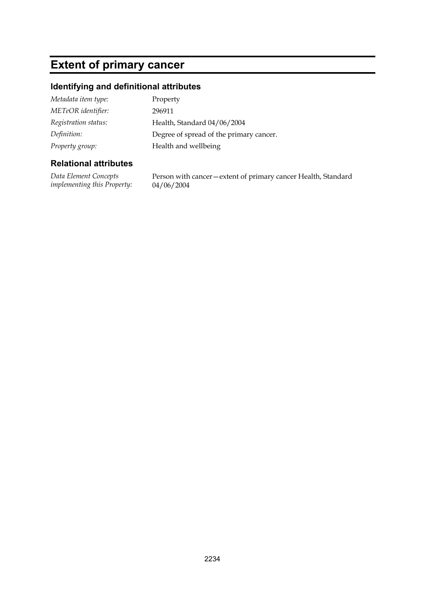# **Extent of primary cancer**

## **Identifying and definitional attributes**

| Metadata item type:  | Property                                |
|----------------------|-----------------------------------------|
| METeOR identifier:   | 296911                                  |
| Registration status: | Health, Standard 04/06/2004             |
| Definition:          | Degree of spread of the primary cancer. |
| Property group:      | Health and wellbeing                    |

### **Relational attributes**

*Data Element Concepts implementing this Property:* Person with cancer—extent of primary cancer Health, Standard 04/06/2004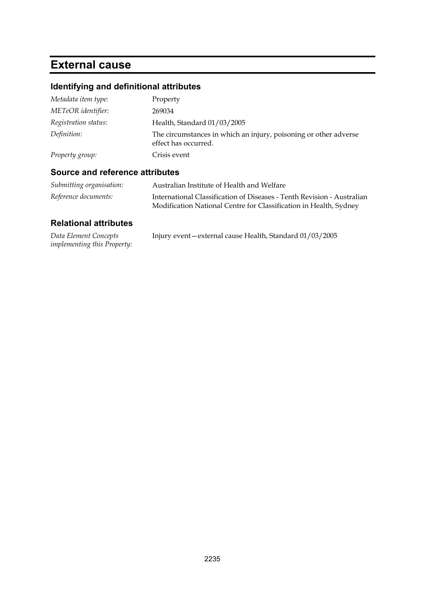# **External cause**

# **Identifying and definitional attributes**

| Metadata item type:  | Property                                                                                 |
|----------------------|------------------------------------------------------------------------------------------|
| METeOR identifier:   | 269034                                                                                   |
| Registration status: | Health, Standard 01/03/2005                                                              |
| Definition:          | The circumstances in which an injury, poisoning or other adverse<br>effect has occurred. |
| Property group:      | Crisis event                                                                             |

# **Source and reference attributes**

| Submitting organisation: | Australian Institute of Health and Welfare                                                                                                  |
|--------------------------|---------------------------------------------------------------------------------------------------------------------------------------------|
| Reference documents:     | International Classification of Diseases - Tenth Revision - Australian<br>Modification National Centre for Classification in Health, Sydney |

| Data Element Concepts              | Injury event – external cause Health, Standard 01/03/2005 |
|------------------------------------|-----------------------------------------------------------|
| <i>implementing this Property:</i> |                                                           |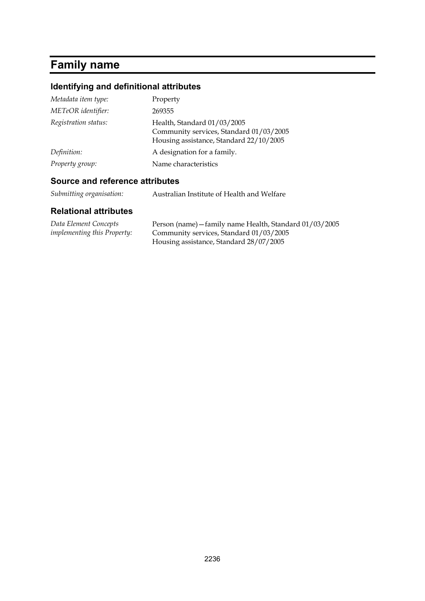# **Family name**

# **Identifying and definitional attributes**

| Metadata item type:  | Property                                                                                                          |
|----------------------|-------------------------------------------------------------------------------------------------------------------|
| METeOR identifier:   | 269355                                                                                                            |
| Registration status: | Health, Standard 01/03/2005<br>Community services, Standard 01/03/2005<br>Housing assistance, Standard 22/10/2005 |
| Definition:          | A designation for a family.                                                                                       |
| Property group:      | Name characteristics                                                                                              |

# **Source and reference attributes**

| Submitting organisation: | Australian Institute of Health and Welfare |
|--------------------------|--------------------------------------------|
|--------------------------|--------------------------------------------|

| Data Element Concepts              | Person (name) - family name Health, Standard 01/03/2005 |
|------------------------------------|---------------------------------------------------------|
| <i>implementing this Property:</i> | Community services, Standard 01/03/2005                 |
|                                    | Housing assistance, Standard 28/07/2005                 |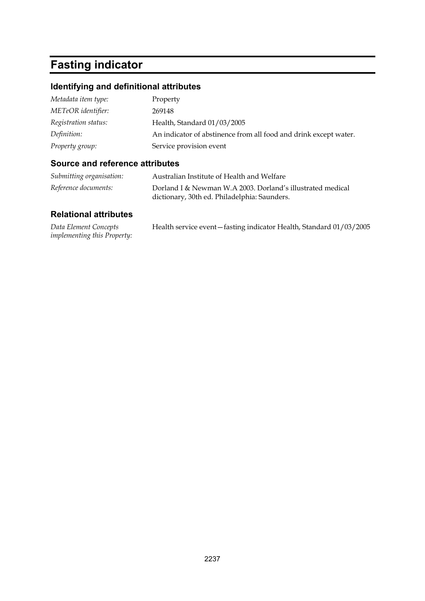# **Fasting indicator**

# **Identifying and definitional attributes**

| Metadata item type:  | Property                                                         |
|----------------------|------------------------------------------------------------------|
| METeOR identifier:   | 269148                                                           |
| Registration status: | Health, Standard 01/03/2005                                      |
| Definition:          | An indicator of abstinence from all food and drink except water. |
| Property group:      | Service provision event                                          |

## **Source and reference attributes**

| Submitting organisation: | Australian Institute of Health and Welfare                                                                 |
|--------------------------|------------------------------------------------------------------------------------------------------------|
| Reference documents:     | Dorland I & Newman W.A 2003. Dorland's illustrated medical<br>dictionary, 30th ed. Philadelphia: Saunders. |

| Data Element Concepts              | Health service event - fasting indicator Health, Standard 01/03/2005 |
|------------------------------------|----------------------------------------------------------------------|
| <i>implementing this Property:</i> |                                                                      |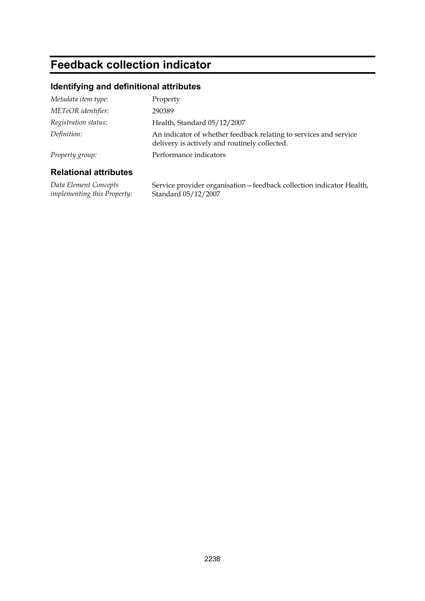# **Feedback collection indicator**

## **Identifying and definitional attributes**

| Metadata item type:  | Property                                                                                                           |
|----------------------|--------------------------------------------------------------------------------------------------------------------|
| METeOR identifier:   | 290389                                                                                                             |
| Registration status: | Health, Standard 05/12/2007                                                                                        |
| Definition:          | An indicator of whether feedback relating to services and service<br>delivery is actively and routinely collected. |
| Property group:      | Performance indicators                                                                                             |
|                      |                                                                                                                    |

### **Relational attributes**

*Data Element Concepts implementing this Property:* Service provider organisation—feedback collection indicator Health, Standard 05/12/2007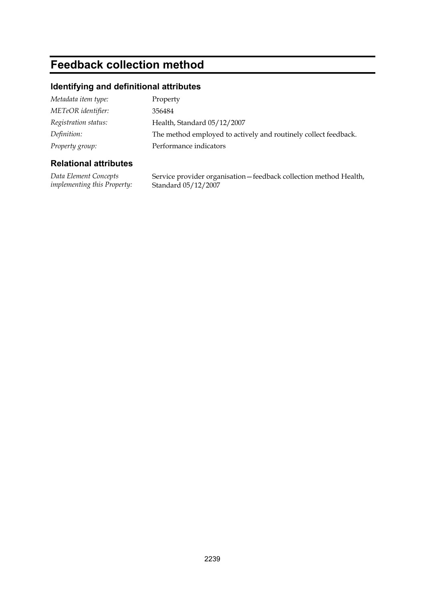# **Feedback collection method**

## **Identifying and definitional attributes**

| Metadata item type:  | Property                                                        |
|----------------------|-----------------------------------------------------------------|
| METeOR identifier:   | 356484                                                          |
| Registration status: | Health, Standard 05/12/2007                                     |
| Definition:          | The method employed to actively and routinely collect feedback. |
| Property group:      | Performance indicators                                          |

## **Relational attributes**

*Data Element Concepts implementing this Property:* Service provider organisation—feedback collection method Health, Standard 05/12/2007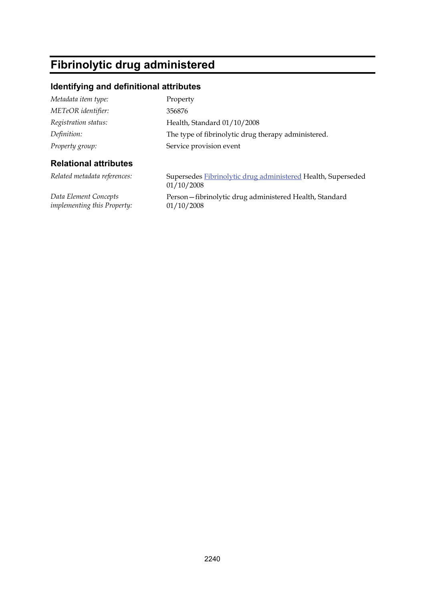# **Fibrinolytic drug administered**

## **Identifying and definitional attributes**

| Metadata item type:          | Property                                                                   |
|------------------------------|----------------------------------------------------------------------------|
| METeOR identifier:           | 356876                                                                     |
| Registration status:         | Health, Standard 01/10/2008                                                |
| Definition:                  | The type of fibrinolytic drug therapy administered.                        |
| Property group:              | Service provision event                                                    |
| <b>Relational attributes</b> |                                                                            |
| Related metadata references: | Supersedes Fibrinolytic drug administered Health, Superseded<br>01/10/2008 |

*Data Element Concepts implementing this Property:* 01/10/2008

Person—fibrinolytic drug administered Health, Standard 01/10/2008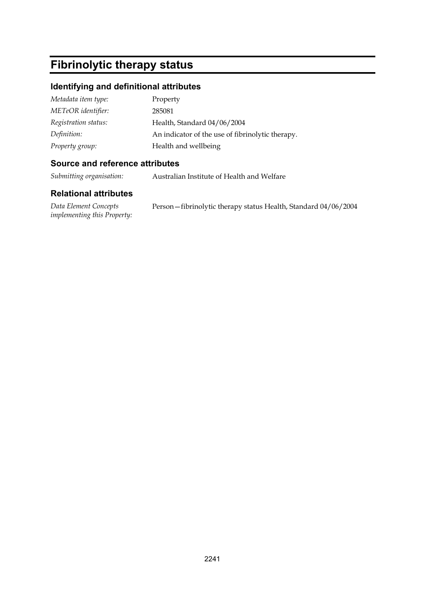# **Fibrinolytic therapy status**

### **Identifying and definitional attributes**

| Metadata item type:  | Property                                         |
|----------------------|--------------------------------------------------|
| METeOR identifier:   | 285081                                           |
| Registration status: | Health, Standard 04/06/2004                      |
| Definition:          | An indicator of the use of fibrinolytic therapy. |
| Property group:      | Health and wellbeing                             |

#### **Source and reference attributes**

*Submitting organisation:* Australian Institute of Health and Welfare

#### **Relational attributes**

*Data Element Concepts implementing this Property:* Person—fibrinolytic therapy status Health, Standard 04/06/2004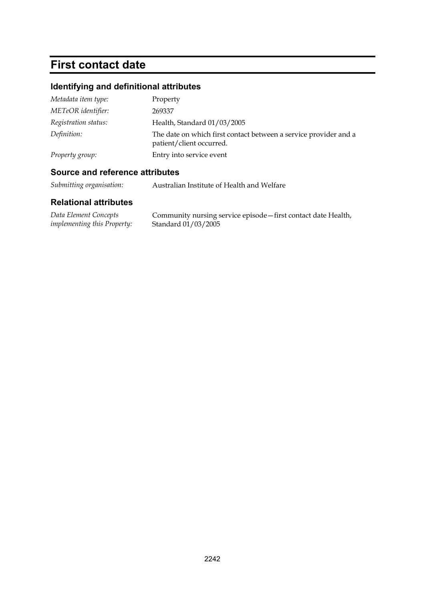# **First contact date**

# **Identifying and definitional attributes**

| Metadata item type:  | Property                                                                                     |
|----------------------|----------------------------------------------------------------------------------------------|
| METeOR identifier:   | 269337                                                                                       |
| Registration status: | Health, Standard 01/03/2005                                                                  |
| Definition:          | The date on which first contact between a service provider and a<br>patient/client occurred. |
| Property group:      | Entry into service event                                                                     |

# **Source and reference attributes**

*Submitting organisation:* Australian Institute of Health and Welfare

| Data Element Concepts              | Community nursing service episode - first contact date Health, |
|------------------------------------|----------------------------------------------------------------|
| <i>implementing this Property:</i> | Standard 01/03/2005                                            |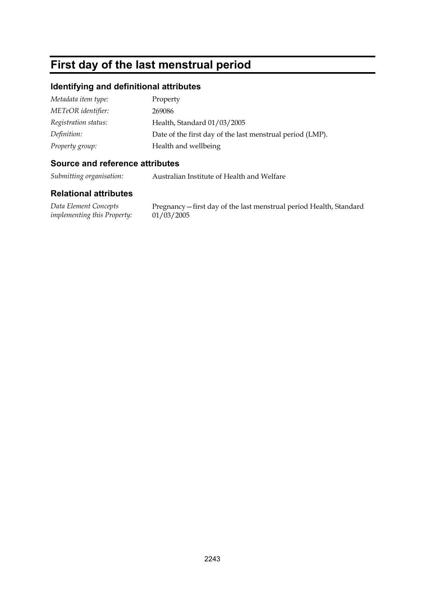# **First day of the last menstrual period**

### **Identifying and definitional attributes**

| Metadata item type:  | Property                                                  |
|----------------------|-----------------------------------------------------------|
| METeOR identifier:   | 269086                                                    |
| Registration status: | Health, Standard 01/03/2005                               |
| Definition:          | Date of the first day of the last menstrual period (LMP). |
| Property group:      | Health and wellbeing                                      |

### **Source and reference attributes**

*Submitting organisation:* Australian Institute of Health and Welfare

### **Relational attributes**

*Data Element Concepts implementing this Property:*

Pregnancy—first day of the last menstrual period Health, Standard 01/03/2005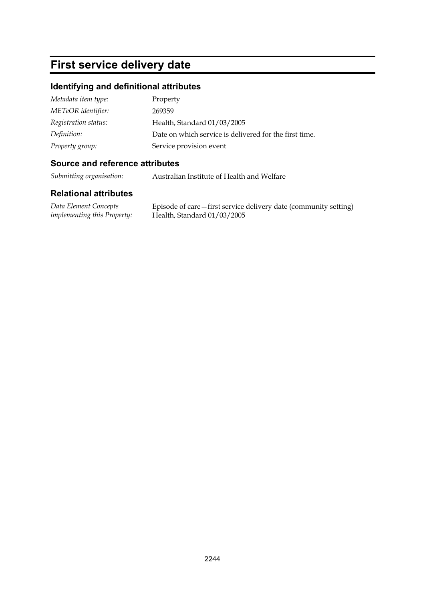# **First service delivery date**

### **Identifying and definitional attributes**

| Metadata item type:  | Property                                               |
|----------------------|--------------------------------------------------------|
| METeOR identifier:   | 269359                                                 |
| Registration status: | Health, Standard 01/03/2005                            |
| Definition:          | Date on which service is delivered for the first time. |
| Property group:      | Service provision event                                |

### **Source and reference attributes**

*Submitting organisation:* Australian Institute of Health and Welfare

#### **Relational attributes**

*Data Element Concepts implementing this Property:* Episode of care—first service delivery date (community setting) Health, Standard 01/03/2005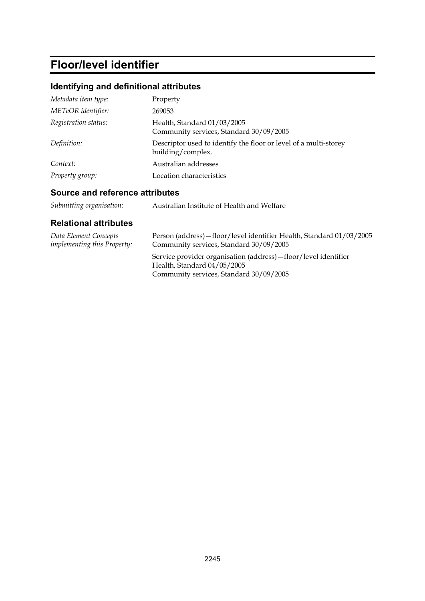# **Floor/level identifier**

# **Identifying and definitional attributes**

| Metadata item type:  | Property                                                                              |
|----------------------|---------------------------------------------------------------------------------------|
| METeOR identifier:   | 269053                                                                                |
| Registration status: | Health, Standard 01/03/2005<br>Community services, Standard 30/09/2005                |
| Definition:          | Descriptor used to identify the floor or level of a multi-storey<br>building/complex. |
| Context:             | Australian addresses                                                                  |
| Property group:      | Location characteristics                                                              |

# **Source and reference attributes**

| Submitting organisation: | Australian Institute of Health and Welfare |
|--------------------------|--------------------------------------------|
|--------------------------|--------------------------------------------|

| Data Element Concepts              | Person (address) – floor/level identifier Health, Standard 01/03/2005                                                                        |
|------------------------------------|----------------------------------------------------------------------------------------------------------------------------------------------|
| <i>implementing this Property:</i> | Community services, Standard 30/09/2005                                                                                                      |
|                                    | Service provider organisation (address) – floor/level identifier<br>Health, Standard $04/05/2005$<br>Community services, Standard 30/09/2005 |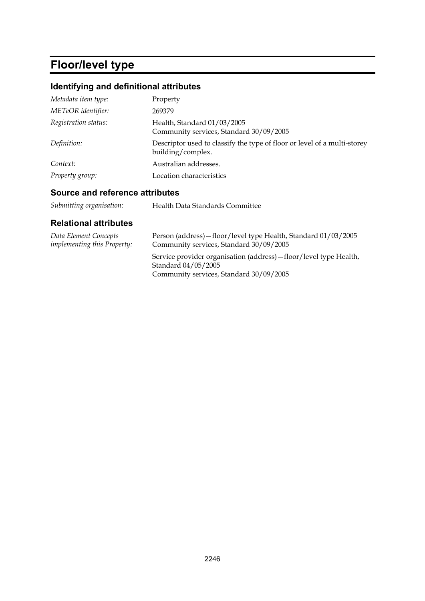# **Floor/level type**

# **Identifying and definitional attributes**

| Metadata item type:  | Property                                                                                      |
|----------------------|-----------------------------------------------------------------------------------------------|
| METeOR identifier:   | 269379                                                                                        |
| Registration status: | Health, Standard 01/03/2005<br>Community services, Standard 30/09/2005                        |
| Definition:          | Descriptor used to classify the type of floor or level of a multi-storey<br>building/complex. |
| Context:             | Australian addresses.                                                                         |
| Property group:      | Location characteristics                                                                      |

## **Source and reference attributes**

| Health Data Standards Committee |
|---------------------------------|
|                                 |

| Data Element Concepts              | Person (address) – floor/level type Health, Standard 01/03/2005                                                                      |
|------------------------------------|--------------------------------------------------------------------------------------------------------------------------------------|
| <i>implementing this Property:</i> | Community services, Standard 30/09/2005                                                                                              |
|                                    | Service provider organisation (address) – floor/level type Health,<br>Standard 04/05/2005<br>Community services, Standard 30/09/2005 |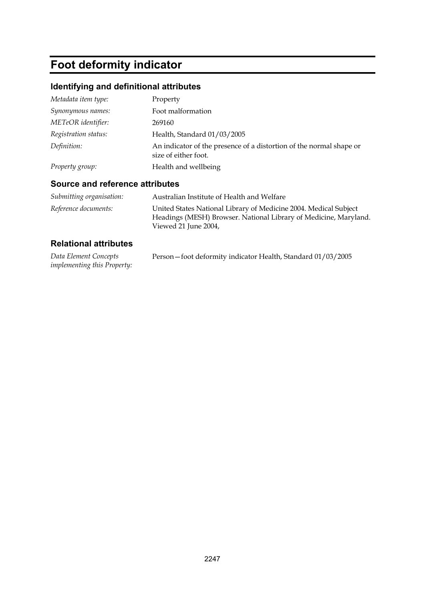# **Foot deformity indicator**

# **Identifying and definitional attributes**

| Metadata item type:  | Property                                                                                    |
|----------------------|---------------------------------------------------------------------------------------------|
| Synonymous names:    | Foot malformation                                                                           |
| METeOR identifier:   | 269160                                                                                      |
| Registration status: | Health, Standard 01/03/2005                                                                 |
| Definition:          | An indicator of the presence of a distortion of the normal shape or<br>size of either foot. |
| Property group:      | Health and wellbeing                                                                        |

#### **Source and reference attributes**

| Submitting organisation: | Australian Institute of Health and Welfare                                                                                                                   |
|--------------------------|--------------------------------------------------------------------------------------------------------------------------------------------------------------|
| Reference documents:     | United States National Library of Medicine 2004. Medical Subject<br>Headings (MESH) Browser. National Library of Medicine, Maryland.<br>Viewed 21 June 2004, |

| Data Element Concepts              | Person-foot deformity indicator Health, Standard 01/03/2005 |  |
|------------------------------------|-------------------------------------------------------------|--|
| <i>implementing this Property:</i> |                                                             |  |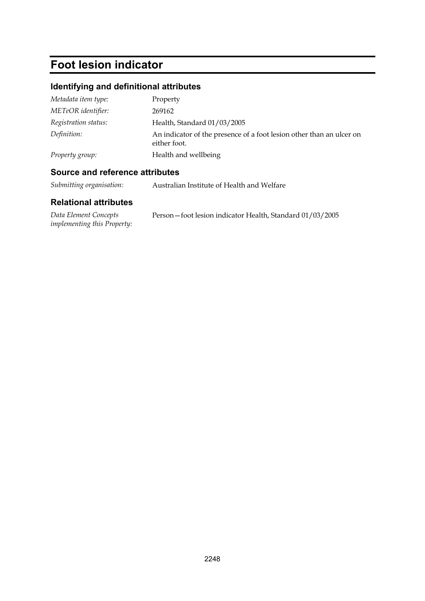# **Foot lesion indicator**

# **Identifying and definitional attributes**

| Metadata item type:  | Property                                                                             |
|----------------------|--------------------------------------------------------------------------------------|
| METeOR identifier:   | 269162                                                                               |
| Registration status: | Health, Standard 01/03/2005                                                          |
| Definition:          | An indicator of the presence of a foot lesion other than an ulcer on<br>either foot. |
| Property group:      | Health and wellbeing                                                                 |

# **Source and reference attributes**

*Submitting organisation:* Australian Institute of Health and Welfare

| Data Element Concepts              | Person-foot lesion indicator Health, Standard 01/03/2005 |
|------------------------------------|----------------------------------------------------------|
| <i>implementing this Property:</i> |                                                          |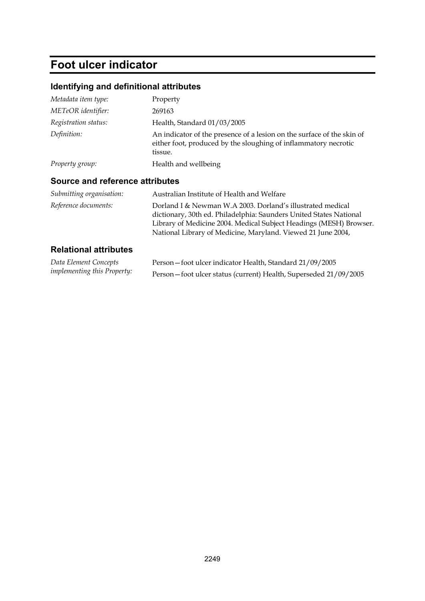# **Foot ulcer indicator**

# **Identifying and definitional attributes**

| Metadata item type:  | Property                                                                                                                                             |
|----------------------|------------------------------------------------------------------------------------------------------------------------------------------------------|
| METeOR identifier:   | 269163                                                                                                                                               |
| Registration status: | Health, Standard 01/03/2005                                                                                                                          |
| Definition:          | An indicator of the presence of a lesion on the surface of the skin of<br>either foot, produced by the sloughing of inflammatory necrotic<br>tissue. |
| Property group:      | Health and wellbeing                                                                                                                                 |

# **Source and reference attributes**

| Submitting organisation: | Australian Institute of Health and Welfare                                                                                                                                                                                                                             |
|--------------------------|------------------------------------------------------------------------------------------------------------------------------------------------------------------------------------------------------------------------------------------------------------------------|
| Reference documents:     | Dorland I & Newman W.A 2003. Dorland's illustrated medical<br>dictionary, 30th ed. Philadelphia: Saunders United States National<br>Library of Medicine 2004. Medical Subject Headings (MESH) Browser.<br>National Library of Medicine, Maryland. Viewed 21 June 2004, |
| Delettenel ettelerisen   |                                                                                                                                                                                                                                                                        |

| Data Element Concepts              | Person-foot ulcer indicator Health, Standard 21/09/2005          |
|------------------------------------|------------------------------------------------------------------|
| <i>implementing this Property:</i> | Person-foot ulcer status (current) Health, Superseded 21/09/2005 |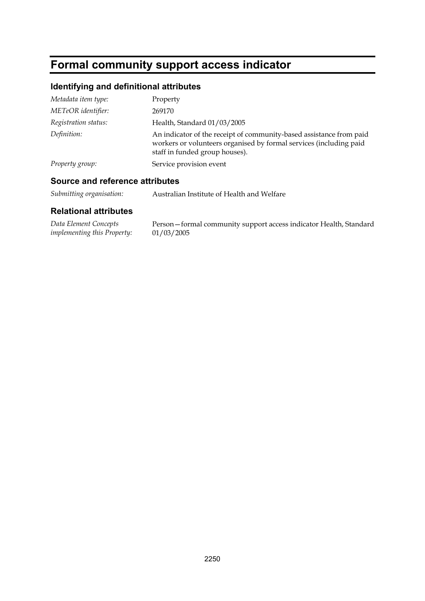# **Formal community support access indicator**

## **Identifying and definitional attributes**

| Metadata item type:  | Property                                                                                                                                                                    |
|----------------------|-----------------------------------------------------------------------------------------------------------------------------------------------------------------------------|
| METeOR identifier:   | 269170                                                                                                                                                                      |
| Registration status: | Health, Standard 01/03/2005                                                                                                                                                 |
| Definition:          | An indicator of the receipt of community-based assistance from paid<br>workers or volunteers organised by formal services (including paid<br>staff in funded group houses). |
| Property group:      | Service provision event                                                                                                                                                     |

#### **Source and reference attributes**

*Submitting organisation:* Australian Institute of Health and Welfare

#### **Relational attributes**

*Data Element Concepts implementing this Property:* Person—formal community support access indicator Health, Standard 01/03/2005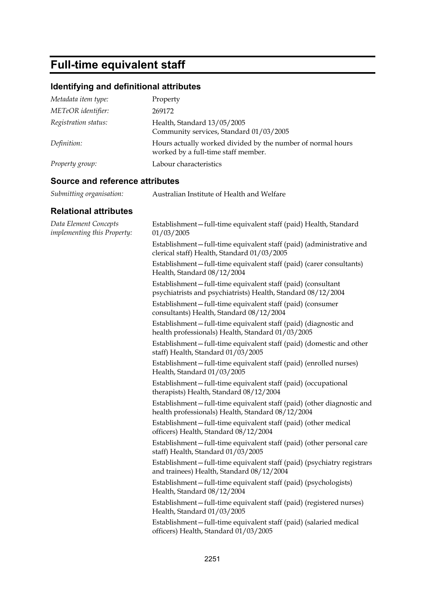# **Full-time equivalent staff**

## **Identifying and definitional attributes**

| Metadata item type:  | Property                                                                                           |
|----------------------|----------------------------------------------------------------------------------------------------|
| METeOR identifier:   | 269172                                                                                             |
| Registration status: | Health, Standard 13/05/2005<br>Community services, Standard 01/03/2005                             |
| Definition:          | Hours actually worked divided by the number of normal hours<br>worked by a full-time staff member. |
| Property group:      | Labour characteristics                                                                             |

#### **Source and reference attributes**

*Submitting organisation:* Australian Institute of Health and Welfare

| Data Element Concepts<br>implementing this Property: | Establishment-full-time equivalent staff (paid) Health, Standard<br>01/03/2005                                              |
|------------------------------------------------------|-----------------------------------------------------------------------------------------------------------------------------|
|                                                      | Establishment-full-time equivalent staff (paid) (administrative and<br>clerical staff) Health, Standard 01/03/2005          |
|                                                      | Establishment-full-time equivalent staff (paid) (carer consultants)<br>Health, Standard 08/12/2004                          |
|                                                      | Establishment-full-time equivalent staff (paid) (consultant<br>psychiatrists and psychiatrists) Health, Standard 08/12/2004 |
|                                                      | Establishment-full-time equivalent staff (paid) (consumer<br>consultants) Health, Standard 08/12/2004                       |
|                                                      | Establishment-full-time equivalent staff (paid) (diagnostic and<br>health professionals) Health, Standard 01/03/2005        |
|                                                      | Establishment-full-time equivalent staff (paid) (domestic and other<br>staff) Health, Standard 01/03/2005                   |
|                                                      | Establishment-full-time equivalent staff (paid) (enrolled nurses)<br>Health, Standard 01/03/2005                            |
|                                                      | Establishment-full-time equivalent staff (paid) (occupational<br>therapists) Health, Standard 08/12/2004                    |
|                                                      | Establishment-full-time equivalent staff (paid) (other diagnostic and<br>health professionals) Health, Standard 08/12/2004  |
|                                                      | Establishment-full-time equivalent staff (paid) (other medical<br>officers) Health, Standard 08/12/2004                     |
|                                                      | Establishment-full-time equivalent staff (paid) (other personal care<br>staff) Health, Standard 01/03/2005                  |
|                                                      | Establishment-full-time equivalent staff (paid) (psychiatry registrars<br>and trainees) Health, Standard 08/12/2004         |
|                                                      | Establishment-full-time equivalent staff (paid) (psychologists)<br>Health, Standard 08/12/2004                              |
|                                                      | Establishment-full-time equivalent staff (paid) (registered nurses)<br>Health, Standard 01/03/2005                          |
|                                                      | Establishment-full-time equivalent staff (paid) (salaried medical<br>officers) Health, Standard 01/03/2005                  |
|                                                      |                                                                                                                             |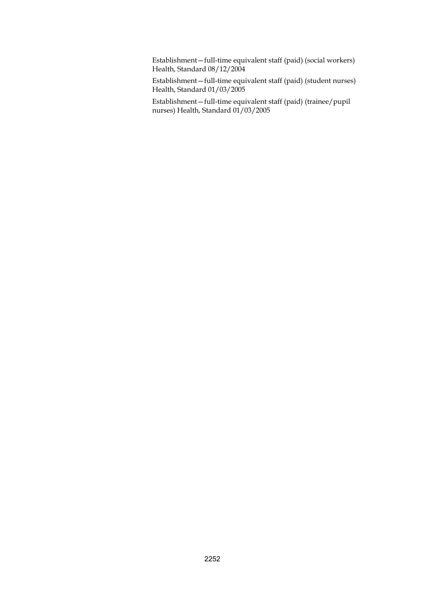Establishment—full-time equivalent staff (paid) (social workers) Health, Standard 08/12/2004

Establishment—full-time equivalent staff (paid) (student nurses) Health, Standard 01/03/2005

Establishment—full-time equivalent staff (paid) (trainee/pupil nurses) Health, Standard 01/03/2005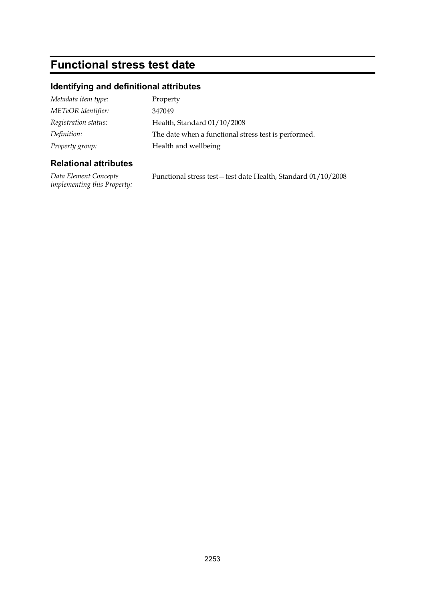# **Functional stress test date**

## **Identifying and definitional attributes**

| Metadata item type:  | Property                                             |
|----------------------|------------------------------------------------------|
| METeOR identifier:   | 347049                                               |
| Registration status: | Health, Standard 01/10/2008                          |
| Definition:          | The date when a functional stress test is performed. |
| Property group:      | Health and wellbeing                                 |

### **Relational attributes**

*Data Element Concepts implementing this Property:*

Functional stress test—test date Health, Standard 01/10/2008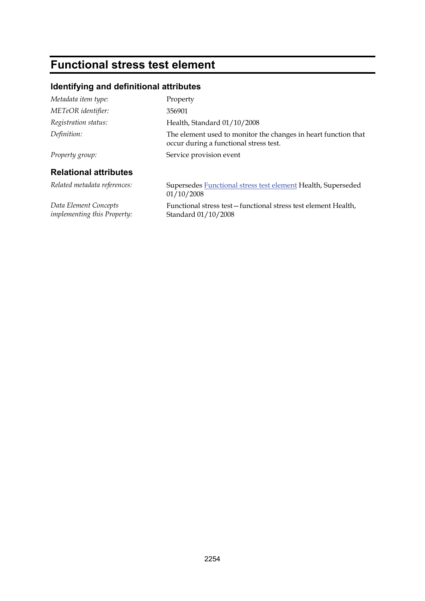# **Functional stress test element**

## **Identifying and definitional attributes**

| Metadata item type:                                  | Property                                                                                                 |
|------------------------------------------------------|----------------------------------------------------------------------------------------------------------|
| METeOR identifier:                                   | 356901                                                                                                   |
| Registration status:                                 | Health, Standard 01/10/2008                                                                              |
| Definition:                                          | The element used to monitor the changes in heart function that<br>occur during a functional stress test. |
| Property group:                                      | Service provision event                                                                                  |
| <b>Relational attributes</b>                         |                                                                                                          |
| Related metadata references:                         | Supersedes <b>Functional stress test element</b> Health, Superseded<br>01/10/2008                        |
| Data Element Concepts<br>implementing this Property: | Functional stress test-functional stress test element Health,<br>Standard 01/10/2008                     |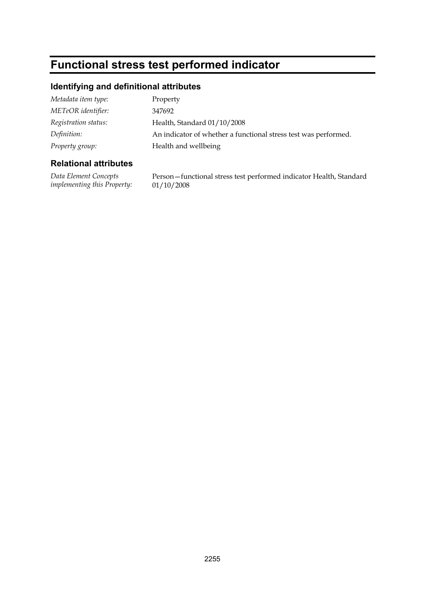# **Functional stress test performed indicator**

### **Identifying and definitional attributes**

| Property                                                        |
|-----------------------------------------------------------------|
| 347692                                                          |
| Health, Standard 01/10/2008                                     |
| An indicator of whether a functional stress test was performed. |
| Health and wellbeing                                            |
|                                                                 |

### **Relational attributes**

*Data Element Concepts implementing this Property:* Person—functional stress test performed indicator Health, Standard 01/10/2008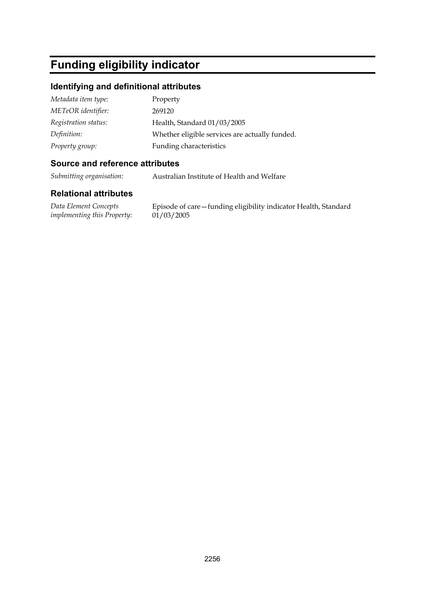# **Funding eligibility indicator**

#### **Identifying and definitional attributes**

| Metadata item type:  | Property                                       |
|----------------------|------------------------------------------------|
| METeOR identifier:   | 269120                                         |
| Registration status: | Health, Standard 01/03/2005                    |
| Definition:          | Whether eligible services are actually funded. |
| Property group:      | Funding characteristics                        |

#### **Source and reference attributes**

*Submitting organisation:* Australian Institute of Health and Welfare

#### **Relational attributes**

*Data Element Concepts implementing this Property:*

Episode of care—funding eligibility indicator Health, Standard  $01/03/2005$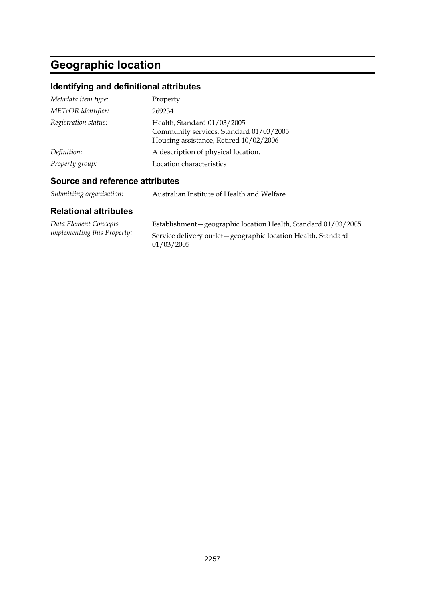# **Geographic location**

## **Identifying and definitional attributes**

| Metadata item type:  | Property                                                                                                         |
|----------------------|------------------------------------------------------------------------------------------------------------------|
| METeOR identifier:   | 269234                                                                                                           |
| Registration status: | Health, Standard 01/03/2005<br>Community services, Standard 01/03/2005<br>Housing assistance, Retired 10/02/2006 |
| Definition:          | A description of physical location.                                                                              |
| Property group:      | Location characteristics                                                                                         |

### **Source and reference attributes**

| Submitting organisation: | Australian Institute of Health and Welfare |
|--------------------------|--------------------------------------------|
|                          |                                            |

| Data Element Concepts              | Establishment - geographic location Health, Standard 01/03/2005              |
|------------------------------------|------------------------------------------------------------------------------|
| <i>implementing this Property:</i> | Service delivery outlet - geographic location Health, Standard<br>01/03/2005 |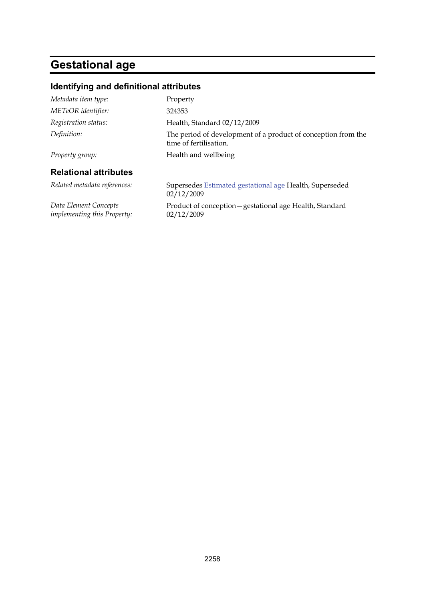# **Gestational age**

## **Identifying and definitional attributes**

| Metadata item type:                                  | Property                                                                                |
|------------------------------------------------------|-----------------------------------------------------------------------------------------|
| METeOR identifier:                                   | 324353                                                                                  |
| Registration status:                                 | Health, Standard 02/12/2009                                                             |
| Definition:                                          | The period of development of a product of conception from the<br>time of fertilisation. |
| Property group:                                      | Health and wellbeing                                                                    |
| <b>Relational attributes</b>                         |                                                                                         |
| Related metadata references:                         | Supersedes Estimated gestational age Health, Superseded<br>02/12/2009                   |
| Data Element Concepts<br>implementing this Property: | Product of conception - gestational age Health, Standard<br>02/12/2009                  |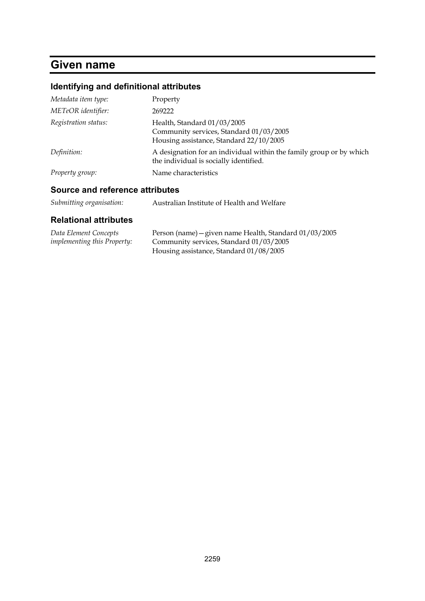# **Given name**

## **Identifying and definitional attributes**

| Metadata item type:  | Property                                                                                                          |
|----------------------|-------------------------------------------------------------------------------------------------------------------|
| METeOR identifier:   | 269222                                                                                                            |
| Registration status: | Health, Standard 01/03/2005<br>Community services, Standard 01/03/2005<br>Housing assistance, Standard 22/10/2005 |
| Definition:          | A designation for an individual within the family group or by which<br>the individual is socially identified.     |
| Property group:      | Name characteristics                                                                                              |

### **Source and reference attributes**

| Submitting organisation: | Australian Institute of Health and Welfare |
|--------------------------|--------------------------------------------|
|--------------------------|--------------------------------------------|

| Data Element Concepts              | Person (name) - given name Health, Standard 01/03/2005 |
|------------------------------------|--------------------------------------------------------|
| <i>implementing this Property:</i> | Community services, Standard 01/03/2005                |
|                                    | Housing assistance, Standard 01/08/2005                |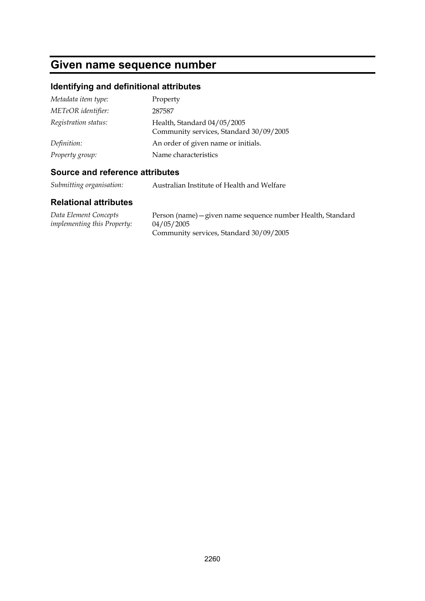## **Given name sequence number**

## **Identifying and definitional attributes**

| Metadata item type:  | Property                                                               |
|----------------------|------------------------------------------------------------------------|
| METeOR identifier:   | 287587                                                                 |
| Registration status: | Health, Standard 04/05/2005<br>Community services, Standard 30/09/2005 |
| Definition:          | An order of given name or initials.                                    |
| Property group:      | Name characteristics                                                   |

### **Source and reference attributes**

*Submitting organisation:* Australian Institute of Health and Welfare

| Data Element Concepts              | Person (name) – given name sequence number Health, Standard |
|------------------------------------|-------------------------------------------------------------|
| <i>implementing this Property:</i> | 04/05/2005                                                  |
|                                    | Community services, Standard 30/09/2005                     |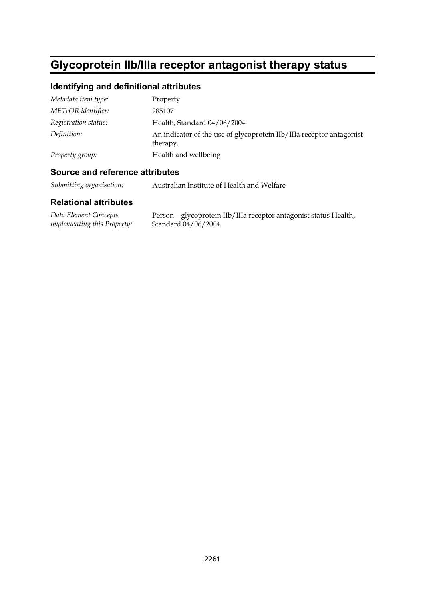# **Glycoprotein IIb/IIIa receptor antagonist therapy status**

### **Identifying and definitional attributes**

| Metadata item type:  | Property                                                                         |
|----------------------|----------------------------------------------------------------------------------|
| METeOR identifier:   | 285107                                                                           |
| Registration status: | Health, Standard 04/06/2004                                                      |
| Definition:          | An indicator of the use of glycoprotein IIb/IIIa receptor antagonist<br>therapy. |
| Property group:      | Health and wellbeing                                                             |

#### **Source and reference attributes**

*Submitting organisation:* Australian Institute of Health and Welfare

| Data Element Concepts              | Person - glycoprotein IIb/IIIa receptor antagonist status Health, |
|------------------------------------|-------------------------------------------------------------------|
| <i>implementing this Property:</i> | Standard 04/06/2004                                               |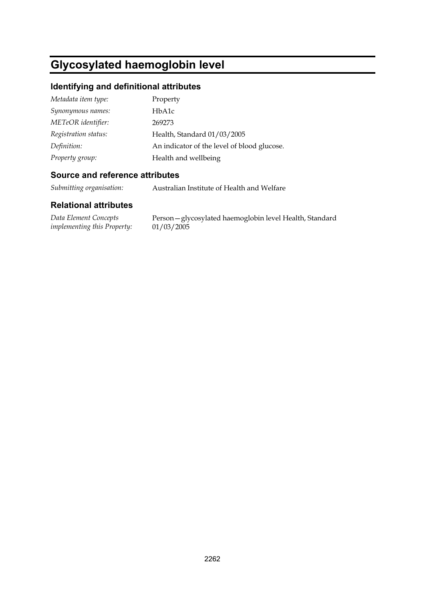# **Glycosylated haemoglobin level**

## **Identifying and definitional attributes**

| Metadata item type:  | Property                                    |
|----------------------|---------------------------------------------|
| Synonymous names:    | HbA1c                                       |
| METeOR identifier:   | 269273                                      |
| Registration status: | Health, Standard 01/03/2005                 |
| Definition:          | An indicator of the level of blood glucose. |
| Property group:      | Health and wellbeing                        |

#### **Source and reference attributes**

*Submitting organisation:* Australian Institute of Health and Welfare

| Data Element Concepts              | Person - glycosylated haemoglobin level Health, Standard |
|------------------------------------|----------------------------------------------------------|
| <i>implementing this Property:</i> | 01/03/2005                                               |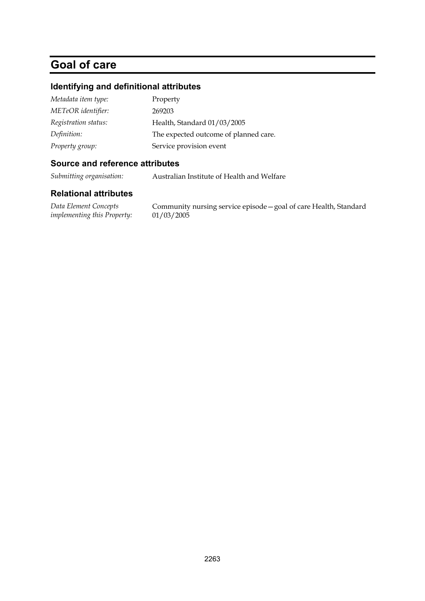# **Goal of care**

### **Identifying and definitional attributes**

| Metadata item type:  | Property                              |
|----------------------|---------------------------------------|
| METeOR identifier:   | 269203                                |
| Registration status: | Health, Standard 01/03/2005           |
| Definition:          | The expected outcome of planned care. |
| Property group:      | Service provision event               |

#### **Source and reference attributes**

*Submitting organisation:* Australian Institute of Health and Welfare

#### **Relational attributes**

*Data Element Concepts implementing this Property:*

Community nursing service episode—goal of care Health, Standard 01/03/2005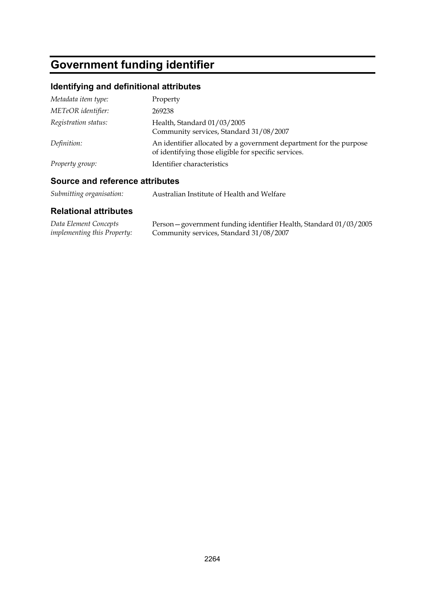# **Government funding identifier**

## **Identifying and definitional attributes**

| Metadata item type:  | Property                                                                                                                   |
|----------------------|----------------------------------------------------------------------------------------------------------------------------|
| METeOR identifier:   | 269238                                                                                                                     |
| Registration status: | Health, Standard 01/03/2005<br>Community services, Standard 31/08/2007                                                     |
| Definition:          | An identifier allocated by a government department for the purpose<br>of identifying those eligible for specific services. |
| Property group:      | Identifier characteristics                                                                                                 |

## **Source and reference attributes**

| Submitting organisation:<br>Australian Institute of Health and Welfare |
|------------------------------------------------------------------------|
|------------------------------------------------------------------------|

| Data Element Concepts              | Person - government funding identifier Health, Standard 01/03/2005 |
|------------------------------------|--------------------------------------------------------------------|
| <i>implementing this Property:</i> | Community services, Standard 31/08/2007                            |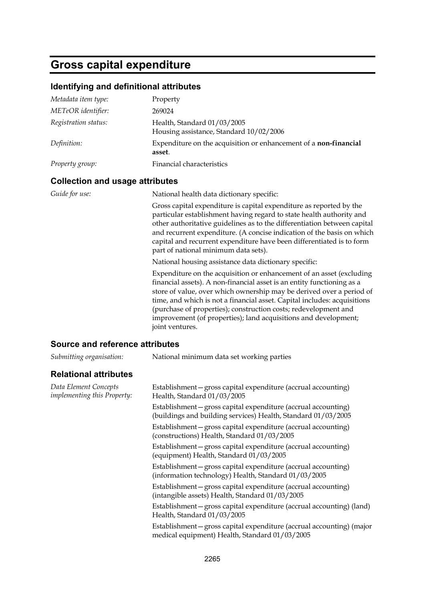# **Gross capital expenditure**

## **Identifying and definitional attributes**

| Metadata item type:  | Property                                                                          |
|----------------------|-----------------------------------------------------------------------------------|
| METeOR identifier:   | 269024                                                                            |
| Registration status: | Health, Standard 01/03/2005<br>Housing assistance, Standard 10/02/2006            |
| Definition:          | Expenditure on the acquisition or enhancement of a <b>non-financial</b><br>asset. |
| Property group:      | Financial characteristics                                                         |

### **Collection and usage attributes**

| Guide for use: | National health data dictionary specific:                                                                                                                                                                                                                                                                                                                                                                                                                   |
|----------------|-------------------------------------------------------------------------------------------------------------------------------------------------------------------------------------------------------------------------------------------------------------------------------------------------------------------------------------------------------------------------------------------------------------------------------------------------------------|
|                | Gross capital expenditure is capital expenditure as reported by the<br>particular establishment having regard to state health authority and<br>other authoritative guidelines as to the differentiation between capital<br>and recurrent expenditure. (A concise indication of the basis on which<br>capital and recurrent expenditure have been differentiated is to form<br>part of national minimum data sets).                                          |
|                | National housing assistance data dictionary specific:                                                                                                                                                                                                                                                                                                                                                                                                       |
|                | Expenditure on the acquisition or enhancement of an asset (excluding<br>financial assets). A non-financial asset is an entity functioning as a<br>store of value, over which ownership may be derived over a period of<br>time, and which is not a financial asset. Capital includes: acquisitions<br>(purchase of properties); construction costs; redevelopment and<br>improvement (of properties); land acquisitions and development;<br>joint ventures. |

#### **Source and reference attributes**

| Submitting organisation:                                    | National minimum data set working parties                                                                                       |
|-------------------------------------------------------------|---------------------------------------------------------------------------------------------------------------------------------|
| <b>Relational attributes</b>                                |                                                                                                                                 |
| Data Element Concepts<br><i>implementing this Property:</i> | Establishment – gross capital expenditure (accrual accounting)<br>Health, Standard 01/03/2005                                   |
|                                                             | Establishment - gross capital expenditure (accrual accounting)<br>(buildings and building services) Health, Standard 01/03/2005 |
|                                                             | Establishment-gross capital expenditure (accrual accounting)<br>(constructions) Health, Standard 01/03/2005                     |
|                                                             | Establishment-gross capital expenditure (accrual accounting)<br>(equipment) Health, Standard 01/03/2005                         |
|                                                             | Establishment – gross capital expenditure (accrual accounting)<br>(information technology) Health, Standard 01/03/2005          |
|                                                             | Establishment – gross capital expenditure (accrual accounting)<br>(intangible assets) Health, Standard 01/03/2005               |
|                                                             | Establishment-gross capital expenditure (accrual accounting) (land)<br>Health, Standard 01/03/2005                              |
|                                                             | Establishment - gross capital expenditure (accrual accounting) (major<br>medical equipment) Health, Standard 01/03/2005         |
|                                                             |                                                                                                                                 |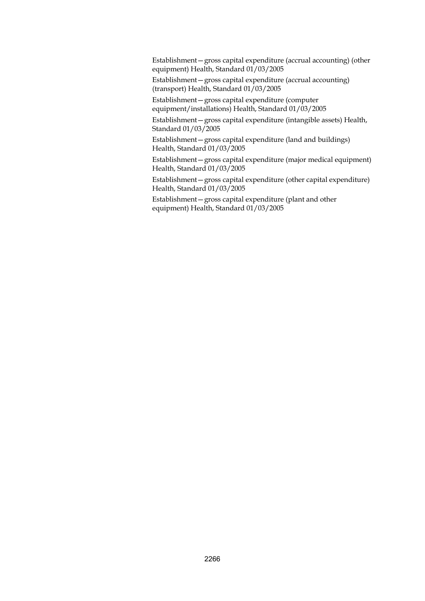Establishment—gross capital expenditure (accrual accounting) (other equipment) Health, Standard 01/03/2005

Establishment—gross capital expenditure (accrual accounting) (transport) Health, Standard 01/03/2005

Establishment—gross capital expenditure (computer equipment/installations) Health, Standard 01/03/2005

Establishment—gross capital expenditure (intangible assets) Health, Standard 01/03/2005

Establishment—gross capital expenditure (land and buildings) Health, Standard 01/03/2005

Establishment—gross capital expenditure (major medical equipment) Health, Standard 01/03/2005

Establishment—gross capital expenditure (other capital expenditure) Health, Standard 01/03/2005

Establishment—gross capital expenditure (plant and other equipment) Health, Standard 01/03/2005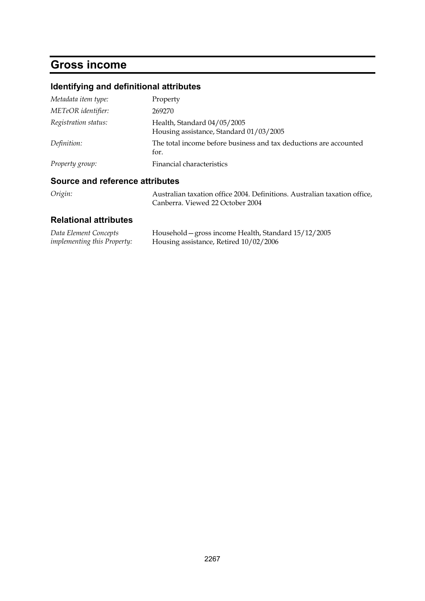# **Gross income**

## **Identifying and definitional attributes**

| Metadata item type:  | Property                                                                  |
|----------------------|---------------------------------------------------------------------------|
| METeOR identifier:   | 269270                                                                    |
| Registration status: | Health, Standard 04/05/2005<br>Housing assistance, Standard 01/03/2005    |
| Definition:          | The total income before business and tax deductions are accounted<br>for. |
| Property group:      | Financial characteristics                                                 |

## **Source and reference attributes**

| Origin: | Australian taxation office 2004. Definitions. Australian taxation office, |
|---------|---------------------------------------------------------------------------|
|         | Canberra. Viewed 22 October 2004                                          |

| Data Element Concepts              | Household – gross income Health, Standard 15/12/2005 |
|------------------------------------|------------------------------------------------------|
| <i>implementing this Property:</i> | Housing assistance, Retired 10/02/2006               |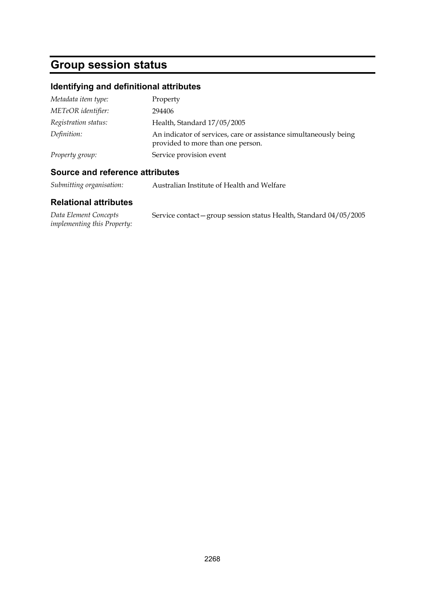# **Group session status**

## **Identifying and definitional attributes**

| Metadata item type:  | Property                                                                                               |
|----------------------|--------------------------------------------------------------------------------------------------------|
| METeOR identifier:   | 294406                                                                                                 |
| Registration status: | Health, Standard 17/05/2005                                                                            |
| Definition:          | An indicator of services, care or assistance simultaneously being<br>provided to more than one person. |
| Property group:      | Service provision event                                                                                |

### **Source and reference attributes**

*Submitting organisation:* Australian Institute of Health and Welfare

| Data Element Concepts              | Service contact – group session status Health, Standard 04/05/2005 |
|------------------------------------|--------------------------------------------------------------------|
| <i>implementing this Property:</i> |                                                                    |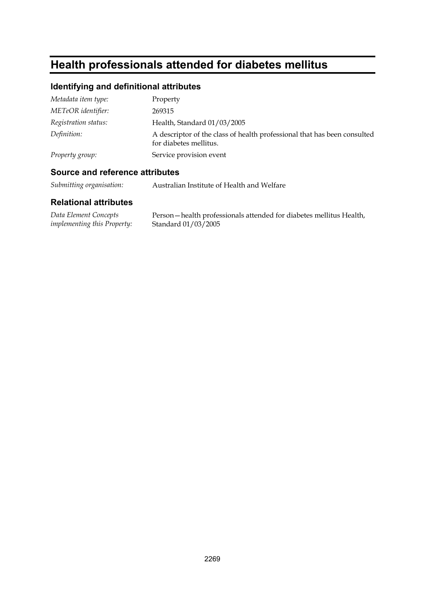# **Health professionals attended for diabetes mellitus**

## **Identifying and definitional attributes**

| Metadata item type:  | Property                                                                                           |
|----------------------|----------------------------------------------------------------------------------------------------|
| METeOR identifier:   | 269315                                                                                             |
| Registration status: | Health, Standard 01/03/2005                                                                        |
| Definition:          | A descriptor of the class of health professional that has been consulted<br>for diabetes mellitus. |
| Property group:      | Service provision event                                                                            |

### **Source and reference attributes**

*Submitting organisation:* Australian Institute of Health and Welfare

| Data Element Concepts              | Person – health professionals attended for diabetes mellitus Health, |
|------------------------------------|----------------------------------------------------------------------|
| <i>implementing this Property:</i> | Standard 01/03/2005                                                  |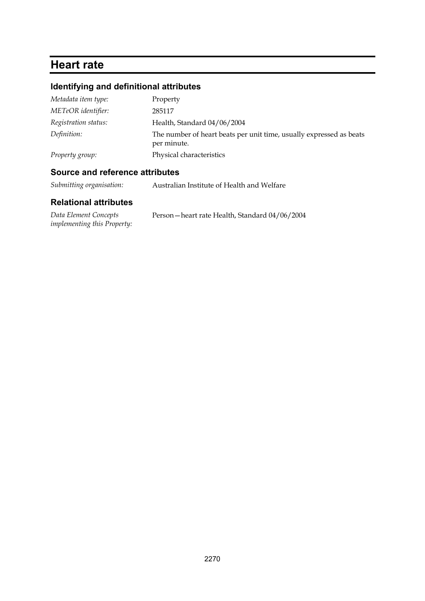# **Heart rate**

## **Identifying and definitional attributes**

| Metadata item type:  | Property                                                                           |
|----------------------|------------------------------------------------------------------------------------|
| METeOR identifier:   | 285117                                                                             |
| Registration status: | Health, Standard 04/06/2004                                                        |
| Definition:          | The number of heart beats per unit time, usually expressed as beats<br>per minute. |
| Property group:      | Physical characteristics                                                           |

### **Source and reference attributes**

*Submitting organisation:* Australian Institute of Health and Welfare

| Data Element Concepts              | Person – heart rate Health, Standard 04/06/2004 |
|------------------------------------|-------------------------------------------------|
| <i>implementing this Property:</i> |                                                 |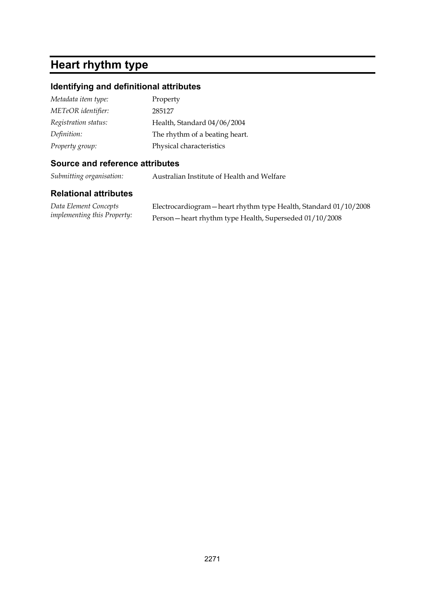# **Heart rhythm type**

## **Identifying and definitional attributes**

| Metadata item type:  | Property                       |
|----------------------|--------------------------------|
| METeOR identifier:   | 285127                         |
| Registration status: | Health, Standard 04/06/2004    |
| Definition:          | The rhythm of a beating heart. |
| Property group:      | Physical characteristics       |

### **Source and reference attributes**

*Submitting organisation:* Australian Institute of Health and Welfare

| Data Element Concepts              | Electrocardiogram - heart rhythm type Health, Standard 01/10/2008 |
|------------------------------------|-------------------------------------------------------------------|
| <i>implementing this Property:</i> | Person - heart rhythm type Health, Superseded 01/10/2008          |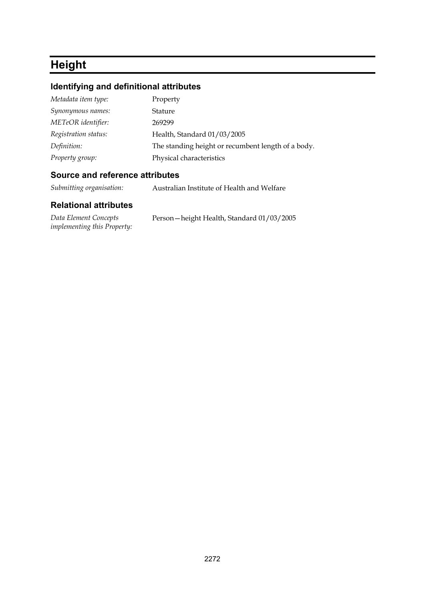# **Height**

## **Identifying and definitional attributes**

| Property                                           |
|----------------------------------------------------|
| Stature                                            |
| 269299                                             |
| Health, Standard 01/03/2005                        |
| The standing height or recumbent length of a body. |
| Physical characteristics                           |
|                                                    |

#### **Source and reference attributes**

*Submitting organisation:* Australian Institute of Health and Welfare

| Data Element Concepts              | Person - height Health, Standard 01/03/2005 |
|------------------------------------|---------------------------------------------|
| <i>implementing this Property:</i> |                                             |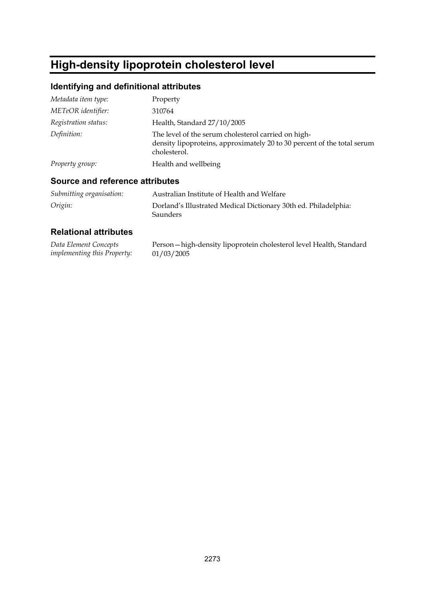# **High-density lipoprotein cholesterol level**

## **Identifying and definitional attributes**

| Metadata item type:  | Property                                                                                                                                       |
|----------------------|------------------------------------------------------------------------------------------------------------------------------------------------|
| METeOR identifier:   | 310764                                                                                                                                         |
| Registration status: | Health, Standard 27/10/2005                                                                                                                    |
| Definition:          | The level of the serum cholesterol carried on high-<br>density lipoproteins, approximately 20 to 30 percent of the total serum<br>cholesterol. |
| Property group:      | Health and wellbeing                                                                                                                           |

### **Source and reference attributes**

| Submitting organisation: | Australian Institute of Health and Welfare                                         |
|--------------------------|------------------------------------------------------------------------------------|
| Origin:                  | Dorland's Illustrated Medical Dictionary 30th ed. Philadelphia:<br><b>Saunders</b> |

| Data Element Concepts              | Person - high-density lipoprotein cholesterol level Health, Standard |
|------------------------------------|----------------------------------------------------------------------|
| <i>implementing this Property:</i> | 01/03/2005                                                           |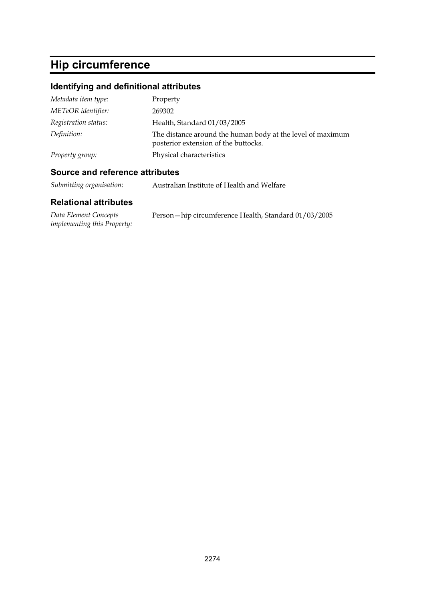# **Hip circumference**

## **Identifying and definitional attributes**

| Metadata item type:  | Property                                                                                           |
|----------------------|----------------------------------------------------------------------------------------------------|
| METeOR identifier:   | 269302                                                                                             |
| Registration status: | Health, Standard 01/03/2005                                                                        |
| Definition:          | The distance around the human body at the level of maximum<br>posterior extension of the buttocks. |
| Property group:      | Physical characteristics                                                                           |

### **Source and reference attributes**

*Submitting organisation:* Australian Institute of Health and Welfare

| Data Element Concepts              | Person-hip circumference Health, Standard 01/03/2005 |
|------------------------------------|------------------------------------------------------|
| <i>implementing this Property:</i> |                                                      |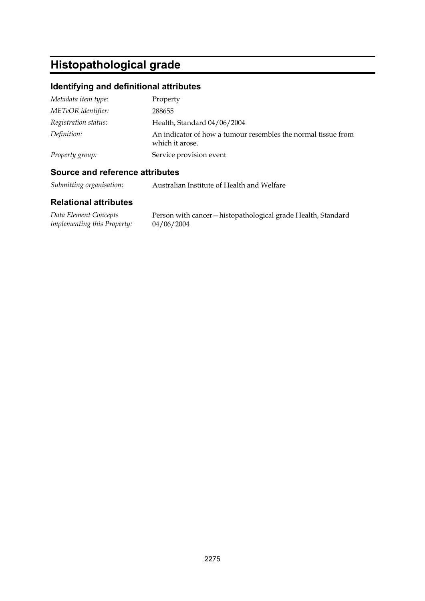# **Histopathological grade**

## **Identifying and definitional attributes**

| Metadata item type:  | Property                                                                         |
|----------------------|----------------------------------------------------------------------------------|
| METeOR identifier:   | 288655                                                                           |
| Registration status: | Health, Standard 04/06/2004                                                      |
| Definition:          | An indicator of how a tumour resembles the normal tissue from<br>which it arose. |
| Property group:      | Service provision event                                                          |

### **Source and reference attributes**

*Submitting organisation:* Australian Institute of Health and Welfare

| Data Element Concepts              | Person with cancer - histopathological grade Health, Standard |
|------------------------------------|---------------------------------------------------------------|
| <i>implementing this Property:</i> | 04/06/2004                                                    |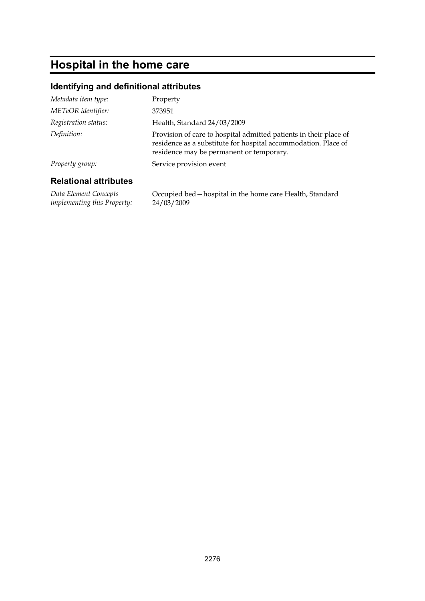# **Hospital in the home care**

### **Identifying and definitional attributes**

| Property group:<br><b>Relational attributes</b> | Service provision event                                                                                    |
|-------------------------------------------------|------------------------------------------------------------------------------------------------------------|
|                                                 | residence as a substitute for hospital accommodation. Place of<br>residence may be permanent or temporary. |
| Definition:                                     | Provision of care to hospital admitted patients in their place of                                          |
| Registration status:                            | Health, Standard 24/03/2009                                                                                |
| METeOR identifier:                              | 373951                                                                                                     |
| Metadata item type:                             | Property                                                                                                   |

*Data Element Concepts implementing this Property:* Occupied bed—hospital in the home care Health, Standard 24/03/2009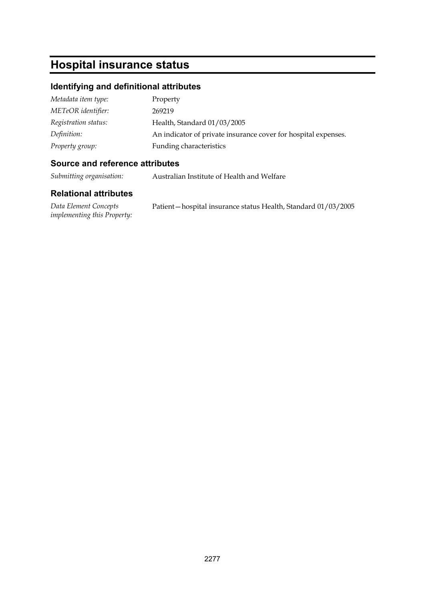# **Hospital insurance status**

### **Identifying and definitional attributes**

| Metadata item type:  | Property                                                       |
|----------------------|----------------------------------------------------------------|
| METeOR identifier:   | 269219                                                         |
| Registration status: | Health, Standard 01/03/2005                                    |
| Definition:          | An indicator of private insurance cover for hospital expenses. |
| Property group:      | Funding characteristics                                        |

#### **Source and reference attributes**

*Submitting organisation:* Australian Institute of Health and Welfare

#### **Relational attributes**

*Data Element Concepts implementing this Property:* Patient—hospital insurance status Health, Standard 01/03/2005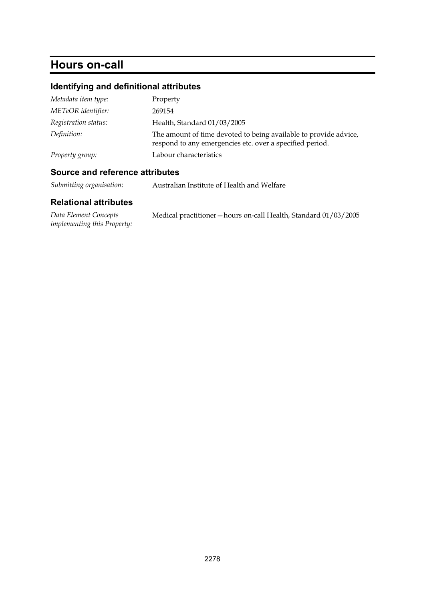# **Hours on-call**

## **Identifying and definitional attributes**

| Metadata item type:  | Property                                                                                                                     |
|----------------------|------------------------------------------------------------------------------------------------------------------------------|
| METeOR identifier:   | 269154                                                                                                                       |
| Registration status: | Health, Standard 01/03/2005                                                                                                  |
| Definition:          | The amount of time devoted to being available to provide advice,<br>respond to any emergencies etc. over a specified period. |
| Property group:      | Labour characteristics                                                                                                       |

### **Source and reference attributes**

*Submitting organisation:* Australian Institute of Health and Welfare

| Data Element Concepts              | Medical practitioner - hours on-call Health, Standard 01/03/2005 |  |
|------------------------------------|------------------------------------------------------------------|--|
| <i>implementing this Property:</i> |                                                                  |  |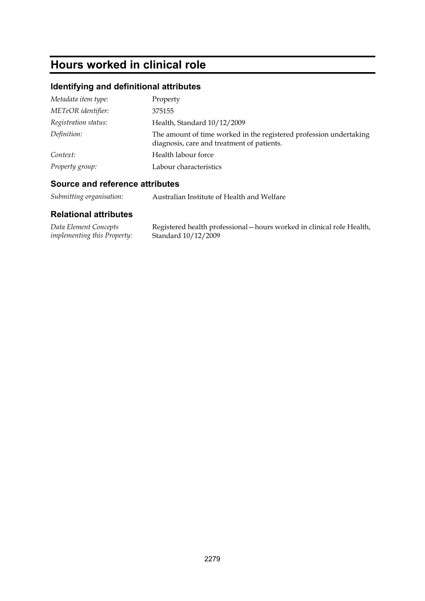# **Hours worked in clinical role**

## **Identifying and definitional attributes**

| Metadata item type:  | Property                                                                                                         |
|----------------------|------------------------------------------------------------------------------------------------------------------|
| METeOR identifier:   | 375155                                                                                                           |
| Registration status: | Health, Standard 10/12/2009                                                                                      |
| Definition:          | The amount of time worked in the registered profession undertaking<br>diagnosis, care and treatment of patients. |
| Context:             | Health labour force                                                                                              |
| Property group:      | Labour characteristics                                                                                           |

#### **Source and reference attributes**

*Submitting organisation:* Australian Institute of Health and Welfare

| Data Element Concepts              | Registered health professional - hours worked in clinical role Health, |
|------------------------------------|------------------------------------------------------------------------|
| <i>implementing this Property:</i> | Standard $10/12/2009$                                                  |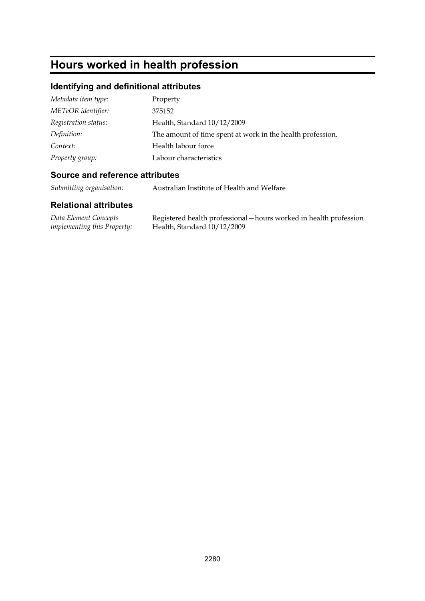# **Hours worked in health profession**

## **Identifying and definitional attributes**

| Metadata item type:  | Property                                                   |
|----------------------|------------------------------------------------------------|
| METeOR identifier:   | 375152                                                     |
| Registration status: | Health, Standard 10/12/2009                                |
| Definition:          | The amount of time spent at work in the health profession. |
| Context:             | Health labour force                                        |
| Property group:      | Labour characteristics                                     |

#### **Source and reference attributes**

*Submitting organisation:* Australian Institute of Health and Welfare

| Data Element Concepts              | Registered health professional – hours worked in health profession |
|------------------------------------|--------------------------------------------------------------------|
| <i>implementing this Property:</i> | Health, Standard 10/12/2009                                        |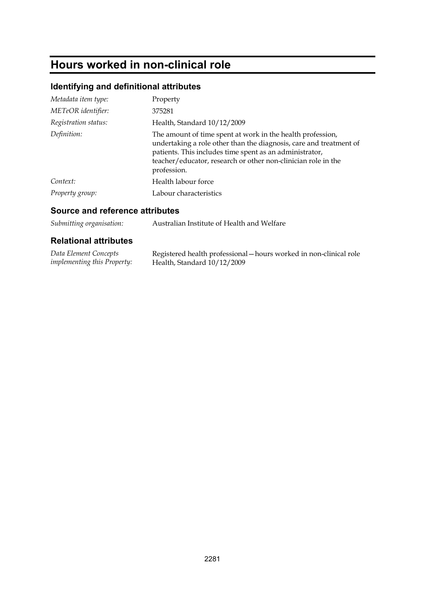# **Hours worked in non-clinical role**

## **Identifying and definitional attributes**

| Metadata item type:  | Property                                                                                                                                                                                                                                                                    |
|----------------------|-----------------------------------------------------------------------------------------------------------------------------------------------------------------------------------------------------------------------------------------------------------------------------|
| METeOR identifier:   | 375281                                                                                                                                                                                                                                                                      |
| Registration status: | Health, Standard 10/12/2009                                                                                                                                                                                                                                                 |
| Definition:          | The amount of time spent at work in the health profession,<br>undertaking a role other than the diagnosis, care and treatment of<br>patients. This includes time spent as an administrator,<br>teacher/educator, research or other non-clinician role in the<br>profession. |
| Context:             | Health labour force                                                                                                                                                                                                                                                         |
| Property group:      | Labour characteristics                                                                                                                                                                                                                                                      |

#### **Source and reference attributes**

*Submitting organisation:* Australian Institute of Health and Welfare

| Data Element Concepts              | Registered health professional – hours worked in non-clinical role |
|------------------------------------|--------------------------------------------------------------------|
| <i>implementing this Property:</i> | Health, Standard 10/12/2009                                        |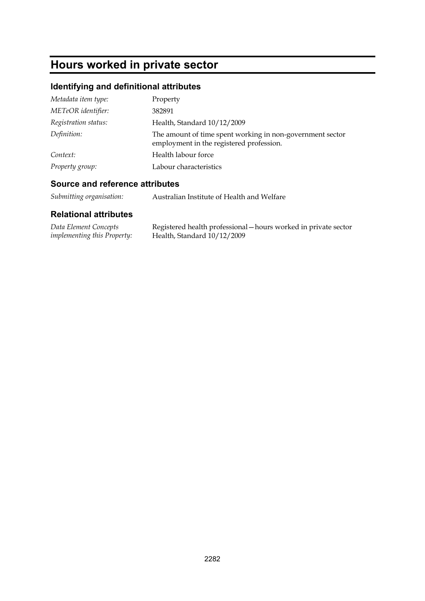# **Hours worked in private sector**

## **Identifying and definitional attributes**

| Metadata item type:  | Property                                                                                              |
|----------------------|-------------------------------------------------------------------------------------------------------|
| METeOR identifier:   | 382891                                                                                                |
| Registration status: | Health, Standard 10/12/2009                                                                           |
| Definition:          | The amount of time spent working in non-government sector<br>employment in the registered profession. |
| Context:             | Health labour force                                                                                   |
| Property group:      | Labour characteristics                                                                                |

### **Source and reference attributes**

| Submitting organisation: | Australian Institute of Health and Welfare |
|--------------------------|--------------------------------------------|
|--------------------------|--------------------------------------------|

| Data Element Concepts              | Registered health professional – hours worked in private sector |
|------------------------------------|-----------------------------------------------------------------|
| <i>implementing this Property:</i> | Health, Standard 10/12/2009                                     |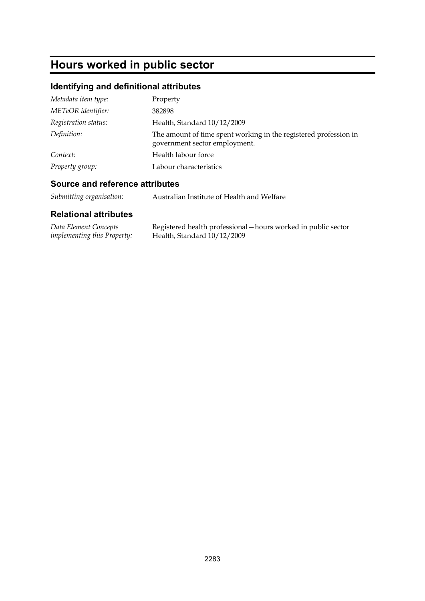# **Hours worked in public sector**

## **Identifying and definitional attributes**

| Metadata item type:  | Property                                                                                          |
|----------------------|---------------------------------------------------------------------------------------------------|
| METeOR identifier:   | 382898                                                                                            |
| Registration status: | Health, Standard 10/12/2009                                                                       |
| Definition:          | The amount of time spent working in the registered profession in<br>government sector employment. |
| Context:             | Health labour force                                                                               |
| Property group:      | Labour characteristics                                                                            |

### **Source and reference attributes**

| Submitting organisation: | Australian Institute of Health and Welfare |
|--------------------------|--------------------------------------------|
|--------------------------|--------------------------------------------|

| Data Element Concepts              | Registered health professional – hours worked in public sector |
|------------------------------------|----------------------------------------------------------------|
| <i>implementing this Property:</i> | Health, Standard 10/12/2009                                    |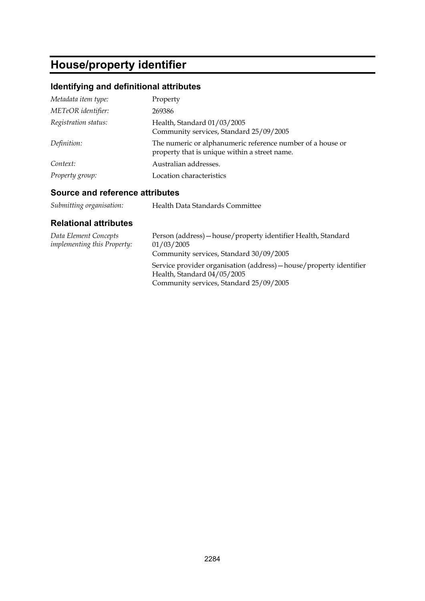# **House/property identifier**

## **Identifying and definitional attributes**

| Metadata item type:  | Property                                                                                                    |
|----------------------|-------------------------------------------------------------------------------------------------------------|
| METeOR identifier:   | 269386                                                                                                      |
| Registration status: | Health, Standard 01/03/2005<br>Community services, Standard 25/09/2005                                      |
| Definition:          | The numeric or alphanumeric reference number of a house or<br>property that is unique within a street name. |
| Context:             | Australian addresses.                                                                                       |
| Property group:      | Location characteristics                                                                                    |

### **Source and reference attributes**

| Health Data Standards Committee |
|---------------------------------|
|                                 |

| Data Element Concepts<br><i>implementing this Property:</i> | Person (address) - house/property identifier Health, Standard<br>01/03/2005<br>Community services, Standard 30/09/2005                        |
|-------------------------------------------------------------|-----------------------------------------------------------------------------------------------------------------------------------------------|
|                                                             | Service provider organisation (address) – house/property identifier<br>Health, Standard 04/05/2005<br>Community services, Standard 25/09/2005 |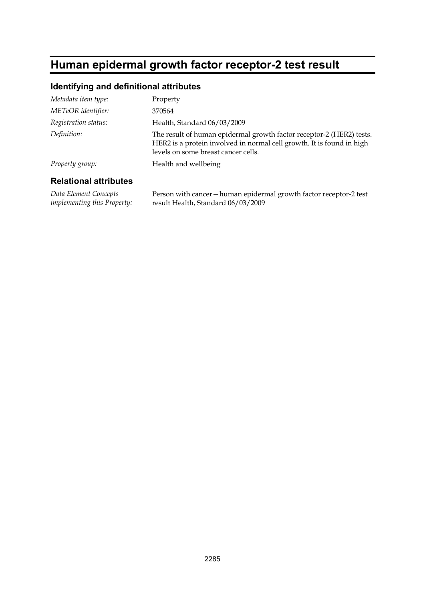# **Human epidermal growth factor receptor-2 test result**

### **Identifying and definitional attributes**

| Metadata item type:  | Property                                                                                                                                                                             |
|----------------------|--------------------------------------------------------------------------------------------------------------------------------------------------------------------------------------|
| METeOR identifier:   | 370564                                                                                                                                                                               |
| Registration status: | Health, Standard 06/03/2009                                                                                                                                                          |
| Definition:          | The result of human epidermal growth factor receptor-2 (HER2) tests.<br>HER2 is a protein involved in normal cell growth. It is found in high<br>levels on some breast cancer cells. |
| Property group:      | Health and wellbeing                                                                                                                                                                 |
|                      |                                                                                                                                                                                      |

#### **Relational attributes**

*Data Element Concepts implementing this Property:*

Person with cancer—human epidermal growth factor receptor-2 test result Health, Standard 06/03/2009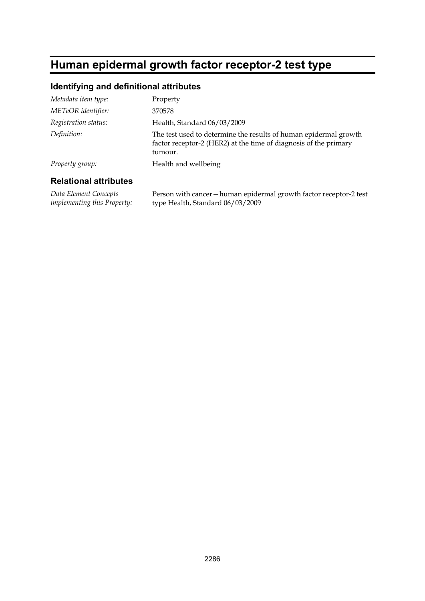# **Human epidermal growth factor receptor-2 test type**

### **Identifying and definitional attributes**

| Metadata item type:  | Property                                                                                                                                        |
|----------------------|-------------------------------------------------------------------------------------------------------------------------------------------------|
| METeOR identifier:   | 370578                                                                                                                                          |
| Registration status: | Health, Standard 06/03/2009                                                                                                                     |
| Definition:          | The test used to determine the results of human epidermal growth<br>factor receptor-2 (HER2) at the time of diagnosis of the primary<br>tumour. |
| Property group:      | Health and wellbeing                                                                                                                            |

#### **Relational attributes**

*Data Element Concepts implementing this Property:* Person with cancer—human epidermal growth factor receptor-2 test type Health, Standard 06/03/2009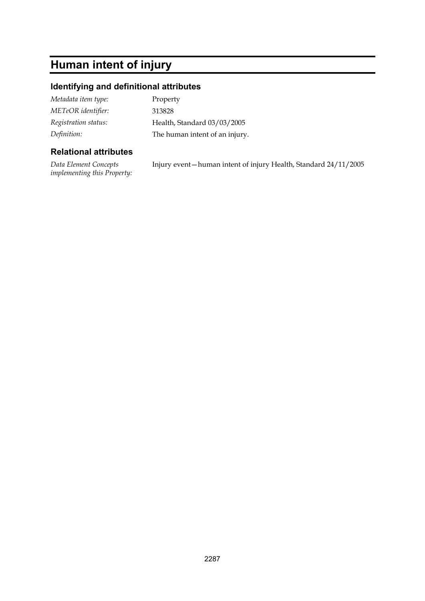# **Human intent of injury**

#### **Identifying and definitional attributes**

| Metadata item type:  | Property                       |
|----------------------|--------------------------------|
| METeOR identifier:   | 313828                         |
| Registration status: | Health, Standard 03/03/2005    |
| Definition:          | The human intent of an injury. |

#### **Relational attributes**

*Data Element Concepts implementing this Property:* Injury event—human intent of injury Health, Standard 24/11/2005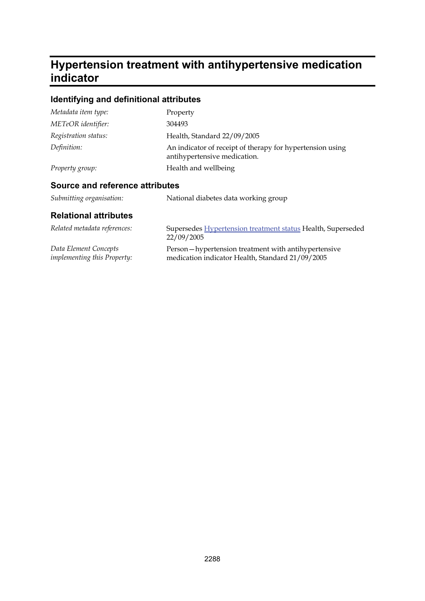## **Hypertension treatment with antihypertensive medication indicator**

## **Identifying and definitional attributes**

| Metadata item type:  | Property                                                                                  |
|----------------------|-------------------------------------------------------------------------------------------|
| METeOR identifier:   | 304493                                                                                    |
| Registration status: | Health, Standard 22/09/2005                                                               |
| Definition:          | An indicator of receipt of therapy for hypertension using<br>antihypertensive medication. |
| Property group:      | Health and wellbeing                                                                      |

### **Source and reference attributes**

| Submitting organisation: | National diabetes data working group |
|--------------------------|--------------------------------------|
|--------------------------|--------------------------------------|

| Related metadata references:       | Supersedes Hypertension treatment status Health, Superseded<br>22/09/2005 |
|------------------------------------|---------------------------------------------------------------------------|
| Data Element Concepts              | Person-hypertension treatment with antihypertensive                       |
| <i>implementing this Property:</i> | medication indicator Health, Standard 21/09/2005                          |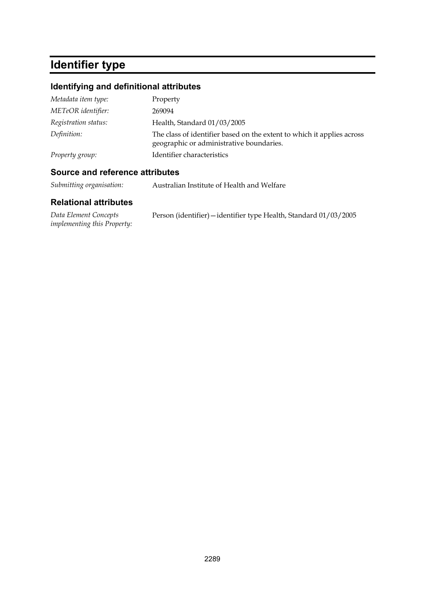# **Identifier type**

## **Identifying and definitional attributes**

| Metadata item type:  | Property                                                                                                           |
|----------------------|--------------------------------------------------------------------------------------------------------------------|
| METeOR identifier:   | 269094                                                                                                             |
| Registration status: | Health, Standard 01/03/2005                                                                                        |
| Definition:          | The class of identifier based on the extent to which it applies across<br>geographic or administrative boundaries. |
| Property group:      | Identifier characteristics                                                                                         |

### **Source and reference attributes**

*Submitting organisation:* Australian Institute of Health and Welfare

| Data Element Concepts              | Person (identifier) – identifier type Health, Standard 01/03/2005 |  |
|------------------------------------|-------------------------------------------------------------------|--|
| <i>implementing this Property:</i> |                                                                   |  |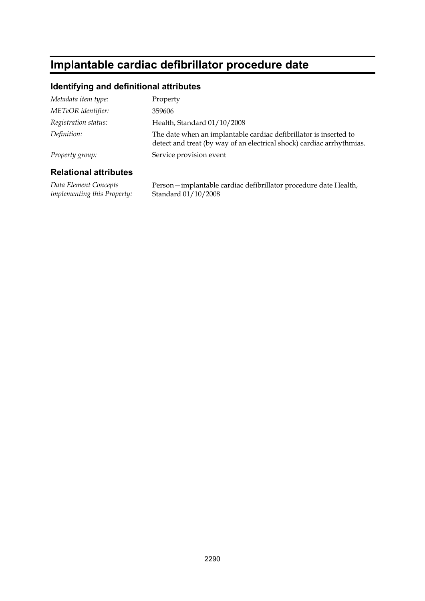# **Implantable cardiac defibrillator procedure date**

#### **Identifying and definitional attributes**

| Metadata item type:  | Property                                                                                                                                   |
|----------------------|--------------------------------------------------------------------------------------------------------------------------------------------|
| METeOR identifier:   | 359606                                                                                                                                     |
| Registration status: | Health, Standard 01/10/2008                                                                                                                |
| Definition:          | The date when an implantable cardiac defibrillator is inserted to<br>detect and treat (by way of an electrical shock) cardiac arrhythmias. |
| Property group:      | Service provision event                                                                                                                    |

#### **Relational attributes**

*Data Element Concepts implementing this Property:* Person—implantable cardiac defibrillator procedure date Health, Standard 01/10/2008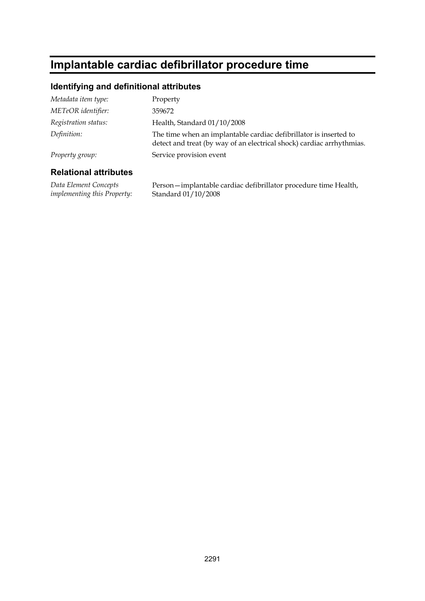# **Implantable cardiac defibrillator procedure time**

#### **Identifying and definitional attributes**

| Metadata item type:  | Property                                                                                                                                   |
|----------------------|--------------------------------------------------------------------------------------------------------------------------------------------|
| METeOR identifier:   | 359672                                                                                                                                     |
| Registration status: | Health, Standard 01/10/2008                                                                                                                |
| Definition:          | The time when an implantable cardiac defibrillator is inserted to<br>detect and treat (by way of an electrical shock) cardiac arrhythmias. |
| Property group:      | Service provision event                                                                                                                    |

#### **Relational attributes**

*Data Element Concepts implementing this Property:* Person—implantable cardiac defibrillator procedure time Health, Standard 01/10/2008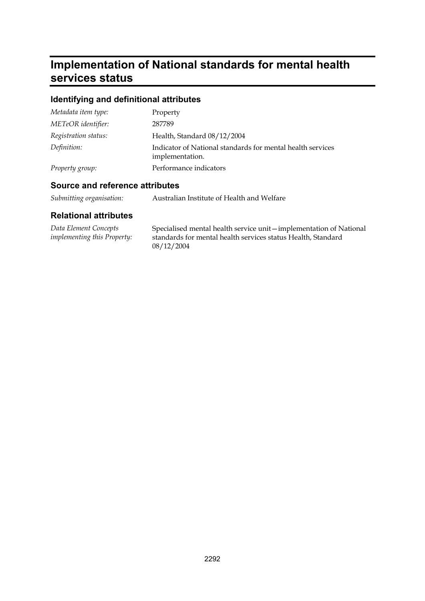# **Implementation of National standards for mental health services status**

## **Identifying and definitional attributes**

| Metadata item type:  | Property                                                                      |
|----------------------|-------------------------------------------------------------------------------|
| METeOR identifier:   | 287789                                                                        |
| Registration status: | Health, Standard 08/12/2004                                                   |
| Definition:          | Indicator of National standards for mental health services<br>implementation. |
| Property group:      | Performance indicators                                                        |

#### **Source and reference attributes**

| Submitting organisation: | Australian Institute of Health and Welfare |
|--------------------------|--------------------------------------------|
|--------------------------|--------------------------------------------|

| Data Element Concepts       | Specialised mental health service unit—implementation of National |
|-----------------------------|-------------------------------------------------------------------|
| implementing this Property: | standards for mental health services status Health, Standard      |
|                             | 08/12/2004                                                        |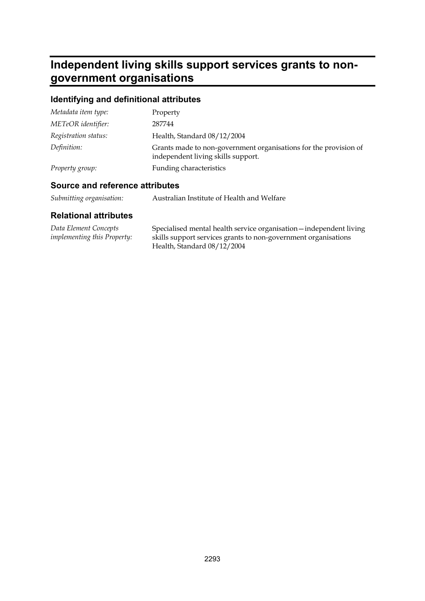## **Independent living skills support services grants to nongovernment organisations**

## **Identifying and definitional attributes**

| Metadata item type:  | Property                                                                                               |
|----------------------|--------------------------------------------------------------------------------------------------------|
| METeOR identifier:   | 287744                                                                                                 |
| Registration status: | Health, Standard 08/12/2004                                                                            |
| Definition:          | Grants made to non-government organisations for the provision of<br>independent living skills support. |
| Property group:      | Funding characteristics                                                                                |

### **Source and reference attributes**

| Submitting organisation: | Australian Institute of Health and Welfare |
|--------------------------|--------------------------------------------|
|--------------------------|--------------------------------------------|

| Data Element Concepts              | Specialised mental health service organisation - independent living |
|------------------------------------|---------------------------------------------------------------------|
| <i>implementing this Property:</i> | skills support services grants to non-government organisations      |
|                                    | Health, Standard 08/12/2004                                         |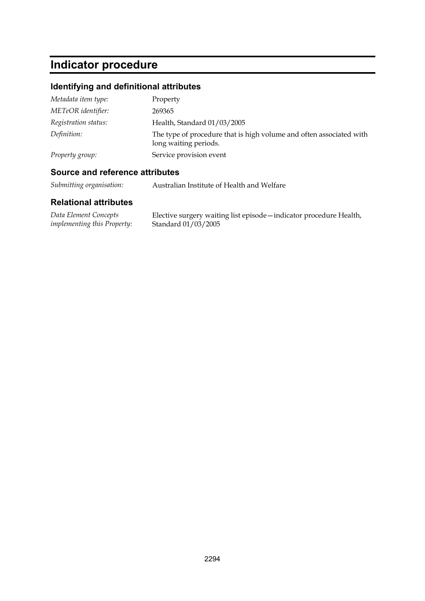# **Indicator procedure**

## **Identifying and definitional attributes**

| Metadata item type:  | Property                                                                                     |
|----------------------|----------------------------------------------------------------------------------------------|
| METeOR identifier:   | 269365                                                                                       |
| Registration status: | Health, Standard 01/03/2005                                                                  |
| Definition:          | The type of procedure that is high volume and often associated with<br>long waiting periods. |
| Property group:      | Service provision event                                                                      |

### **Source and reference attributes**

*Submitting organisation:* Australian Institute of Health and Welfare

| Data Element Concepts              | Elective surgery waiting list episode - indicator procedure Health, |
|------------------------------------|---------------------------------------------------------------------|
| <i>implementing this Property:</i> | Standard 01/03/2005                                                 |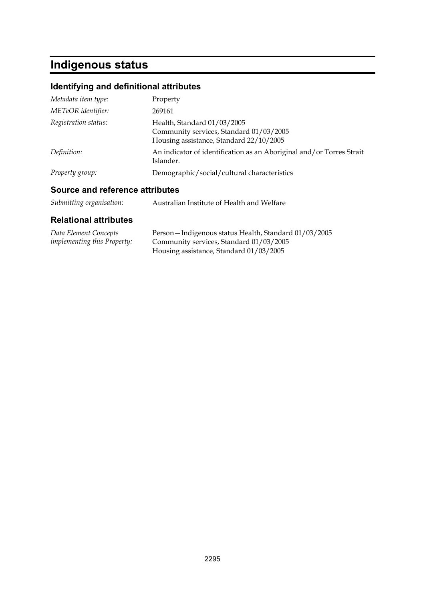# **Indigenous status**

## **Identifying and definitional attributes**

| Metadata item type:  | Property                                                                                                          |
|----------------------|-------------------------------------------------------------------------------------------------------------------|
| METeOR identifier:   | 269161                                                                                                            |
| Registration status: | Health, Standard 01/03/2005<br>Community services, Standard 01/03/2005<br>Housing assistance, Standard 22/10/2005 |
| Definition:          | An indicator of identification as an Aboriginal and/or Torres Strait<br>Islander.                                 |
| Property group:      | Demographic/social/cultural characteristics                                                                       |

### **Source and reference attributes**

| Submitting organisation: | Australian Institute of Health and Welfare |
|--------------------------|--------------------------------------------|
|--------------------------|--------------------------------------------|

| Data Element Concepts              | Person-Indigenous status Health, Standard 01/03/2005 |
|------------------------------------|------------------------------------------------------|
| <i>implementing this Property:</i> | Community services, Standard 01/03/2005              |
|                                    | Housing assistance, Standard 01/03/2005              |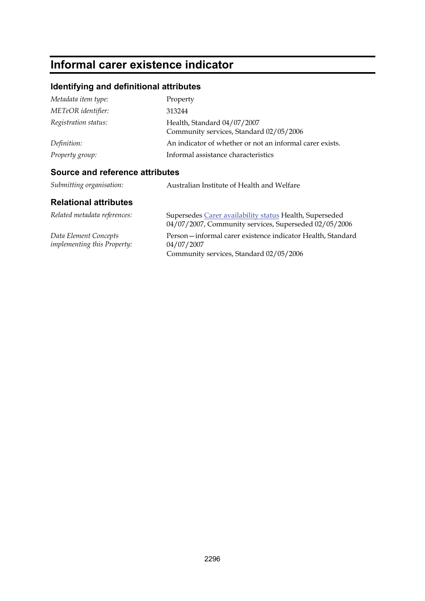# **Informal carer existence indicator**

## **Identifying and definitional attributes**

| Metadata item type:  | Property                                                               |
|----------------------|------------------------------------------------------------------------|
| METeOR identifier:   | 313244                                                                 |
| Registration status: | Health, Standard 04/07/2007<br>Community services, Standard 02/05/2006 |
| Definition:          | An indicator of whether or not an informal carer exists.               |
| Property group:      | Informal assistance characteristics                                    |

### **Source and reference attributes**

| Submitting organisation:                             | Australian Institute of Health and Welfare                                                                          |
|------------------------------------------------------|---------------------------------------------------------------------------------------------------------------------|
| <b>Relational attributes</b>                         |                                                                                                                     |
| Related metadata references:                         | Supersedes Carer availability status Health, Superseded<br>04/07/2007, Community services, Superseded 02/05/2006    |
| Data Element Concepts<br>implementing this Property: | Person-informal carer existence indicator Health, Standard<br>04/07/2007<br>Community services, Standard 02/05/2006 |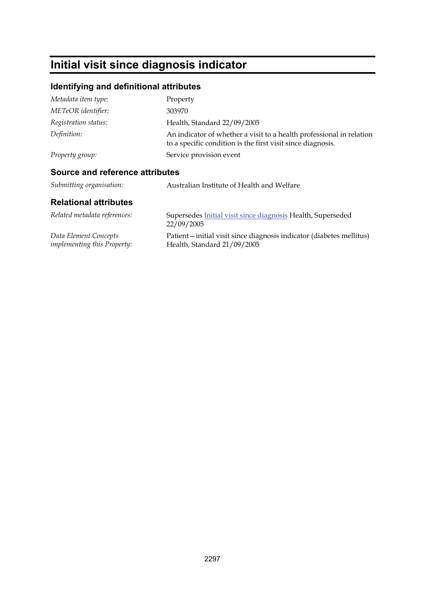# **Initial visit since diagnosis indicator**

## **Identifying and definitional attributes**

| Metadata item type:                    | Property                                                                                                                            |
|----------------------------------------|-------------------------------------------------------------------------------------------------------------------------------------|
| METeOR identifier:                     | 303970                                                                                                                              |
| Registration status:                   | Health, Standard 22/09/2005                                                                                                         |
| Definition:                            | An indicator of whether a visit to a health professional in relation<br>to a specific condition is the first visit since diagnosis. |
| Property group:                        | Service provision event                                                                                                             |
| <b>Source and reference attributes</b> |                                                                                                                                     |
| Submitting organisation:               | Australian Institute of Health and Welfare                                                                                          |
| <b>Relational attributes</b>           |                                                                                                                                     |

| Related metadata references:       | Supersedes Initial visit since diagnosis Health, Superseded<br>22/09/2005 |
|------------------------------------|---------------------------------------------------------------------------|
| Data Element Concepts              | Patient—initial visit since diagnosis indicator (diabetes mellitus)       |
| <i>implementing this Property:</i> | Health, Standard 21/09/2005                                               |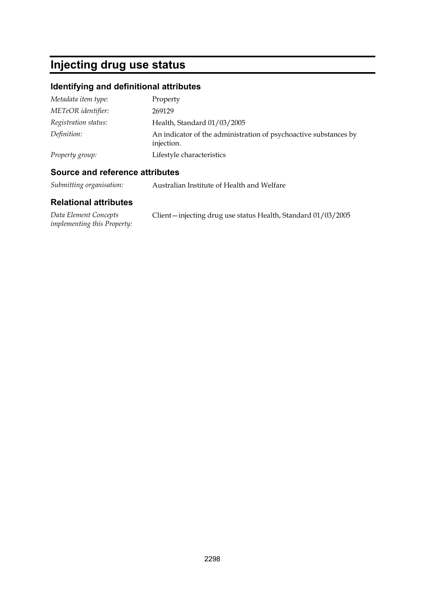# **Injecting drug use status**

## **Identifying and definitional attributes**

| Metadata item type:  | Property                                                                       |
|----------------------|--------------------------------------------------------------------------------|
| METeOR identifier:   | 269129                                                                         |
| Registration status: | Health, Standard 01/03/2005                                                    |
| Definition:          | An indicator of the administration of psychoactive substances by<br>injection. |
| Property group:      | Lifestyle characteristics                                                      |

#### **Source and reference attributes**

*Submitting organisation:* Australian Institute of Health and Welfare

| Data Element Concepts              | Client-injecting drug use status Health, Standard 01/03/2005 |  |
|------------------------------------|--------------------------------------------------------------|--|
| <i>implementing this Property:</i> |                                                              |  |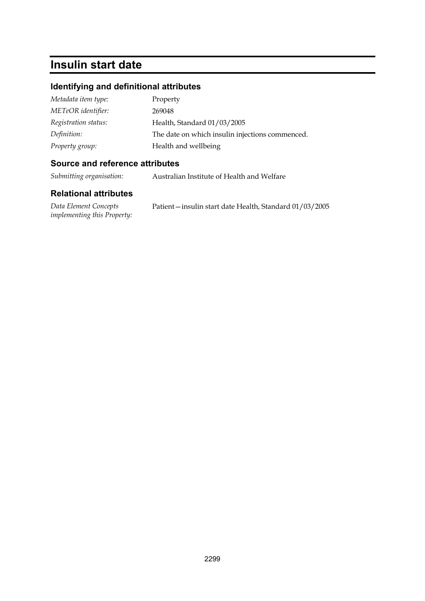## **Insulin start date**

#### **Identifying and definitional attributes**

| Metadata item type:  | Property                                        |
|----------------------|-------------------------------------------------|
| METeOR identifier:   | 269048                                          |
| Registration status: | Health, Standard 01/03/2005                     |
| Definition:          | The date on which insulin injections commenced. |
| Property group:      | Health and wellbeing                            |

#### **Source and reference attributes**

*Submitting organisation:* Australian Institute of Health and Welfare

| Data Element Concepts              | Patient-insulin start date Health, Standard 01/03/2005 |
|------------------------------------|--------------------------------------------------------|
| <i>implementing this Property:</i> |                                                        |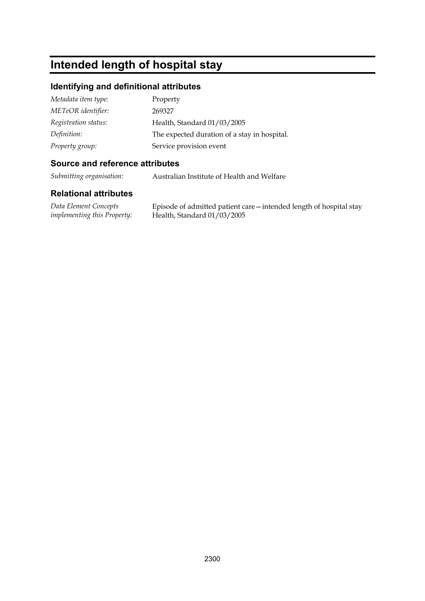## **Intended length of hospital stay**

#### **Identifying and definitional attributes**

| Metadata item type:  | Property                                     |
|----------------------|----------------------------------------------|
| METeOR identifier:   | 269327                                       |
| Registration status: | Health, Standard 01/03/2005                  |
| Definition:          | The expected duration of a stay in hospital. |
| Property group:      | Service provision event                      |

#### **Source and reference attributes**

*Submitting organisation:* Australian Institute of Health and Welfare

#### **Relational attributes**

*Data Element Concepts implementing this Property:* Episode of admitted patient care—intended length of hospital stay Health, Standard 01/03/2005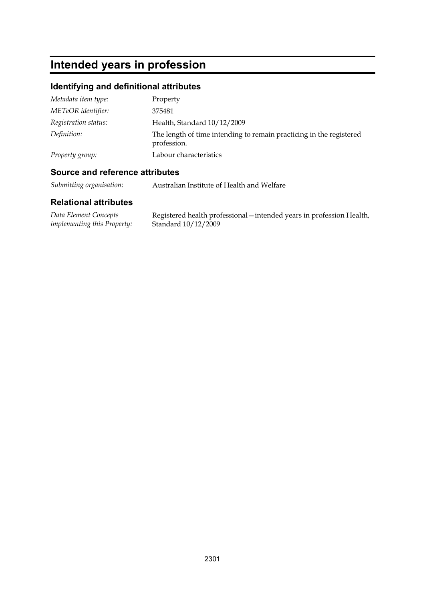# **Intended years in profession**

## **Identifying and definitional attributes**

| Metadata item type:  | Property                                                                           |
|----------------------|------------------------------------------------------------------------------------|
| METeOR identifier:   | 375481                                                                             |
| Registration status: | Health, Standard 10/12/2009                                                        |
| Definition:          | The length of time intending to remain practicing in the registered<br>profession. |
| Property group:      | Labour characteristics                                                             |

### **Source and reference attributes**

*Submitting organisation:* Australian Institute of Health and Welfare

| Data Element Concepts              | Registered health professional – intended years in profession Health, |
|------------------------------------|-----------------------------------------------------------------------|
| <i>implementing this Property:</i> | Standard $10/12/2009$                                                 |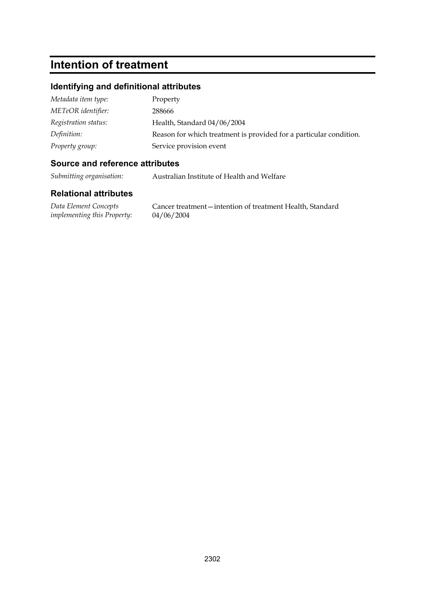# **Intention of treatment**

#### **Identifying and definitional attributes**

| Metadata item type:  | Property                                                           |
|----------------------|--------------------------------------------------------------------|
| METeOR identifier:   | 288666                                                             |
| Registration status: | Health, Standard 04/06/2004                                        |
| Definition:          | Reason for which treatment is provided for a particular condition. |
| Property group:      | Service provision event                                            |

#### **Source and reference attributes**

*Submitting organisation:* Australian Institute of Health and Welfare

#### **Relational attributes**

*Data Element Concepts implementing this Property:*

Cancer treatment—intention of treatment Health, Standard 04/06/2004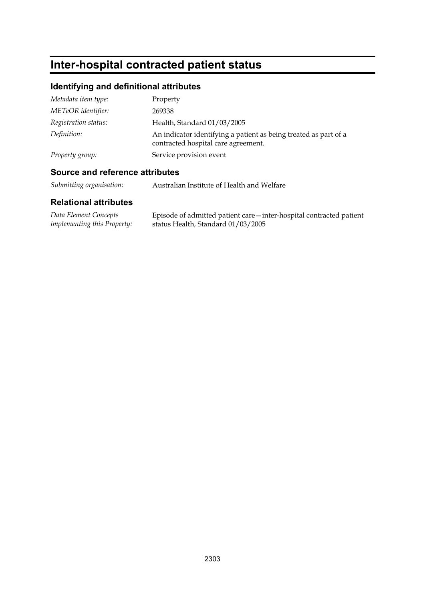# **Inter-hospital contracted patient status**

## **Identifying and definitional attributes**

| Metadata item type:  | Property                                                                                                |
|----------------------|---------------------------------------------------------------------------------------------------------|
| METeOR identifier:   | 269338                                                                                                  |
| Registration status: | Health, Standard 01/03/2005                                                                             |
| Definition:          | An indicator identifying a patient as being treated as part of a<br>contracted hospital care agreement. |
| Property group:      | Service provision event                                                                                 |

#### **Source and reference attributes**

*Submitting organisation:* Australian Institute of Health and Welfare

| Data Element Concepts              | Episode of admitted patient care - inter-hospital contracted patient |
|------------------------------------|----------------------------------------------------------------------|
| <i>implementing this Property:</i> | status Health, Standard 01/03/2005                                   |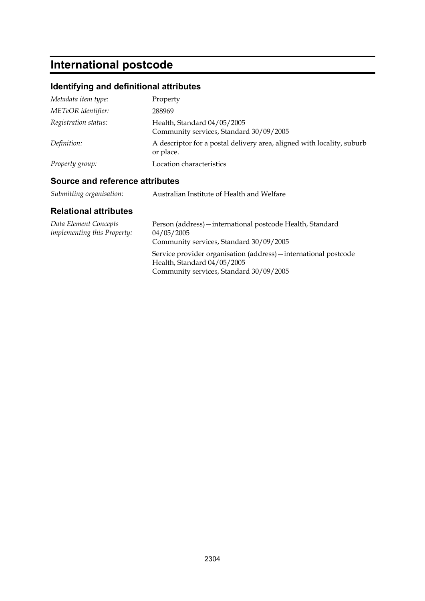# **International postcode**

## **Identifying and definitional attributes**

| Metadata item type:  | Property                                                                            |
|----------------------|-------------------------------------------------------------------------------------|
| METeOR identifier:   | 288969                                                                              |
| Registration status: | Health, Standard 04/05/2005<br>Community services, Standard 30/09/2005              |
| Definition:          | A descriptor for a postal delivery area, aligned with locality, suburb<br>or place. |
| Property group:      | Location characteristics                                                            |

### **Source and reference attributes**

| Submitting organisation:<br>Australian Institute of Health and Welfare |  |  |
|------------------------------------------------------------------------|--|--|
|------------------------------------------------------------------------|--|--|

| Data Element Concepts<br><i>implementing this Property:</i> | Person (address) - international postcode Health, Standard<br>04/05/2005<br>Community services, Standard 30/09/2005                        |
|-------------------------------------------------------------|--------------------------------------------------------------------------------------------------------------------------------------------|
|                                                             | Service provider organisation (address) – international postcode<br>Health, Standard 04/05/2005<br>Community services, Standard 30/09/2005 |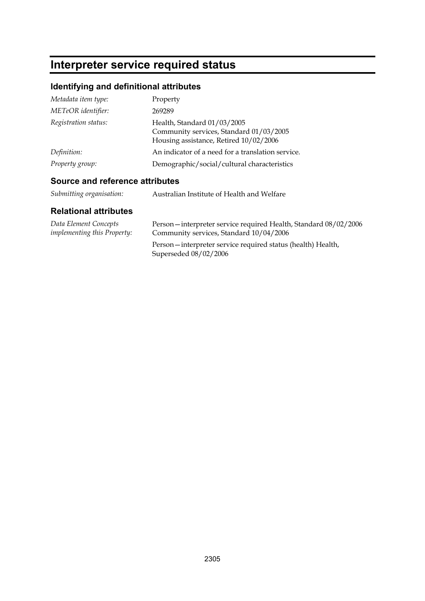# **Interpreter service required status**

## **Identifying and definitional attributes**

| Metadata item type:  | Property                                                                                                         |
|----------------------|------------------------------------------------------------------------------------------------------------------|
| METeOR identifier:   | 269289                                                                                                           |
| Registration status: | Health, Standard 01/03/2005<br>Community services, Standard 01/03/2005<br>Housing assistance, Retired 10/02/2006 |
| Definition:          | An indicator of a need for a translation service.                                                                |
| Property group:      | Demographic/social/cultural characteristics                                                                      |

### **Source and reference attributes**

| Submitting organisation: | Australian Institute of Health and Welfare |
|--------------------------|--------------------------------------------|
|                          |                                            |

| Data Element Concepts              | Person-interpreter service required Health, Standard 08/02/2006                      |
|------------------------------------|--------------------------------------------------------------------------------------|
| <i>implementing this Property:</i> | Community services, Standard 10/04/2006                                              |
|                                    | Person—interpreter service required status (health) Health,<br>Superseded 08/02/2006 |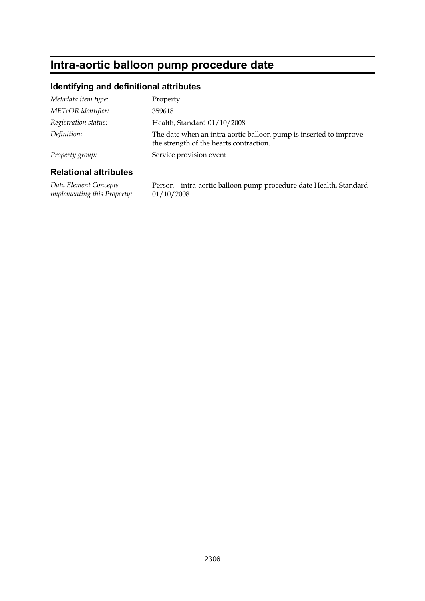## **Intra-aortic balloon pump procedure date**

#### **Identifying and definitional attributes**

| Metadata item type:  | Property                                                                                                     |
|----------------------|--------------------------------------------------------------------------------------------------------------|
| METeOR identifier:   | 359618                                                                                                       |
| Registration status: | Health, Standard 01/10/2008                                                                                  |
| Definition:          | The date when an intra-aortic balloon pump is inserted to improve<br>the strength of the hearts contraction. |
| Property group:      | Service provision event                                                                                      |
|                      |                                                                                                              |

#### **Relational attributes**

*Data Element Concepts implementing this Property:* Person—intra-aortic balloon pump procedure date Health, Standard 01/10/2008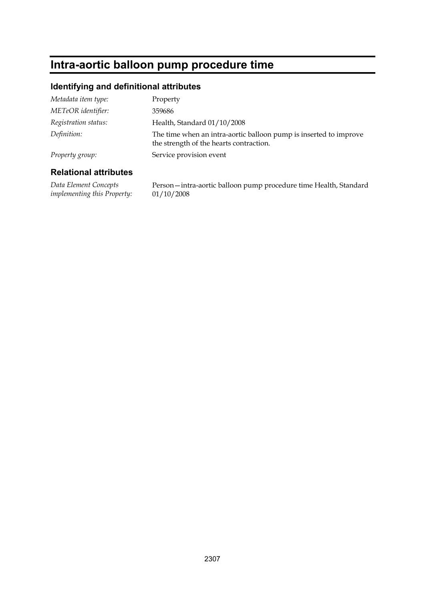## **Intra-aortic balloon pump procedure time**

#### **Identifying and definitional attributes**

| Metadata item type:  | Property                                                                                                     |
|----------------------|--------------------------------------------------------------------------------------------------------------|
| METeOR identifier:   | 359686                                                                                                       |
| Registration status: | Health, Standard 01/10/2008                                                                                  |
| Definition:          | The time when an intra-aortic balloon pump is inserted to improve<br>the strength of the hearts contraction. |
| Property group:      | Service provision event                                                                                      |
|                      |                                                                                                              |

#### **Relational attributes**

*Data Element Concepts implementing this Property:* Person—intra-aortic balloon pump procedure time Health, Standard 01/10/2008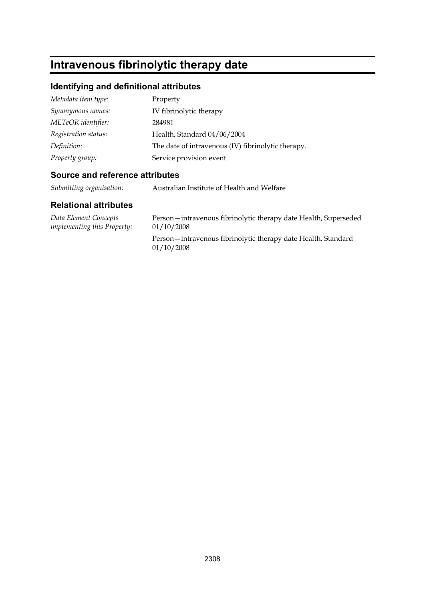# **Intravenous fibrinolytic therapy date**

#### **Identifying and definitional attributes**

| Metadata item type:  | Property                                           |
|----------------------|----------------------------------------------------|
| Synonymous names:    | IV fibrinolytic therapy                            |
| METeOR identifier:   | 284981                                             |
| Registration status: | Health, Standard 04/06/2004                        |
| Definition:          | The date of intravenous (IV) fibrinolytic therapy. |
| Property group:      | Service provision event                            |

#### **Source and reference attributes**

*Submitting organisation:* Australian Institute of Health and Welfare

| Data Element Concepts              | Person-intravenous fibrinolytic therapy date Health, Superseded             |
|------------------------------------|-----------------------------------------------------------------------------|
| <i>implementing this Property:</i> | 01/10/2008                                                                  |
|                                    | Person-intravenous fibrinolytic therapy date Health, Standard<br>01/10/2008 |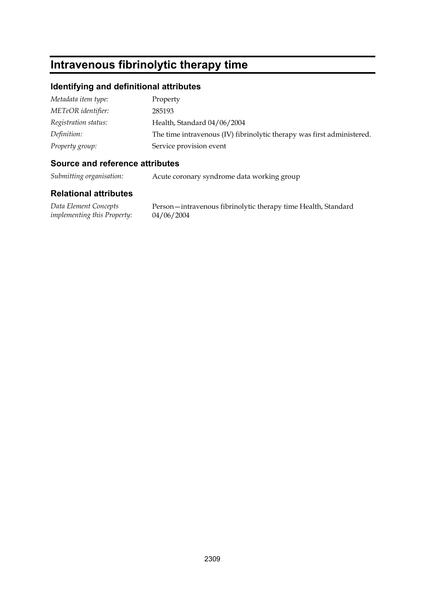## **Intravenous fibrinolytic therapy time**

#### **Identifying and definitional attributes**

| Metadata item type:  | Property                                                               |
|----------------------|------------------------------------------------------------------------|
| METeOR identifier:   | 285193                                                                 |
| Registration status: | Health, Standard 04/06/2004                                            |
| Definition:          | The time intravenous (IV) fibrinolytic therapy was first administered. |
| Property group:      | Service provision event                                                |

#### **Source and reference attributes**

*Submitting organisation:* Acute coronary syndrome data working group

#### **Relational attributes**

*Data Element Concepts implementing this Property:*

Person—intravenous fibrinolytic therapy time Health, Standard 04/06/2004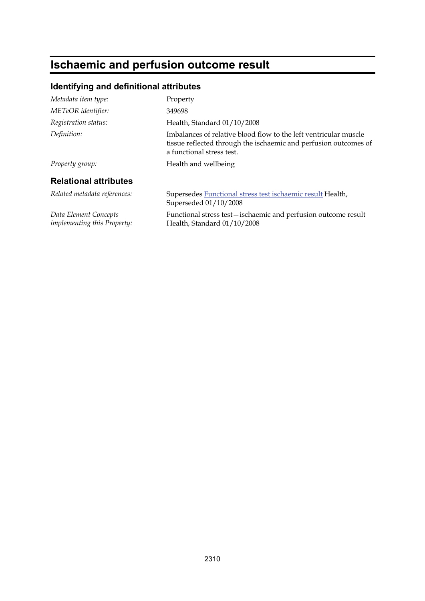# **Ischaemic and perfusion outcome result**

## **Identifying and definitional attributes**

| Metadata item type:                                         | Property                                                                                                                                                          |
|-------------------------------------------------------------|-------------------------------------------------------------------------------------------------------------------------------------------------------------------|
| METeOR identifier:                                          | 349698                                                                                                                                                            |
| Registration status:                                        | Health, Standard 01/10/2008                                                                                                                                       |
| Definition:                                                 | Imbalances of relative blood flow to the left ventricular muscle<br>tissue reflected through the ischaemic and perfusion outcomes of<br>a functional stress test. |
| Property group:                                             | Health and wellbeing                                                                                                                                              |
| <b>Relational attributes</b>                                |                                                                                                                                                                   |
| Related metadata references:                                | Supersedes Functional stress test ischaemic result Health,<br>Superseded 01/10/2008                                                                               |
| Data Element Concepts<br><i>implementing this Property:</i> | Functional stress test-ischaemic and perfusion outcome result<br>Health, Standard 01/10/2008                                                                      |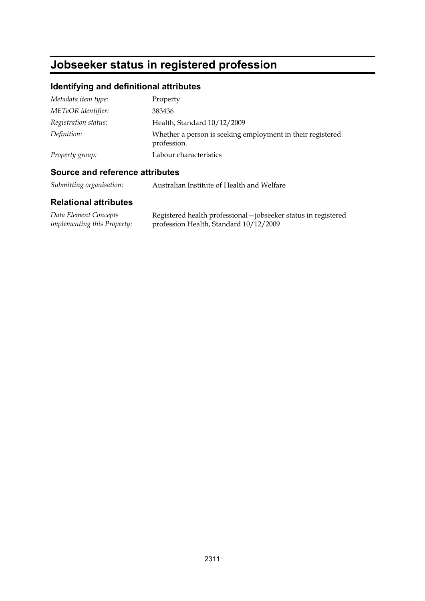# **Jobseeker status in registered profession**

## **Identifying and definitional attributes**

| Metadata item type:  | Property                                                                  |
|----------------------|---------------------------------------------------------------------------|
| METeOR identifier:   | 383436                                                                    |
| Registration status: | Health, Standard 10/12/2009                                               |
| Definition:          | Whether a person is seeking employment in their registered<br>profession. |
| Property group:      | Labour characteristics                                                    |

### **Source and reference attributes**

*Submitting organisation:* Australian Institute of Health and Welfare

| Data Element Concepts              | Registered health professional - jobseeker status in registered |
|------------------------------------|-----------------------------------------------------------------|
| <i>implementing this Property:</i> | profession Health, Standard 10/12/2009                          |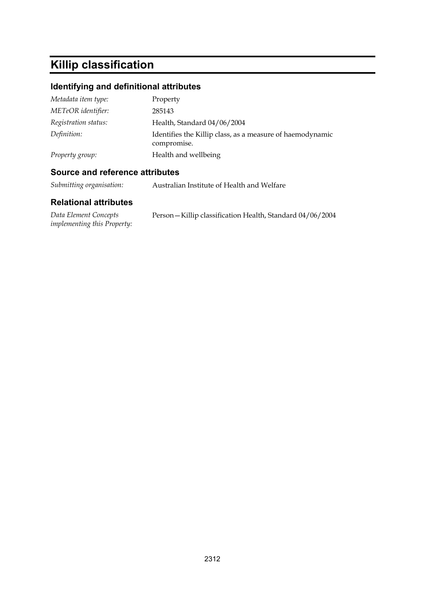# **Killip classification**

## **Identifying and definitional attributes**

| Metadata item type:  | Property                                                                 |
|----------------------|--------------------------------------------------------------------------|
| METeOR identifier:   | 285143                                                                   |
| Registration status: | Health, Standard 04/06/2004                                              |
| Definition:          | Identifies the Killip class, as a measure of haemodynamic<br>compromise. |
| Property group:      | Health and wellbeing                                                     |

### **Source and reference attributes**

*Submitting organisation:* Australian Institute of Health and Welfare

| Data Element Concepts              | Person - Killip classification Health, Standard 04/06/2004 |
|------------------------------------|------------------------------------------------------------|
| <i>implementing this Property:</i> |                                                            |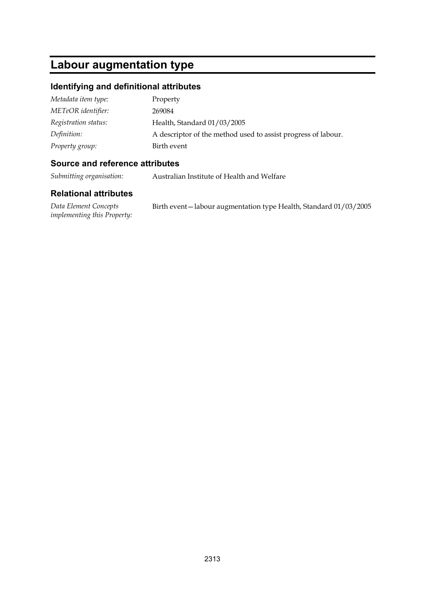## **Labour augmentation type**

#### **Identifying and definitional attributes**

| Metadata item type:  | Property                                                      |
|----------------------|---------------------------------------------------------------|
| METeOR identifier:   | 269084                                                        |
| Registration status: | Health, Standard 01/03/2005                                   |
| Definition:          | A descriptor of the method used to assist progress of labour. |
| Property group:      | Birth event                                                   |

#### **Source and reference attributes**

*Submitting organisation:* Australian Institute of Health and Welfare

#### **Relational attributes**

*Data Element Concepts implementing this Property:* Birth event—labour augmentation type Health, Standard 01/03/2005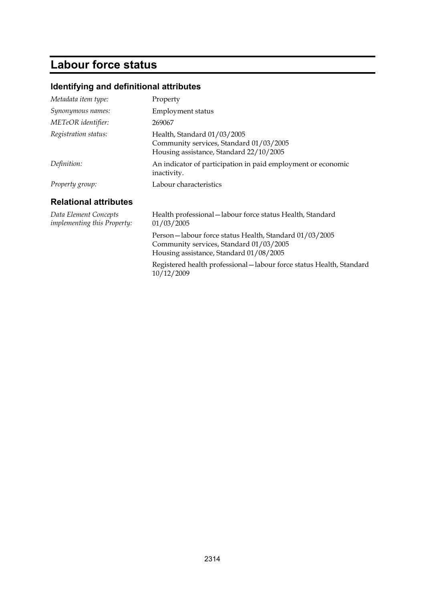# **Labour force status**

## **Identifying and definitional attributes**

| Metadata item type:                                         | Property                                                                                                                                     |
|-------------------------------------------------------------|----------------------------------------------------------------------------------------------------------------------------------------------|
| Synonymous names:                                           | Employment status                                                                                                                            |
| METeOR identifier:                                          | 269067                                                                                                                                       |
| Registration status:                                        | Health, Standard 01/03/2005<br>Community services, Standard 01/03/2005<br>Housing assistance, Standard 22/10/2005                            |
| Definition:                                                 | An indicator of participation in paid employment or economic<br>inactivity.                                                                  |
| Property group:                                             | Labour characteristics                                                                                                                       |
| <b>Relational attributes</b>                                |                                                                                                                                              |
| Data Element Concepts<br><i>implementing this Property:</i> | Health professional - labour force status Health, Standard<br>01/03/2005                                                                     |
|                                                             | Person-labour force status Health, Standard 01/03/2005<br>Community services, Standard 01/03/2005<br>Housing assistance, Standard 01/08/2005 |
|                                                             | Registered health professional - labour force status Health, Standard<br>10/12/2009                                                          |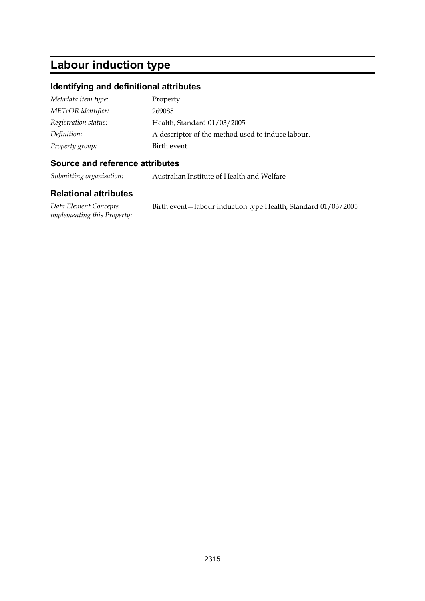# **Labour induction type**

#### **Identifying and definitional attributes**

| Metadata item type:  | Property                                          |
|----------------------|---------------------------------------------------|
| METeOR identifier:   | 269085                                            |
| Registration status: | Health, Standard 01/03/2005                       |
| Definition:          | A descriptor of the method used to induce labour. |
| Property group:      | Birth event                                       |

#### **Source and reference attributes**

*Submitting organisation:* Australian Institute of Health and Welfare

#### **Relational attributes**

*Data Element Concepts implementing this Property:* Birth event—labour induction type Health, Standard 01/03/2005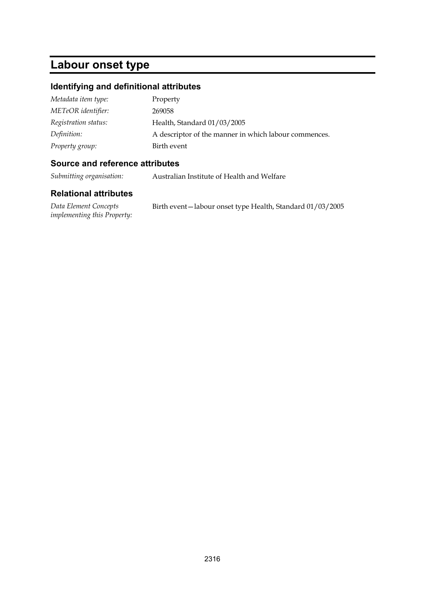## **Labour onset type**

#### **Identifying and definitional attributes**

| Metadata item type:  | Property                                              |
|----------------------|-------------------------------------------------------|
| METeOR identifier:   | 269058                                                |
| Registration status: | Health, Standard 01/03/2005                           |
| Definition:          | A descriptor of the manner in which labour commences. |
| Property group:      | Birth event                                           |

#### **Source and reference attributes**

*Submitting organisation:* Australian Institute of Health and Welfare

| Data Element Concepts              | Birth event—labour onset type Health, Standard 01/03/2005 |
|------------------------------------|-----------------------------------------------------------|
| <i>implementing this Property:</i> |                                                           |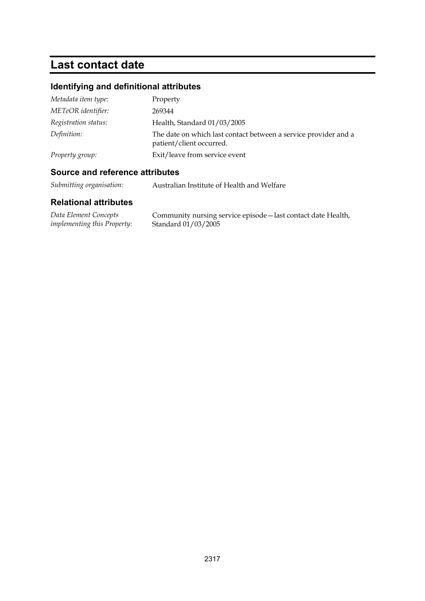## **Last contact date**

## **Identifying and definitional attributes**

| Metadata item type:  | Property                                                                                    |
|----------------------|---------------------------------------------------------------------------------------------|
| METeOR identifier:   | 269344                                                                                      |
| Registration status: | Health, Standard 01/03/2005                                                                 |
| Definition:          | The date on which last contact between a service provider and a<br>patient/client occurred. |
| Property group:      | Exit/leave from service event                                                               |

### **Source and reference attributes**

*Submitting organisation:* Australian Institute of Health and Welfare

| Data Element Concepts              | Community nursing service episode - last contact date Health, |
|------------------------------------|---------------------------------------------------------------|
| <i>implementing this Property:</i> | Standard 01/03/2005                                           |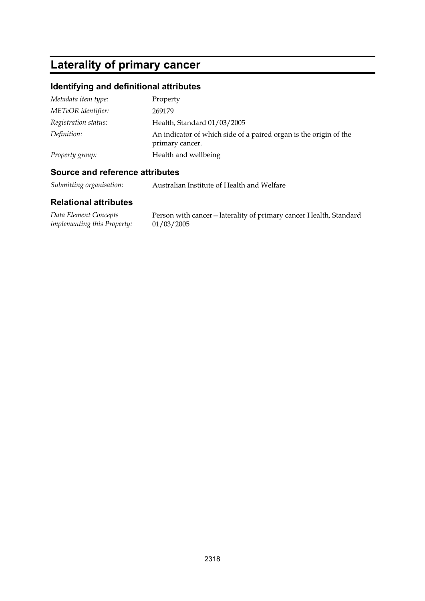# **Laterality of primary cancer**

## **Identifying and definitional attributes**

| Metadata item type:  | Property                                                                             |
|----------------------|--------------------------------------------------------------------------------------|
| METeOR identifier:   | 269179                                                                               |
| Registration status: | Health, Standard 01/03/2005                                                          |
| Definition:          | An indicator of which side of a paired organ is the origin of the<br>primary cancer. |
| Property group:      | Health and wellbeing                                                                 |

#### **Source and reference attributes**

*Submitting organisation:* Australian Institute of Health and Welfare

| Data Element Concepts       | Person with cancer-laterality of primary cancer Health, Standard |
|-----------------------------|------------------------------------------------------------------|
| implementing this Property: | 01/03/2005                                                       |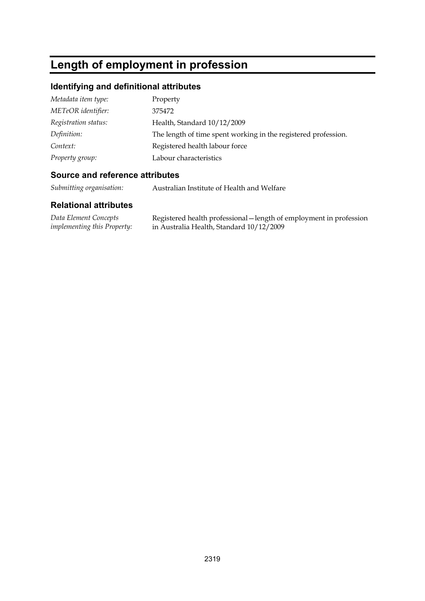# **Length of employment in profession**

## **Identifying and definitional attributes**

| Metadata item type:  | Property                                                       |
|----------------------|----------------------------------------------------------------|
| METeOR identifier:   | 375472                                                         |
| Registration status: | Health, Standard 10/12/2009                                    |
| Definition:          | The length of time spent working in the registered profession. |
| Context:             | Registered health labour force                                 |
| Property group:      | Labour characteristics                                         |

#### **Source and reference attributes**

*Submitting organisation:* Australian Institute of Health and Welfare

| Data Element Concepts              | Registered health professional – length of employment in profession |
|------------------------------------|---------------------------------------------------------------------|
| <i>implementing this Property:</i> | in Australia Health, Standard 10/12/2009                            |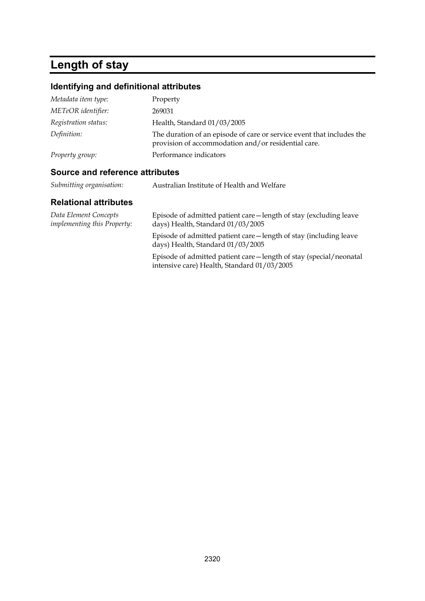# **Length of stay**

## **Identifying and definitional attributes**

| Metadata item type:  | Property                                                                                                                     |
|----------------------|------------------------------------------------------------------------------------------------------------------------------|
| METeOR identifier:   | 269031                                                                                                                       |
| Registration status: | Health, Standard 01/03/2005                                                                                                  |
| Definition:          | The duration of an episode of care or service event that includes the<br>provision of accommodation and/or residential care. |
| Property group:      | Performance indicators                                                                                                       |

### **Source and reference attributes**

|  | Submitting organisation: | Australian Institute of Health and Welfare |
|--|--------------------------|--------------------------------------------|
|--|--------------------------|--------------------------------------------|

| Data Element Concepts<br><i>implementing this Property:</i> | Episode of admitted patient care—length of stay (excluding leave<br>days) Health, Standard 01/03/2005              |
|-------------------------------------------------------------|--------------------------------------------------------------------------------------------------------------------|
|                                                             | Episode of admitted patient care—length of stay (including leave<br>days) Health, Standard 01/03/2005              |
|                                                             | Episode of admitted patient care - length of stay (special/neonatal<br>intensive care) Health, Standard 01/03/2005 |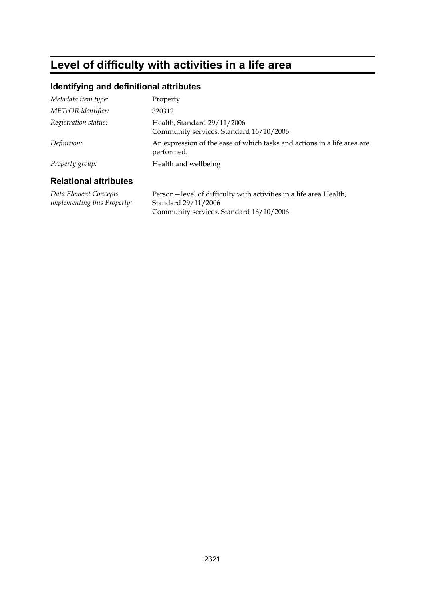# **Level of difficulty with activities in a life area**

#### **Identifying and definitional attributes**

| Metadata item type:          | Property                                                                              |
|------------------------------|---------------------------------------------------------------------------------------|
| METeOR identifier:           | 320312                                                                                |
| Registration status:         | Health, Standard 29/11/2006<br>Community services, Standard 16/10/2006                |
| Definition:                  | An expression of the ease of which tasks and actions in a life area are<br>performed. |
| Property group:              | Health and wellbeing                                                                  |
| <b>Relational attributes</b> |                                                                                       |

#### **Relational attributes**

*Data Element Concepts implementing this Property:* Person—level of difficulty with activities in a life area Health, Standard 29/11/2006 Community services, Standard 16/10/2006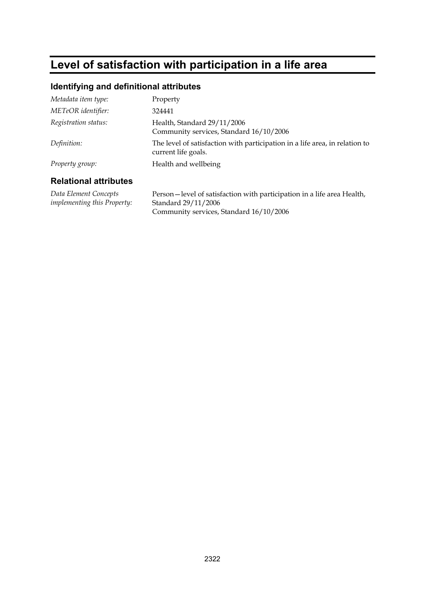# **Level of satisfaction with participation in a life area**

#### **Identifying and definitional attributes**

|                       | Community services, Standard 16/10/2006                                                            |
|-----------------------|----------------------------------------------------------------------------------------------------|
| Definition:           | The level of satisfaction with participation in a life area, in relation to<br>current life goals. |
| Property group:       | Health and wellbeing                                                                               |
| Relational attributes |                                                                                                    |

#### **Relational attributes**

*Data Element Concepts implementing this Property:*

Person—level of satisfaction with participation in a life area Health, Standard 29/11/2006 Community services, Standard 16/10/2006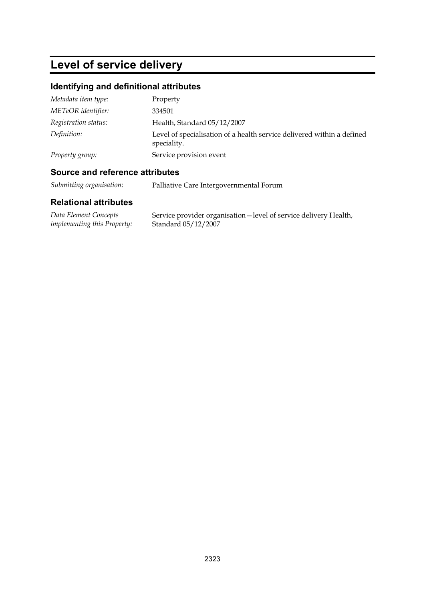# **Level of service delivery**

### **Identifying and definitional attributes**

| Metadata item type:  | Property                                                                              |
|----------------------|---------------------------------------------------------------------------------------|
| METeOR identifier:   | 334501                                                                                |
| Registration status: | Health, Standard 05/12/2007                                                           |
| Definition:          | Level of specialisation of a health service delivered within a defined<br>speciality. |
| Property group:      | Service provision event                                                               |

### **Source and reference attributes**

*Submitting organisation:* Palliative Care Intergovernmental Forum

| Data Element Concepts              | Service provider organisation-level of service delivery Health, |
|------------------------------------|-----------------------------------------------------------------|
| <i>implementing this Property:</i> | Standard 05/12/2007                                             |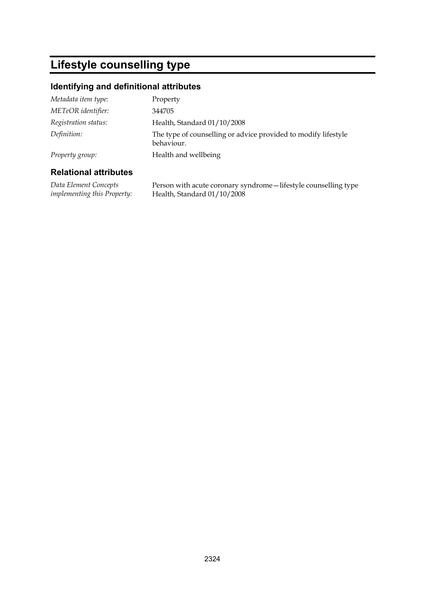## **Lifestyle counselling type**

### **Identifying and definitional attributes**

| Metadata item type:  | Property                                                                     |
|----------------------|------------------------------------------------------------------------------|
| METeOR identifier:   | 344705                                                                       |
| Registration status: | Health, Standard 01/10/2008                                                  |
| Definition:          | The type of counselling or advice provided to modify lifestyle<br>behaviour. |
| Property group:      | Health and wellbeing                                                         |

#### **Relational attributes**

*Data Element Concepts implementing this Property:* Person with acute coronary syndrome—lifestyle counselling type Health, Standard 01/10/2008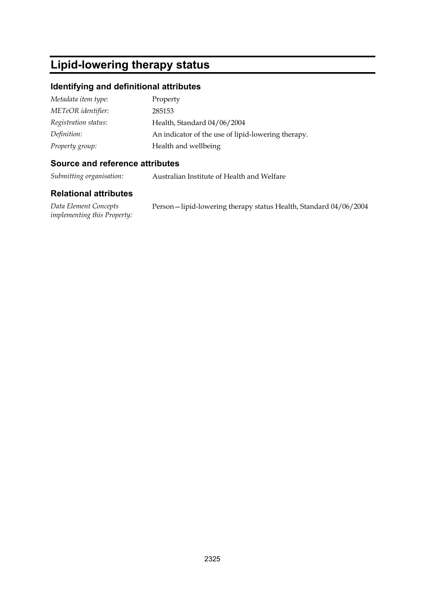## **Lipid-lowering therapy status**

### **Identifying and definitional attributes**

| Metadata item type:  | Property                                           |
|----------------------|----------------------------------------------------|
| METeOR identifier:   | 285153                                             |
| Registration status: | Health, Standard 04/06/2004                        |
| Definition:          | An indicator of the use of lipid-lowering therapy. |
| Property group:      | Health and wellbeing                               |

#### **Source and reference attributes**

*Submitting organisation:* Australian Institute of Health and Welfare

### **Relational attributes**

*Data Element Concepts implementing this Property:* Person—lipid-lowering therapy status Health, Standard 04/06/2004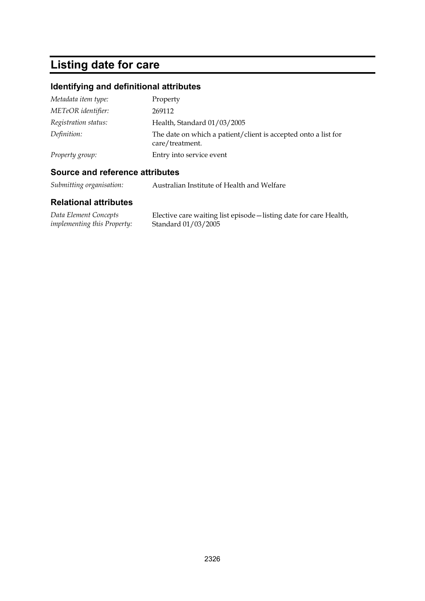# **Listing date for care**

## **Identifying and definitional attributes**

| Metadata item type:  | Property                                                                          |
|----------------------|-----------------------------------------------------------------------------------|
| METeOR identifier:   | 269112                                                                            |
| Registration status: | Health, Standard 01/03/2005                                                       |
| Definition:          | The date on which a patient/client is accepted onto a list for<br>care/treatment. |
| Property group:      | Entry into service event                                                          |

### **Source and reference attributes**

*Submitting organisation:* Australian Institute of Health and Welfare

| Data Element Concepts              | Elective care waiting list episode - listing date for care Health, |
|------------------------------------|--------------------------------------------------------------------|
| <i>implementing this Property:</i> | Standard 01/03/2005                                                |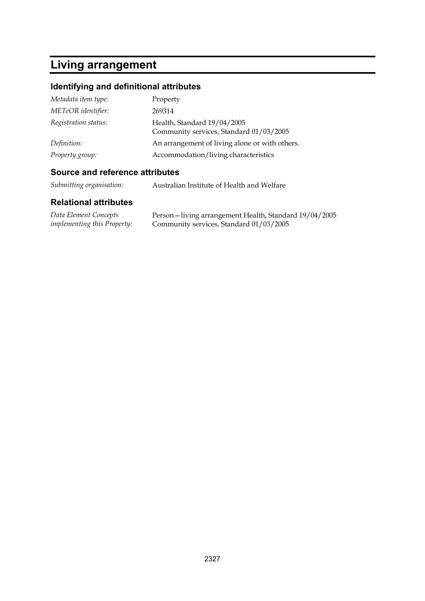## **Living arrangement**

## **Identifying and definitional attributes**

| Metadata item type:  | Property                                                               |
|----------------------|------------------------------------------------------------------------|
| METeOR identifier:   | 269314                                                                 |
| Registration status: | Health, Standard 19/04/2005<br>Community services, Standard 01/03/2005 |
| Definition:          | An arrangement of living alone or with others.                         |
| Property group:      | Accommodation/living characteristics                                   |

### **Source and reference attributes**

| Submitting organisation: | Australian Institute of Health and Welfare |
|--------------------------|--------------------------------------------|
|--------------------------|--------------------------------------------|

| Data Element Concepts              | Person – living arrangement Health, Standard 19/04/2005 |
|------------------------------------|---------------------------------------------------------|
| <i>implementing this Property:</i> | Community services, Standard 01/03/2005                 |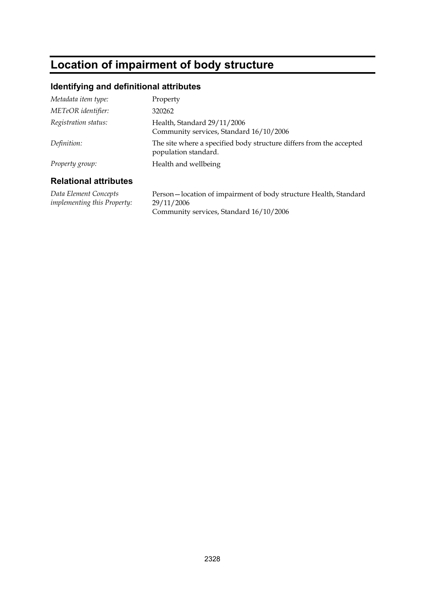## **Location of impairment of body structure**

#### **Identifying and definitional attributes**

| Relational attributes |                                                                                             |
|-----------------------|---------------------------------------------------------------------------------------------|
| Property group:       | Health and wellbeing                                                                        |
| Definition:           | The site where a specified body structure differs from the accepted<br>population standard. |
| Registration status:  | Health, Standard 29/11/2006<br>Community services, Standard 16/10/2006                      |
| METeOR identifier:    | 320262                                                                                      |
| Metadata item type:   | Property                                                                                    |

#### **Relational attributes**

*Data Element Concepts implementing this Property:* Person—location of impairment of body structure Health, Standard 29/11/2006 Community services, Standard 16/10/2006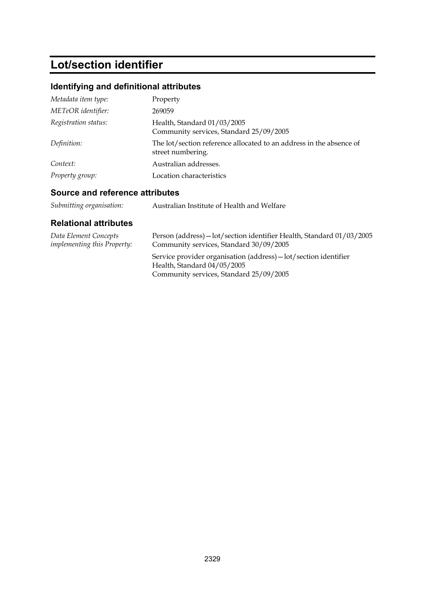# **Lot/section identifier**

## **Identifying and definitional attributes**

| Metadata item type:  | Property                                                                                 |
|----------------------|------------------------------------------------------------------------------------------|
| METeOR identifier:   | 269059                                                                                   |
| Registration status: | Health, Standard 01/03/2005<br>Community services, Standard 25/09/2005                   |
| Definition:          | The lot/section reference allocated to an address in the absence of<br>street numbering. |
| Context:             | Australian addresses.                                                                    |
| Property group:      | Location characteristics                                                                 |

## **Source and reference attributes**

| Submitting organisation: | Australian Institute of Health and Welfare |
|--------------------------|--------------------------------------------|
|--------------------------|--------------------------------------------|

| Data Element Concepts              | Person (address) - lot/section identifier Health, Standard 01/03/2005                                                                      |
|------------------------------------|--------------------------------------------------------------------------------------------------------------------------------------------|
| <i>implementing this Property:</i> | Community services, Standard 30/09/2005                                                                                                    |
|                                    | Service provider organisation (address) - lot/section identifier<br>Health, Standard 04/05/2005<br>Community services, Standard 25/09/2005 |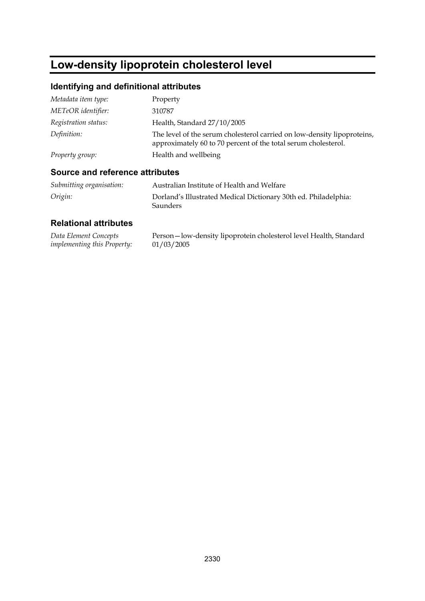# **Low-density lipoprotein cholesterol level**

## **Identifying and definitional attributes**

| Metadata item type:  | Property                                                                                                                                  |
|----------------------|-------------------------------------------------------------------------------------------------------------------------------------------|
| METeOR identifier:   | 310787                                                                                                                                    |
| Registration status: | Health, Standard 27/10/2005                                                                                                               |
| Definition:          | The level of the serum cholesterol carried on low-density lipoproteins,<br>approximately 60 to 70 percent of the total serum cholesterol. |
| Property group:      | Health and wellbeing                                                                                                                      |

### **Source and reference attributes**

| Submitting organisation: | Australian Institute of Health and Welfare                                         |
|--------------------------|------------------------------------------------------------------------------------|
| Origin:                  | Dorland's Illustrated Medical Dictionary 30th ed. Philadelphia:<br><b>Saunders</b> |

| Data Element Concepts              | Person-low-density lipoprotein cholesterol level Health, Standard |
|------------------------------------|-------------------------------------------------------------------|
| <i>implementing this Property:</i> | 01/03/2005                                                        |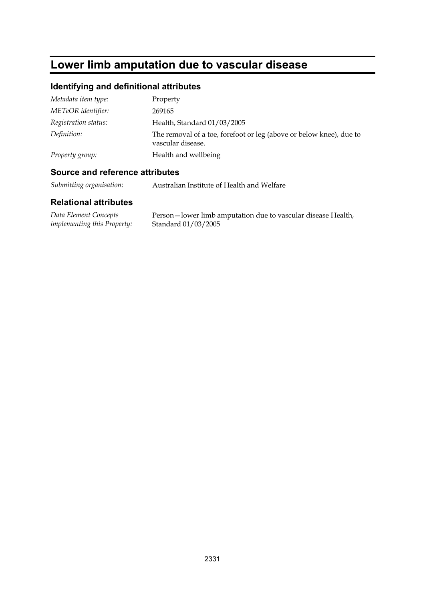## **Lower limb amputation due to vascular disease**

## **Identifying and definitional attributes**

| Metadata item type:  | Property                                                                                 |
|----------------------|------------------------------------------------------------------------------------------|
| METeOR identifier:   | 269165                                                                                   |
| Registration status: | Health, Standard 01/03/2005                                                              |
| Definition:          | The removal of a toe, forefoot or leg (above or below knee), due to<br>vascular disease. |
| Property group:      | Health and wellbeing                                                                     |

### **Source and reference attributes**

*Submitting organisation:* Australian Institute of Health and Welfare

| Data Element Concepts              | Person-lower limb amputation due to vascular disease Health, |
|------------------------------------|--------------------------------------------------------------|
| <i>implementing this Property:</i> | Standard 01/03/2005                                          |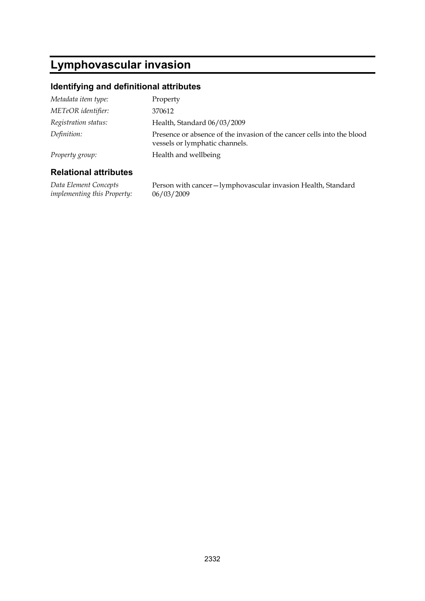## **Lymphovascular invasion**

### **Identifying and definitional attributes**

| Metadata item type:  | Property                                                                                                 |
|----------------------|----------------------------------------------------------------------------------------------------------|
| METeOR identifier:   | 370612                                                                                                   |
| Registration status: | Health, Standard 06/03/2009                                                                              |
| Definition:          | Presence or absence of the invasion of the cancer cells into the blood<br>vessels or lymphatic channels. |
| Property group:      | Health and wellbeing                                                                                     |
|                      |                                                                                                          |

#### **Relational attributes**

*Data Element Concepts implementing this Property:* Person with cancer—lymphovascular invasion Health, Standard 06/03/2009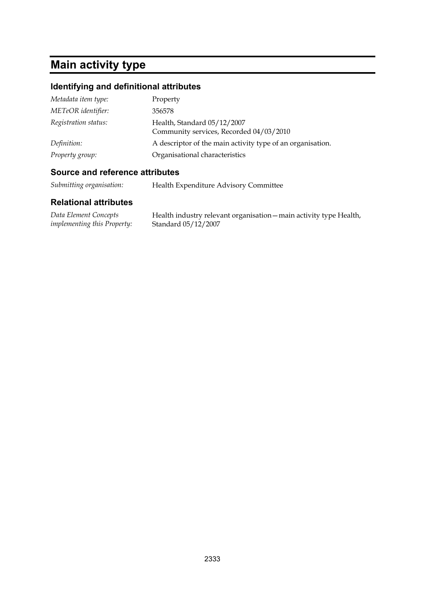# **Main activity type**

## **Identifying and definitional attributes**

| Metadata item type:  | Property                                                               |
|----------------------|------------------------------------------------------------------------|
| METeOR identifier:   | 356578                                                                 |
| Registration status: | Health, Standard 05/12/2007<br>Community services, Recorded 04/03/2010 |
| Definition:          | A descriptor of the main activity type of an organisation.             |
| Property group:      | Organisational characteristics                                         |

### **Source and reference attributes**

| Submitting organisation: |  | Health Expenditure Advisory Committee |
|--------------------------|--|---------------------------------------|
|--------------------------|--|---------------------------------------|

| Data Element Concepts              | Health industry relevant organisation – main activity type Health, |
|------------------------------------|--------------------------------------------------------------------|
| <i>implementing this Property:</i> | Standard 05/12/2007                                                |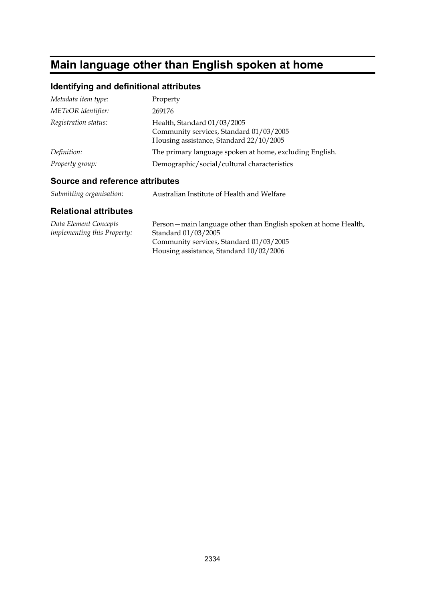# **Main language other than English spoken at home**

## **Identifying and definitional attributes**

| Metadata item type:  | Property                                                                                                          |
|----------------------|-------------------------------------------------------------------------------------------------------------------|
| METeOR identifier:   | 269176                                                                                                            |
| Registration status: | Health, Standard 01/03/2005<br>Community services, Standard 01/03/2005<br>Housing assistance, Standard 22/10/2005 |
| Definition:          | The primary language spoken at home, excluding English.                                                           |
| Property group:      | Demographic/social/cultural characteristics                                                                       |

### **Source and reference attributes**

| Data Element Concepts              | Person – main language other than English spoken at home Health, |
|------------------------------------|------------------------------------------------------------------|
| <i>implementing this Property:</i> | Standard 01/03/2005                                              |
|                                    | Community services, Standard 01/03/2005                          |
|                                    | Housing assistance, Standard 10/02/2006                          |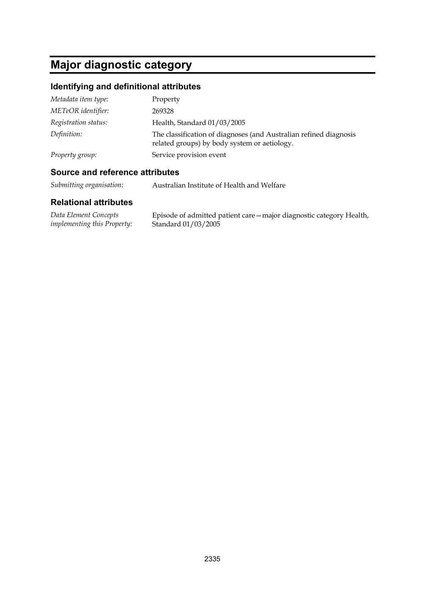## **Major diagnostic category**

## **Identifying and definitional attributes**

| Metadata item type:  | Property                                                                                                          |
|----------------------|-------------------------------------------------------------------------------------------------------------------|
| METeOR identifier:   | 269328                                                                                                            |
| Registration status: | Health, Standard 01/03/2005                                                                                       |
| Definition:          | The classification of diagnoses (and Australian refined diagnosis<br>related groups) by body system or aetiology. |
| Property group:      | Service provision event                                                                                           |

#### **Source and reference attributes**

*Submitting organisation:* Australian Institute of Health and Welfare

| Data Element Concepts              | Episode of admitted patient care – major diagnostic category Health, |
|------------------------------------|----------------------------------------------------------------------|
| <i>implementing this Property:</i> | Standard 01/03/2005                                                  |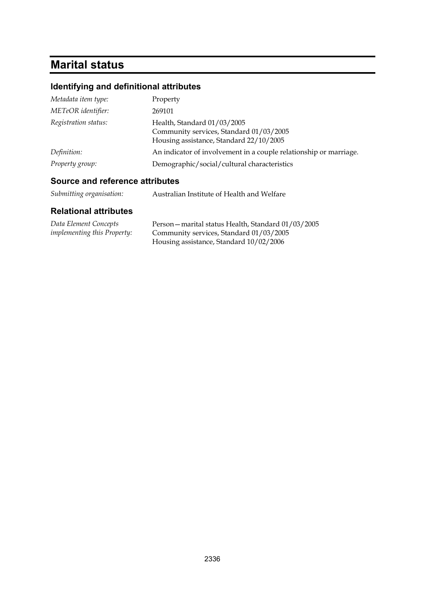# **Marital status**

## **Identifying and definitional attributes**

| Metadata item type:  | Property                                                                                                          |
|----------------------|-------------------------------------------------------------------------------------------------------------------|
| METeOR identifier:   | 269101                                                                                                            |
| Registration status: | Health, Standard 01/03/2005<br>Community services, Standard 01/03/2005<br>Housing assistance, Standard 22/10/2005 |
| Definition:          | An indicator of involvement in a couple relationship or marriage.                                                 |
| Property group:      | Demographic/social/cultural characteristics                                                                       |

### **Source and reference attributes**

| Submitting organisation: | Australian Institute of Health and Welfare |
|--------------------------|--------------------------------------------|
|--------------------------|--------------------------------------------|

| Data Element Concepts              | Person - marital status Health, Standard 01/03/2005 |
|------------------------------------|-----------------------------------------------------|
| <i>implementing this Property:</i> | Community services, Standard 01/03/2005             |
|                                    | Housing assistance, Standard 10/02/2006             |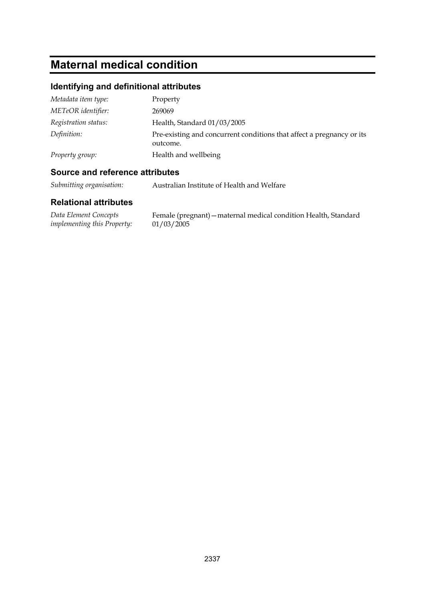# **Maternal medical condition**

## **Identifying and definitional attributes**

| Metadata item type:  | Property                                                                          |
|----------------------|-----------------------------------------------------------------------------------|
| METeOR identifier:   | 269069                                                                            |
| Registration status: | Health, Standard 01/03/2005                                                       |
| Definition:          | Pre-existing and concurrent conditions that affect a pregnancy or its<br>outcome. |
| Property group:      | Health and wellbeing                                                              |

### **Source and reference attributes**

*Submitting organisation:* Australian Institute of Health and Welfare

| Data Element Concepts       | Female (pregnant) – maternal medical condition Health, Standard |  |
|-----------------------------|-----------------------------------------------------------------|--|
| implementing this Property: | 01/03/2005                                                      |  |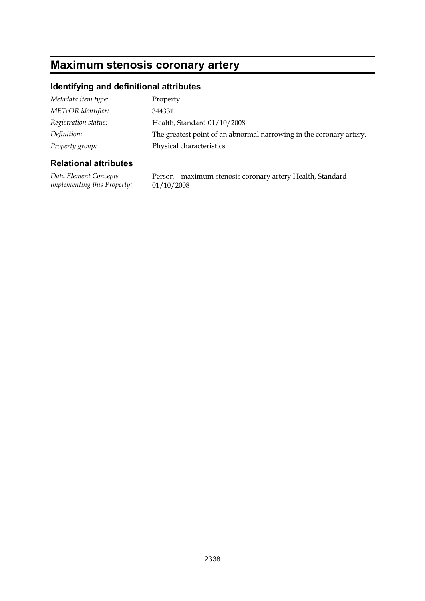# **Maximum stenosis coronary artery**

### **Identifying and definitional attributes**

| Metadata item type:  | Property                                                            |
|----------------------|---------------------------------------------------------------------|
| METeOR identifier:   | 344331                                                              |
| Registration status: | Health, Standard 01/10/2008                                         |
| Definition:          | The greatest point of an abnormal narrowing in the coronary artery. |
| Property group:      | Physical characteristics                                            |

### **Relational attributes**

*Data Element Concepts implementing this Property:* Person—maximum stenosis coronary artery Health, Standard 01/10/2008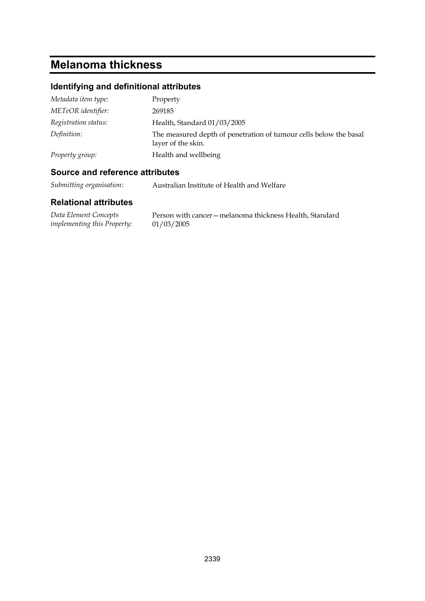## **Melanoma thickness**

## **Identifying and definitional attributes**

| Metadata item type:  | Property                                                                                |
|----------------------|-----------------------------------------------------------------------------------------|
| METeOR identifier:   | 269185                                                                                  |
| Registration status: | Health, Standard 01/03/2005                                                             |
| Definition:          | The measured depth of penetration of tumour cells below the basal<br>layer of the skin. |
| Property group:      | Health and wellbeing                                                                    |

### **Source and reference attributes**

*Submitting organisation:* Australian Institute of Health and Welfare

| Data Element Concepts              | Person with cancer – melanoma thickness Health, Standard |
|------------------------------------|----------------------------------------------------------|
| <i>implementing this Property:</i> | 01/03/2005                                               |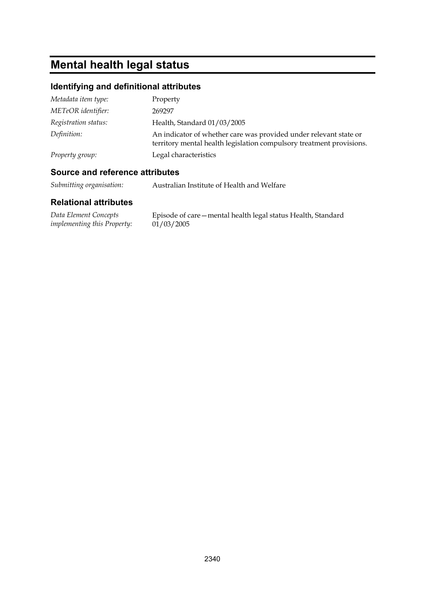# **Mental health legal status**

## **Identifying and definitional attributes**

| Metadata item type:  | Property                                                                                                                                  |
|----------------------|-------------------------------------------------------------------------------------------------------------------------------------------|
| METeOR identifier:   | 269297                                                                                                                                    |
| Registration status: | Health, Standard 01/03/2005                                                                                                               |
| Definition:          | An indicator of whether care was provided under relevant state or<br>territory mental health legislation compulsory treatment provisions. |
| Property group:      | Legal characteristics                                                                                                                     |

### **Source and reference attributes**

*Submitting organisation:* Australian Institute of Health and Welfare

| Data Element Concepts       | Episode of care – mental health legal status Health, Standard |
|-----------------------------|---------------------------------------------------------------|
| implementing this Property: | 01/03/2005                                                    |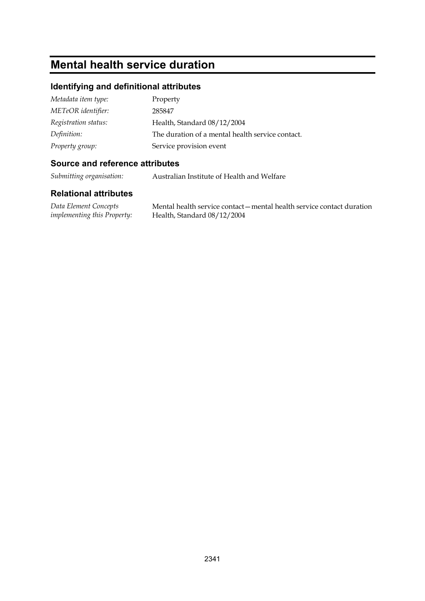## **Mental health service duration**

### **Identifying and definitional attributes**

| Metadata item type:  | Property                                         |
|----------------------|--------------------------------------------------|
| METeOR identifier:   | 285847                                           |
| Registration status: | Health, Standard 08/12/2004                      |
| Definition:          | The duration of a mental health service contact. |
| Property group:      | Service provision event                          |

#### **Source and reference attributes**

*Submitting organisation:* Australian Institute of Health and Welfare

### **Relational attributes**

*Data Element Concepts implementing this Property:*

Mental health service contact—mental health service contact duration Health, Standard 08/12/2004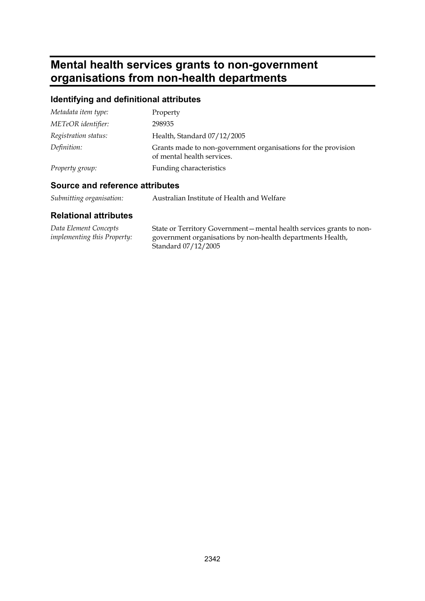## **Mental health services grants to non-government organisations from non-health departments**

## **Identifying and definitional attributes**

| Metadata item type:  | Property                                                                                    |
|----------------------|---------------------------------------------------------------------------------------------|
| METeOR identifier:   | 298935                                                                                      |
| Registration status: | Health, Standard 07/12/2005                                                                 |
| Definition:          | Grants made to non-government organisations for the provision<br>of mental health services. |
| Property group:      | Funding characteristics                                                                     |

### **Source and reference attributes**

| Submitting organisation: | Australian Institute of Health and Welfare |
|--------------------------|--------------------------------------------|
|--------------------------|--------------------------------------------|

| Data Element Concepts              | State or Territory Government – mental health services grants to non-             |
|------------------------------------|-----------------------------------------------------------------------------------|
| <i>implementing this Property:</i> | government organisations by non-health departments Health,<br>Standard 07/12/2005 |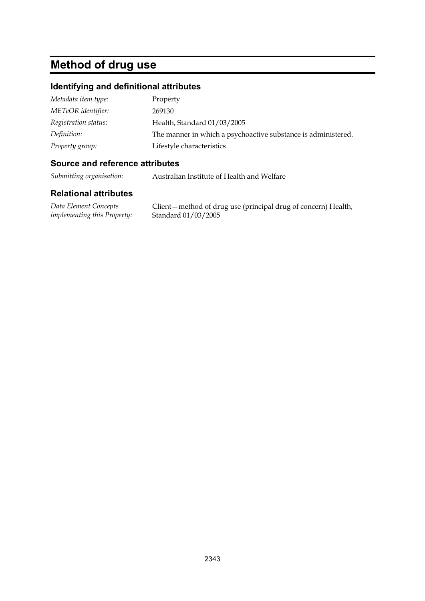## **Method of drug use**

### **Identifying and definitional attributes**

| Metadata item type:  | Property                                                      |
|----------------------|---------------------------------------------------------------|
| METeOR identifier:   | 269130                                                        |
| Registration status: | Health, Standard 01/03/2005                                   |
| Definition:          | The manner in which a psychoactive substance is administered. |
| Property group:      | Lifestyle characteristics                                     |

#### **Source and reference attributes**

*Submitting organisation:* Australian Institute of Health and Welfare

#### **Relational attributes**

*Data Element Concepts implementing this Property:*

Client—method of drug use (principal drug of concern) Health, Standard 01/03/2005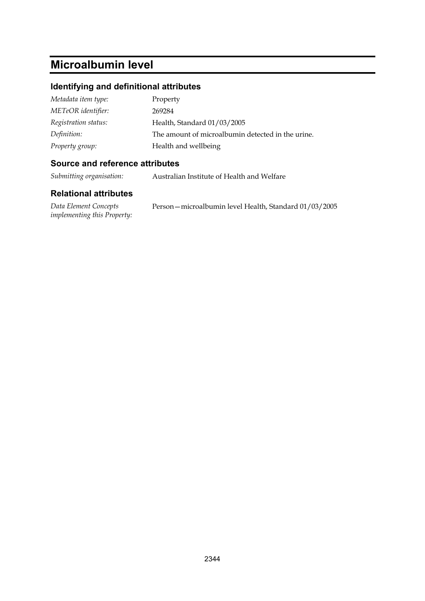## **Microalbumin level**

### **Identifying and definitional attributes**

| Metadata item type:  | Property                                          |
|----------------------|---------------------------------------------------|
| METeOR identifier:   | 269284                                            |
| Registration status: | Health, Standard 01/03/2005                       |
| Definition:          | The amount of microalbumin detected in the urine. |
| Property group:      | Health and wellbeing                              |

#### **Source and reference attributes**

*Submitting organisation:* Australian Institute of Health and Welfare

| Data Element Concepts              | Person – microalbumin level Health, Standard 01/03/2005 |
|------------------------------------|---------------------------------------------------------|
| <i>implementing this Property:</i> |                                                         |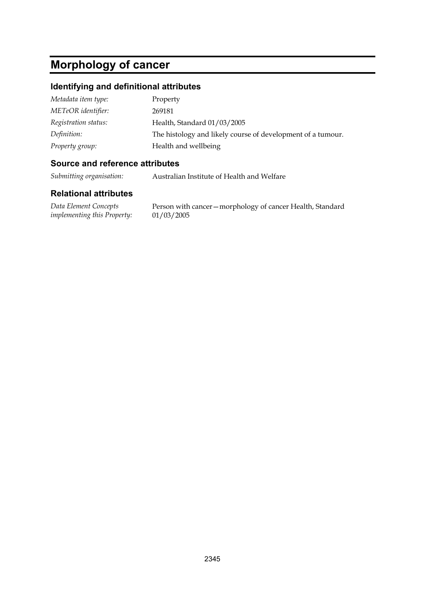# **Morphology of cancer**

#### **Identifying and definitional attributes**

| Metadata item type:  | Property                                                    |
|----------------------|-------------------------------------------------------------|
| METeOR identifier:   | 269181                                                      |
| Registration status: | Health, Standard 01/03/2005                                 |
| Definition:          | The histology and likely course of development of a tumour. |
| Property group:      | Health and wellbeing                                        |

#### **Source and reference attributes**

*Submitting organisation:* Australian Institute of Health and Welfare

#### **Relational attributes**

*Data Element Concepts implementing this Property:*

Person with cancer—morphology of cancer Health, Standard 01/03/2005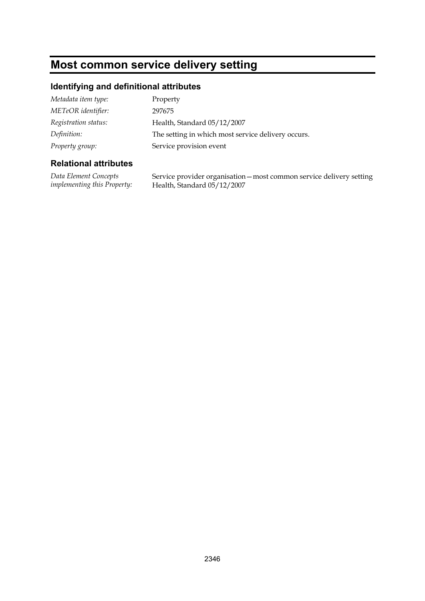## **Most common service delivery setting**

### **Identifying and definitional attributes**

| Metadata item type:  | Property                                           |
|----------------------|----------------------------------------------------|
| METeOR identifier:   | 297675                                             |
| Registration status: | Health, Standard 05/12/2007                        |
| Definition:          | The setting in which most service delivery occurs. |
| Property group:      | Service provision event                            |

### **Relational attributes**

*Data Element Concepts implementing this Property:* Service provider organisation—most common service delivery setting Health, Standard 05/12/2007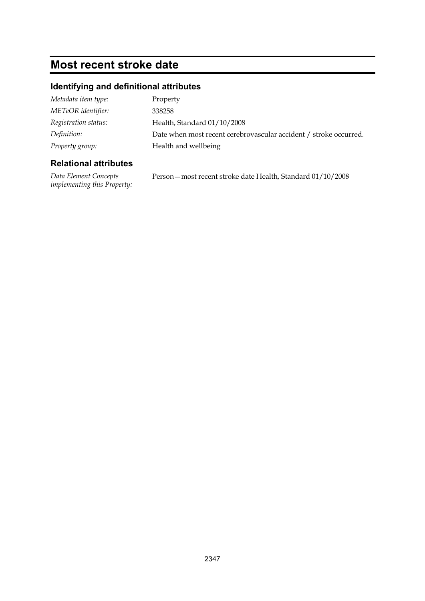## **Most recent stroke date**

## **Identifying and definitional attributes**

| Metadata item type:  | Property                                                          |
|----------------------|-------------------------------------------------------------------|
| METeOR identifier:   | 338258                                                            |
| Registration status: | Health, Standard 01/10/2008                                       |
| Definition:          | Date when most recent cerebrovascular accident / stroke occurred. |
| Property group:      | Health and wellbeing                                              |
|                      |                                                                   |

### **Relational attributes**

*Data Element Concepts implementing this Property:* Person—most recent stroke date Health, Standard 01/10/2008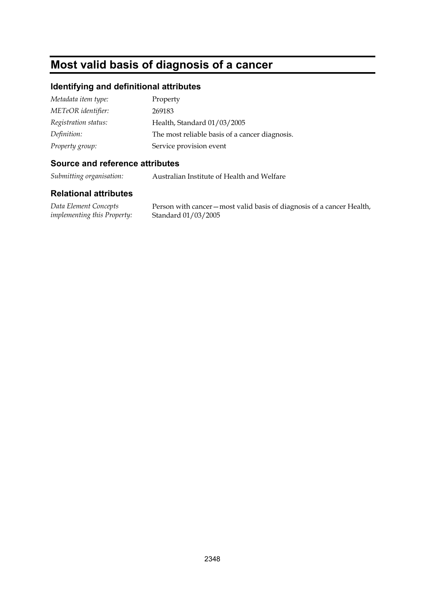## **Most valid basis of diagnosis of a cancer**

#### **Identifying and definitional attributes**

| Metadata item type:  | Property                                       |
|----------------------|------------------------------------------------|
| METeOR identifier:   | 269183                                         |
| Registration status: | Health, Standard 01/03/2005                    |
| Definition:          | The most reliable basis of a cancer diagnosis. |
| Property group:      | Service provision event                        |

#### **Source and reference attributes**

*Submitting organisation:* Australian Institute of Health and Welfare

#### **Relational attributes**

*Data Element Concepts implementing this Property:*

Person with cancer—most valid basis of diagnosis of a cancer Health, Standard 01/03/2005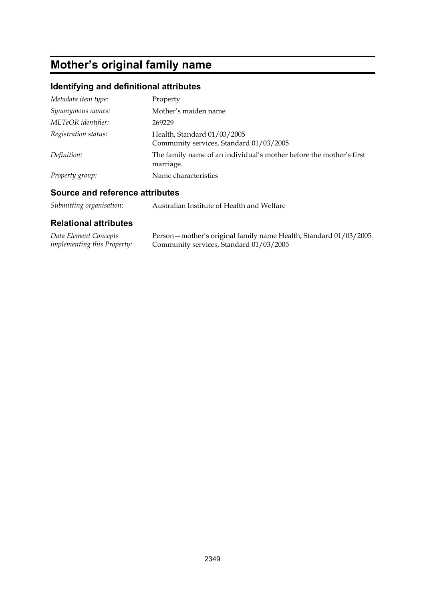# **Mother's original family name**

## **Identifying and definitional attributes**

| Metadata item type:  | Property                                                                         |
|----------------------|----------------------------------------------------------------------------------|
| Synonymous names:    | Mother's maiden name                                                             |
| METeOR identifier:   | 269229                                                                           |
| Registration status: | Health, Standard 01/03/2005<br>Community services, Standard 01/03/2005           |
| Definition:          | The family name of an individual's mother before the mother's first<br>marriage. |
| Property group:      | Name characteristics                                                             |

### **Source and reference attributes**

| Submitting organisation: | Australian Institute of Health and Welfare |
|--------------------------|--------------------------------------------|
|--------------------------|--------------------------------------------|

| Data Element Concepts              | Person – mother's original family name Health, Standard 01/03/2005 |
|------------------------------------|--------------------------------------------------------------------|
| <i>implementing this Property:</i> | Community services, Standard 01/03/2005                            |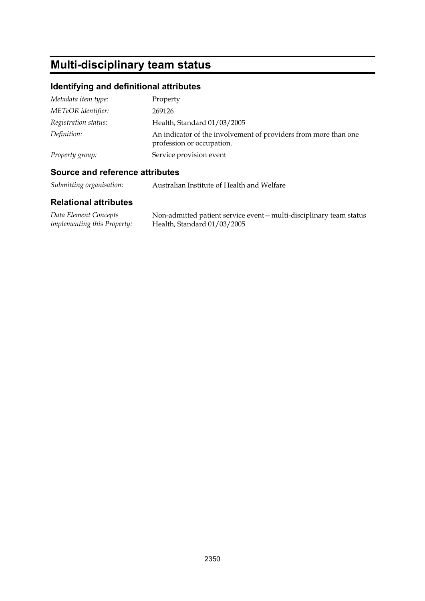## **Multi-disciplinary team status**

## **Identifying and definitional attributes**

| Metadata item type:  | Property                                                                                     |
|----------------------|----------------------------------------------------------------------------------------------|
| METeOR identifier:   | 269126                                                                                       |
| Registration status: | Health, Standard 01/03/2005                                                                  |
| Definition:          | An indicator of the involvement of providers from more than one<br>profession or occupation. |
| Property group:      | Service provision event                                                                      |

### **Source and reference attributes**

*Submitting organisation:* Australian Institute of Health and Welfare

| Data Element Concepts              | Non-admitted patient service event - multi-disciplinary team status |
|------------------------------------|---------------------------------------------------------------------|
| <i>implementing this Property:</i> | Health, Standard $01/03/2005$                                       |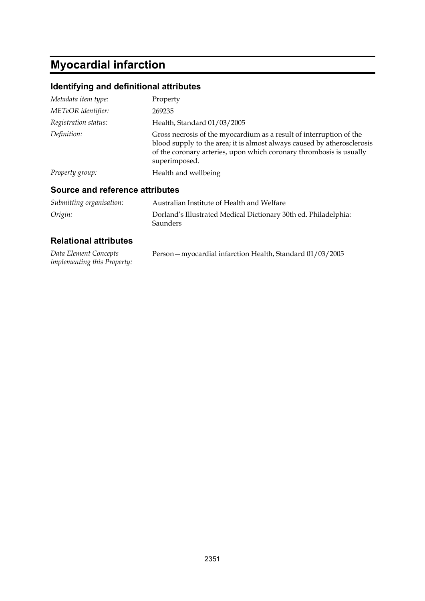# **Myocardial infarction**

## **Identifying and definitional attributes**

| Metadata item type:                    | Property                                                                                                                                                                                                                               |
|----------------------------------------|----------------------------------------------------------------------------------------------------------------------------------------------------------------------------------------------------------------------------------------|
| METeOR identifier:                     | 269235                                                                                                                                                                                                                                 |
| Registration status:                   | Health, Standard 01/03/2005                                                                                                                                                                                                            |
| Definition:                            | Gross necrosis of the myocardium as a result of interruption of the<br>blood supply to the area; it is almost always caused by atherosclerosis<br>of the coronary arteries, upon which coronary thrombosis is usually<br>superimposed. |
| Property group:                        | Health and wellbeing                                                                                                                                                                                                                   |
| <b>Source and reference attributes</b> |                                                                                                                                                                                                                                        |

| Submitting organisation: | Australian Institute of Health and Welfare                                         |
|--------------------------|------------------------------------------------------------------------------------|
| Origin:                  | Dorland's Illustrated Medical Dictionary 30th ed. Philadelphia:<br><b>Saunders</b> |

| Data Element Concepts              | Person - myocardial infarction Health, Standard 01/03/2005 |
|------------------------------------|------------------------------------------------------------|
| <i>implementing this Property:</i> |                                                            |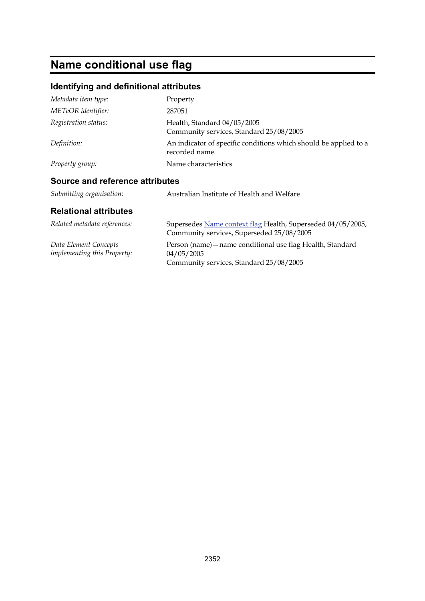# **Name conditional use flag**

## **Identifying and definitional attributes**

| Metadata item type:                                         | Property                                                                                                 |
|-------------------------------------------------------------|----------------------------------------------------------------------------------------------------------|
| METeOR identifier:                                          | 287051                                                                                                   |
| Registration status:                                        | Health, Standard 04/05/2005<br>Community services, Standard 25/08/2005                                   |
| Definition:                                                 | An indicator of specific conditions which should be applied to a<br>recorded name.                       |
| Property group:                                             | Name characteristics                                                                                     |
| Source and reference attributes                             |                                                                                                          |
| Submitting organisation:                                    | Australian Institute of Health and Welfare                                                               |
| <b>Relational attributes</b>                                |                                                                                                          |
| Related metadata references:                                | Supersedes Name context flag Health, Superseded 04/05/2005,<br>Community services, Superseded 25/08/2005 |
| Data Element Concepts<br><i>implementing this Property:</i> | Person (name) - name conditional use flag Health, Standard<br>04/05/2005                                 |

Community services, Standard 25/08/2005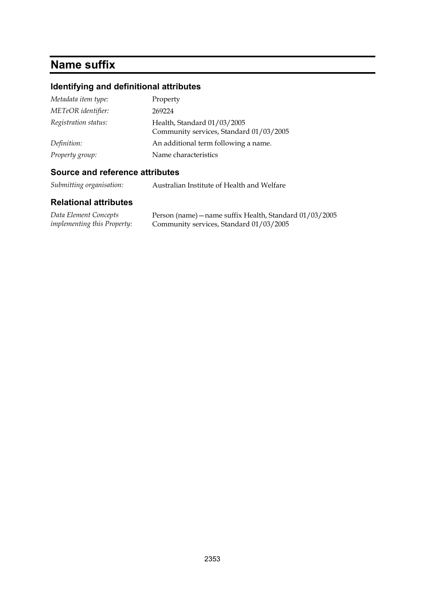## **Name suffix**

## **Identifying and definitional attributes**

| Metadata item type:  | Property                                                               |
|----------------------|------------------------------------------------------------------------|
| METeOR identifier:   | 269224                                                                 |
| Registration status: | Health, Standard 01/03/2005<br>Community services, Standard 01/03/2005 |
| Definition:          | An additional term following a name.                                   |
| Property group:      | Name characteristics                                                   |

### **Source and reference attributes**

*Submitting organisation:* Australian Institute of Health and Welfare

| Data Element Concepts              | Person (name) – name suffix Health, Standard 01/03/2005 |
|------------------------------------|---------------------------------------------------------|
| <i>implementing this Property:</i> | Community services, Standard 01/03/2005                 |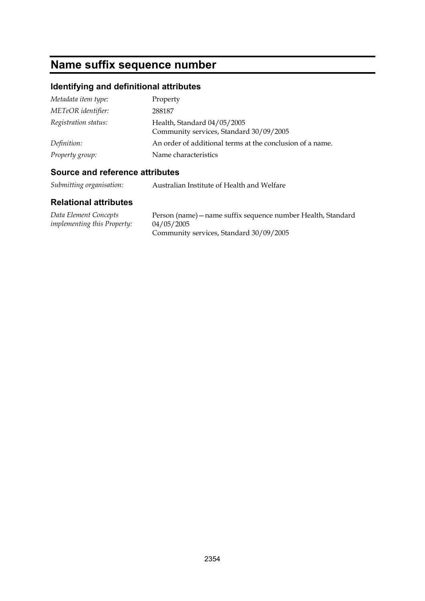# **Name suffix sequence number**

## **Identifying and definitional attributes**

| Metadata item type:  | Property                                                               |
|----------------------|------------------------------------------------------------------------|
| METeOR identifier:   | 288187                                                                 |
| Registration status: | Health, Standard 04/05/2005<br>Community services, Standard 30/09/2005 |
| Definition:          | An order of additional terms at the conclusion of a name.              |
| Property group:      | Name characteristics                                                   |

### **Source and reference attributes**

| Submitting organisation: | Australian Institute of Health and Welfare |
|--------------------------|--------------------------------------------|
|--------------------------|--------------------------------------------|

| Data Element Concepts              | Person (name) – name suffix sequence number Health, Standard |
|------------------------------------|--------------------------------------------------------------|
| <i>implementing this Property:</i> | 04/05/2005                                                   |
|                                    | Community services, Standard 30/09/2005                      |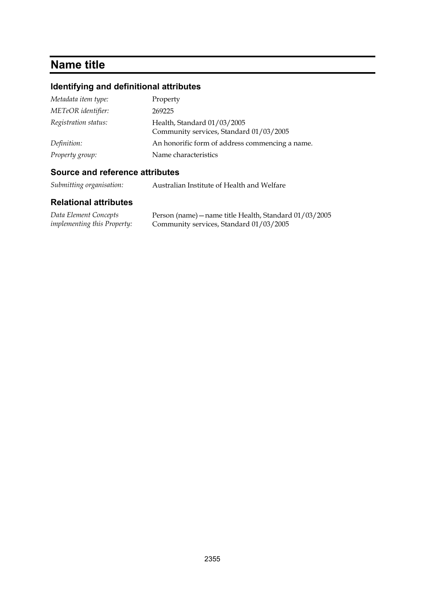## **Name title**

## **Identifying and definitional attributes**

| Property                                                               |
|------------------------------------------------------------------------|
| 269225                                                                 |
| Health, Standard 01/03/2005<br>Community services, Standard 01/03/2005 |
| An honorific form of address commencing a name.                        |
| Name characteristics                                                   |
|                                                                        |

### **Source and reference attributes**

| Submitting organisation: | Australian Institute of Health and Welfare |
|--------------------------|--------------------------------------------|
|--------------------------|--------------------------------------------|

| Data Element Concepts              | Person (name) – name title Health, Standard 01/03/2005 |
|------------------------------------|--------------------------------------------------------|
| <i>implementing this Property:</i> | Community services, Standard 01/03/2005                |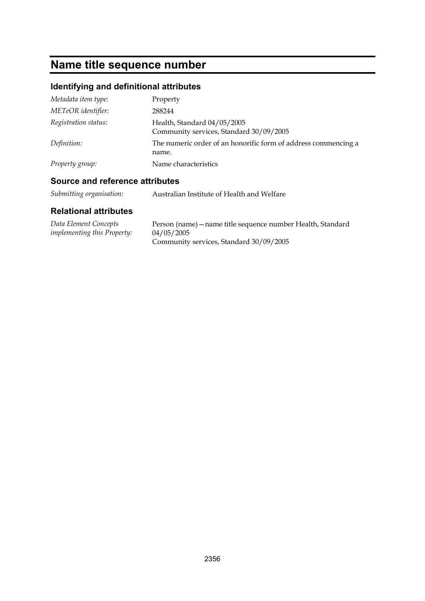## **Name title sequence number**

## **Identifying and definitional attributes**

| Metadata item type:  | Property                                                                |
|----------------------|-------------------------------------------------------------------------|
| METeOR identifier:   | 288244                                                                  |
| Registration status: | Health, Standard 04/05/2005<br>Community services, Standard 30/09/2005  |
| Definition:          | The numeric order of an honorific form of address commencing a<br>name. |
| Property group:      | Name characteristics                                                    |

### **Source and reference attributes**

| Submitting organisation:<br>Australian Institute of Health and Welfare |
|------------------------------------------------------------------------|
|------------------------------------------------------------------------|

| Data Element Concepts              | Person (name) – name title sequence number Health, Standard |
|------------------------------------|-------------------------------------------------------------|
| <i>implementing this Property:</i> | 04/05/2005                                                  |
|                                    | Community services, Standard 30/09/2005                     |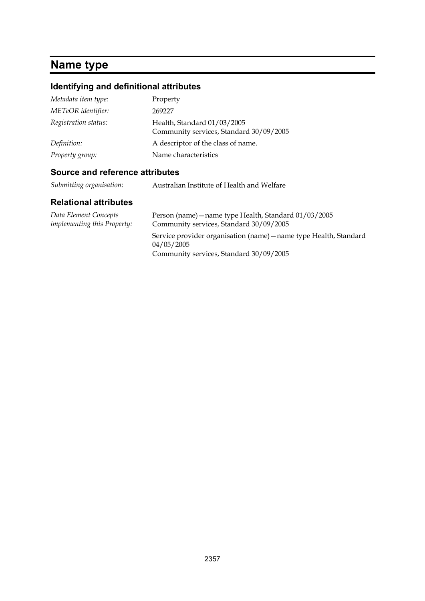# **Name type**

## **Identifying and definitional attributes**

| Metadata item type:  | Property                                                               |
|----------------------|------------------------------------------------------------------------|
| METeOR identifier:   | 269227                                                                 |
| Registration status: | Health, Standard 01/03/2005<br>Community services, Standard 30/09/2005 |
| Definition:          | A descriptor of the class of name.                                     |
| Property group:      | Name characteristics                                                   |

### **Source and reference attributes**

| Submitting organisation: | Australian Institute of Health and Welfare |
|--------------------------|--------------------------------------------|
|--------------------------|--------------------------------------------|

| Data Element Concepts<br><i>implementing this Property:</i> | Person (name) – name type Health, Standard 01/03/2005<br>Community services, Standard 30/09/2005 |
|-------------------------------------------------------------|--------------------------------------------------------------------------------------------------|
|                                                             | Service provider organisation (name) – name type Health, Standard<br>04/05/2005                  |
|                                                             | Community services, Standard 30/09/2005                                                          |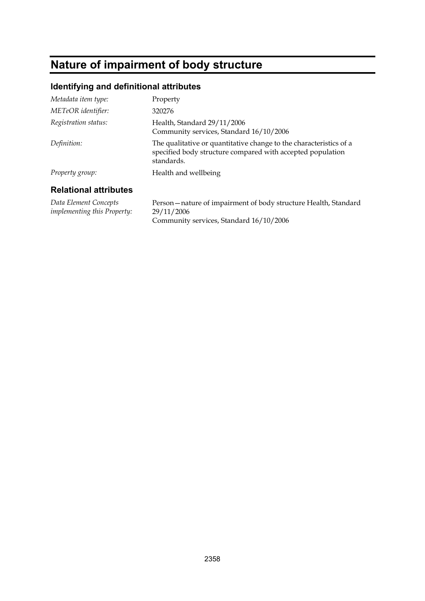## **Nature of impairment of body structure**

#### **Identifying and definitional attributes**

| Metadata item type:          | Property                                                                                                                                       |
|------------------------------|------------------------------------------------------------------------------------------------------------------------------------------------|
| METeOR identifier:           | 320276                                                                                                                                         |
| Registration status:         | Health, Standard 29/11/2006<br>Community services, Standard 16/10/2006                                                                         |
| Definition:                  | The qualitative or quantitative change to the characteristics of a<br>specified body structure compared with accepted population<br>standards. |
| Property group:              | Health and wellbeing                                                                                                                           |
| <b>Relational attributes</b> |                                                                                                                                                |

*Data Element Concepts implementing this Property:*

Person—nature of impairment of body structure Health, Standard 29/11/2006 Community services, Standard 16/10/2006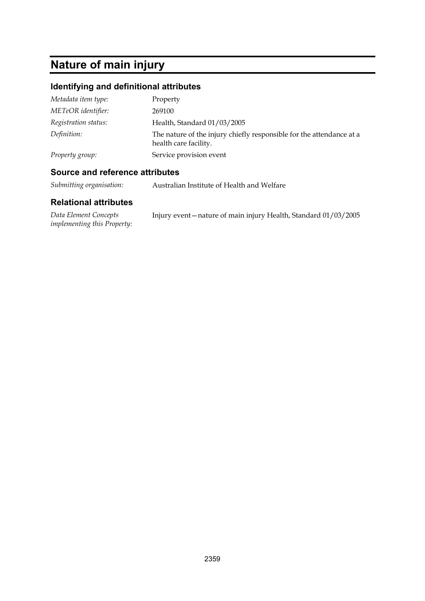# **Nature of main injury**

### **Identifying and definitional attributes**

| Metadata item type:  | Property                                                                                      |
|----------------------|-----------------------------------------------------------------------------------------------|
| METeOR identifier:   | 269100                                                                                        |
| Registration status: | Health, Standard 01/03/2005                                                                   |
| Definition:          | The nature of the injury chiefly responsible for the attendance at a<br>health care facility. |
| Property group:      | Service provision event                                                                       |

#### **Source and reference attributes**

*Submitting organisation:* Australian Institute of Health and Welfare

| Data Element Concepts              | Injury event – nature of main injury Health, Standard 01/03/2005 |
|------------------------------------|------------------------------------------------------------------|
| <i>implementing this Property:</i> |                                                                  |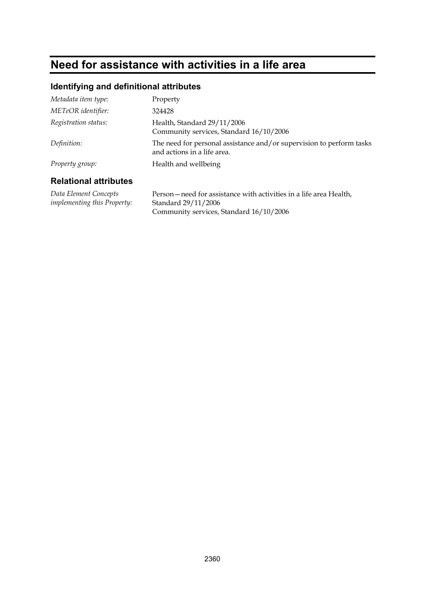## **Need for assistance with activities in a life area**

#### **Identifying and definitional attributes**

| Metadata item type:          | Property                                                                                            |
|------------------------------|-----------------------------------------------------------------------------------------------------|
| METeOR identifier:           | 324428                                                                                              |
| Registration status:         | Health, Standard 29/11/2006<br>Community services, Standard 16/10/2006                              |
| Definition:                  | The need for personal assistance and/or supervision to perform tasks<br>and actions in a life area. |
| Property group:              | Health and wellbeing                                                                                |
| <b>Relational attributes</b> |                                                                                                     |

#### **Relational attributes**

*Data Element Concepts implementing this Property:* Person—need for assistance with activities in a life area Health, Standard 29/11/2006 Community services, Standard 16/10/2006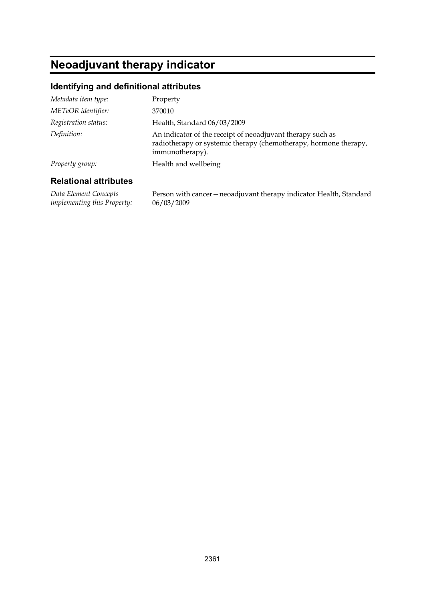## **Neoadjuvant therapy indicator**

#### **Identifying and definitional attributes**

| Metadata item type:  | Property                                                                                                                                          |
|----------------------|---------------------------------------------------------------------------------------------------------------------------------------------------|
| METeOR identifier:   | 370010                                                                                                                                            |
| Registration status: | Health, Standard 06/03/2009                                                                                                                       |
| Definition:          | An indicator of the receipt of neoadjuvant therapy such as<br>radiotherapy or systemic therapy (chemotherapy, hormone therapy,<br>immunotherapy). |
| Property group:      | Health and wellbeing                                                                                                                              |
|                      |                                                                                                                                                   |

#### **Relational attributes**

*Data Element Concepts implementing this Property:*

Person with cancer—neoadjuvant therapy indicator Health, Standard 06/03/2009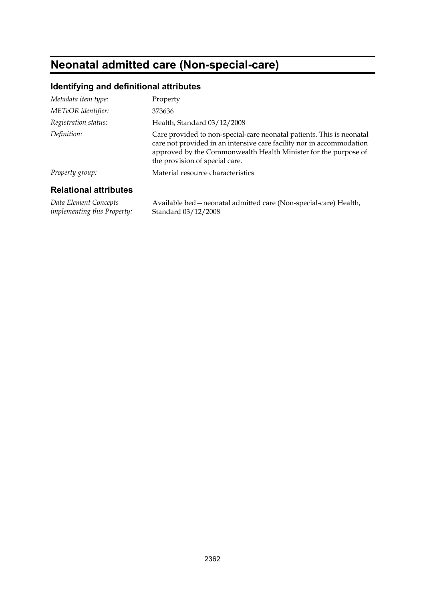## **Neonatal admitted care (Non-special-care)**

#### **Identifying and definitional attributes**

| Metadata item type:          | Property                                                                                                                                                                                                                                           |
|------------------------------|----------------------------------------------------------------------------------------------------------------------------------------------------------------------------------------------------------------------------------------------------|
| METeOR identifier:           | 373636                                                                                                                                                                                                                                             |
| Registration status:         | Health, Standard 03/12/2008                                                                                                                                                                                                                        |
| Definition:                  | Care provided to non-special-care neonatal patients. This is neonatal<br>care not provided in an intensive care facility nor in accommodation<br>approved by the Commonwealth Health Minister for the purpose of<br>the provision of special care. |
| Property group:              | Material resource characteristics                                                                                                                                                                                                                  |
| <b>Relational attributes</b> |                                                                                                                                                                                                                                                    |

### **Relational attributes**

*Data Element Concepts implementing this Property:* Available bed—neonatal admitted care (Non-special-care) Health, Standard 03/12/2008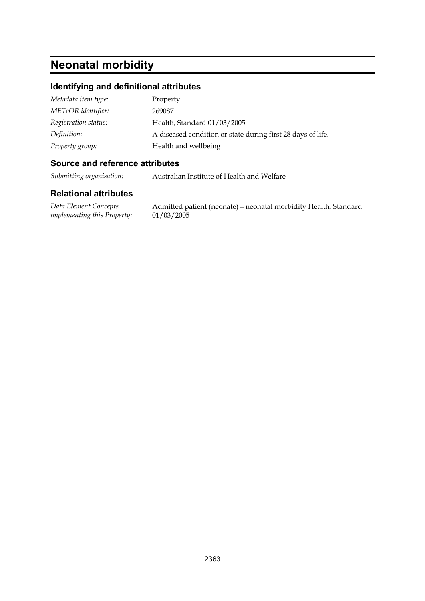## **Neonatal morbidity**

#### **Identifying and definitional attributes**

| Metadata item type:  | Property                                                    |
|----------------------|-------------------------------------------------------------|
| METeOR identifier:   | 269087                                                      |
| Registration status: | Health, Standard 01/03/2005                                 |
| Definition:          | A diseased condition or state during first 28 days of life. |
| Property group:      | Health and wellbeing                                        |

#### **Source and reference attributes**

*Submitting organisation:* Australian Institute of Health and Welfare

#### **Relational attributes**

*Data Element Concepts implementing this Property:*

Admitted patient (neonate)—neonatal morbidity Health, Standard 01/03/2005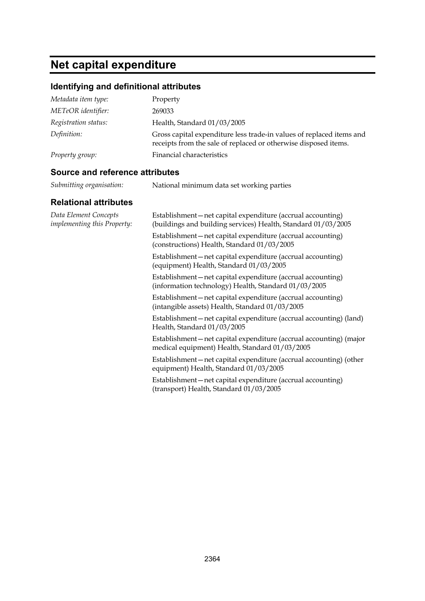# **Net capital expenditure**

### **Identifying and definitional attributes**

| Metadata item type:  | Property                                                                                                                                |
|----------------------|-----------------------------------------------------------------------------------------------------------------------------------------|
| METeOR identifier:   | 269033                                                                                                                                  |
| Registration status: | Health, Standard 01/03/2005                                                                                                             |
| Definition:          | Gross capital expenditure less trade-in values of replaced items and<br>receipts from the sale of replaced or otherwise disposed items. |
| Property group:      | Financial characteristics                                                                                                               |

#### **Source and reference attributes**

| Submitting organisation: | National minimum data set working parties |
|--------------------------|-------------------------------------------|

| Data Element Concepts<br><i>implementing this Property:</i> | Establishment-net capital expenditure (accrual accounting)<br>(buildings and building services) Health, Standard 01/03/2005 |
|-------------------------------------------------------------|-----------------------------------------------------------------------------------------------------------------------------|
|                                                             | Establishment—net capital expenditure (accrual accounting)<br>(constructions) Health, Standard 01/03/2005                   |
|                                                             | Establishment-net capital expenditure (accrual accounting)<br>(equipment) Health, Standard 01/03/2005                       |
|                                                             | Establishment—net capital expenditure (accrual accounting)<br>(information technology) Health, Standard 01/03/2005          |
|                                                             | Establishment—net capital expenditure (accrual accounting)<br>(intangible assets) Health, Standard 01/03/2005               |
|                                                             | Establishment—net capital expenditure (accrual accounting) (land)<br>Health, Standard 01/03/2005                            |
|                                                             | Establishment—net capital expenditure (accrual accounting) (major<br>medical equipment) Health, Standard 01/03/2005         |
|                                                             | Establishment—net capital expenditure (accrual accounting) (other<br>equipment) Health, Standard 01/03/2005                 |
|                                                             | Establishment—net capital expenditure (accrual accounting)<br>(transport) Health, Standard 01/03/2005                       |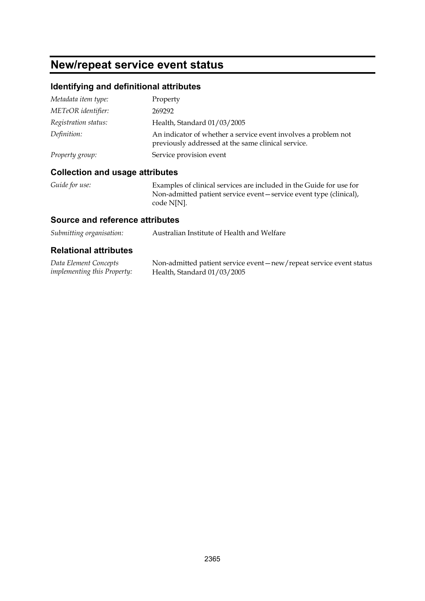### **New/repeat service event status**

#### **Identifying and definitional attributes**

| Metadata item type:  | Property                                                                                                             |
|----------------------|----------------------------------------------------------------------------------------------------------------------|
| METeOR identifier:   | 269292                                                                                                               |
| Registration status: | Health, Standard 01/03/2005                                                                                          |
| Definition:          | An indicator of whether a service event involves a problem not<br>previously addressed at the same clinical service. |
| Property group:      | Service provision event                                                                                              |

#### **Collection and usage attributes**

*Guide for use:* Examples of clinical services are included in the Guide for use for Non-admitted patient service event—service event type (clinical), code N[N].

#### **Source and reference attributes**

| Submitting organisation: | Australian Institute of Health and Welfare |
|--------------------------|--------------------------------------------|
|                          |                                            |

| Data Element Concepts              | Non-admitted patient service event-new/repeat service event status |
|------------------------------------|--------------------------------------------------------------------|
| <i>implementing this Property:</i> | Health, Standard $01/03/2005$                                      |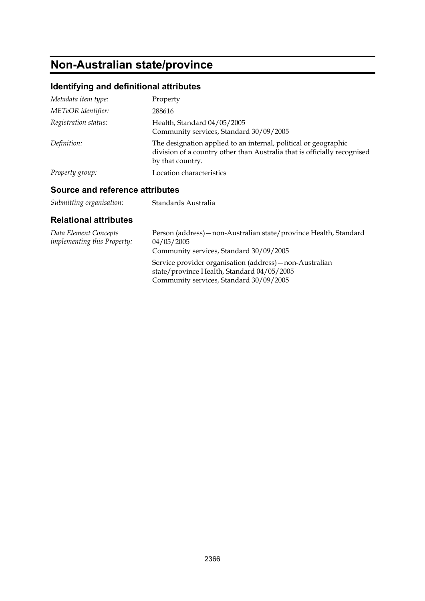## **Non-Australian state/province**

### **Identifying and definitional attributes**

| Metadata item type:  | Property                                                                                                                                                        |
|----------------------|-----------------------------------------------------------------------------------------------------------------------------------------------------------------|
| METeOR identifier:   | 288616                                                                                                                                                          |
| Registration status: | Health, Standard 04/05/2005<br>Community services, Standard 30/09/2005                                                                                          |
| Definition:          | The designation applied to an internal, political or geographic<br>division of a country other than Australia that is officially recognised<br>by that country. |
| Property group:      | Location characteristics                                                                                                                                        |

#### **Source and reference attributes**

| Standards Australia |
|---------------------|
|                     |

| Data Element Concepts<br><i>implementing this Property:</i> | Person (address) – non-Australian state/province Health, Standard<br>04/05/2005<br>Community services, Standard 30/09/2005                        |
|-------------------------------------------------------------|---------------------------------------------------------------------------------------------------------------------------------------------------|
|                                                             | Service provider organisation (address) – non-Australian<br>state/province Health, Standard 04/05/2005<br>Community services, Standard 30/09/2005 |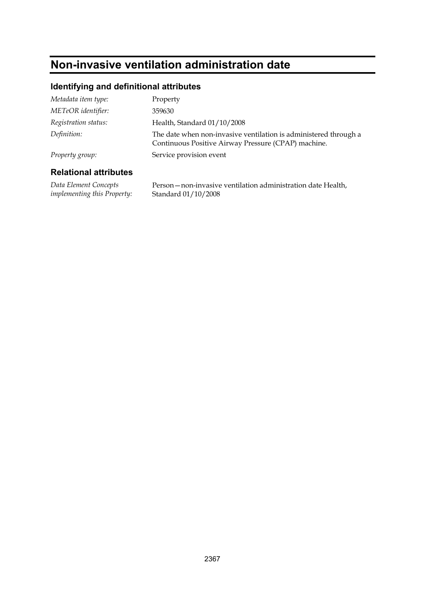## **Non-invasive ventilation administration date**

#### **Identifying and definitional attributes**

| Metadata item type:  | Property                                                                                                                |
|----------------------|-------------------------------------------------------------------------------------------------------------------------|
| METeOR identifier:   | 359630                                                                                                                  |
| Registration status: | Health, Standard 01/10/2008                                                                                             |
| Definition:          | The date when non-invasive ventilation is administered through a<br>Continuous Positive Airway Pressure (CPAP) machine. |
| Property group:      | Service provision event                                                                                                 |
|                      |                                                                                                                         |

#### **Relational attributes**

*Data Element Concepts implementing this Property:* Person—non-invasive ventilation administration date Health, Standard 01/10/2008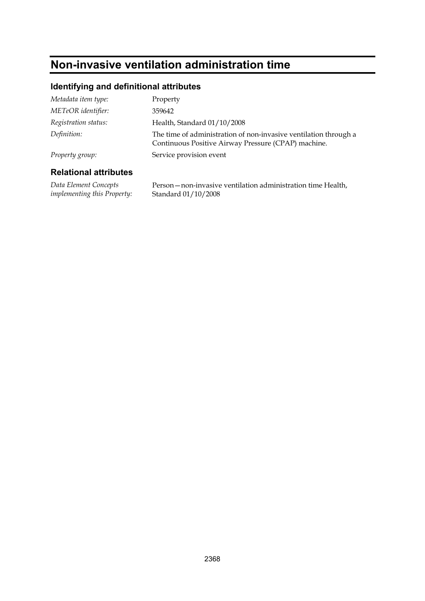## **Non-invasive ventilation administration time**

#### **Identifying and definitional attributes**

| Metadata item type:  | Property                                                                                                                |
|----------------------|-------------------------------------------------------------------------------------------------------------------------|
| METeOR identifier:   | 359642                                                                                                                  |
| Registration status: | Health, Standard 01/10/2008                                                                                             |
| Definition:          | The time of administration of non-invasive ventilation through a<br>Continuous Positive Airway Pressure (CPAP) machine. |
| Property group:      | Service provision event                                                                                                 |
|                      |                                                                                                                         |

#### **Relational attributes**

*Data Element Concepts implementing this Property:* Person—non-invasive ventilation administration time Health, Standard 01/10/2008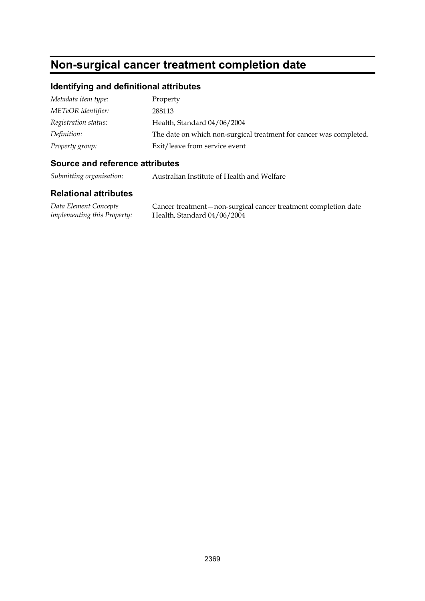### **Non-surgical cancer treatment completion date**

#### **Identifying and definitional attributes**

| Metadata item type:  | Property                                                           |
|----------------------|--------------------------------------------------------------------|
| METeOR identifier:   | 288113                                                             |
| Registration status: | Health, Standard 04/06/2004                                        |
| Definition:          | The date on which non-surgical treatment for cancer was completed. |
| Property group:      | Exit/leave from service event                                      |

#### **Source and reference attributes**

*Submitting organisation:* Australian Institute of Health and Welfare

#### **Relational attributes**

*Data Element Concepts implementing this Property:* Cancer treatment—non-surgical cancer treatment completion date Health, Standard 04/06/2004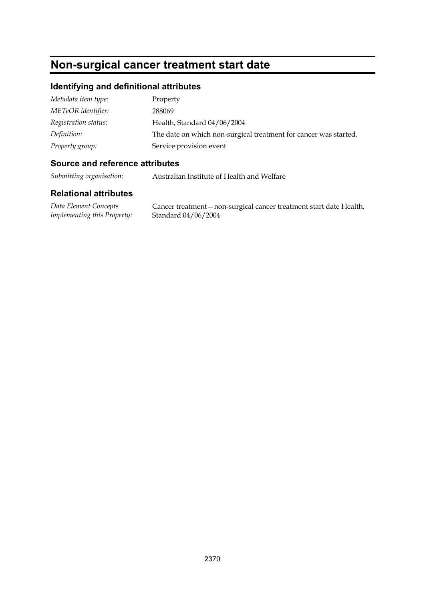## **Non-surgical cancer treatment start date**

#### **Identifying and definitional attributes**

| Metadata item type:  | Property                                                         |
|----------------------|------------------------------------------------------------------|
| METeOR identifier:   | 288069                                                           |
| Registration status: | Health, Standard 04/06/2004                                      |
| Definition:          | The date on which non-surgical treatment for cancer was started. |
| Property group:      | Service provision event                                          |

#### **Source and reference attributes**

*Submitting organisation:* Australian Institute of Health and Welfare

#### **Relational attributes**

*Data Element Concepts implementing this Property:*

Cancer treatment—non-surgical cancer treatment start date Health, Standard 04/06/2004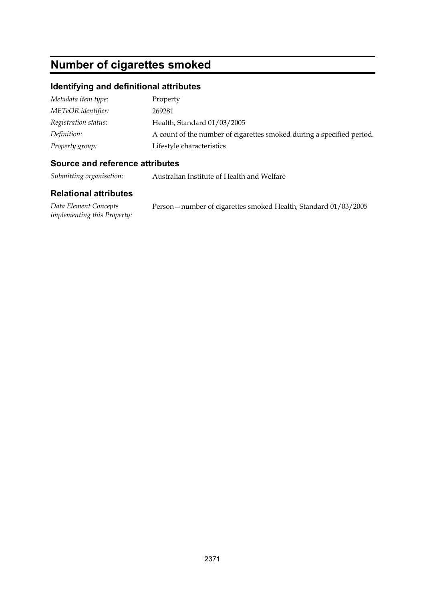## **Number of cigarettes smoked**

#### **Identifying and definitional attributes**

| Metadata item type:  | Property                                                              |
|----------------------|-----------------------------------------------------------------------|
| METeOR identifier:   | 269281                                                                |
| Registration status: | Health, Standard 01/03/2005                                           |
| Definition:          | A count of the number of cigarettes smoked during a specified period. |
| Property group:      | Lifestyle characteristics                                             |

#### **Source and reference attributes**

*Submitting organisation:* Australian Institute of Health and Welfare

#### **Relational attributes**

*Data Element Concepts implementing this Property:* Person—number of cigarettes smoked Health, Standard 01/03/2005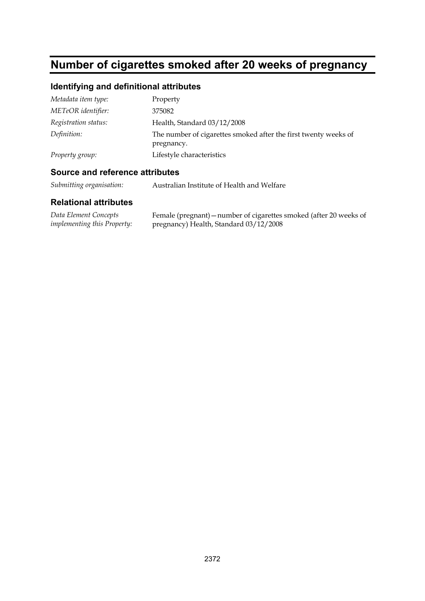## **Number of cigarettes smoked after 20 weeks of pregnancy**

### **Identifying and definitional attributes**

| Metadata item type:  | Property                                                                      |
|----------------------|-------------------------------------------------------------------------------|
| METeOR identifier:   | 375082                                                                        |
| Registration status: | Health, Standard 03/12/2008                                                   |
| Definition:          | The number of cigarettes smoked after the first twenty weeks of<br>pregnancy. |
| Property group:      | Lifestyle characteristics                                                     |

#### **Source and reference attributes**

*Submitting organisation:* Australian Institute of Health and Welfare

| Data Element Concepts              | Female (pregnant) – number of cigarettes smoked (after 20 weeks of |
|------------------------------------|--------------------------------------------------------------------|
| <i>implementing this Property:</i> | pregnancy) Health, Standard 03/12/2008                             |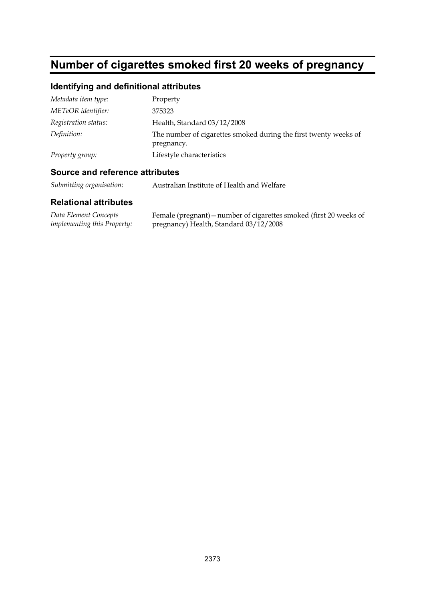## **Number of cigarettes smoked first 20 weeks of pregnancy**

### **Identifying and definitional attributes**

| Metadata item type:  | Property                                                                       |
|----------------------|--------------------------------------------------------------------------------|
| METeOR identifier:   | 375323                                                                         |
| Registration status: | Health, Standard 03/12/2008                                                    |
| Definition:          | The number of cigarettes smoked during the first twenty weeks of<br>pregnancy. |
| Property group:      | Lifestyle characteristics                                                      |

#### **Source and reference attributes**

*Submitting organisation:* Australian Institute of Health and Welfare

| Data Element Concepts              | Female (pregnant) – number of cigarettes smoked (first 20 weeks of |
|------------------------------------|--------------------------------------------------------------------|
| <i>implementing this Property:</i> | pregnancy) Health, Standard 03/12/2008                             |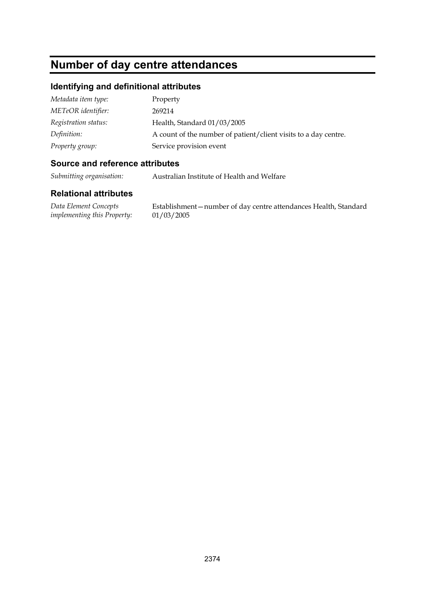## **Number of day centre attendances**

#### **Identifying and definitional attributes**

| Metadata item type:  | Property                                                        |
|----------------------|-----------------------------------------------------------------|
| METeOR identifier:   | 269214                                                          |
| Registration status: | Health, Standard 01/03/2005                                     |
| Definition:          | A count of the number of patient/client visits to a day centre. |
| Property group:      | Service provision event                                         |

#### **Source and reference attributes**

*Submitting organisation:* Australian Institute of Health and Welfare

#### **Relational attributes**

*Data Element Concepts implementing this Property:*

Establishment—number of day centre attendances Health, Standard 01/03/2005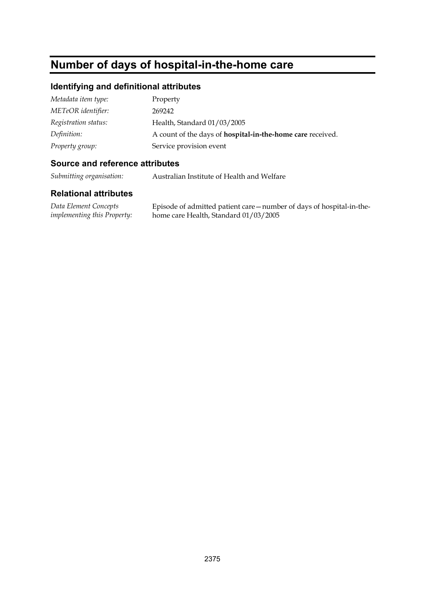## **Number of days of hospital-in-the-home care**

#### **Identifying and definitional attributes**

| Metadata item type:  | Property                                                          |
|----------------------|-------------------------------------------------------------------|
| METeOR identifier:   | 269242                                                            |
| Registration status: | Health, Standard 01/03/2005                                       |
| Definition:          | A count of the days of <b>hospital-in-the-home care</b> received. |
| Property group:      | Service provision event                                           |

#### **Source and reference attributes**

*Submitting organisation:* Australian Institute of Health and Welfare

#### **Relational attributes**

*Data Element Concepts implementing this Property:* Episode of admitted patient care—number of days of hospital-in-thehome care Health, Standard 01/03/2005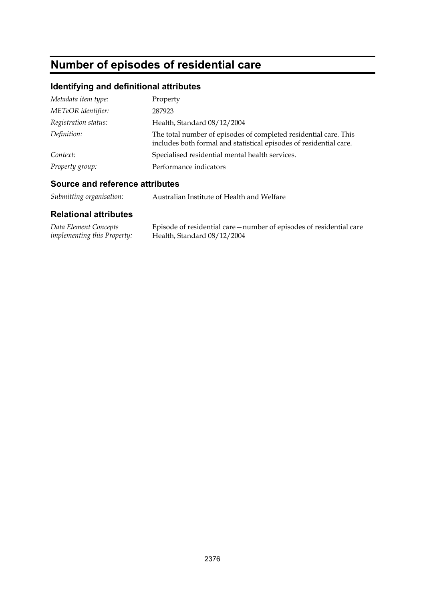# **Number of episodes of residential care**

### **Identifying and definitional attributes**

| Metadata item type:  | Property                                                                                                                               |  |
|----------------------|----------------------------------------------------------------------------------------------------------------------------------------|--|
| METeOR identifier:   | 287923                                                                                                                                 |  |
| Registration status: | Health, Standard 08/12/2004                                                                                                            |  |
| Definition:          | The total number of episodes of completed residential care. This<br>includes both formal and statistical episodes of residential care. |  |
| Context:             | Specialised residential mental health services.                                                                                        |  |
| Property group:      | Performance indicators                                                                                                                 |  |

#### **Source and reference attributes**

| Submitting organisation: | Australian Institute of Health and Welfare |
|--------------------------|--------------------------------------------|
|--------------------------|--------------------------------------------|

| Data Element Concepts              | Episode of residential care—number of episodes of residential care |
|------------------------------------|--------------------------------------------------------------------|
| <i>implementing this Property:</i> | Health, Standard 08/12/2004                                        |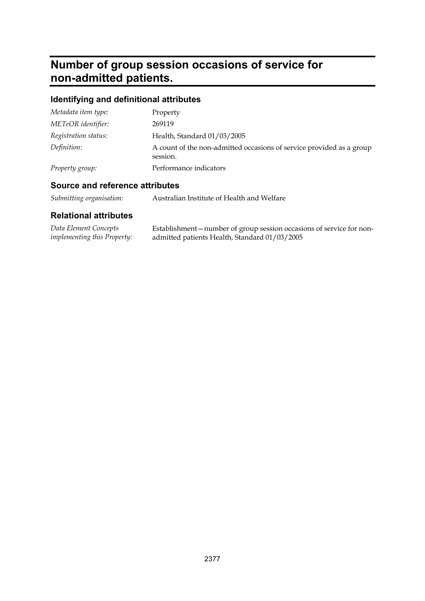## **Number of group session occasions of service for non-admitted patients.**

### **Identifying and definitional attributes**

| Metadata item type:  | Property                                                                         |
|----------------------|----------------------------------------------------------------------------------|
| METeOR identifier:   | 269119                                                                           |
| Registration status: | Health, Standard 01/03/2005                                                      |
| Definition:          | A count of the non-admitted occasions of service provided as a group<br>session. |
| Property group:      | Performance indicators                                                           |

#### **Source and reference attributes**

| Submitting organisation: | Australian Institute of Health and Welfare |
|--------------------------|--------------------------------------------|
|                          |                                            |

| Data Element Concepts              | Establishment – number of group session occasions of service for non- |
|------------------------------------|-----------------------------------------------------------------------|
| <i>implementing this Property:</i> | admitted patients Health, Standard 01/03/2005                         |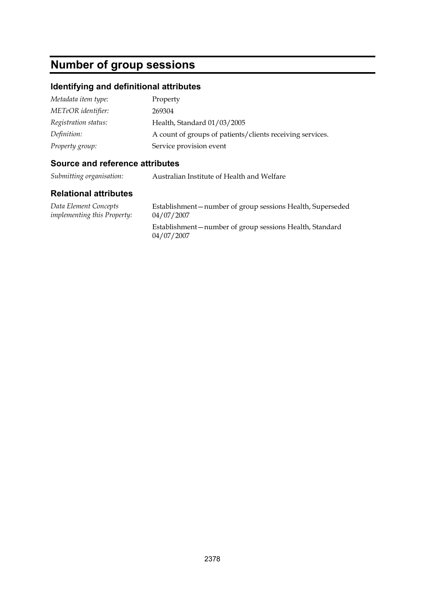## **Number of group sessions**

#### **Identifying and definitional attributes**

| Metadata item type:  | Property                                                  |
|----------------------|-----------------------------------------------------------|
| METeOR identifier:   | 269304                                                    |
| Registration status: | Health, Standard 01/03/2005                               |
| Definition:          | A count of groups of patients/clients receiving services. |
| Property group:      | Service provision event                                   |

#### **Source and reference attributes**

*Submitting organisation:* Australian Institute of Health and Welfare

#### **Relational attributes**

*Data Element Concepts implementing this Property:*

Establishment—number of group sessions Health, Superseded 04/07/2007

Establishment—number of group sessions Health, Standard 04/07/2007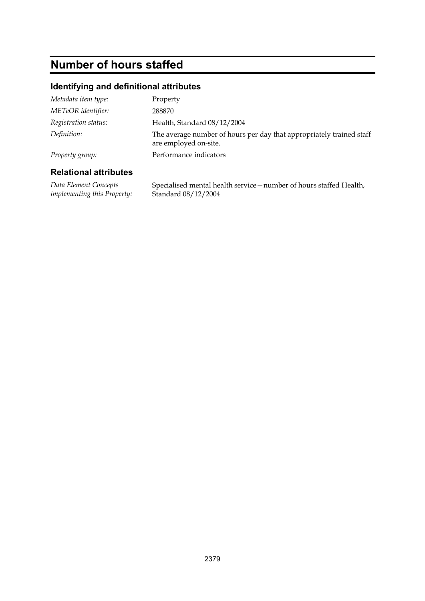## **Number of hours staffed**

### **Identifying and definitional attributes**

| Metadata item type:  | Property                                                                                      |
|----------------------|-----------------------------------------------------------------------------------------------|
| METeOR identifier:   | 288870                                                                                        |
| Registration status: | Health, Standard 08/12/2004                                                                   |
| Definition:          | The average number of hours per day that appropriately trained staff<br>are employed on-site. |
| Property group:      | Performance indicators                                                                        |

#### **Relational attributes**

*Data Element Concepts implementing this Property:* Specialised mental health service—number of hours staffed Health, Standard 08/12/2004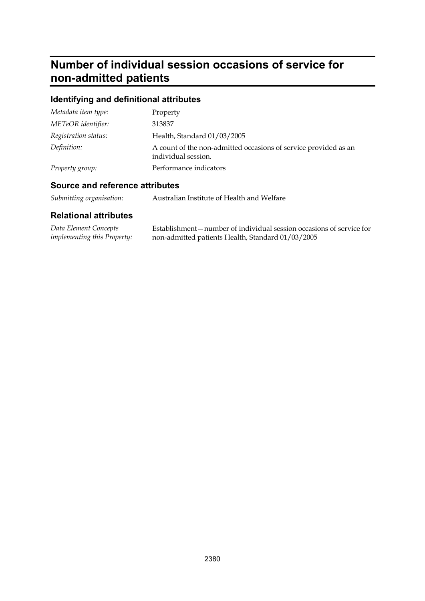## **Number of individual session occasions of service for non-admitted patients**

### **Identifying and definitional attributes**

| Metadata item type:  | Property                                                                               |
|----------------------|----------------------------------------------------------------------------------------|
| METeOR identifier:   | 313837                                                                                 |
| Registration status: | Health, Standard 01/03/2005                                                            |
| Definition:          | A count of the non-admitted occasions of service provided as an<br>individual session. |
| Property group:      | Performance indicators                                                                 |

### **Source and reference attributes**

| Submitting organisation: | Australian Institute of Health and Welfare |
|--------------------------|--------------------------------------------|
|                          |                                            |

| Data Element Concepts              | Establishment—number of individual session occasions of service for |
|------------------------------------|---------------------------------------------------------------------|
| <i>implementing this Property:</i> | non-admitted patients Health, Standard 01/03/2005                   |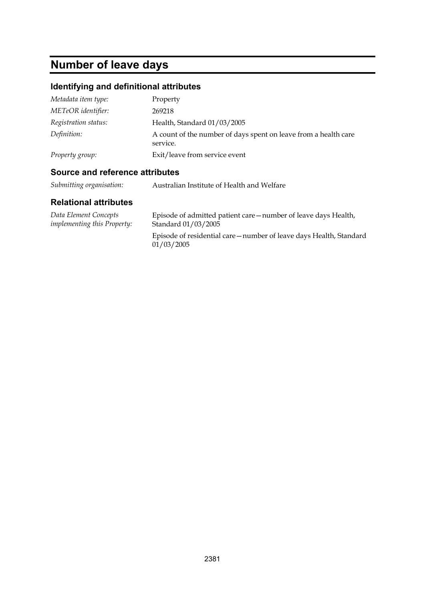# **Number of leave days**

### **Identifying and definitional attributes**

| Metadata item type:  | Property                                                                    |
|----------------------|-----------------------------------------------------------------------------|
| METeOR identifier:   | 269218                                                                      |
| Registration status: | Health, Standard 01/03/2005                                                 |
| Definition:          | A count of the number of days spent on leave from a health care<br>service. |
| Property group:      | Exit/leave from service event                                               |

#### **Source and reference attributes**

| Submitting organisation: | Australian Institute of Health and Welfare |
|--------------------------|--------------------------------------------|
|                          |                                            |

| Data Element Concepts              | Episode of admitted patient care—number of leave days Health,                   |
|------------------------------------|---------------------------------------------------------------------------------|
| <i>implementing this Property:</i> | Standard 01/03/2005                                                             |
|                                    | Episode of residential care—number of leave days Health, Standard<br>01/03/2005 |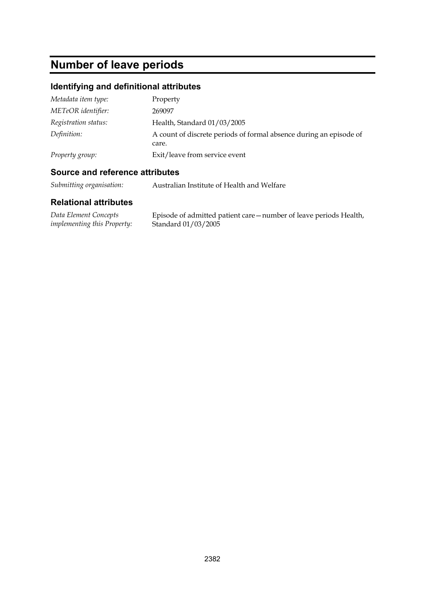## **Number of leave periods**

### **Identifying and definitional attributes**

| Metadata item type:  | Property                                                                    |
|----------------------|-----------------------------------------------------------------------------|
| METeOR identifier:   | 269097                                                                      |
| Registration status: | Health, Standard 01/03/2005                                                 |
| Definition:          | A count of discrete periods of formal absence during an episode of<br>care. |
| Property group:      | Exit/leave from service event                                               |

#### **Source and reference attributes**

*Submitting organisation:* Australian Institute of Health and Welfare

| Data Element Concepts              | Episode of admitted patient care—number of leave periods Health, |
|------------------------------------|------------------------------------------------------------------|
| <i>implementing this Property:</i> | Standard 01/03/2005                                              |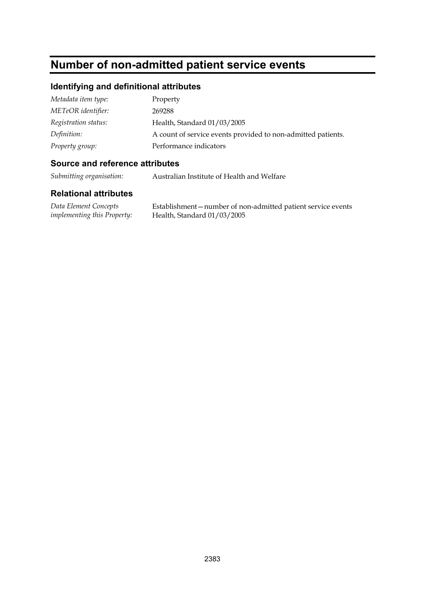## **Number of non-admitted patient service events**

### **Identifying and definitional attributes**

| Metadata item type:  | Property                                                     |
|----------------------|--------------------------------------------------------------|
| METeOR identifier:   | 269288                                                       |
| Registration status: | Health, Standard 01/03/2005                                  |
| Definition:          | A count of service events provided to non-admitted patients. |
| Property group:      | Performance indicators                                       |

#### **Source and reference attributes**

*Submitting organisation:* Australian Institute of Health and Welfare

| Data Element Concepts              | Establishment-number of non-admitted patient service events |
|------------------------------------|-------------------------------------------------------------|
| <i>implementing this Property:</i> | Health, Standard $01/03/2005$                               |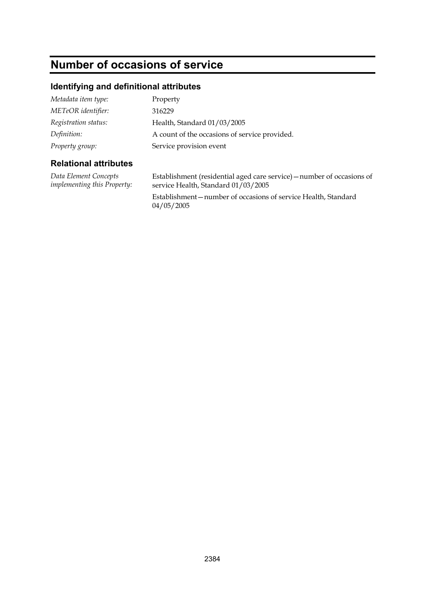## **Number of occasions of service**

### **Identifying and definitional attributes**

| Metadata item type:  | Property                                      |
|----------------------|-----------------------------------------------|
| METeOR identifier:   | 316229                                        |
| Registration status: | Health, Standard 01/03/2005                   |
| Definition:          | A count of the occasions of service provided. |
| Property group:      | Service provision event                       |

#### **Relational attributes**

*Data Element Concepts implementing this Property:* Establishment (residential aged care service)—number of occasions of service Health, Standard 01/03/2005

Establishment—number of occasions of service Health, Standard 04/05/2005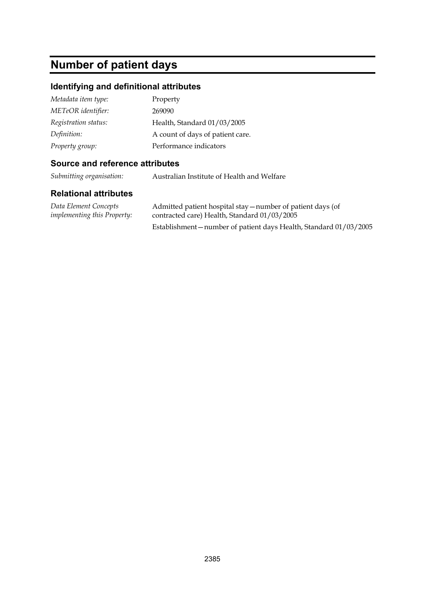## **Number of patient days**

#### **Identifying and definitional attributes**

| Metadata item type:  | Property                         |
|----------------------|----------------------------------|
| METeOR identifier:   | 269090                           |
| Registration status: | Health, Standard 01/03/2005      |
| Definition:          | A count of days of patient care. |
| Property group:      | Performance indicators           |

#### **Source and reference attributes**

*Submitting organisation:* Australian Institute of Health and Welfare

#### **Relational attributes**

*Data Element Concepts implementing this Property:* Admitted patient hospital stay—number of patient days (of contracted care) Health, Standard 01/03/2005 Establishment—number of patient days Health, Standard 01/03/2005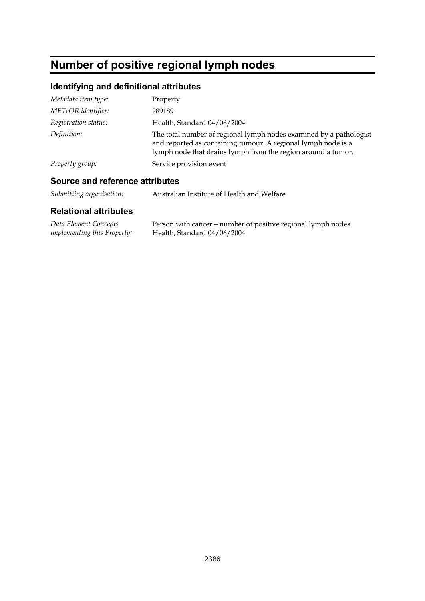## **Number of positive regional lymph nodes**

### **Identifying and definitional attributes**

| Metadata item type:  | Property                                                                                                                                                                                            |
|----------------------|-----------------------------------------------------------------------------------------------------------------------------------------------------------------------------------------------------|
| METeOR identifier:   | 289189                                                                                                                                                                                              |
| Registration status: | Health, Standard 04/06/2004                                                                                                                                                                         |
| Definition:          | The total number of regional lymph nodes examined by a pathologist<br>and reported as containing tumour. A regional lymph node is a<br>lymph node that drains lymph from the region around a tumor. |
| Property group:      | Service provision event                                                                                                                                                                             |

### **Source and reference attributes**

| Data Element Concepts              | Person with cancer – number of positive regional lymph nodes |
|------------------------------------|--------------------------------------------------------------|
| <i>implementing this Property:</i> | Health, Standard 04/06/2004                                  |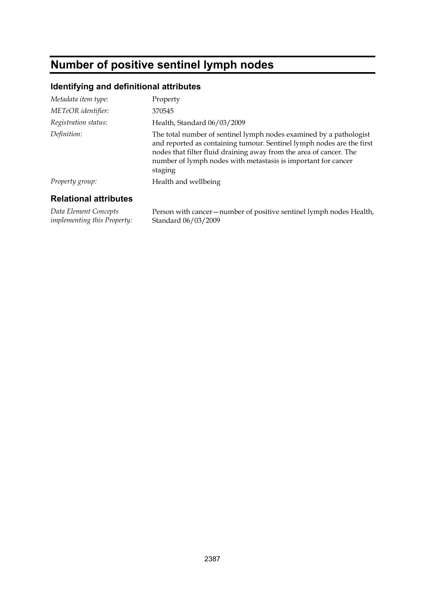# **Number of positive sentinel lymph nodes**

#### **Identifying and definitional attributes**

| Metadata item type:  | Property                                                                                                                                                                                                                                                                                      |
|----------------------|-----------------------------------------------------------------------------------------------------------------------------------------------------------------------------------------------------------------------------------------------------------------------------------------------|
| METeOR identifier:   | 370545                                                                                                                                                                                                                                                                                        |
| Registration status: | Health, Standard 06/03/2009                                                                                                                                                                                                                                                                   |
| Definition:          | The total number of sentinel lymph nodes examined by a pathologist<br>and reported as containing tumour. Sentinel lymph nodes are the first<br>nodes that filter fluid draining away from the area of cancer. The<br>number of lymph nodes with metastasis is important for cancer<br>staging |
| Property group:      | Health and wellbeing                                                                                                                                                                                                                                                                          |
|                      |                                                                                                                                                                                                                                                                                               |

#### **Relational attributes**

*Data Element Concepts implementing this Property:* Person with cancer—number of positive sentinel lymph nodes Health, Standard 06/03/2009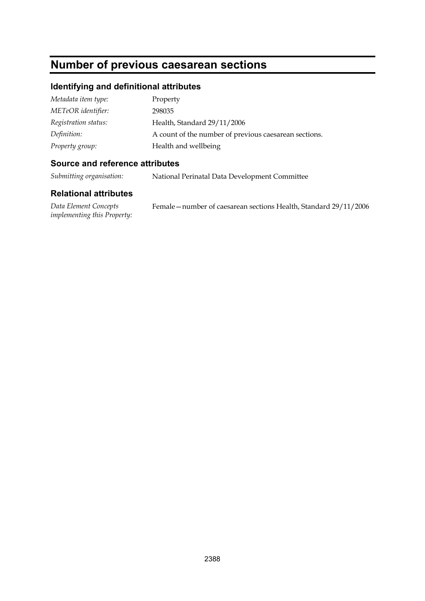## **Number of previous caesarean sections**

#### **Identifying and definitional attributes**

| Metadata item type:  | Property                                              |
|----------------------|-------------------------------------------------------|
| METeOR identifier:   | 298035                                                |
| Registration status: | Health, Standard 29/11/2006                           |
| Definition:          | A count of the number of previous caesarean sections. |
| Property group:      | Health and wellbeing                                  |

#### **Source and reference attributes**

*Submitting organisation:* National Perinatal Data Development Committee

| Data Element Concepts              | Female – number of caesarean sections Health, Standard 29/11/2006 |
|------------------------------------|-------------------------------------------------------------------|
| <i>implementing this Property:</i> |                                                                   |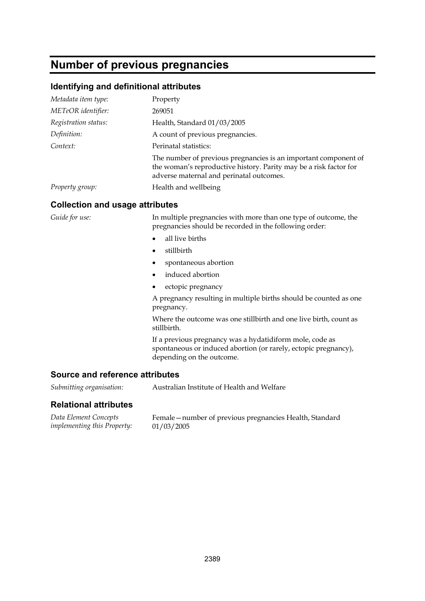### **Number of previous pregnancies**

#### **Identifying and definitional attributes**

| Metadata item type:  | Property                                                                                                                                                                         |
|----------------------|----------------------------------------------------------------------------------------------------------------------------------------------------------------------------------|
| METeOR identifier:   | 269051                                                                                                                                                                           |
| Registration status: | Health, Standard 01/03/2005                                                                                                                                                      |
| Definition:          | A count of previous pregnancies.                                                                                                                                                 |
| Context:             | Perinatal statistics:                                                                                                                                                            |
|                      | The number of previous pregnancies is an important component of<br>the woman's reproductive history. Parity may be a risk factor for<br>adverse maternal and perinatal outcomes. |
| Property group:      | Health and wellbeing                                                                                                                                                             |

#### **Collection and usage attributes**

*Guide for use:* In multiple pregnancies with more than one type of outcome, the pregnancies should be recorded in the following order:

- all live births
- stillbirth
- spontaneous abortion
- induced abortion
- ectopic pregnancy

A pregnancy resulting in multiple births should be counted as one pregnancy.

Where the outcome was one stillbirth and one live birth, count as stillbirth.

If a previous pregnancy was a hydatidiform mole, code as spontaneous or induced abortion (or rarely, ectopic pregnancy), depending on the outcome.

#### **Source and reference attributes**

*Submitting organisation:* Australian Institute of Health and Welfare

#### **Relational attributes**

*Data Element Concepts implementing this Property:*

Female—number of previous pregnancies Health, Standard 01/03/2005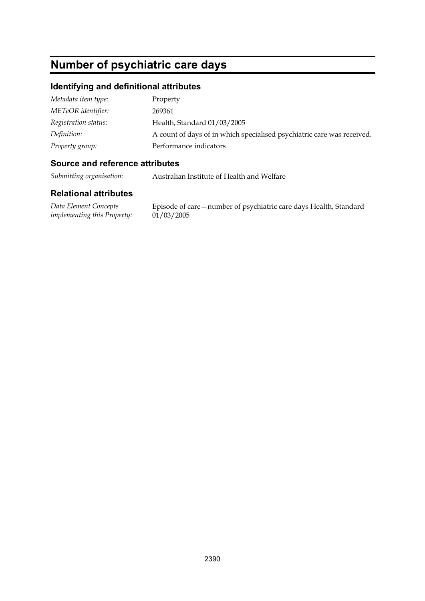## **Number of psychiatric care days**

#### **Identifying and definitional attributes**

| Metadata item type:  | Property                                                               |
|----------------------|------------------------------------------------------------------------|
| METeOR identifier:   | 269361                                                                 |
| Registration status: | Health, Standard 01/03/2005                                            |
| Definition:          | A count of days of in which specialised psychiatric care was received. |
| Property group:      | Performance indicators                                                 |

#### **Source and reference attributes**

*Submitting organisation:* Australian Institute of Health and Welfare

#### **Relational attributes**

*Data Element Concepts implementing this Property:*

Episode of care—number of psychiatric care days Health, Standard  $01/03/2005$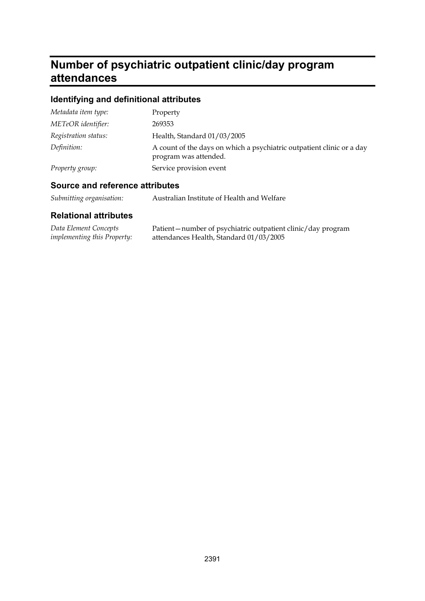## **Number of psychiatric outpatient clinic/day program attendances**

### **Identifying and definitional attributes**

| Metadata item type:  | Property                                                                                       |
|----------------------|------------------------------------------------------------------------------------------------|
| METeOR identifier:   | 269353                                                                                         |
| Registration status: | Health, Standard 01/03/2005                                                                    |
| Definition:          | A count of the days on which a psychiatric outpatient clinic or a day<br>program was attended. |
| Property group:      | Service provision event                                                                        |

### **Source and reference attributes**

| Submitting organisation: | Australian Institute of Health and Welfare |
|--------------------------|--------------------------------------------|
|--------------------------|--------------------------------------------|

| Data Element Concepts              | Patient-number of psychiatric outpatient clinic/day program |
|------------------------------------|-------------------------------------------------------------|
| <i>implementing this Property:</i> | attendances Health, Standard 01/03/2005                     |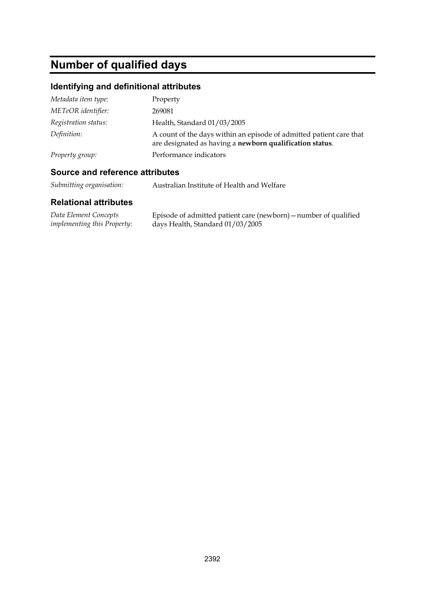# **Number of qualified days**

### **Identifying and definitional attributes**

| Metadata item type:  | Property                                                                                                                        |
|----------------------|---------------------------------------------------------------------------------------------------------------------------------|
| METeOR identifier:   | 269081                                                                                                                          |
| Registration status: | Health, Standard 01/03/2005                                                                                                     |
| Definition:          | A count of the days within an episode of admitted patient care that<br>are designated as having a newborn qualification status. |
| Property group:      | Performance indicators                                                                                                          |

#### **Source and reference attributes**

*Submitting organisation:* Australian Institute of Health and Welfare

| Data Element Concepts              | Episode of admitted patient care (newborn) – number of qualified |
|------------------------------------|------------------------------------------------------------------|
| <i>implementing this Property:</i> | days Health, Standard 01/03/2005                                 |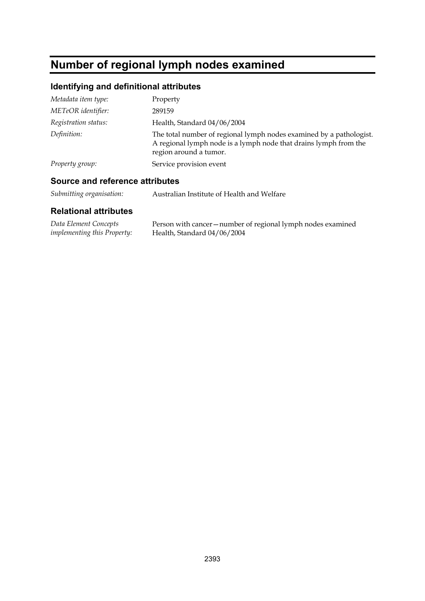# **Number of regional lymph nodes examined**

### **Identifying and definitional attributes**

| Metadata item type:  | Property                                                                                                                                                          |
|----------------------|-------------------------------------------------------------------------------------------------------------------------------------------------------------------|
| METeOR identifier:   | 289159                                                                                                                                                            |
| Registration status: | Health, Standard 04/06/2004                                                                                                                                       |
| Definition:          | The total number of regional lymph nodes examined by a pathologist.<br>A regional lymph node is a lymph node that drains lymph from the<br>region around a tumor. |
| Property group:      | Service provision event                                                                                                                                           |

### **Source and reference attributes**

| Submitting organisation: | Australian Institute of Health and Welfare |
|--------------------------|--------------------------------------------|
|--------------------------|--------------------------------------------|

| Data Element Concepts              | Person with cancer – number of regional lymph nodes examined |
|------------------------------------|--------------------------------------------------------------|
| <i>implementing this Property:</i> | Health, Standard 04/06/2004                                  |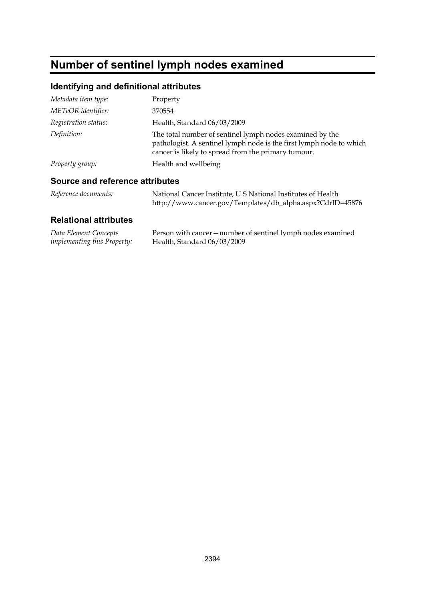# **Number of sentinel lymph nodes examined**

### **Identifying and definitional attributes**

| Property                                                                                                                                                                               |
|----------------------------------------------------------------------------------------------------------------------------------------------------------------------------------------|
| 370554                                                                                                                                                                                 |
| Health, Standard 06/03/2009                                                                                                                                                            |
| The total number of sentinel lymph nodes examined by the<br>pathologist. A sentinel lymph node is the first lymph node to which<br>cancer is likely to spread from the primary tumour. |
| Health and wellbeing                                                                                                                                                                   |
|                                                                                                                                                                                        |

### **Source and reference attributes**

| Reference documents: | National Cancer Institute, U.S National Institutes of Health |
|----------------------|--------------------------------------------------------------|
|                      | http://www.cancer.gov/Templates/db_alpha.aspx?CdrID=45876    |

| Data Element Concepts              | Person with cancer – number of sentinel lymph nodes examined |
|------------------------------------|--------------------------------------------------------------|
| <i>implementing this Property:</i> | Health, Standard 06/03/2009                                  |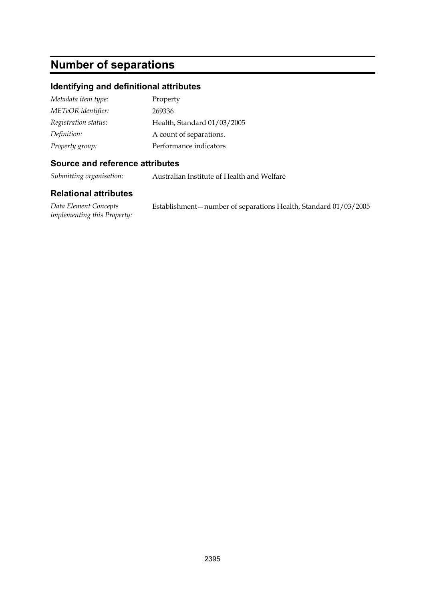# **Number of separations**

#### **Identifying and definitional attributes**

| Metadata item type:  | Property                    |
|----------------------|-----------------------------|
| METeOR identifier:   | 269336                      |
| Registration status: | Health, Standard 01/03/2005 |
| Definition:          | A count of separations.     |
| Property group:      | Performance indicators      |

#### **Source and reference attributes**

*Submitting organisation:* Australian Institute of Health and Welfare

#### **Relational attributes**

*Data Element Concepts implementing this Property:* Establishment—number of separations Health, Standard 01/03/2005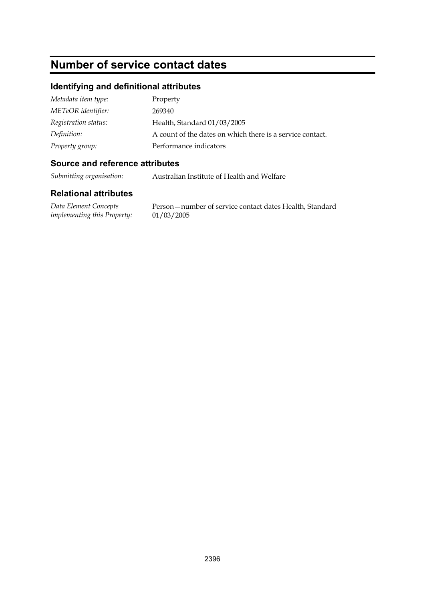# **Number of service contact dates**

#### **Identifying and definitional attributes**

| Metadata item type:  | Property                                                  |
|----------------------|-----------------------------------------------------------|
| METeOR identifier:   | 269340                                                    |
| Registration status: | Health, Standard 01/03/2005                               |
| Definition:          | A count of the dates on which there is a service contact. |
| Property group:      | Performance indicators                                    |

#### **Source and reference attributes**

*Submitting organisation:* Australian Institute of Health and Welfare

#### **Relational attributes**

*Data Element Concepts implementing this Property:*

Person—number of service contact dates Health, Standard 01/03/2005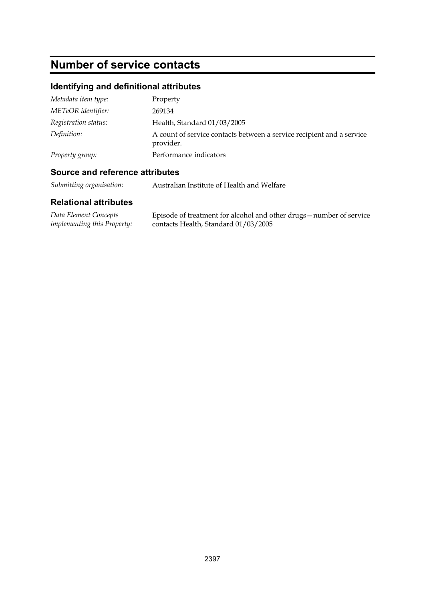# **Number of service contacts**

## **Identifying and definitional attributes**

| Metadata item type:  | Property                                                                           |
|----------------------|------------------------------------------------------------------------------------|
| METeOR identifier:   | 269134                                                                             |
| Registration status: | Health, Standard 01/03/2005                                                        |
| Definition:          | A count of service contacts between a service recipient and a service<br>provider. |
| Property group:      | Performance indicators                                                             |

### **Source and reference attributes**

*Submitting organisation:* Australian Institute of Health and Welfare

| Data Element Concepts              | Episode of treatment for alcohol and other drugs – number of service |
|------------------------------------|----------------------------------------------------------------------|
| <i>implementing this Property:</i> | contacts Health, Standard 01/03/2005                                 |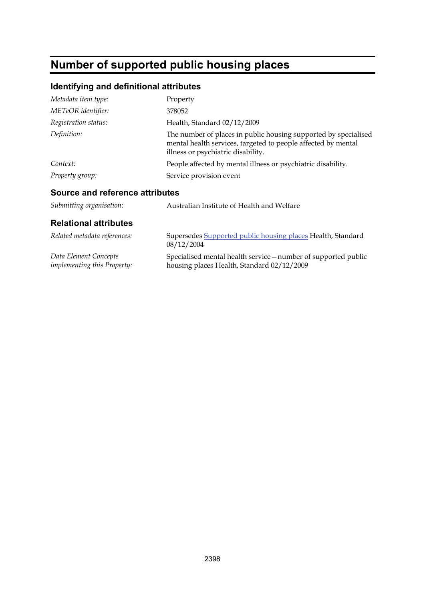# **Number of supported public housing places**

## **Identifying and definitional attributes**

| Metadata item type:  | Property                                                                                                                                                               |
|----------------------|------------------------------------------------------------------------------------------------------------------------------------------------------------------------|
| METeOR identifier:   | 378052                                                                                                                                                                 |
| Registration status: | Health, Standard 02/12/2009                                                                                                                                            |
| Definition:          | The number of places in public housing supported by specialised<br>mental health services, targeted to people affected by mental<br>illness or psychiatric disability. |
| Context:             | People affected by mental illness or psychiatric disability.                                                                                                           |
| Property group:      | Service provision event                                                                                                                                                |

### **Source and reference attributes**

| Australian Institute of Health and Welfare                                                                   |
|--------------------------------------------------------------------------------------------------------------|
|                                                                                                              |
| Supersedes Supported public housing places Health, Standard<br>08/12/2004                                    |
| Specialised mental health service - number of supported public<br>housing places Health, Standard 02/12/2009 |
|                                                                                                              |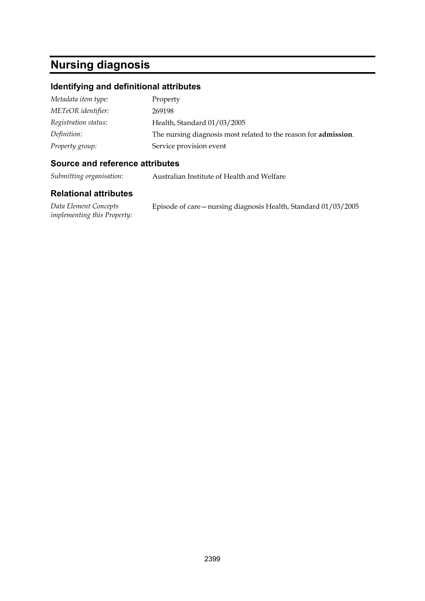# **Nursing diagnosis**

#### **Identifying and definitional attributes**

| Metadata item type:  | Property                                                                |
|----------------------|-------------------------------------------------------------------------|
| METeOR identifier:   | 269198                                                                  |
| Registration status: | Health, Standard 01/03/2005                                             |
| Definition:          | The nursing diagnosis most related to the reason for <b>admission</b> . |
| Property group:      | Service provision event                                                 |

#### **Source and reference attributes**

*Submitting organisation:* Australian Institute of Health and Welfare

#### **Relational attributes**

*Data Element Concepts implementing this Property:*

Episode of care—nursing diagnosis Health, Standard 01/03/2005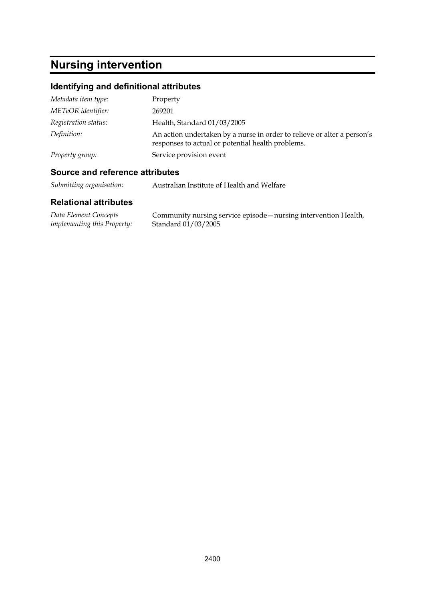# **Nursing intervention**

## **Identifying and definitional attributes**

| Metadata item type:  | Property                                                                                                                     |
|----------------------|------------------------------------------------------------------------------------------------------------------------------|
| METeOR identifier:   | 269201                                                                                                                       |
| Registration status: | Health, Standard 01/03/2005                                                                                                  |
| Definition:          | An action undertaken by a nurse in order to relieve or alter a person's<br>responses to actual or potential health problems. |
| Property group:      | Service provision event                                                                                                      |

### **Source and reference attributes**

*Submitting organisation:* Australian Institute of Health and Welfare

| Data Element Concepts              | Community nursing service episode - nursing intervention Health, |
|------------------------------------|------------------------------------------------------------------|
| <i>implementing this Property:</i> | Standard 01/03/2005                                              |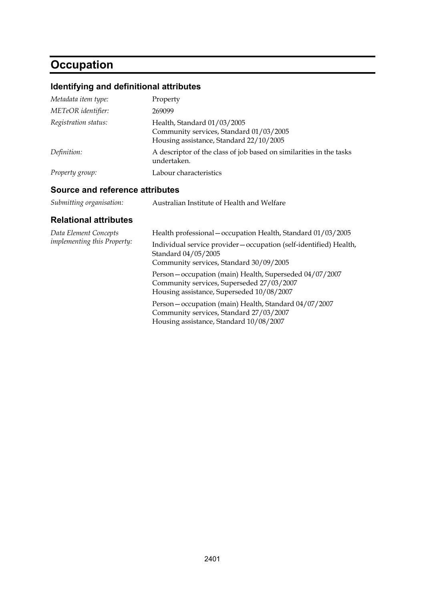# **Occupation**

## **Identifying and definitional attributes**

| Metadata item type:  | Property                                                                                                          |
|----------------------|-------------------------------------------------------------------------------------------------------------------|
| METeOR identifier:   | 269099                                                                                                            |
| Registration status: | Health, Standard 01/03/2005<br>Community services, Standard 01/03/2005<br>Housing assistance, Standard 22/10/2005 |
| Definition:          | A descriptor of the class of job based on similarities in the tasks<br>undertaken.                                |
| Property group:      | Labour characteristics                                                                                            |

#### **Source and reference attributes**

| Submitting organisation: | Australian Institute of Health and Welfare |
|--------------------------|--------------------------------------------|
|--------------------------|--------------------------------------------|

| Health professional - occupation Health, Standard 01/03/2005                                                                                     |
|--------------------------------------------------------------------------------------------------------------------------------------------------|
| Individual service provider – occupation (self-identified) Health,<br>Standard 04/05/2005<br>Community services, Standard 30/09/2005             |
| Person-occupation (main) Health, Superseded 04/07/2007<br>Community services, Superseded 27/03/2007<br>Housing assistance, Superseded 10/08/2007 |
| Person-occupation (main) Health, Standard 04/07/2007<br>Community services, Standard 27/03/2007<br>Housing assistance, Standard 10/08/2007       |
|                                                                                                                                                  |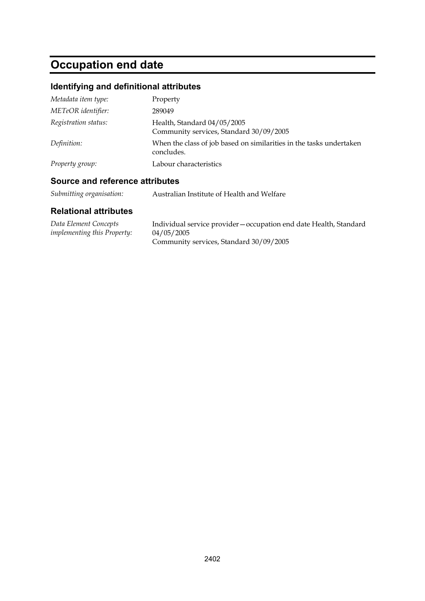# **Occupation end date**

## **Identifying and definitional attributes**

| Metadata item type:  | Property                                                                          |
|----------------------|-----------------------------------------------------------------------------------|
| METeOR identifier:   | 289049                                                                            |
| Registration status: | Health, Standard 04/05/2005<br>Community services, Standard 30/09/2005            |
| Definition:          | When the class of job based on similarities in the tasks undertaken<br>concludes. |
| Property group:      | Labour characteristics                                                            |

### **Source and reference attributes**

| Submitting organisation: | Australian Institute of Health and Welfare |
|--------------------------|--------------------------------------------|
|--------------------------|--------------------------------------------|

| Data Element Concepts              | Individual service provider – occupation end date Health, Standard |
|------------------------------------|--------------------------------------------------------------------|
| <i>implementing this Property:</i> | 04/05/2005                                                         |
|                                    | Community services, Standard 30/09/2005                            |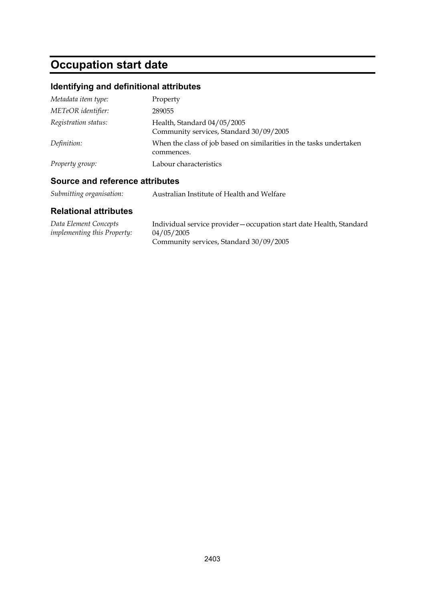# **Occupation start date**

## **Identifying and definitional attributes**

| Metadata item type:  | Property                                                                          |
|----------------------|-----------------------------------------------------------------------------------|
| METeOR identifier:   | 289055                                                                            |
| Registration status: | Health, Standard 04/05/2005<br>Community services, Standard 30/09/2005            |
| Definition:          | When the class of job based on similarities in the tasks undertaken<br>commences. |
| Property group:      | Labour characteristics                                                            |

### **Source and reference attributes**

| Submitting organisation:<br>Australian Institute of Health and Welfare |
|------------------------------------------------------------------------|
|------------------------------------------------------------------------|

| Data Element Concepts              | Individual service provider – occupation start date Health, Standard |
|------------------------------------|----------------------------------------------------------------------|
| <i>implementing this Property:</i> | 04/05/2005                                                           |
|                                    | Community services, Standard 30/09/2005                              |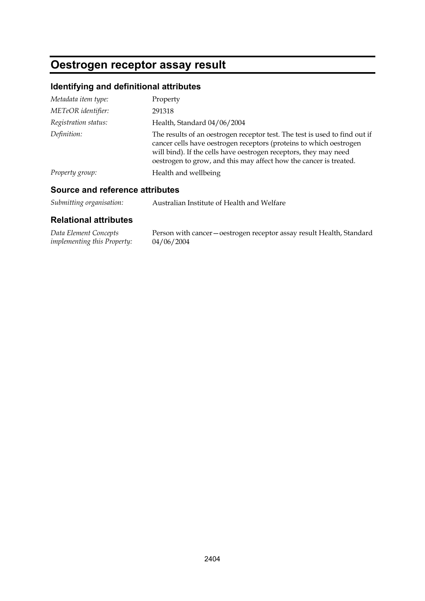## **Oestrogen receptor assay result**

## **Identifying and definitional attributes**

| Metadata item type:  | Property                                                                                                                                                                                                                                                                                  |
|----------------------|-------------------------------------------------------------------------------------------------------------------------------------------------------------------------------------------------------------------------------------------------------------------------------------------|
| METeOR identifier:   | 291318                                                                                                                                                                                                                                                                                    |
| Registration status: | Health, Standard 04/06/2004                                                                                                                                                                                                                                                               |
| Definition:          | The results of an oestrogen receptor test. The test is used to find out if<br>cancer cells have oestrogen receptors (proteins to which oestrogen<br>will bind). If the cells have oestrogen receptors, they may need<br>oestrogen to grow, and this may affect how the cancer is treated. |
| Property group:      | Health and wellbeing                                                                                                                                                                                                                                                                      |

### **Source and reference attributes**

| Submitting organisation: | Australian Institute of Health and Welfare |
|--------------------------|--------------------------------------------|
|--------------------------|--------------------------------------------|

| Data Element Concepts              | Person with cancer-oestrogen receptor assay result Health, Standard |
|------------------------------------|---------------------------------------------------------------------|
| <i>implementing this Property:</i> | 04/06/2004                                                          |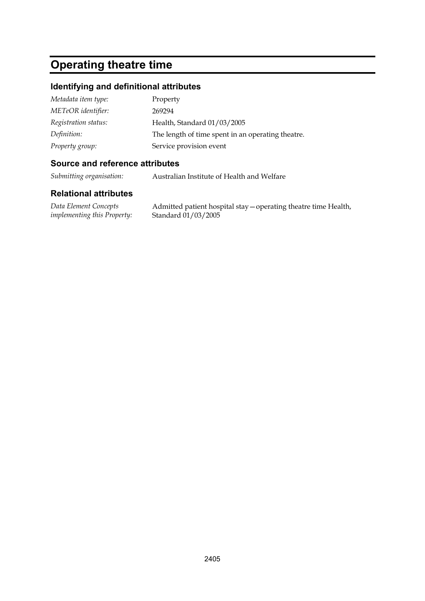## **Operating theatre time**

#### **Identifying and definitional attributes**

| Metadata item type:  | Property                                          |
|----------------------|---------------------------------------------------|
| METeOR identifier:   | 269294                                            |
| Registration status: | Health, Standard 01/03/2005                       |
| Definition:          | The length of time spent in an operating theatre. |
| Property group:      | Service provision event                           |

#### **Source and reference attributes**

*Submitting organisation:* Australian Institute of Health and Welfare

#### **Relational attributes**

*Data Element Concepts implementing this Property:*

Admitted patient hospital stay—operating theatre time Health, Standard 01/03/2005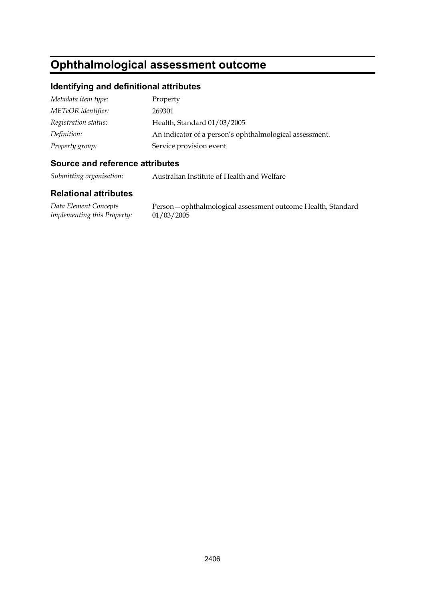# **Ophthalmological assessment outcome**

#### **Identifying and definitional attributes**

| Metadata item type:  | Property                                                |
|----------------------|---------------------------------------------------------|
| METeOR identifier:   | 269301                                                  |
| Registration status: | Health, Standard 01/03/2005                             |
| Definition:          | An indicator of a person's ophthalmological assessment. |
| Property group:      | Service provision event                                 |

#### **Source and reference attributes**

*Submitting organisation:* Australian Institute of Health and Welfare

#### **Relational attributes**

*Data Element Concepts implementing this Property:*

Person—ophthalmological assessment outcome Health, Standard 01/03/2005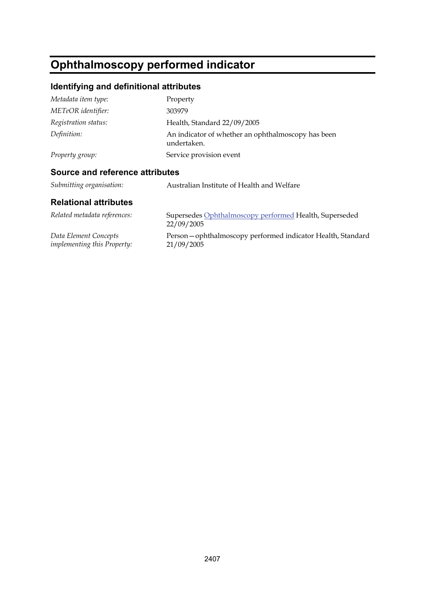# **Ophthalmoscopy performed indicator**

## **Identifying and definitional attributes**

| Metadata item type:  | Property                                                          |
|----------------------|-------------------------------------------------------------------|
| METeOR identifier:   | 303979                                                            |
| Registration status: | Health, Standard 22/09/2005                                       |
| Definition:          | An indicator of whether an ophthalmoscopy has been<br>undertaken. |
| Property group:      | Service provision event                                           |
|                      |                                                                   |

### **Source and reference attributes**

| Related metadata references:       | Supersedes Ophthalmoscopy performed Health, Superseded<br>22/09/2005 |
|------------------------------------|----------------------------------------------------------------------|
| Data Element Concepts              | Person-ophthalmoscopy performed indicator Health, Standard           |
| <i>implementing this Property:</i> | 21/09/2005                                                           |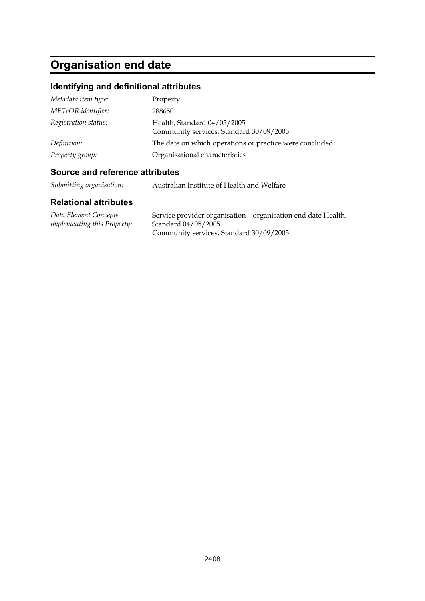# **Organisation end date**

## **Identifying and definitional attributes**

| Metadata item type:  | Property                                                               |
|----------------------|------------------------------------------------------------------------|
| METeOR identifier:   | 288650                                                                 |
| Registration status: | Health, Standard 04/05/2005<br>Community services, Standard 30/09/2005 |
| Definition:          | The date on which operations or practice were concluded.               |
| Property group:      | Organisational characteristics                                         |

### **Source and reference attributes**

| Submitting organisation: | Australian Institute of Health and Welfare |
|--------------------------|--------------------------------------------|
|                          |                                            |

| Data Element Concepts              | Service provider organisation – organisation end date Health, |
|------------------------------------|---------------------------------------------------------------|
| <i>implementing this Property:</i> | Standard 04/05/2005                                           |
|                                    | Community services, Standard 30/09/2005                       |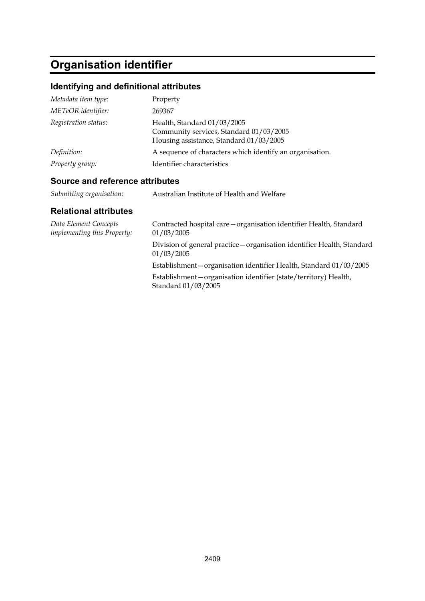# **Organisation identifier**

## **Identifying and definitional attributes**

| Metadata item type:  | Property                                                                                                          |
|----------------------|-------------------------------------------------------------------------------------------------------------------|
| METeOR identifier:   | 269367                                                                                                            |
| Registration status: | Health, Standard 01/03/2005<br>Community services, Standard 01/03/2005<br>Housing assistance, Standard 01/03/2005 |
| Definition:          | A sequence of characters which identify an organisation.                                                          |
| Property group:      | Identifier characteristics                                                                                        |

### **Source and reference attributes**

| Submitting organisation: | Australian Institute of Health and Welfare |
|--------------------------|--------------------------------------------|
|                          |                                            |

| Contracted hospital care – organisation identifier Health, Standard<br>01/03/2005        |
|------------------------------------------------------------------------------------------|
| Division of general practice - organisation identifier Health, Standard<br>01/03/2005    |
| Establishment-organisation identifier Health, Standard 01/03/2005                        |
| Establishment – organisation identifier (state/territory) Health,<br>Standard 01/03/2005 |
|                                                                                          |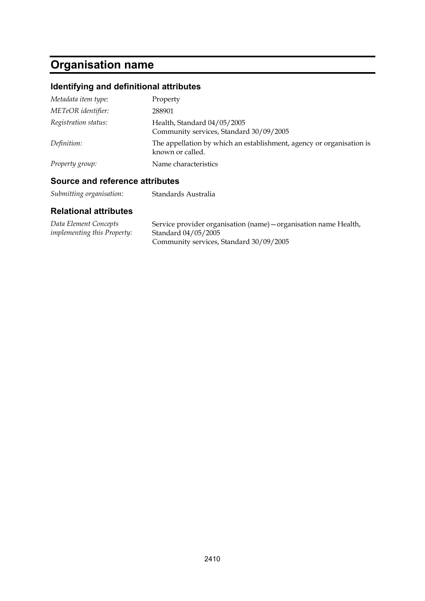# **Organisation name**

## **Identifying and definitional attributes**

| Metadata item type:  | Property                                                                                 |
|----------------------|------------------------------------------------------------------------------------------|
| METeOR identifier:   | 288901                                                                                   |
| Registration status: | Health, Standard 04/05/2005<br>Community services, Standard 30/09/2005                   |
| Definition:          | The appellation by which an establishment, agency or organisation is<br>known or called. |
| Property group:      | Name characteristics                                                                     |

### **Source and reference attributes**

*Submitting organisation:* Standards Australia

| Data Element Concepts              | Service provider organisation (name) – organisation name Health, |
|------------------------------------|------------------------------------------------------------------|
| <i>implementing this Property:</i> | Standard 04/05/2005                                              |
|                                    | Community services, Standard 30/09/2005                          |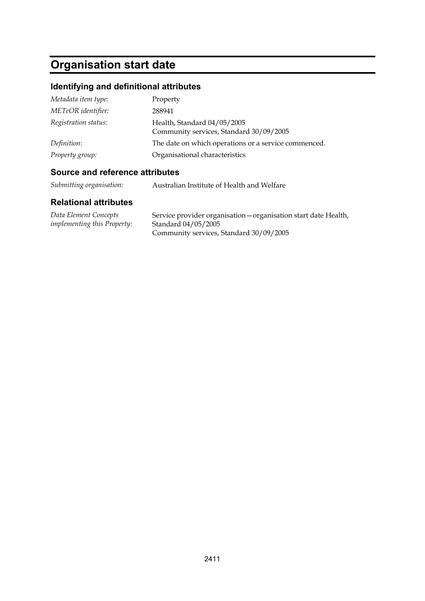# **Organisation start date**

## **Identifying and definitional attributes**

| Metadata item type:  | Property                                                               |
|----------------------|------------------------------------------------------------------------|
| METeOR identifier:   | 288941                                                                 |
| Registration status: | Health, Standard 04/05/2005<br>Community services, Standard 30/09/2005 |
| Definition:          | The date on which operations or a service commenced.                   |
| Property group:      | Organisational characteristics                                         |

### **Source and reference attributes**

| Submitting organisation:<br>Australian Institute of Health and Welfare |  |  |
|------------------------------------------------------------------------|--|--|
|------------------------------------------------------------------------|--|--|

| Data Element Concepts              | Service provider organisation – organisation start date Health, |
|------------------------------------|-----------------------------------------------------------------|
| <i>implementing this Property:</i> | Standard 04/05/2005                                             |
|                                    | Community services, Standard 30/09/2005                         |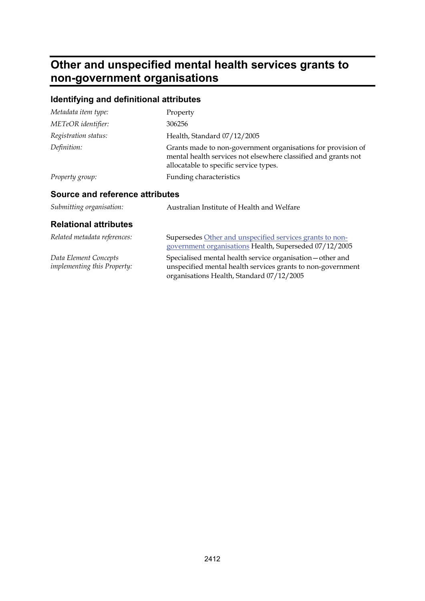# **Other and unspecified mental health services grants to non-government organisations**

## **Identifying and definitional attributes**

| Metadata item type:                                  | Property                                                                                                                                                                 |
|------------------------------------------------------|--------------------------------------------------------------------------------------------------------------------------------------------------------------------------|
| METeOR identifier:                                   | 306256                                                                                                                                                                   |
| Registration status:                                 | Health, Standard 07/12/2005                                                                                                                                              |
| Definition:                                          | Grants made to non-government organisations for provision of<br>mental health services not elsewhere classified and grants not<br>allocatable to specific service types. |
| Property group:                                      | Funding characteristics                                                                                                                                                  |
| Source and reference attributes                      |                                                                                                                                                                          |
| Submitting organisation:                             | Australian Institute of Health and Welfare                                                                                                                               |
| <b>Relational attributes</b>                         |                                                                                                                                                                          |
| Related metadata references:                         | Supersedes Other and unspecified services grants to non-<br>government organisations Health, Superseded 07/12/2005                                                       |
| Data Element Concepts<br>implementing this Property: | Specialised mental health service organisation - other and<br>unspecified mental health services grants to non-government<br>organisations Health, Standard 07/12/2005   |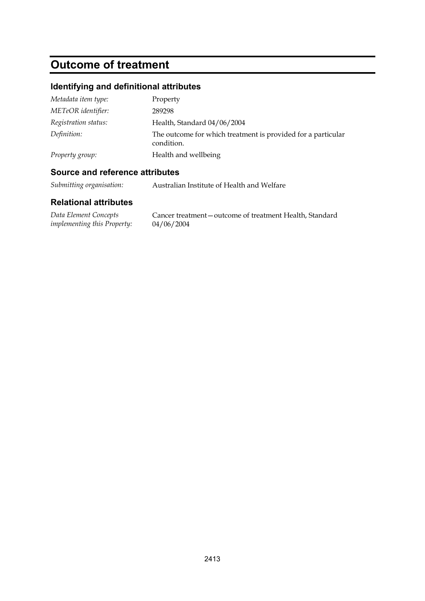# **Outcome of treatment**

## **Identifying and definitional attributes**

| Metadata item type:  | Property                                                                   |
|----------------------|----------------------------------------------------------------------------|
| METeOR identifier:   | 289298                                                                     |
| Registration status: | Health, Standard 04/06/2004                                                |
| Definition:          | The outcome for which treatment is provided for a particular<br>condition. |
| Property group:      | Health and wellbeing                                                       |

### **Source and reference attributes**

*Submitting organisation:* Australian Institute of Health and Welfare

| Data Element Concepts              | Cancer treatment – outcome of treatment Health, Standard |
|------------------------------------|----------------------------------------------------------|
| <i>implementing this Property:</i> | 04/06/2004                                               |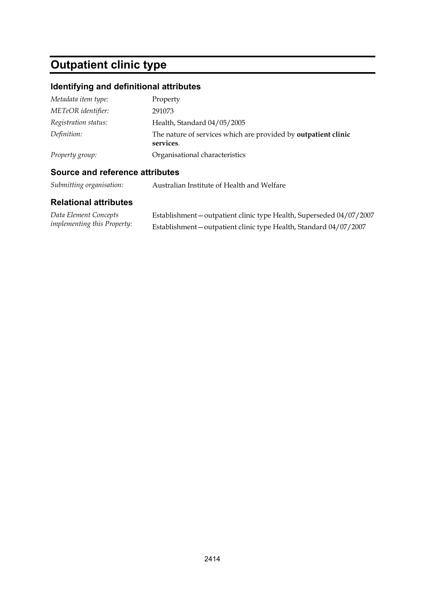# **Outpatient clinic type**

## **Identifying and definitional attributes**

| Metadata item type:  | Property                                                                    |
|----------------------|-----------------------------------------------------------------------------|
| METeOR identifier:   | 291073                                                                      |
| Registration status: | Health, Standard 04/05/2005                                                 |
| Definition:          | The nature of services which are provided by outpatient clinic<br>services. |
| Property group:      | Organisational characteristics                                              |

#### **Source and reference attributes**

*Submitting organisation:* Australian Institute of Health and Welfare

| Data Element Concepts              | Establishment-outpatient clinic type Health, Superseded 04/07/2007 |
|------------------------------------|--------------------------------------------------------------------|
| <i>implementing this Property:</i> | Establishment – outpatient clinic type Health, Standard 04/07/2007 |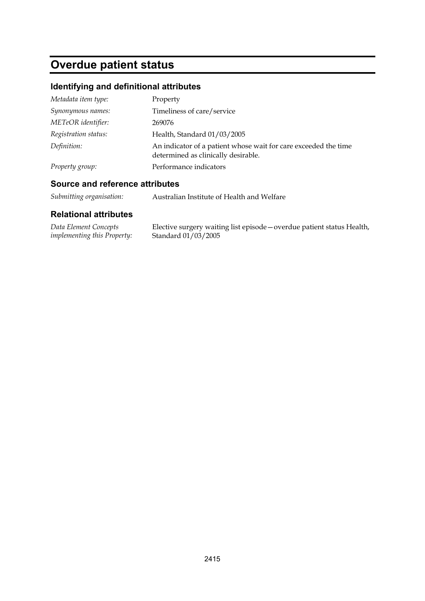# **Overdue patient status**

## **Identifying and definitional attributes**

| Metadata item type:  | Property                                                                                               |
|----------------------|--------------------------------------------------------------------------------------------------------|
| Synonymous names:    | Timeliness of care/service                                                                             |
| METeOR identifier:   | 269076                                                                                                 |
| Registration status: | Health, Standard 01/03/2005                                                                            |
| Definition:          | An indicator of a patient whose wait for care exceeded the time<br>determined as clinically desirable. |
| Property group:      | Performance indicators                                                                                 |

#### **Source and reference attributes**

*Submitting organisation:* Australian Institute of Health and Welfare

| Data Element Concepts              | Elective surgery waiting list episode - overdue patient status Health, |
|------------------------------------|------------------------------------------------------------------------|
| <i>implementing this Property:</i> | Standard 01/03/2005                                                    |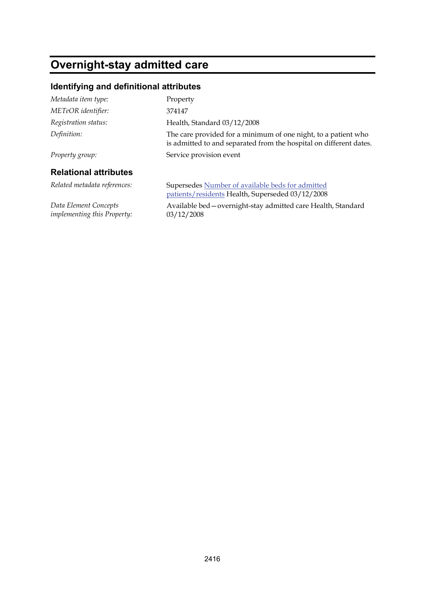# **Overnight-stay admitted care**

## **Identifying and definitional attributes**

| Metadata item type:                                  | Property                                                                                                                             |
|------------------------------------------------------|--------------------------------------------------------------------------------------------------------------------------------------|
| METeOR identifier:                                   | 374147                                                                                                                               |
| Registration status:                                 | Health, Standard 03/12/2008                                                                                                          |
| Definition:                                          | The care provided for a minimum of one night, to a patient who<br>is admitted to and separated from the hospital on different dates. |
| Property group:                                      | Service provision event                                                                                                              |
| <b>Relational attributes</b>                         |                                                                                                                                      |
| Related metadata references:                         | Supersedes Number of available beds for admitted<br>patients/residents Health, Superseded 03/12/2008                                 |
| Data Element Concepts<br>implementing this Property: | Available bed - overnight-stay admitted care Health, Standard<br>03/12/2008                                                          |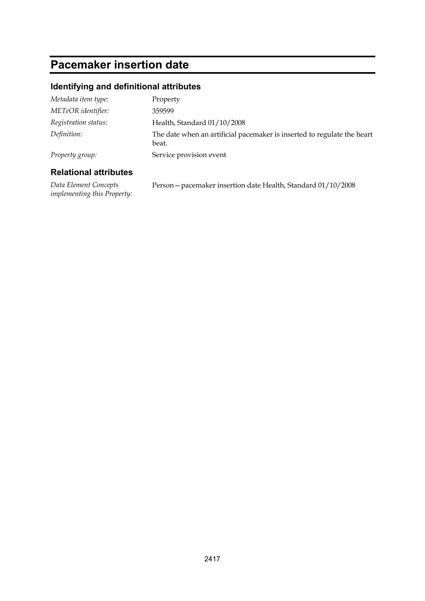# **Pacemaker insertion date**

## **Identifying and definitional attributes**

| Metadata item type:  | Property                                                                         |
|----------------------|----------------------------------------------------------------------------------|
| METeOR identifier:   | 359599                                                                           |
| Registration status: | Health, Standard 01/10/2008                                                      |
| Definition:          | The date when an artificial pacemaker is inserted to regulate the heart<br>beat. |
| Property group:      | Service provision event                                                          |

### **Relational attributes**

*Data Element Concepts implementing this Property:* Person—pacemaker insertion date Health, Standard 01/10/2008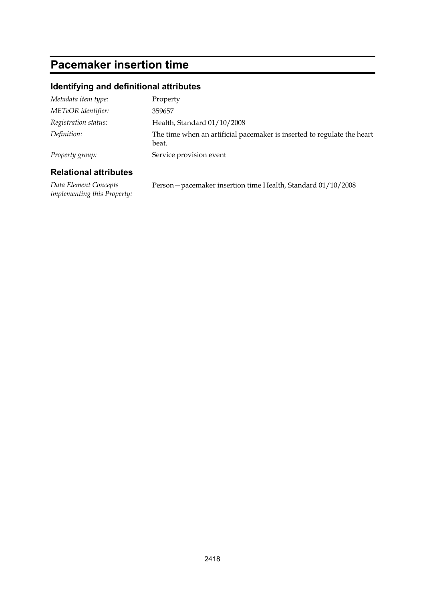# **Pacemaker insertion time**

## **Identifying and definitional attributes**

| Metadata item type:  | Property                                                                         |
|----------------------|----------------------------------------------------------------------------------|
| METeOR identifier:   | 359657                                                                           |
| Registration status: | Health, Standard 01/10/2008                                                      |
| Definition:          | The time when an artificial pacemaker is inserted to regulate the heart<br>beat. |
| Property group:      | Service provision event                                                          |

#### **Relational attributes**

*Data Element Concepts implementing this Property:* Person—pacemaker insertion time Health, Standard 01/10/2008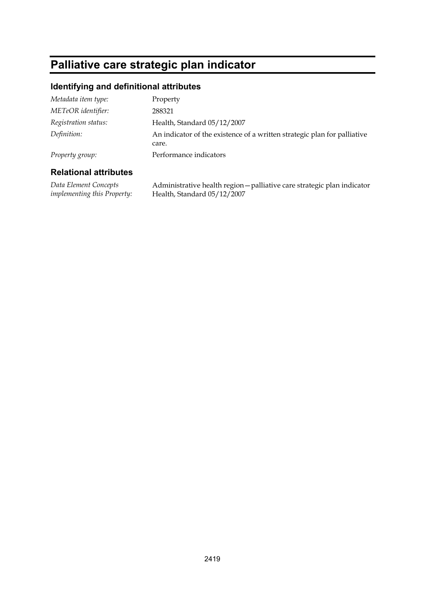# **Palliative care strategic plan indicator**

#### **Identifying and definitional attributes**

| Metadata item type:  | Property                                                                          |
|----------------------|-----------------------------------------------------------------------------------|
| METeOR identifier:   | 288321                                                                            |
| Registration status: | Health, Standard 05/12/2007                                                       |
| Definition:          | An indicator of the existence of a written strategic plan for palliative<br>care. |
| Property group:      | Performance indicators                                                            |

#### **Relational attributes**

*Data Element Concepts implementing this Property:* Administrative health region—palliative care strategic plan indicator Health, Standard 05/12/2007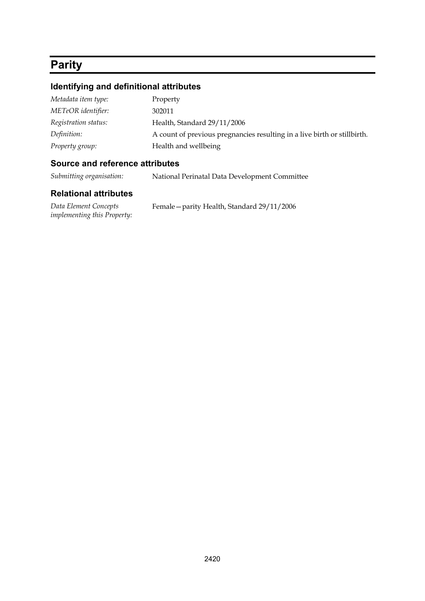# **Parity**

#### **Identifying and definitional attributes**

| Metadata item type:  | Property                                                                  |
|----------------------|---------------------------------------------------------------------------|
| METeOR identifier:   | 302011                                                                    |
| Registration status: | Health, Standard 29/11/2006                                               |
| Definition:          | A count of previous pregnancies resulting in a live birth or still birth. |
| Property group:      | Health and wellbeing                                                      |

#### **Source and reference attributes**

*Submitting organisation:* National Perinatal Data Development Committee

#### **Relational attributes**

*Data Element Concepts implementing this Property:* Female—parity Health, Standard 29/11/2006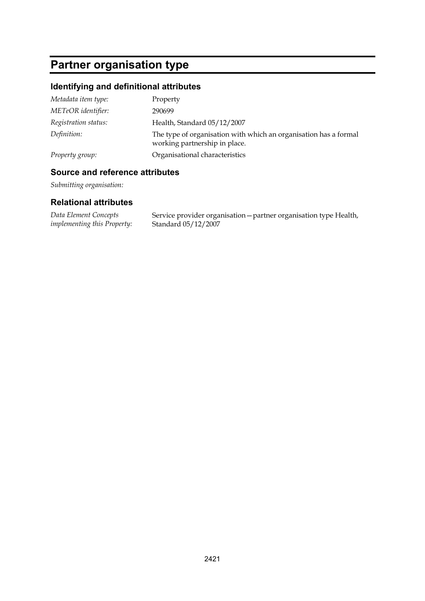# **Partner organisation type**

## **Identifying and definitional attributes**

| Metadata item type:  | Property                                                                                          |
|----------------------|---------------------------------------------------------------------------------------------------|
| METeOR identifier:   | 290699                                                                                            |
| Registration status: | Health, Standard 05/12/2007                                                                       |
| Definition:          | The type of organisation with which an organisation has a formal<br>working partnership in place. |
| Property group:      | Organisational characteristics                                                                    |

#### **Source and reference attributes**

*Submitting organisation:*

| Data Element Concepts       | Service provider organisation – partner organisation type Health, |
|-----------------------------|-------------------------------------------------------------------|
| implementing this Property: | Standard 05/12/2007                                               |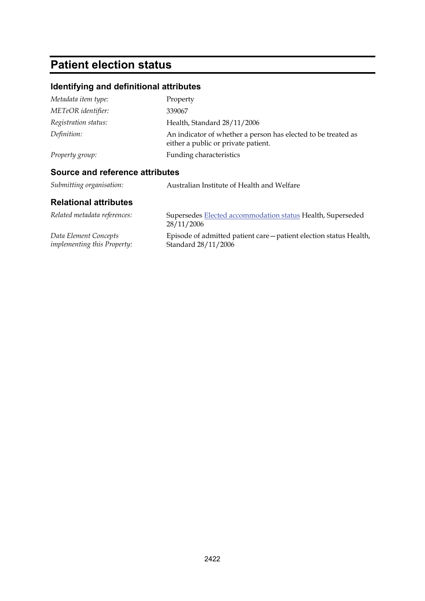# **Patient election status**

## **Identifying and definitional attributes**

| Metadata item type:             | Property                                                                                             |  |
|---------------------------------|------------------------------------------------------------------------------------------------------|--|
| METeOR identifier:              | 339067                                                                                               |  |
| Registration status:            | Health, Standard 28/11/2006                                                                          |  |
| Definition:                     | An indicator of whether a person has elected to be treated as<br>either a public or private patient. |  |
| Property group:                 | Funding characteristics                                                                              |  |
| Source and reference attributes |                                                                                                      |  |
| Submitting organisation:        | Australian Institute of Health and Welfare                                                           |  |

| Related metadata references:       | Supersedes Elected accommodation status Health, Superseded<br>28/11/2006 |
|------------------------------------|--------------------------------------------------------------------------|
| Data Element Concepts              | Episode of admitted patient care – patient election status Health,       |
| <i>implementing this Property:</i> | Standard 28/11/2006                                                      |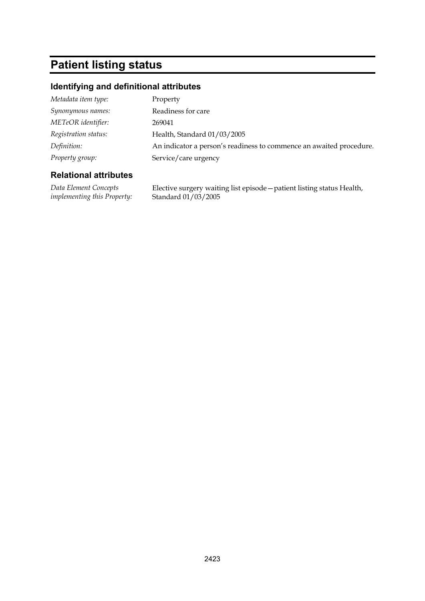# **Patient listing status**

#### **Identifying and definitional attributes**

| Metadata item type:  | Property                                                            |
|----------------------|---------------------------------------------------------------------|
| Synonymous names:    | Readiness for care                                                  |
| METeOR identifier:   | 269041                                                              |
| Registration status: | Health, Standard 01/03/2005                                         |
| Definition:          | An indicator a person's readiness to commence an awaited procedure. |
| Property group:      | Service/care urgency                                                |
|                      |                                                                     |

#### **Relational attributes**

*Data Element Concepts implementing this Property:*

Elective surgery waiting list episode—patient listing status Health, Standard 01/03/2005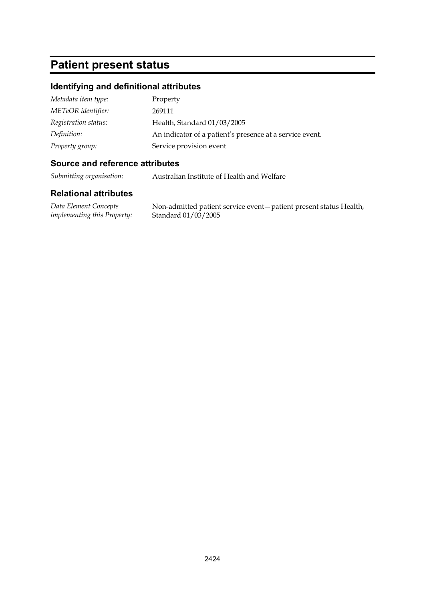## **Patient present status**

#### **Identifying and definitional attributes**

| Metadata item type:  | Property                                                 |
|----------------------|----------------------------------------------------------|
| METeOR identifier:   | 269111                                                   |
| Registration status: | Health, Standard 01/03/2005                              |
| Definition:          | An indicator of a patient's presence at a service event. |
| Property group:      | Service provision event                                  |

#### **Source and reference attributes**

*Submitting organisation:* Australian Institute of Health and Welfare

#### **Relational attributes**

*Data Element Concepts implementing this Property:* Non-admitted patient service event—patient present status Health, Standard 01/03/2005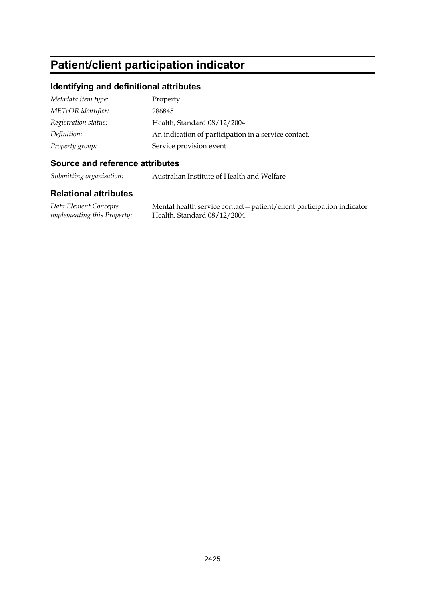# **Patient/client participation indicator**

#### **Identifying and definitional attributes**

| Metadata item type:  | Property                                             |
|----------------------|------------------------------------------------------|
| METeOR identifier:   | 286845                                               |
| Registration status: | Health, Standard 08/12/2004                          |
| Definition:          | An indication of participation in a service contact. |
| Property group:      | Service provision event                              |

#### **Source and reference attributes**

*Submitting organisation:* Australian Institute of Health and Welfare

#### **Relational attributes**

*Data Element Concepts implementing this Property:*

Mental health service contact—patient/client participation indicator Health, Standard 08/12/2004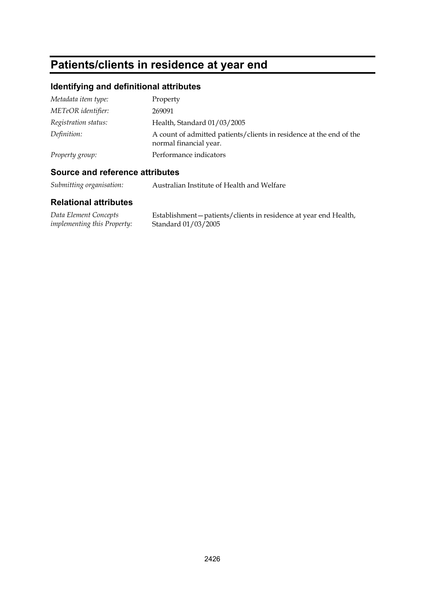# **Patients/clients in residence at year end**

## **Identifying and definitional attributes**

| Metadata item type:  | Property                                                                                      |
|----------------------|-----------------------------------------------------------------------------------------------|
| METeOR identifier:   | 269091                                                                                        |
| Registration status: | Health, Standard 01/03/2005                                                                   |
| Definition:          | A count of admitted patients/clients in residence at the end of the<br>normal financial year. |
| Property group:      | Performance indicators                                                                        |

#### **Source and reference attributes**

*Submitting organisation:* Australian Institute of Health and Welfare

| Data Element Concepts              | Establishment – patients/clients in residence at year end Health, |
|------------------------------------|-------------------------------------------------------------------|
| <i>implementing this Property:</i> | Standard 01/03/2005                                               |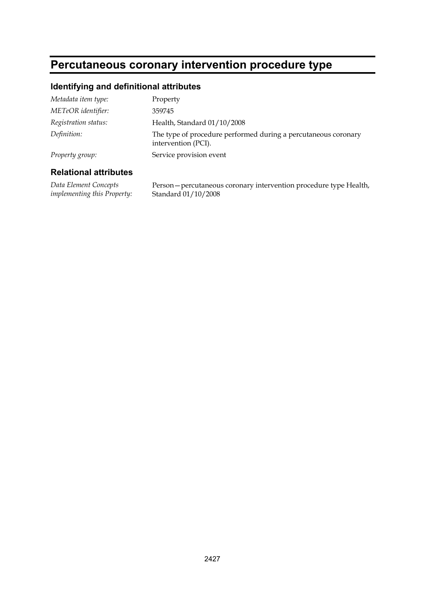# **Percutaneous coronary intervention procedure type**

#### **Identifying and definitional attributes**

| Metadata item type:  | Property                                                                              |
|----------------------|---------------------------------------------------------------------------------------|
| METeOR identifier:   | 359745                                                                                |
| Registration status: | Health, Standard 01/10/2008                                                           |
| Definition:          | The type of procedure performed during a percutaneous coronary<br>intervention (PCI). |
| Property group:      | Service provision event                                                               |

#### **Relational attributes**

*Data Element Concepts implementing this Property:* Person—percutaneous coronary intervention procedure type Health, Standard 01/10/2008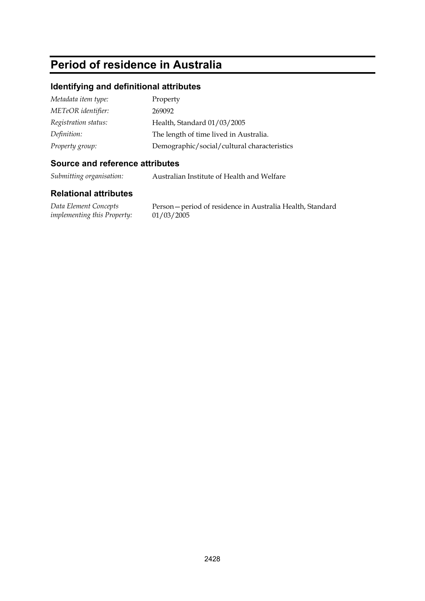# **Period of residence in Australia**

#### **Identifying and definitional attributes**

| Metadata item type:  | Property                                    |
|----------------------|---------------------------------------------|
| METeOR identifier:   | 269092                                      |
| Registration status: | Health, Standard 01/03/2005                 |
| Definition:          | The length of time lived in Australia.      |
| Property group:      | Demographic/social/cultural characteristics |

#### **Source and reference attributes**

*Submitting organisation:* Australian Institute of Health and Welfare

#### **Relational attributes**

*Data Element Concepts implementing this Property:*

Person—period of residence in Australia Health, Standard 01/03/2005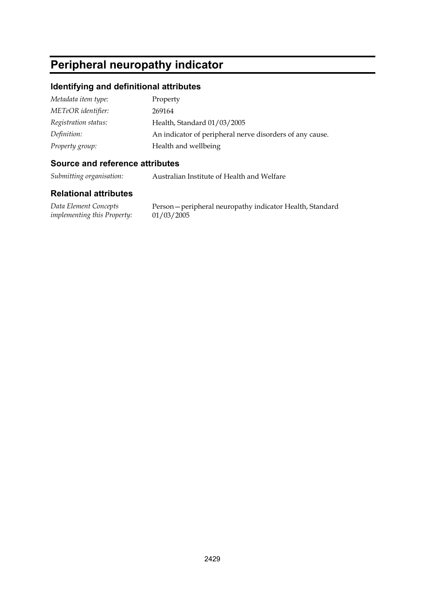# **Peripheral neuropathy indicator**

#### **Identifying and definitional attributes**

| Metadata item type:  | Property                                                 |
|----------------------|----------------------------------------------------------|
| METeOR identifier:   | 269164                                                   |
| Registration status: | Health, Standard 01/03/2005                              |
| Definition:          | An indicator of peripheral nerve disorders of any cause. |
| Property group:      | Health and wellbeing                                     |

#### **Source and reference attributes**

*Submitting organisation:* Australian Institute of Health and Welfare

#### **Relational attributes**

*Data Element Concepts implementing this Property:*

Person—peripheral neuropathy indicator Health, Standard 01/03/2005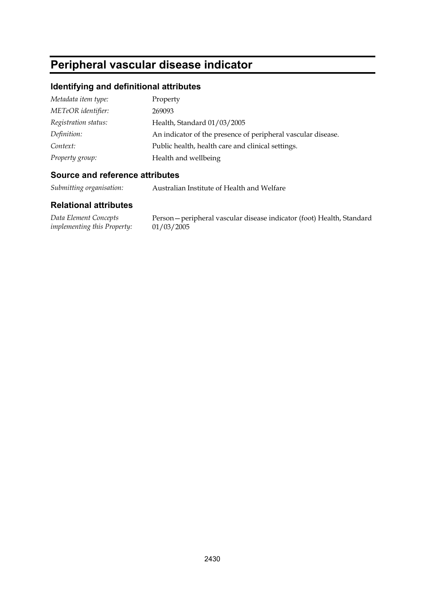# **Peripheral vascular disease indicator**

## **Identifying and definitional attributes**

| Property                                                     |
|--------------------------------------------------------------|
| 269093                                                       |
| Health, Standard 01/03/2005                                  |
| An indicator of the presence of peripheral vascular disease. |
| Public health, health care and clinical settings.            |
| Health and wellbeing                                         |
|                                                              |

#### **Source and reference attributes**

*Submitting organisation:* Australian Institute of Health and Welfare

| Data Element Concepts              | Person – peripheral vascular disease indicator (foot) Health, Standard |
|------------------------------------|------------------------------------------------------------------------|
| <i>implementing this Property:</i> | 01/03/2005                                                             |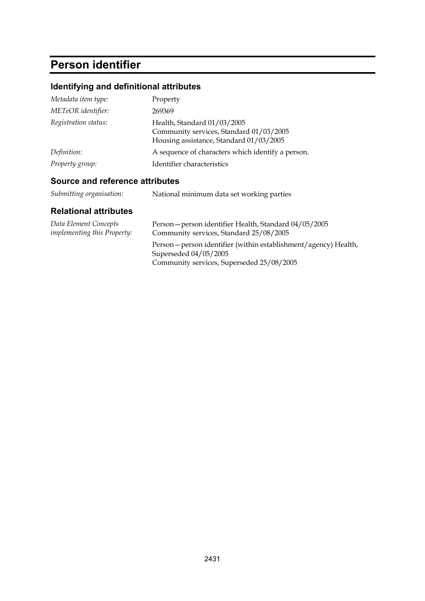# **Person identifier**

## **Identifying and definitional attributes**

| Metadata item type:  | Property                                                                                                          |
|----------------------|-------------------------------------------------------------------------------------------------------------------|
| METeOR identifier:   | 269369                                                                                                            |
| Registration status: | Health, Standard 01/03/2005<br>Community services, Standard 01/03/2005<br>Housing assistance, Standard 01/03/2005 |
| Definition:          | A sequence of characters which identify a person.                                                                 |
| Property group:      | Identifier characteristics                                                                                        |

### **Source and reference attributes**

| Submitting organisation: | National minimum data set working parties |
|--------------------------|-------------------------------------------|
|                          |                                           |

| Data Element Concepts              | Person - person identifier Health, Standard 04/05/2005                                                                                 |
|------------------------------------|----------------------------------------------------------------------------------------------------------------------------------------|
| <i>implementing this Property:</i> | Community services, Standard 25/08/2005                                                                                                |
|                                    | Person – person identifier (within establishment/agency) Health,<br>Superseded 04/05/2005<br>Community services, Superseded 25/08/2005 |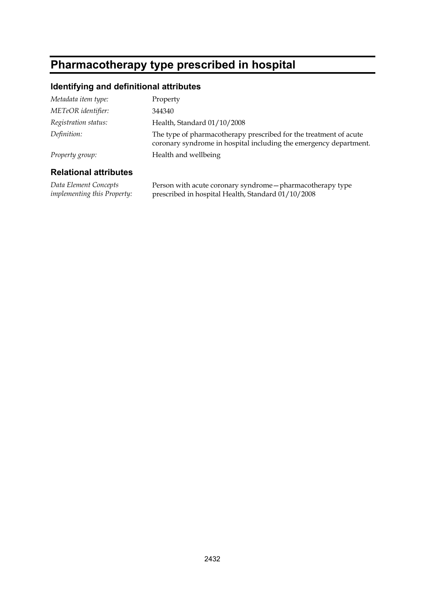# **Pharmacotherapy type prescribed in hospital**

### **Identifying and definitional attributes**

| Metadata item type:  | Property                                                                                                                               |
|----------------------|----------------------------------------------------------------------------------------------------------------------------------------|
| METeOR identifier:   | 344340                                                                                                                                 |
| Registration status: | Health, Standard 01/10/2008                                                                                                            |
| Definition:          | The type of pharmacotherapy prescribed for the treatment of acute<br>coronary syndrome in hospital including the emergency department. |
| Property group:      | Health and wellbeing                                                                                                                   |
|                      |                                                                                                                                        |

#### **Relational attributes**

*Data Element Concepts implementing this Property:* Person with acute coronary syndrome—pharmacotherapy type prescribed in hospital Health, Standard 01/10/2008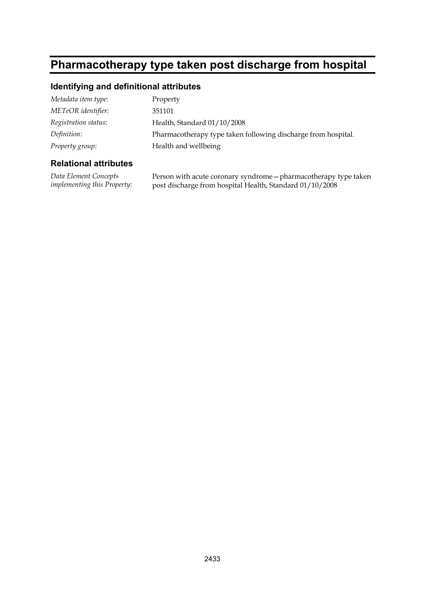# **Pharmacotherapy type taken post discharge from hospital**

### **Identifying and definitional attributes**

| Metadata item type:  | Property                                                      |
|----------------------|---------------------------------------------------------------|
| METeOR identifier:   | 351101                                                        |
| Registration status: | Health, Standard 01/10/2008                                   |
| Definition:          | Pharmacotherapy type taken following discharge from hospital. |
| Property group:      | Health and wellbeing                                          |

#### **Relational attributes**

*Data Element Concepts implementing this Property:* Person with acute coronary syndrome—pharmacotherapy type taken post discharge from hospital Health, Standard 01/10/2008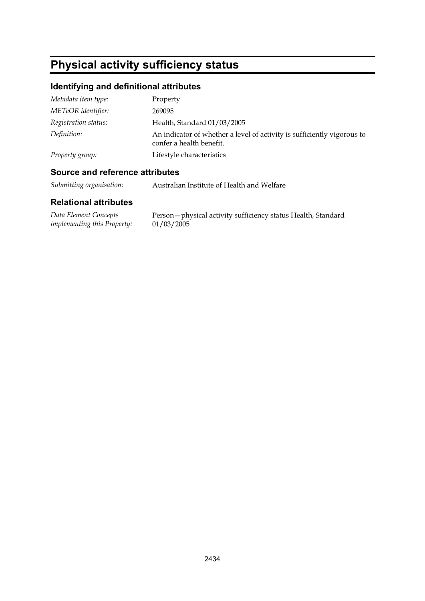# **Physical activity sufficiency status**

## **Identifying and definitional attributes**

| Metadata item type:  | Property                                                                                            |
|----------------------|-----------------------------------------------------------------------------------------------------|
| METeOR identifier:   | 269095                                                                                              |
| Registration status: | Health, Standard 01/03/2005                                                                         |
| Definition:          | An indicator of whether a level of activity is sufficiently vigorous to<br>confer a health benefit. |
| Property group:      | Lifestyle characteristics                                                                           |

### **Source and reference attributes**

*Submitting organisation:* Australian Institute of Health and Welfare

| Data Element Concepts       | Person-physical activity sufficiency status Health, Standard |
|-----------------------------|--------------------------------------------------------------|
| implementing this Property: | 01/03/2005                                                   |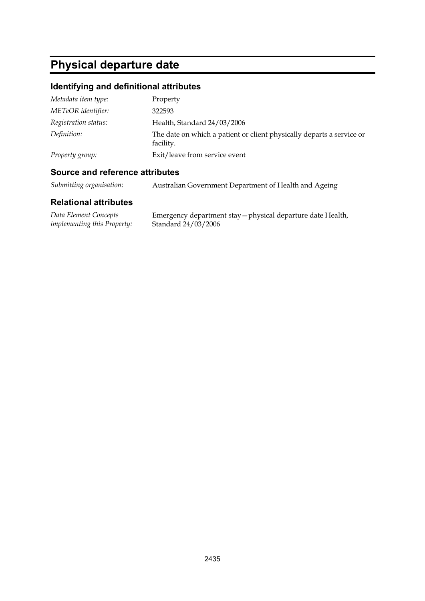# **Physical departure date**

## **Identifying and definitional attributes**

| Metadata item type:  | Property                                                                           |
|----------------------|------------------------------------------------------------------------------------|
| METeOR identifier:   | 322593                                                                             |
| Registration status: | Health, Standard 24/03/2006                                                        |
| Definition:          | The date on which a patient or client physically departs a service or<br>facility. |
| Property group:      | Exit/leave from service event                                                      |

### **Source and reference attributes**

| Submitting organisation: | Australian Government Department of Health and Ageing |  |
|--------------------------|-------------------------------------------------------|--|
|--------------------------|-------------------------------------------------------|--|

| Data Element Concepts              | Emergency department stay - physical departure date Health, |
|------------------------------------|-------------------------------------------------------------|
| <i>implementing this Property:</i> | Standard 24/03/2006                                         |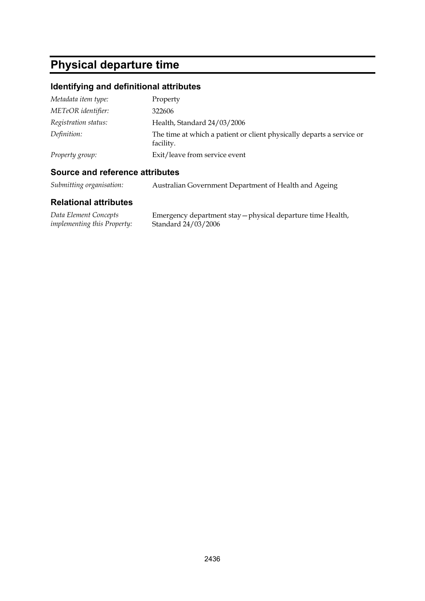# **Physical departure time**

## **Identifying and definitional attributes**

| Metadata item type:  | Property                                                                           |
|----------------------|------------------------------------------------------------------------------------|
| METeOR identifier:   | 322606                                                                             |
| Registration status: | Health, Standard 24/03/2006                                                        |
| Definition:          | The time at which a patient or client physically departs a service or<br>facility. |
| Property group:      | Exit/leave from service event                                                      |

### **Source and reference attributes**

| Submitting organisation: | Australian Government Department of Health and Ageing |  |
|--------------------------|-------------------------------------------------------|--|
|--------------------------|-------------------------------------------------------|--|

| Data Element Concepts              | Emergency department stay - physical departure time Health, |
|------------------------------------|-------------------------------------------------------------|
| <i>implementing this Property:</i> | Standard 24/03/2006                                         |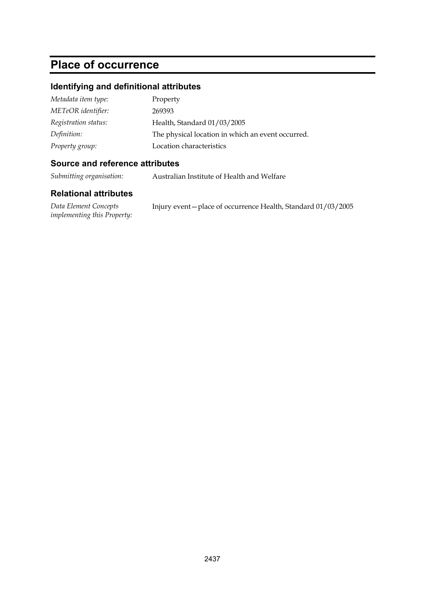# **Place of occurrence**

## **Identifying and definitional attributes**

| Metadata item type:  | Property                                          |
|----------------------|---------------------------------------------------|
| METeOR identifier:   | 269393                                            |
| Registration status: | Health, Standard 01/03/2005                       |
| Definition:          | The physical location in which an event occurred. |
| Property group:      | Location characteristics                          |

### **Source and reference attributes**

*Submitting organisation:* Australian Institute of Health and Welfare

| Data Element Concepts              | Injury event – place of occurrence Health, Standard 01/03/2005 |  |
|------------------------------------|----------------------------------------------------------------|--|
| <i>implementing this Property:</i> |                                                                |  |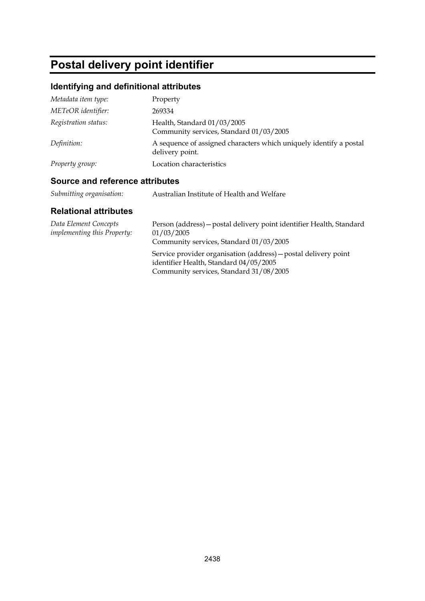# **Postal delivery point identifier**

## **Identifying and definitional attributes**

| Metadata item type:  | Property                                                                              |
|----------------------|---------------------------------------------------------------------------------------|
| METeOR identifier:   | 269334                                                                                |
| Registration status: | Health, Standard 01/03/2005<br>Community services, Standard 01/03/2005                |
| Definition:          | A sequence of assigned characters which uniquely identify a postal<br>delivery point. |
| Property group:      | Location characteristics                                                              |

### **Source and reference attributes**

| Submitting organisation:<br>Australian Institute of Health and Welfare |  |  |
|------------------------------------------------------------------------|--|--|
|------------------------------------------------------------------------|--|--|

| Data Element Concepts<br><i>implementing this Property:</i> | Person (address) – postal delivery point identifier Health, Standard<br>01/03/2005<br>Community services, Standard 01/03/2005                        |
|-------------------------------------------------------------|------------------------------------------------------------------------------------------------------------------------------------------------------|
|                                                             | Service provider organisation (address) – postal delivery point<br>identifier Health, Standard 04/05/2005<br>Community services, Standard 31/08/2005 |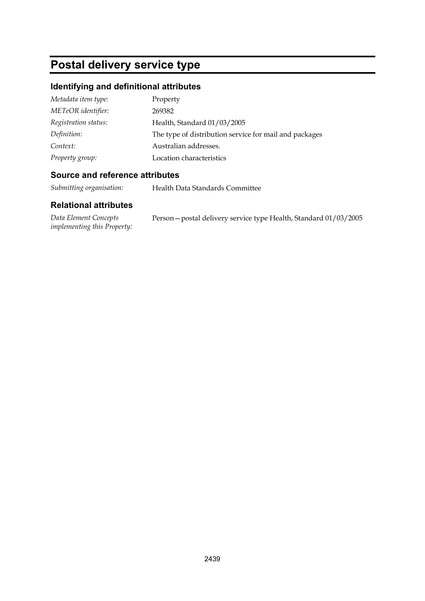# **Postal delivery service type**

## **Identifying and definitional attributes**

| Metadata item type:  | Property                                               |
|----------------------|--------------------------------------------------------|
| METeOR identifier:   | 269382                                                 |
| Registration status: | Health, Standard 01/03/2005                            |
| Definition:          | The type of distribution service for mail and packages |
| Context:             | Australian addresses.                                  |
| Property group:      | Location characteristics                               |

#### **Source and reference attributes**

*Submitting organisation:* Health Data Standards Committee

| Data Element Concepts              | Person - postal delivery service type Health, Standard 01/03/2005 |
|------------------------------------|-------------------------------------------------------------------|
| <i>implementing this Property:</i> |                                                                   |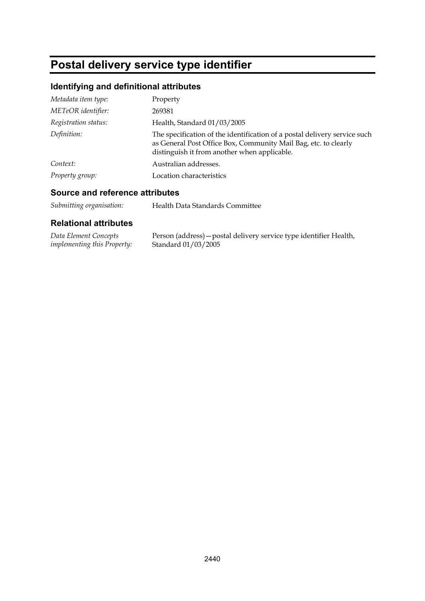# **Postal delivery service type identifier**

## **Identifying and definitional attributes**

| Metadata item type:  | Property                                                                                                                                                                                     |
|----------------------|----------------------------------------------------------------------------------------------------------------------------------------------------------------------------------------------|
| METeOR identifier:   | 269381                                                                                                                                                                                       |
| Registration status: | Health, Standard 01/03/2005                                                                                                                                                                  |
| Definition:          | The specification of the identification of a postal delivery service such<br>as General Post Office Box, Community Mail Bag, etc. to clearly<br>distinguish it from another when applicable. |
| Context:             | Australian addresses.                                                                                                                                                                        |
| Property group:      | Location characteristics                                                                                                                                                                     |

#### **Source and reference attributes**

| Data Element Concepts              | Person (address) – postal delivery service type identifier Health, |
|------------------------------------|--------------------------------------------------------------------|
| <i>implementing this Property:</i> | Standard 01/03/2005                                                |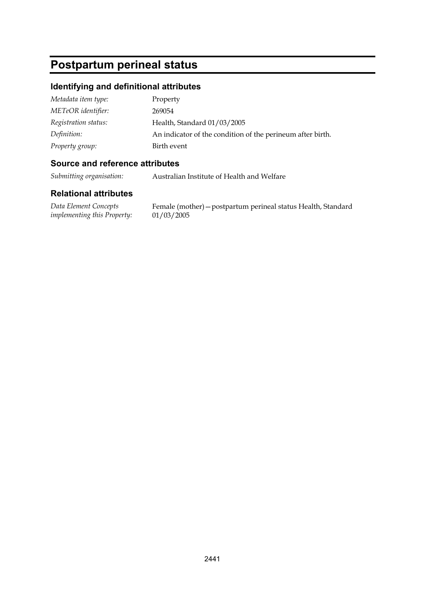# **Postpartum perineal status**

#### **Identifying and definitional attributes**

| Metadata item type:  | Property                                                   |
|----------------------|------------------------------------------------------------|
| METeOR identifier:   | 269054                                                     |
| Registration status: | Health, Standard 01/03/2005                                |
| Definition:          | An indicator of the condition of the perineum after birth. |
| Property group:      | Birth event                                                |

#### **Source and reference attributes**

*Submitting organisation:* Australian Institute of Health and Welfare

#### **Relational attributes**

*Data Element Concepts implementing this Property:*

Female (mother)—postpartum perineal status Health, Standard 01/03/2005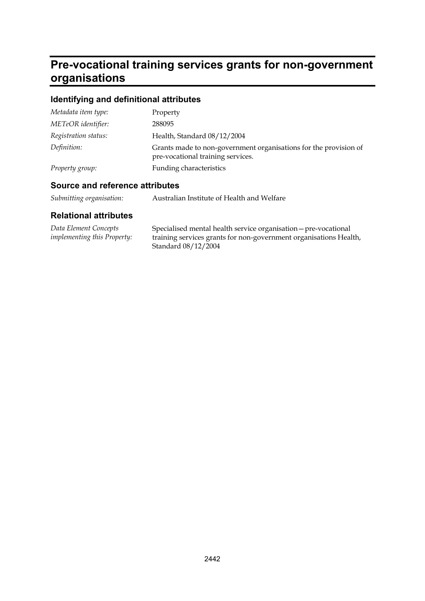# **Pre-vocational training services grants for non-government organisations**

## **Identifying and definitional attributes**

| Metadata item type:  | Property                                                                                              |
|----------------------|-------------------------------------------------------------------------------------------------------|
| METeOR identifier:   | 288095                                                                                                |
| Registration status: | Health, Standard 08/12/2004                                                                           |
| Definition:          | Grants made to non-government organisations for the provision of<br>pre-vocational training services. |
| Property group:      | Funding characteristics                                                                               |

### **Source and reference attributes**

| Submitting organisation: | Australian Institute of Health and Welfare |
|--------------------------|--------------------------------------------|
|--------------------------|--------------------------------------------|

| Data Element Concepts              | Specialised mental health service organisation - pre-vocational   |
|------------------------------------|-------------------------------------------------------------------|
| <i>implementing this Property:</i> | training services grants for non-government organisations Health, |
|                                    | Standard 08/12/2004                                               |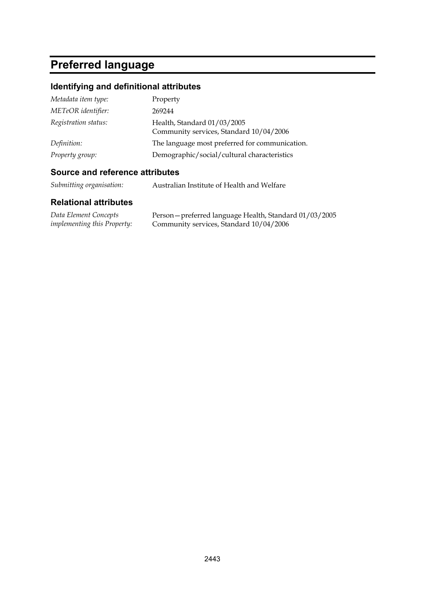# **Preferred language**

## **Identifying and definitional attributes**

| Metadata item type:  | Property                                                               |
|----------------------|------------------------------------------------------------------------|
| METeOR identifier:   | 269244                                                                 |
| Registration status: | Health, Standard 01/03/2005<br>Community services, Standard 10/04/2006 |
| Definition:          | The language most preferred for communication.                         |
| Property group:      | Demographic/social/cultural characteristics                            |

### **Source and reference attributes**

| Submitting organisation: | Australian Institute of Health and Welfare |
|--------------------------|--------------------------------------------|
|--------------------------|--------------------------------------------|

| Data Element Concepts              | Person – preferred language Health, Standard 01/03/2005 |
|------------------------------------|---------------------------------------------------------|
| <i>implementing this Property:</i> | Community services, Standard 10/04/2006                 |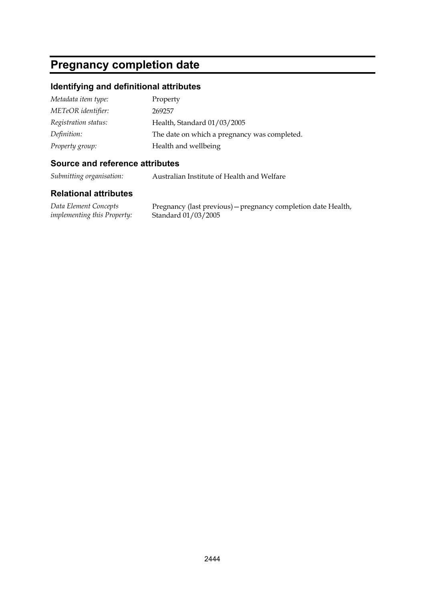# **Pregnancy completion date**

#### **Identifying and definitional attributes**

| Metadata item type:  | Property                                     |
|----------------------|----------------------------------------------|
| METeOR identifier:   | 269257                                       |
| Registration status: | Health, Standard 01/03/2005                  |
| Definition:          | The date on which a pregnancy was completed. |
| Property group:      | Health and wellbeing                         |

#### **Source and reference attributes**

*Submitting organisation:* Australian Institute of Health and Welfare

#### **Relational attributes**

*Data Element Concepts implementing this Property:*

Pregnancy (last previous)—pregnancy completion date Health, Standard 01/03/2005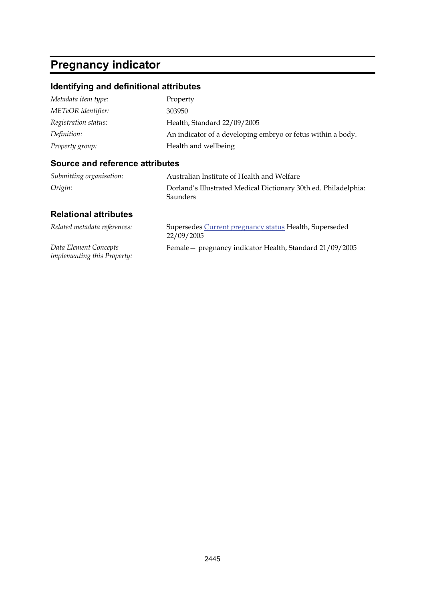# **Pregnancy indicator**

## **Identifying and definitional attributes**

| Metadata item type:  | Property                                                    |
|----------------------|-------------------------------------------------------------|
| METeOR identifier:   | 303950                                                      |
| Registration status: | Health, Standard 22/09/2005                                 |
| Definition:          | An indicator of a developing embryo or fetus within a body. |
| Property group:      | Health and wellbeing                                        |

#### **Source and reference attributes**

| Submitting organisation: | Australian Institute of Health and Welfare                                         |
|--------------------------|------------------------------------------------------------------------------------|
| Origin:                  | Dorland's Illustrated Medical Dictionary 30th ed. Philadelphia:<br><b>Saunders</b> |

| Related metadata references:                                | Supersedes Current pregnancy status Health, Superseded<br>22/09/2005 |
|-------------------------------------------------------------|----------------------------------------------------------------------|
| Data Element Concepts<br><i>implementing this Property:</i> | Female - pregnancy indicator Health, Standard 21/09/2005             |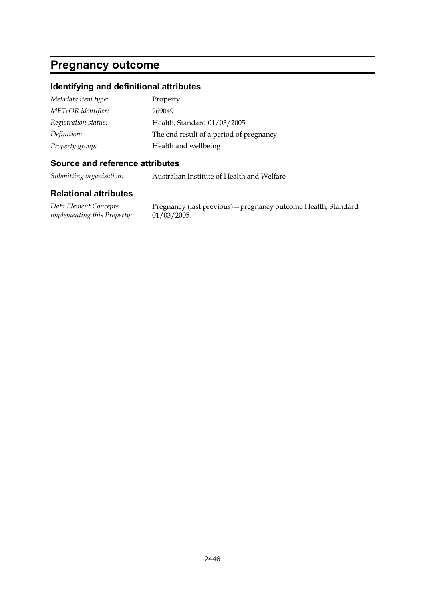## **Pregnancy outcome**

#### **Identifying and definitional attributes**

| Metadata item type:  | Property                                 |
|----------------------|------------------------------------------|
| METeOR identifier:   | 269049                                   |
| Registration status: | Health, Standard 01/03/2005              |
| Definition:          | The end result of a period of pregnancy. |
| Property group:      | Health and wellbeing                     |

#### **Source and reference attributes**

*Submitting organisation:* Australian Institute of Health and Welfare

#### **Relational attributes**

*Data Element Concepts implementing this Property:*

Pregnancy (last previous)—pregnancy outcome Health, Standard 01/03/2005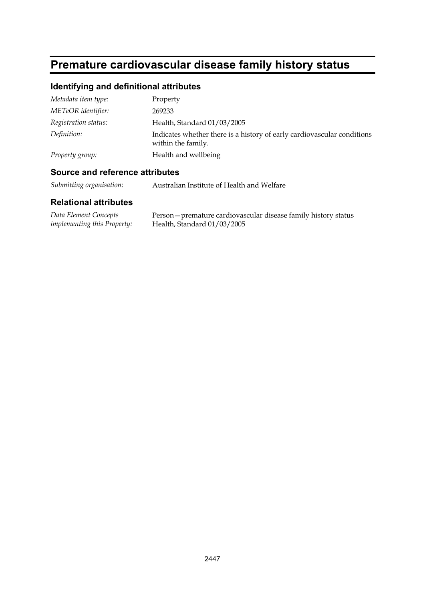# **Premature cardiovascular disease family history status**

## **Identifying and definitional attributes**

| Metadata item type:  | Property                                                                                      |
|----------------------|-----------------------------------------------------------------------------------------------|
| METeOR identifier:   | 269233                                                                                        |
| Registration status: | Health, Standard 01/03/2005                                                                   |
| Definition:          | Indicates whether there is a history of early cardiovascular conditions<br>within the family. |
| Property group:      | Health and wellbeing                                                                          |

### **Source and reference attributes**

*Submitting organisation:* Australian Institute of Health and Welfare

| Data Element Concepts              | Person - premature cardiovascular disease family history status |
|------------------------------------|-----------------------------------------------------------------|
| <i>implementing this Property:</i> | Health, Standard $01/03/2005$                                   |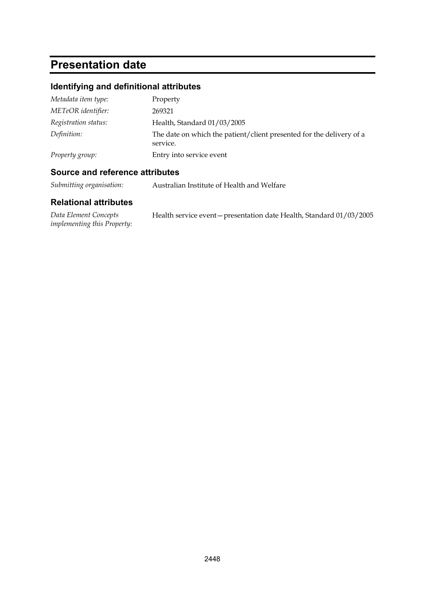# **Presentation date**

## **Identifying and definitional attributes**

| Metadata item type:  | Property                                                                         |
|----------------------|----------------------------------------------------------------------------------|
| METeOR identifier:   | 269321                                                                           |
| Registration status: | Health, Standard 01/03/2005                                                      |
| Definition:          | The date on which the patient/client presented for the delivery of a<br>service. |
| Property group:      | Entry into service event                                                         |

### **Source and reference attributes**

*Submitting organisation:* Australian Institute of Health and Welfare

| Data Element Concepts              | Health service event – presentation date Health, Standard 01/03/2005 |
|------------------------------------|----------------------------------------------------------------------|
| <i>implementing this Property:</i> |                                                                      |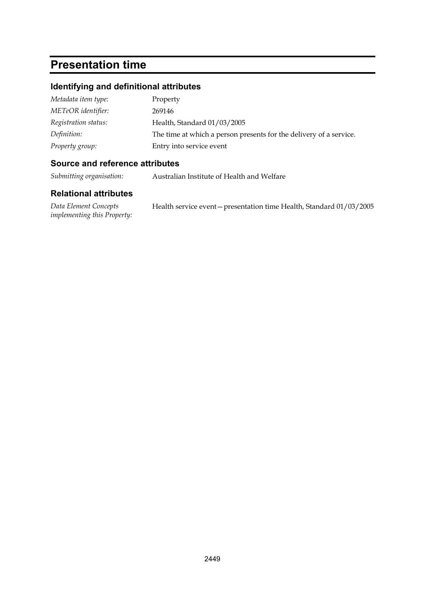# **Presentation time**

#### **Identifying and definitional attributes**

| Metadata item type:  | Property                                                           |
|----------------------|--------------------------------------------------------------------|
| METeOR identifier:   | 269146                                                             |
| Registration status: | Health, Standard 01/03/2005                                        |
| Definition:          | The time at which a person presents for the delivery of a service. |
| Property group:      | Entry into service event                                           |

#### **Source and reference attributes**

*Submitting organisation:* Australian Institute of Health and Welfare

#### **Relational attributes**

*Data Element Concepts implementing this Property:* Health service event—presentation time Health, Standard 01/03/2005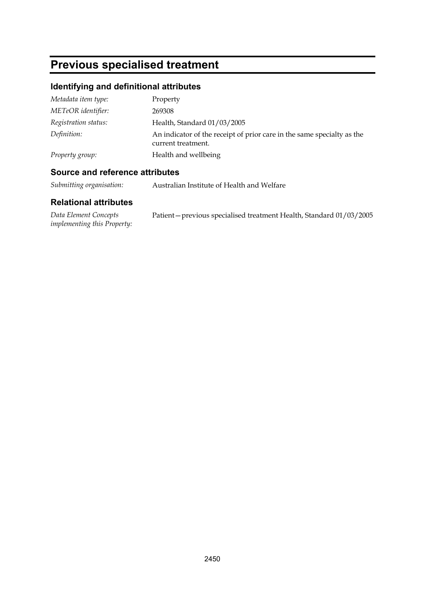# **Previous specialised treatment**

## **Identifying and definitional attributes**

| Metadata item type:  | Property                                                                                     |
|----------------------|----------------------------------------------------------------------------------------------|
| METeOR identifier:   | 269308                                                                                       |
| Registration status: | Health, Standard 01/03/2005                                                                  |
| Definition:          | An indicator of the receipt of prior care in the same specialty as the<br>current treatment. |
| Property group:      | Health and wellbeing                                                                         |

### **Source and reference attributes**

*Submitting organisation:* Australian Institute of Health and Welfare

| Data Element Concepts              | Patient-previous specialised treatment Health, Standard 01/03/2005 |
|------------------------------------|--------------------------------------------------------------------|
| <i>implementing this Property:</i> |                                                                    |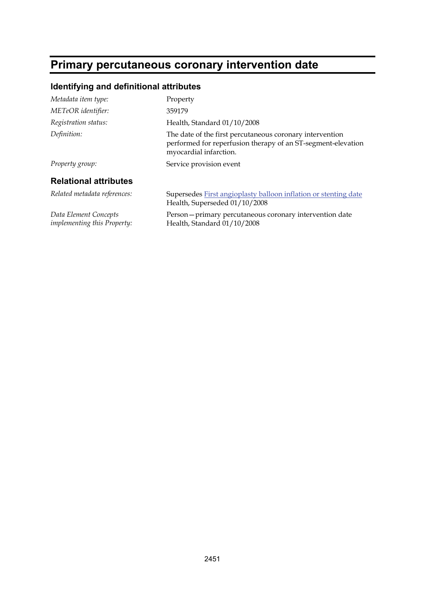# **Primary percutaneous coronary intervention date**

## **Identifying and definitional attributes**

| Metadata item type:                                  | Property                                                                                                                                           |
|------------------------------------------------------|----------------------------------------------------------------------------------------------------------------------------------------------------|
| METeOR identifier:                                   | 359179                                                                                                                                             |
| Registration status:                                 | Health, Standard 01/10/2008                                                                                                                        |
| Definition:                                          | The date of the first percutaneous coronary intervention<br>performed for reperfusion therapy of an ST-segment-elevation<br>myocardial infarction. |
| Property group:                                      | Service provision event                                                                                                                            |
| <b>Relational attributes</b>                         |                                                                                                                                                    |
| Related metadata references:                         | Supersedes First angioplasty balloon inflation or stenting date<br>Health, Superseded 01/10/2008                                                   |
| Data Element Concepts<br>implementing this Property: | Person-primary percutaneous coronary intervention date<br>Health, Standard 01/10/2008                                                              |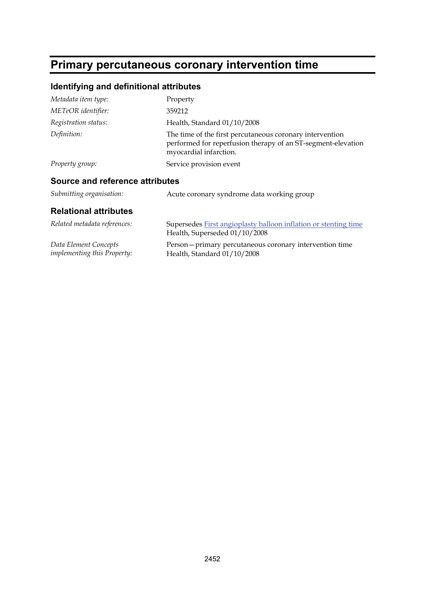# **Primary percutaneous coronary intervention time**

## **Identifying and definitional attributes**

| Metadata item type:             | Property                                                                                                                                           |
|---------------------------------|----------------------------------------------------------------------------------------------------------------------------------------------------|
| METeOR identifier:              | 359212                                                                                                                                             |
| Registration status:            | Health, Standard 01/10/2008                                                                                                                        |
| Definition:                     | The time of the first percutaneous coronary intervention<br>performed for reperfusion therapy of an ST-segment-elevation<br>myocardial infarction. |
| Property group:                 | Service provision event                                                                                                                            |
| Source and reference attributes |                                                                                                                                                    |
| Submitting organisation:        | Acute coronary syndrome data working group                                                                                                         |
|                                 |                                                                                                                                                    |

| Related metadata references:       | Supersedes First angioplasty balloon inflation or stenting time<br>Health, Superseded 01/10/2008 |
|------------------------------------|--------------------------------------------------------------------------------------------------|
| Data Element Concepts              | Person – primary percutaneous coronary intervention time                                         |
| <i>implementing this Property:</i> | Health, Standard $01/10/2008$                                                                    |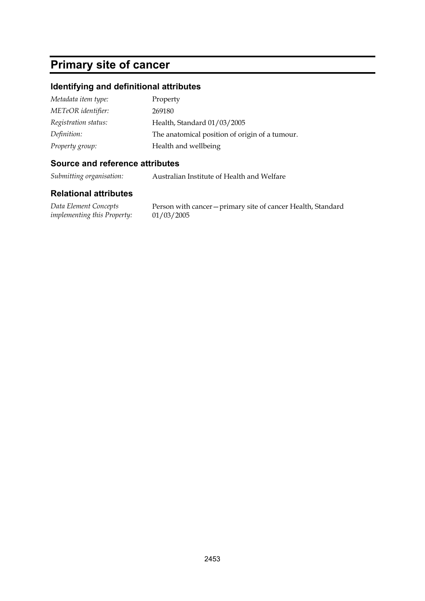# **Primary site of cancer**

#### **Identifying and definitional attributes**

| Metadata item type:  | Property                                       |
|----------------------|------------------------------------------------|
| METeOR identifier:   | 269180                                         |
| Registration status: | Health, Standard 01/03/2005                    |
| Definition:          | The anatomical position of origin of a tumour. |
| Property group:      | Health and wellbeing                           |

#### **Source and reference attributes**

*Submitting organisation:* Australian Institute of Health and Welfare

#### **Relational attributes**

*Data Element Concepts implementing this Property:*

Person with cancer—primary site of cancer Health, Standard 01/03/2005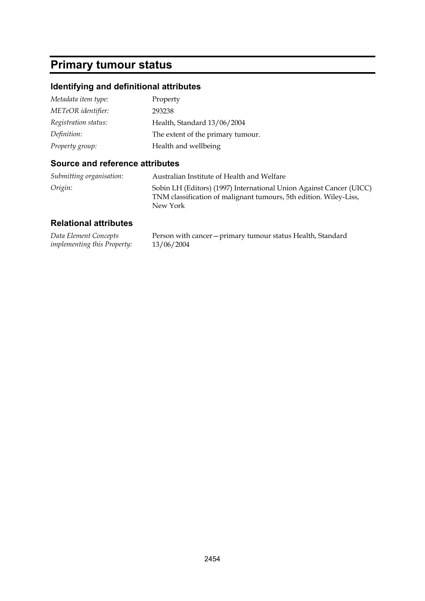# **Primary tumour status**

## **Identifying and definitional attributes**

| Metadata item type:  | Property                          |
|----------------------|-----------------------------------|
| METeOR identifier:   | 293238                            |
| Registration status: | Health, Standard 13/06/2004       |
| Definition:          | The extent of the primary tumour. |
| Property group:      | Health and wellbeing              |

#### **Source and reference attributes**

| Submitting organisation: | Australian Institute of Health and Welfare                                                                                                           |
|--------------------------|------------------------------------------------------------------------------------------------------------------------------------------------------|
| Origin:                  | Sobin LH (Editors) (1997) International Union Against Cancer (UICC)<br>TNM classification of malignant tumours, 5th edition. Wiley-Liss,<br>New York |

| Data Element Concepts              | Person with cancer – primary tumour status Health, Standard |
|------------------------------------|-------------------------------------------------------------|
| <i>implementing this Property:</i> | 13/06/2004                                                  |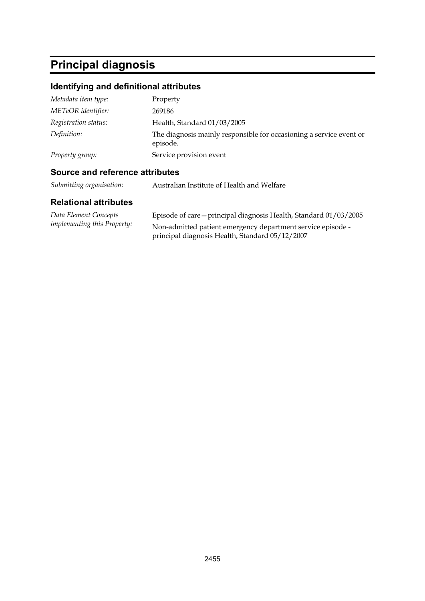# **Principal diagnosis**

## **Identifying and definitional attributes**

| Metadata item type:  | Property                                                                        |
|----------------------|---------------------------------------------------------------------------------|
| METeOR identifier:   | 269186                                                                          |
| Registration status: | Health, Standard 01/03/2005                                                     |
| Definition:          | The diagnosis mainly responsible for occasioning a service event or<br>episode. |
| Property group:      | Service provision event                                                         |

### **Source and reference attributes**

| Submitting organisation: | Australian Institute of Health and Welfare |
|--------------------------|--------------------------------------------|
|--------------------------|--------------------------------------------|

| Data Element Concepts              | Episode of care – principal diagnosis Health, Standard 01/03/2005 |
|------------------------------------|-------------------------------------------------------------------|
| <i>implementing this Property:</i> | Non-admitted patient emergency department service episode -       |
|                                    | principal diagnosis Health, Standard 05/12/2007                   |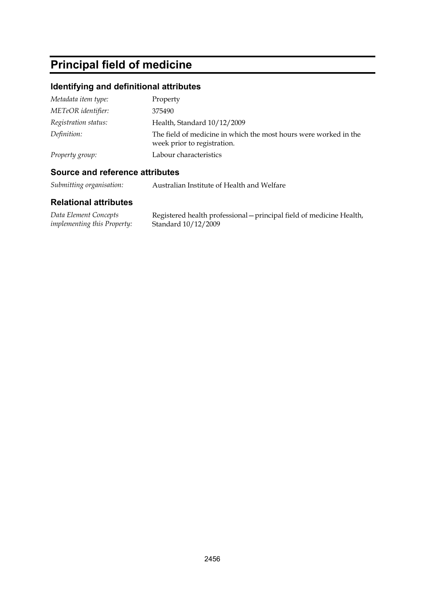# **Principal field of medicine**

## **Identifying and definitional attributes**

| Metadata item type:  | Property                                                                                        |
|----------------------|-------------------------------------------------------------------------------------------------|
| METeOR identifier:   | 375490                                                                                          |
| Registration status: | Health, Standard 10/12/2009                                                                     |
| Definition:          | The field of medicine in which the most hours were worked in the<br>week prior to registration. |
| Property group:      | Labour characteristics                                                                          |

### **Source and reference attributes**

*Submitting organisation:* Australian Institute of Health and Welfare

| Data Element Concepts              | Registered health professional – principal field of medicine Health, |
|------------------------------------|----------------------------------------------------------------------|
| <i>implementing this Property:</i> | Standard 10/12/2009                                                  |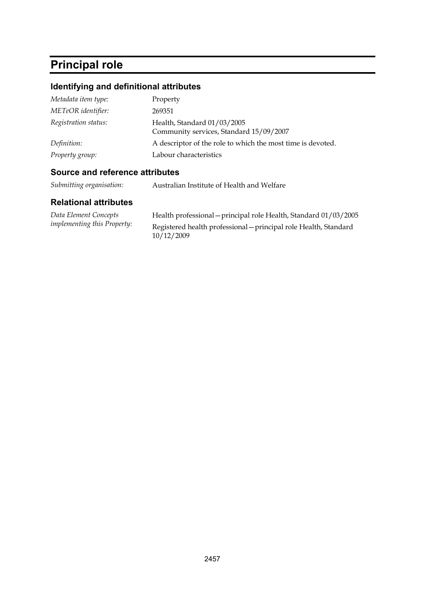# **Principal role**

## **Identifying and definitional attributes**

| Property                                                               |
|------------------------------------------------------------------------|
| 269351                                                                 |
| Health, Standard 01/03/2005<br>Community services, Standard 15/09/2007 |
| A descriptor of the role to which the most time is devoted.            |
| Labour characteristics                                                 |
|                                                                        |

## **Source and reference attributes**

| Submitting organisation: | Australian Institute of Health and Welfare |
|--------------------------|--------------------------------------------|
|--------------------------|--------------------------------------------|

| Data Element Concepts              | Health professional - principal role Health, Standard 01/03/2005               |
|------------------------------------|--------------------------------------------------------------------------------|
| <i>implementing this Property:</i> | Registered health professional - principal role Health, Standard<br>10/12/2009 |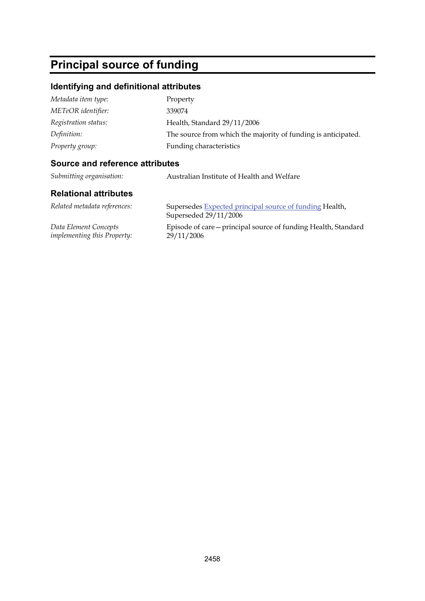# **Principal source of funding**

## **Identifying and definitional attributes**

| Metadata item type:  | Property                                                      |
|----------------------|---------------------------------------------------------------|
| METeOR identifier:   | 339074                                                        |
| Registration status: | Health, Standard 29/11/2006                                   |
| Definition:          | The source from which the majority of funding is anticipated. |
| Property group:      | Funding characteristics                                       |

#### **Source and reference attributes**

| Submitting organisation: | Australian Institute of Health and Welfare |
|--------------------------|--------------------------------------------|
|                          |                                            |

| Related metadata references:       | Supersedes Expected principal source of funding Health,<br>Superseded 29/11/2006 |
|------------------------------------|----------------------------------------------------------------------------------|
| Data Element Concepts              | Episode of care – principal source of funding Health, Standard                   |
| <i>implementing this Property:</i> | 29/11/2006                                                                       |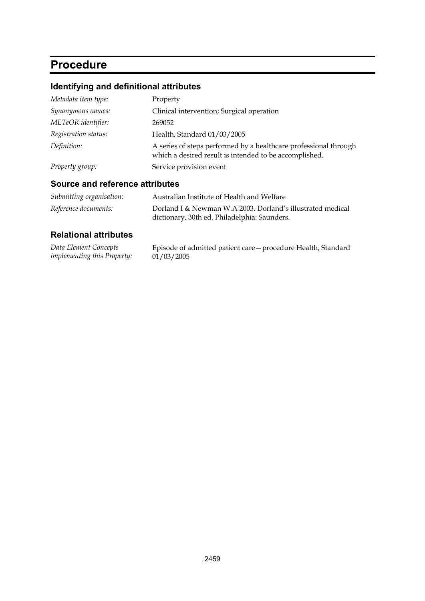# **Procedure**

# **Identifying and definitional attributes**

| Metadata item type:  | Property                                                                                                                   |
|----------------------|----------------------------------------------------------------------------------------------------------------------------|
| Synonymous names:    | Clinical intervention; Surgical operation                                                                                  |
| METeOR identifier:   | 269052                                                                                                                     |
| Registration status: | Health, Standard 01/03/2005                                                                                                |
| Definition:          | A series of steps performed by a healthcare professional through<br>which a desired result is intended to be accomplished. |
| Property group:      | Service provision event                                                                                                    |

### **Source and reference attributes**

| <i>Submitting organisation:</i> | Australian Institute of Health and Welfare                                                                 |
|---------------------------------|------------------------------------------------------------------------------------------------------------|
| Reference documents:            | Dorland I & Newman W.A 2003. Dorland's illustrated medical<br>dictionary, 30th ed. Philadelphia: Saunders. |

| Data Element Concepts              | Episode of admitted patient care - procedure Health, Standard |
|------------------------------------|---------------------------------------------------------------|
| <i>implementing this Property:</i> | 01/03/2005                                                    |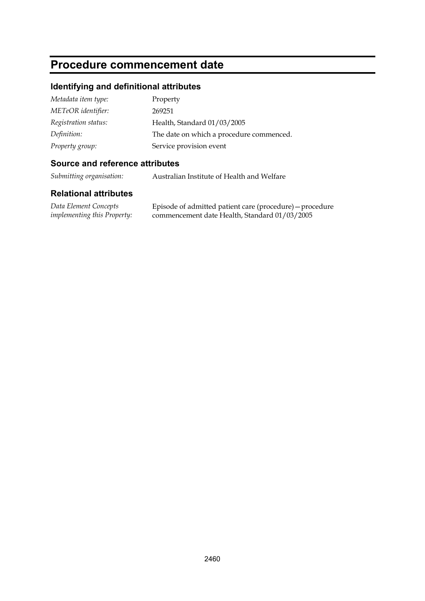# **Procedure commencement date**

## **Identifying and definitional attributes**

| Metadata item type:  | Property                                 |
|----------------------|------------------------------------------|
| METeOR identifier:   | 269251                                   |
| Registration status: | Health, Standard 01/03/2005              |
| Definition:          | The date on which a procedure commenced. |
| Property group:      | Service provision event                  |

### **Source and reference attributes**

*Submitting organisation:* Australian Institute of Health and Welfare

| Data Element Concepts              | Episode of admitted patient care (procedure) – procedure |
|------------------------------------|----------------------------------------------------------|
| <i>implementing this Property:</i> | commencement date Health, Standard 01/03/2005            |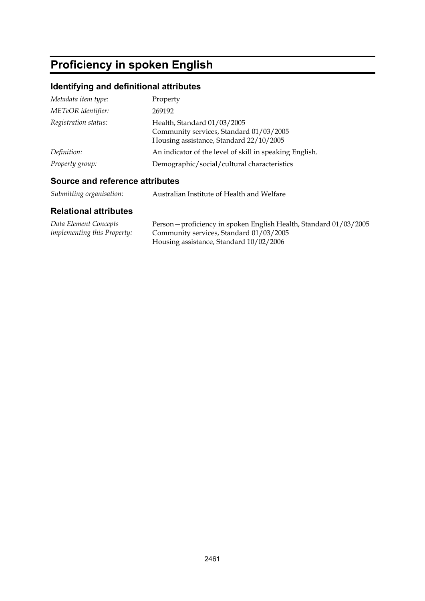# **Proficiency in spoken English**

## **Identifying and definitional attributes**

| Metadata item type:  | Property                                                                                                          |
|----------------------|-------------------------------------------------------------------------------------------------------------------|
| METeOR identifier:   | 269192                                                                                                            |
| Registration status: | Health, Standard 01/03/2005<br>Community services, Standard 01/03/2005<br>Housing assistance, Standard 22/10/2005 |
| Definition:          | An indicator of the level of skill in speaking English.                                                           |
| Property group:      | Demographic/social/cultural characteristics                                                                       |

### **Source and reference attributes**

| Submitting organisation: | Australian Institute of Health and Welfare |
|--------------------------|--------------------------------------------|
|                          |                                            |

| Data Element Concepts              | Person - proficiency in spoken English Health, Standard 01/03/2005 |
|------------------------------------|--------------------------------------------------------------------|
| <i>implementing this Property:</i> | Community services, Standard 01/03/2005                            |
|                                    | Housing assistance, Standard 10/02/2006                            |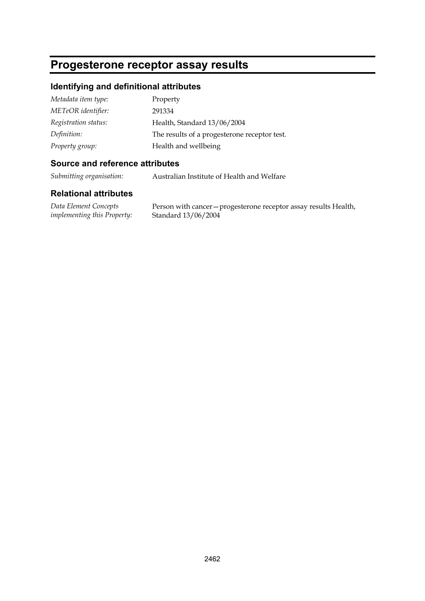## **Progesterone receptor assay results**

#### **Identifying and definitional attributes**

| Metadata item type:  | Property                                     |
|----------------------|----------------------------------------------|
| METeOR identifier:   | 291334                                       |
| Registration status: | Health, Standard 13/06/2004                  |
| Definition:          | The results of a progesterone receptor test. |
| Property group:      | Health and wellbeing                         |

#### **Source and reference attributes**

*Submitting organisation:* Australian Institute of Health and Welfare

#### **Relational attributes**

*Data Element Concepts implementing this Property:*

Person with cancer—progesterone receptor assay results Health, Standard 13/06/2004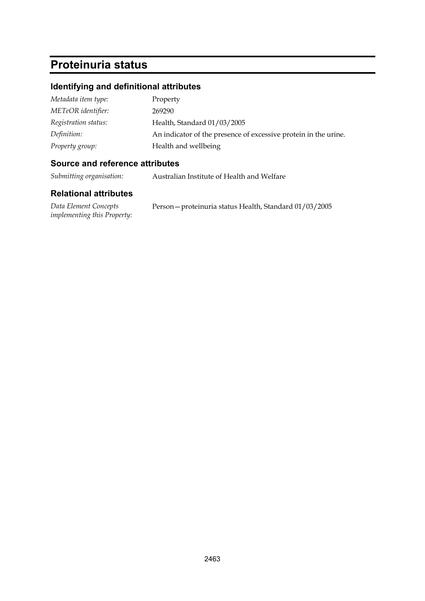# **Proteinuria status**

### **Identifying and definitional attributes**

| Metadata item type:  | Property                                                        |
|----------------------|-----------------------------------------------------------------|
| METeOR identifier:   | 269290                                                          |
| Registration status: | Health, Standard 01/03/2005                                     |
| Definition:          | An indicator of the presence of excessive protein in the urine. |
| Property group:      | Health and wellbeing                                            |

### **Source and reference attributes**

*Submitting organisation:* Australian Institute of Health and Welfare

| Data Element Concepts              | Person – proteinuria status Health, Standard 01/03/2005 |  |
|------------------------------------|---------------------------------------------------------|--|
| <i>implementing this Property:</i> |                                                         |  |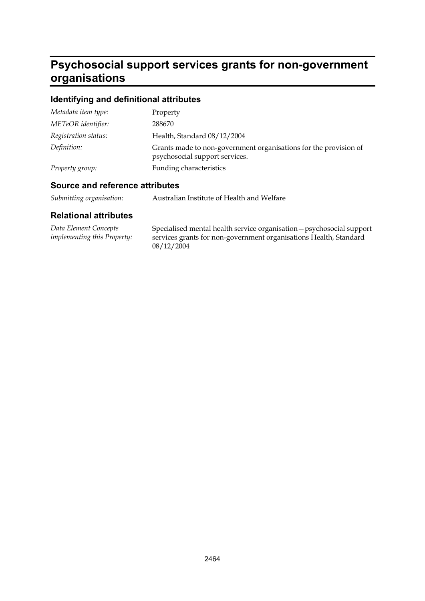# **Psychosocial support services grants for non-government organisations**

## **Identifying and definitional attributes**

| Metadata item type:  | Property                                                                                           |
|----------------------|----------------------------------------------------------------------------------------------------|
| METeOR identifier:   | 288670                                                                                             |
| Registration status: | Health, Standard 08/12/2004                                                                        |
| Definition:          | Grants made to non-government organisations for the provision of<br>psychosocial support services. |
| Property group:      | Funding characteristics                                                                            |

### **Source and reference attributes**

| Submitting organisation: | Australian Institute of Health and Welfare |
|--------------------------|--------------------------------------------|
|--------------------------|--------------------------------------------|

| Data Element Concepts       | Specialised mental health service organisation - psychosocial support |
|-----------------------------|-----------------------------------------------------------------------|
| implementing this Property: | services grants for non-government organisations Health, Standard     |
|                             | 08/12/2004                                                            |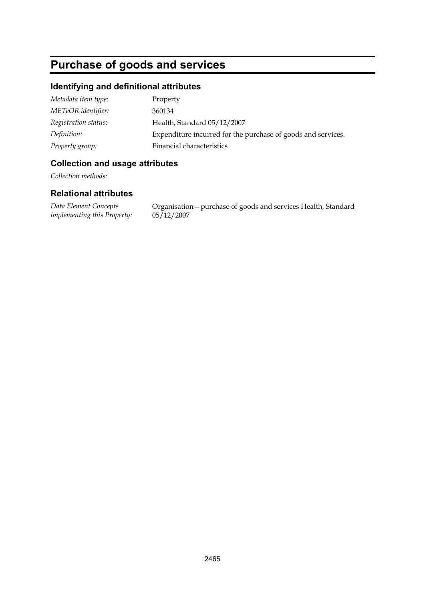# **Purchase of goods and services**

### **Identifying and definitional attributes**

| Metadata item type:  | Property                                                     |
|----------------------|--------------------------------------------------------------|
| METeOR identifier:   | 360134                                                       |
| Registration status: | Health, Standard 05/12/2007                                  |
| Definition:          | Expenditure incurred for the purchase of goods and services. |
| Property group:      | Financial characteristics                                    |

### **Collection and usage attributes**

*Collection methods:*

### **Relational attributes**

*Data Element Concepts implementing this Property:* Organisation—purchase of goods and services Health, Standard 05/12/2007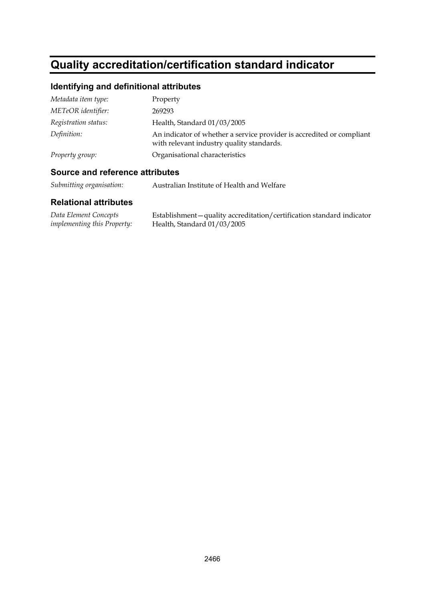# **Quality accreditation/certification standard indicator**

### **Identifying and definitional attributes**

| Metadata item type:  | Property                                                                                                           |
|----------------------|--------------------------------------------------------------------------------------------------------------------|
| METeOR identifier:   | 269293                                                                                                             |
| Registration status: | Health, Standard 01/03/2005                                                                                        |
| Definition:          | An indicator of whether a service provider is accredited or compliant<br>with relevant industry quality standards. |
| Property group:      | Organisational characteristics                                                                                     |

#### **Source and reference attributes**

*Submitting organisation:* Australian Institute of Health and Welfare

| Data Element Concepts              | Establishment – quality accreditation/certification standard indicator |
|------------------------------------|------------------------------------------------------------------------|
| <i>implementing this Property:</i> | Health, Standard $01/03/2005$                                          |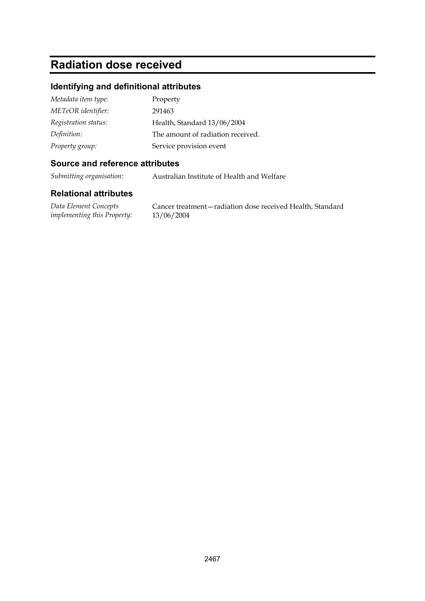### **Radiation dose received**

#### **Identifying and definitional attributes**

| Metadata item type:  | Property                          |
|----------------------|-----------------------------------|
| METeOR identifier:   | 291463                            |
| Registration status: | Health, Standard 13/06/2004       |
| Definition:          | The amount of radiation received. |
| Property group:      | Service provision event           |

#### **Source and reference attributes**

*Submitting organisation:* Australian Institute of Health and Welfare

#### **Relational attributes**

*Data Element Concepts implementing this Property:*

Cancer treatment—radiation dose received Health, Standard 13/06/2004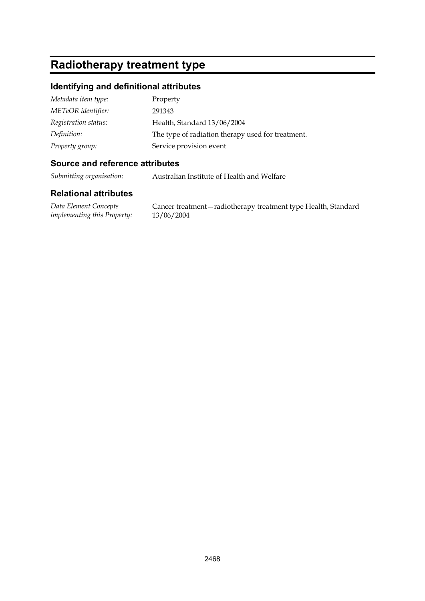## **Radiotherapy treatment type**

#### **Identifying and definitional attributes**

| Metadata item type:  | Property                                          |
|----------------------|---------------------------------------------------|
| METeOR identifier:   | 291343                                            |
| Registration status: | Health, Standard 13/06/2004                       |
| Definition:          | The type of radiation therapy used for treatment. |
| Property group:      | Service provision event                           |

#### **Source and reference attributes**

*Submitting organisation:* Australian Institute of Health and Welfare

#### **Relational attributes**

*Data Element Concepts implementing this Property:*

Cancer treatment—radiotherapy treatment type Health, Standard 13/06/2004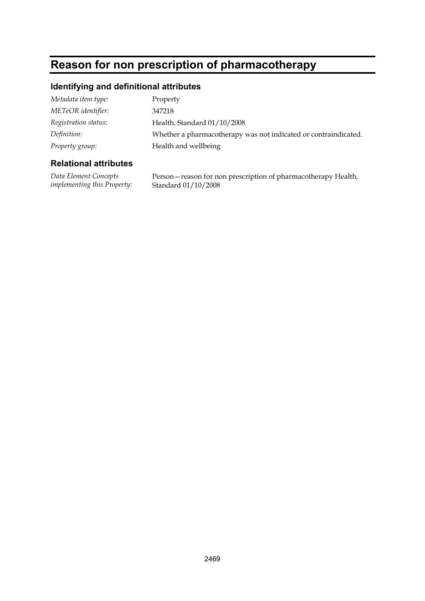# **Reason for non prescription of pharmacotherapy**

#### **Identifying and definitional attributes**

| Property                                                        |
|-----------------------------------------------------------------|
| 347218                                                          |
| Health, Standard 01/10/2008                                     |
| Whether a pharmacotherapy was not indicated or contraindicated. |
| Health and wellbeing                                            |
|                                                                 |

#### **Relational attributes**

*Data Element Concepts implementing this Property:* Person—reason for non prescription of pharmacotherapy Health, Standard 01/10/2008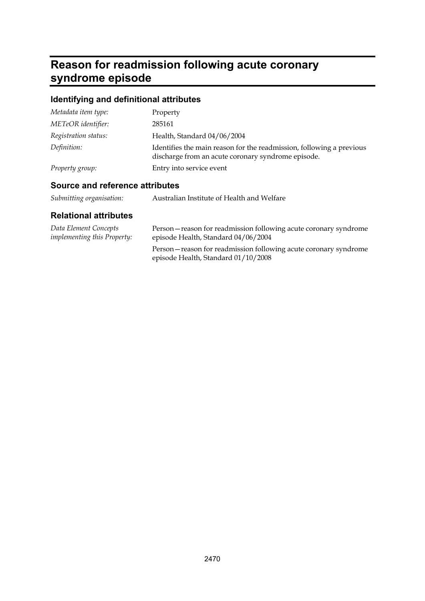# **Reason for readmission following acute coronary syndrome episode**

### **Identifying and definitional attributes**

| Metadata item type:  | Property                                                                                                                   |
|----------------------|----------------------------------------------------------------------------------------------------------------------------|
| METeOR identifier:   | 285161                                                                                                                     |
| Registration status: | Health, Standard 04/06/2004                                                                                                |
| Definition:          | Identifies the main reason for the readmission, following a previous<br>discharge from an acute coronary syndrome episode. |
| Property group:      | Entry into service event                                                                                                   |

### **Source and reference attributes**

| Submitting organisation: |  | Australian Institute of Health and Welfare |
|--------------------------|--|--------------------------------------------|
|--------------------------|--|--------------------------------------------|

| Data Element Concepts<br><i>implementing this Property:</i> | Person – reason for readmission following acute coronary syndrome<br>episode Health, Standard 04/06/2004 |
|-------------------------------------------------------------|----------------------------------------------------------------------------------------------------------|
|                                                             | Person-reason for readmission following acute coronary syndrome<br>episode Health, Standard 01/10/2008   |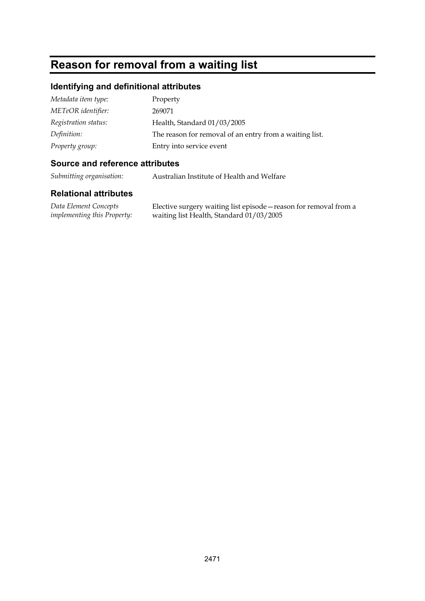# **Reason for removal from a waiting list**

#### **Identifying and definitional attributes**

| Metadata item type:  | Property                                                |
|----------------------|---------------------------------------------------------|
| METeOR identifier:   | 269071                                                  |
| Registration status: | Health, Standard 01/03/2005                             |
| Definition:          | The reason for removal of an entry from a waiting list. |
| Property group:      | Entry into service event                                |

#### **Source and reference attributes**

*Submitting organisation:* Australian Institute of Health and Welfare

#### **Relational attributes**

*Data Element Concepts implementing this Property:* Elective surgery waiting list episode—reason for removal from a waiting list Health, Standard 01/03/2005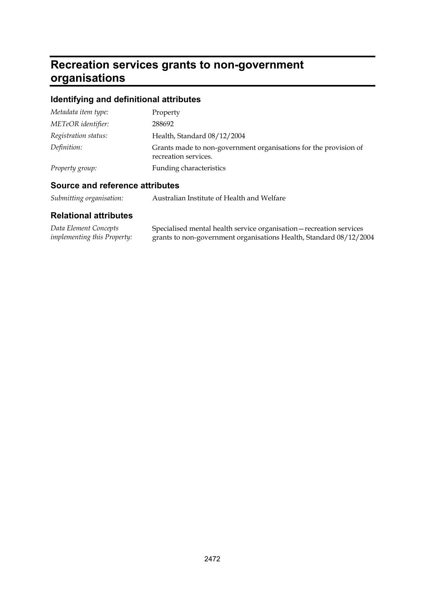# **Recreation services grants to non-government organisations**

# **Identifying and definitional attributes**

| Metadata item type:  | Property                                                                                 |
|----------------------|------------------------------------------------------------------------------------------|
| METeOR identifier:   | 288692                                                                                   |
| Registration status: | Health, Standard 08/12/2004                                                              |
| Definition:          | Grants made to non-government organisations for the provision of<br>recreation services. |
| Property group:      | Funding characteristics                                                                  |

#### **Source and reference attributes**

| Submitting organisation: |  | Australian Institute of Health and Welfare |
|--------------------------|--|--------------------------------------------|
|--------------------------|--|--------------------------------------------|

| Data Element Concepts              | Specialised mental health service organisation - recreation services |
|------------------------------------|----------------------------------------------------------------------|
| <i>implementing this Property:</i> | grants to non-government organisations Health, Standard 08/12/2004   |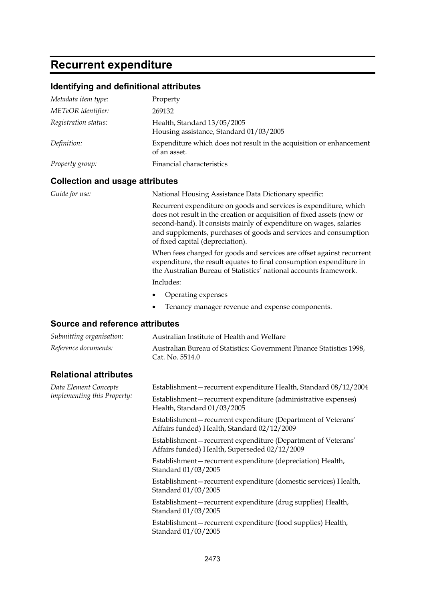### **Recurrent expenditure**

#### **Identifying and definitional attributes**

| Metadata item type:  | Property                                                                            |
|----------------------|-------------------------------------------------------------------------------------|
| METeOR identifier:   | 269132                                                                              |
| Registration status: | Health, Standard 13/05/2005<br>Housing assistance, Standard 01/03/2005              |
| Definition:          | Expenditure which does not result in the acquisition or enhancement<br>of an asset. |
| Property group:      | Financial characteristics                                                           |

#### **Collection and usage attributes**

*Guide for use:* National Housing Assistance Data Dictionary specific:

Recurrent expenditure on goods and services is expenditure, which does not result in the creation or acquisition of fixed assets (new or second-hand). It consists mainly of expenditure on wages, salaries and supplements, purchases of goods and services and consumption of fixed capital (depreciation).

When fees charged for goods and services are offset against recurrent expenditure, the result equates to final consumption expenditure in the Australian Bureau of Statistics' national accounts framework.

Includes:

- Operating expenses
- Tenancy manager revenue and expense components.

#### **Source and reference attributes**

| Submitting organisation: | Australian Institute of Health and Welfare                                              |
|--------------------------|-----------------------------------------------------------------------------------------|
| Reference documents:     | Australian Bureau of Statistics: Government Finance Statistics 1998.<br>Cat. No. 5514.0 |

#### **Relational attributes**

*Data Element Concepts implementing this Property:* Establishment—recurrent expenditure Health, Standard 08/12/2004 Establishment—recurrent expenditure (administrative expenses) Health, Standard 01/03/2005

Establishment—recurrent expenditure (Department of Veterans' Affairs funded) Health, Standard 02/12/2009

Establishment—recurrent expenditure (Department of Veterans' Affairs funded) Health, Superseded 02/12/2009

Establishment—recurrent expenditure (depreciation) Health, Standard 01/03/2005

Establishment—recurrent expenditure (domestic services) Health, Standard 01/03/2005

Establishment—recurrent expenditure (drug supplies) Health, Standard 01/03/2005

Establishment—recurrent expenditure (food supplies) Health, Standard 01/03/2005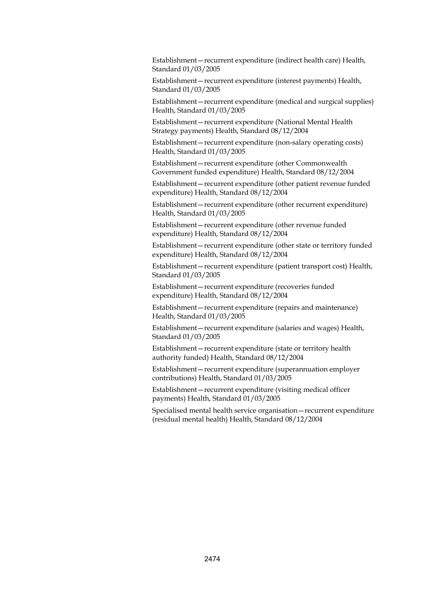Establishment—recurrent expenditure (indirect health care) Health, Standard 01/03/2005

Establishment—recurrent expenditure (interest payments) Health, Standard 01/03/2005

Establishment—recurrent expenditure (medical and surgical supplies) Health, Standard 01/03/2005

Establishment—recurrent expenditure (National Mental Health Strategy payments) Health, Standard 08/12/2004

Establishment—recurrent expenditure (non-salary operating costs) Health, Standard 01/03/2005

Establishment—recurrent expenditure (other Commonwealth Government funded expenditure) Health, Standard 08/12/2004

Establishment—recurrent expenditure (other patient revenue funded expenditure) Health, Standard 08/12/2004

Establishment—recurrent expenditure (other recurrent expenditure) Health, Standard 01/03/2005

Establishment—recurrent expenditure (other revenue funded expenditure) Health, Standard 08/12/2004

Establishment—recurrent expenditure (other state or territory funded expenditure) Health, Standard 08/12/2004

Establishment—recurrent expenditure (patient transport cost) Health, Standard 01/03/2005

Establishment—recurrent expenditure (recoveries funded expenditure) Health, Standard 08/12/2004

Establishment—recurrent expenditure (repairs and maintenance) Health, Standard 01/03/2005

Establishment—recurrent expenditure (salaries and wages) Health, Standard 01/03/2005

Establishment—recurrent expenditure (state or territory health authority funded) Health, Standard 08/12/2004

Establishment—recurrent expenditure (superannuation employer contributions) Health, Standard 01/03/2005

Establishment—recurrent expenditure (visiting medical officer payments) Health, Standard 01/03/2005

Specialised mental health service organisation—recurrent expenditure (residual mental health) Health, Standard 08/12/2004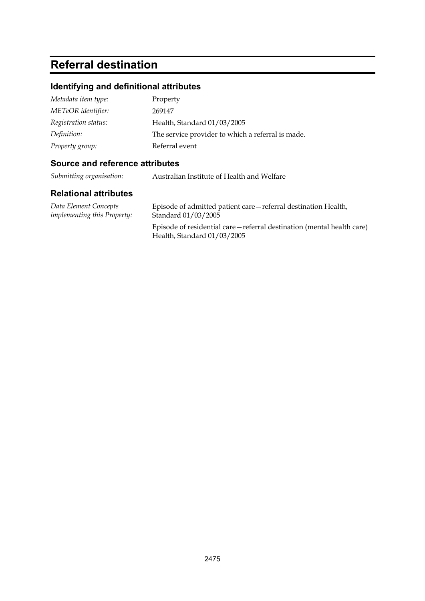## **Referral destination**

#### **Identifying and definitional attributes**

| Metadata item type:  | Property                                          |
|----------------------|---------------------------------------------------|
| METeOR identifier:   | 269147                                            |
| Registration status: | Health, Standard 01/03/2005                       |
| Definition:          | The service provider to which a referral is made. |
| Property group:      | Referral event                                    |

#### **Source and reference attributes**

*Submitting organisation:* Australian Institute of Health and Welfare

#### **Relational attributes**

*Data Element Concepts implementing this Property:* Episode of admitted patient care—referral destination Health, Standard 01/03/2005

Episode of residential care—referral destination (mental health care) Health, Standard 01/03/2005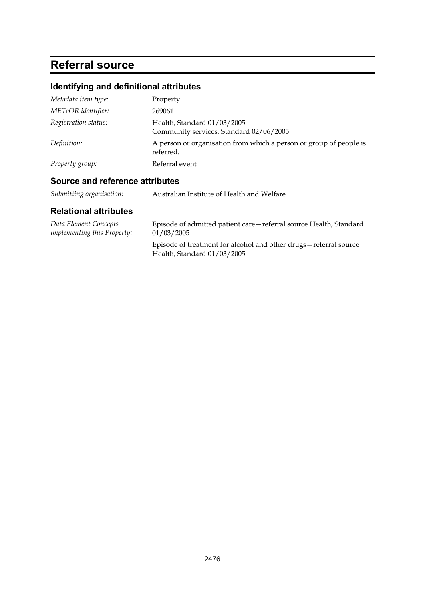# **Referral source**

### **Identifying and definitional attributes**

| Metadata item type:  | Property                                                                        |
|----------------------|---------------------------------------------------------------------------------|
| METeOR identifier:   | 269061                                                                          |
| Registration status: | Health, Standard 01/03/2005<br>Community services, Standard 02/06/2005          |
| Definition:          | A person or organisation from which a person or group of people is<br>referred. |
| Property group:      | Referral event                                                                  |

### **Source and reference attributes**

| Submitting organisation: | Australian Institute of Health and Welfare |
|--------------------------|--------------------------------------------|
|--------------------------|--------------------------------------------|

| Data Element Concepts              | Episode of admitted patient care—referral source Health, Standard                                 |
|------------------------------------|---------------------------------------------------------------------------------------------------|
| <i>implementing this Property:</i> | 01/03/2005                                                                                        |
|                                    | Episode of treatment for alcohol and other drugs – referral source<br>Health, Standard 01/03/2005 |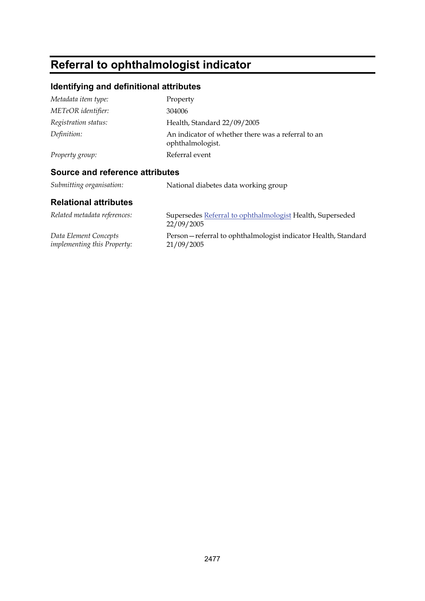# **Referral to ophthalmologist indicator**

### **Identifying and definitional attributes**

| Metadata item type:  | Property                                                               |
|----------------------|------------------------------------------------------------------------|
| METeOR identifier:   | 304006                                                                 |
| Registration status: | Health, Standard 22/09/2005                                            |
| Definition:          | An indicator of whether there was a referral to an<br>ophthalmologist. |
| Property group:      | Referral event                                                         |
|                      |                                                                        |

### **Source and reference attributes**

*Submitting organisation:* National diabetes data working group

| Related metadata references:       | Supersedes Referral to ophthalmologist Health, Superseded<br>22/09/2005 |
|------------------------------------|-------------------------------------------------------------------------|
| Data Element Concepts              | Person—referral to ophthalmologist indicator Health, Standard           |
| <i>implementing this Property:</i> | 21/09/2005                                                              |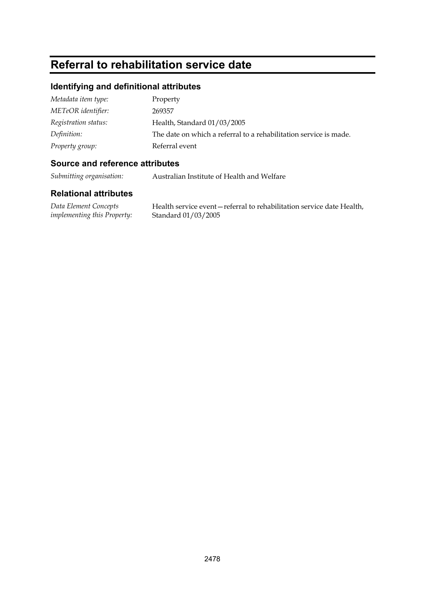# **Referral to rehabilitation service date**

#### **Identifying and definitional attributes**

| Metadata item type:  | Property                                                          |
|----------------------|-------------------------------------------------------------------|
| METeOR identifier:   | 269357                                                            |
| Registration status: | Health, Standard 01/03/2005                                       |
| Definition:          | The date on which a referral to a rehabilitation service is made. |
| Property group:      | Referral event                                                    |

#### **Source and reference attributes**

*Submitting organisation:* Australian Institute of Health and Welfare

#### **Relational attributes**

*Data Element Concepts implementing this Property:*

Health service event—referral to rehabilitation service date Health, Standard 01/03/2005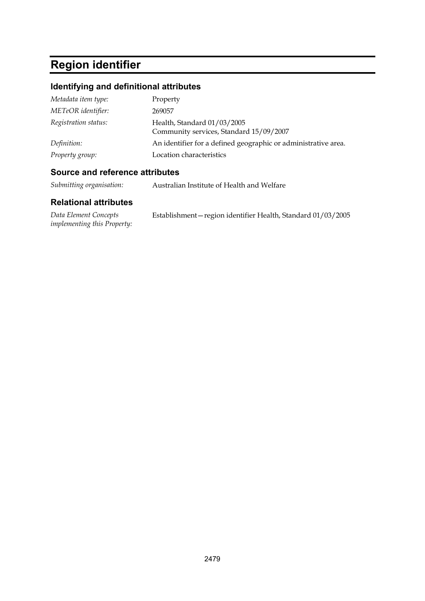# **Region identifier**

### **Identifying and definitional attributes**

| Metadata item type:  | Property                                                               |
|----------------------|------------------------------------------------------------------------|
| METeOR identifier:   | 269057                                                                 |
| Registration status: | Health, Standard 01/03/2005<br>Community services, Standard 15/09/2007 |
| Definition:          | An identifier for a defined geographic or administrative area.         |
| Property group:      | Location characteristics                                               |

#### **Source and reference attributes**

*Submitting organisation:* Australian Institute of Health and Welfare

| Data Element Concepts              | Establishment-region identifier Health, Standard 01/03/2005 |
|------------------------------------|-------------------------------------------------------------|
| <i>implementing this Property:</i> |                                                             |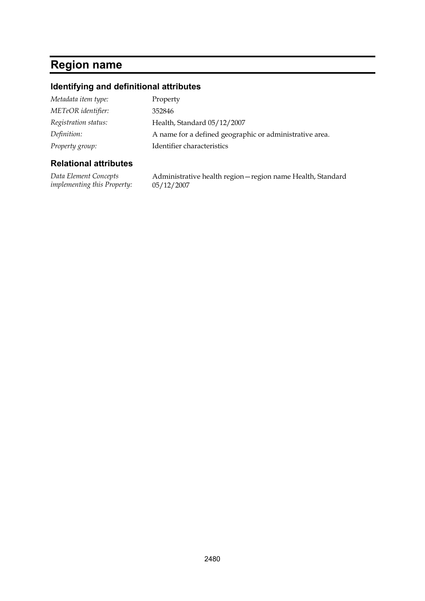### **Region name**

#### **Identifying and definitional attributes**

| Metadata item type:  | Property                                                |
|----------------------|---------------------------------------------------------|
| METeOR identifier:   | 352846                                                  |
| Registration status: | Health, Standard 05/12/2007                             |
| Definition:          | A name for a defined geographic or administrative area. |
| Property group:      | Identifier characteristics                              |

#### **Relational attributes**

*Data Element Concepts implementing this Property:* Administrative health region—region name Health, Standard 05/12/2007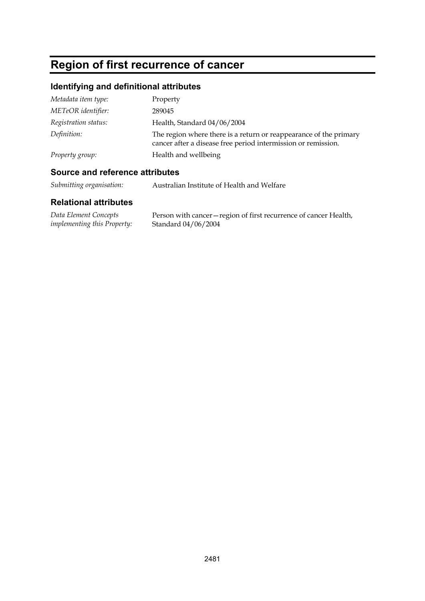# **Region of first recurrence of cancer**

### **Identifying and definitional attributes**

| Metadata item type:  | Property                                                                                                                           |
|----------------------|------------------------------------------------------------------------------------------------------------------------------------|
| METeOR identifier:   | 289045                                                                                                                             |
| Registration status: | Health, Standard 04/06/2004                                                                                                        |
| Definition:          | The region where there is a return or reappearance of the primary<br>cancer after a disease free period intermission or remission. |
| Property group:      | Health and wellbeing                                                                                                               |

#### **Source and reference attributes**

*Submitting organisation:* Australian Institute of Health and Welfare

| Data Element Concepts              | Person with cancer – region of first recurrence of cancer Health, |
|------------------------------------|-------------------------------------------------------------------|
| <i>implementing this Property:</i> | Standard 04/06/2004                                               |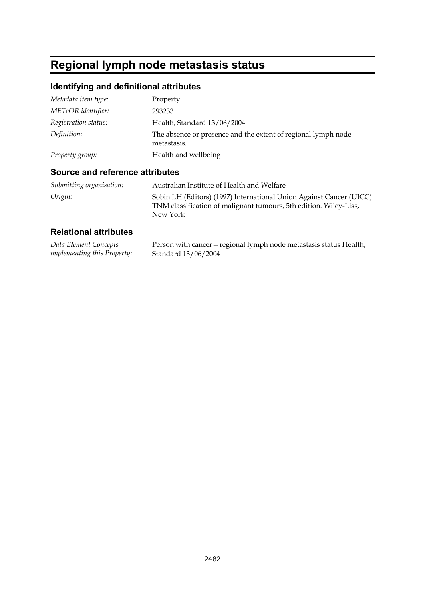# **Regional lymph node metastasis status**

### **Identifying and definitional attributes**

| Metadata item type:  | Property                                                                     |
|----------------------|------------------------------------------------------------------------------|
| METeOR identifier:   | 293233                                                                       |
| Registration status: | Health, Standard 13/06/2004                                                  |
| Definition:          | The absence or presence and the extent of regional lymph node<br>metastasis. |
| Property group:      | Health and wellbeing                                                         |

### **Source and reference attributes**

| Submitting organisation: | Australian Institute of Health and Welfare                                                                                                           |
|--------------------------|------------------------------------------------------------------------------------------------------------------------------------------------------|
| Origin:                  | Sobin LH (Editors) (1997) International Union Against Cancer (UICC)<br>TNM classification of malignant tumours, 5th edition. Wiley-Liss,<br>New York |

| Data Element Concepts              | Person with cancer – regional lymph node metastasis status Health, |
|------------------------------------|--------------------------------------------------------------------|
| <i>implementing this Property:</i> | Standard 13/06/2004                                                |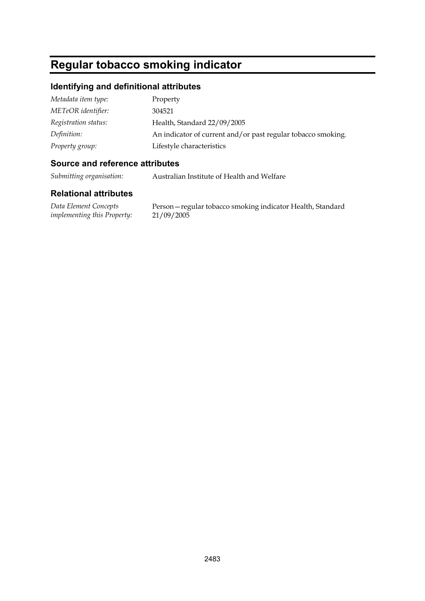# **Regular tobacco smoking indicator**

#### **Identifying and definitional attributes**

| Metadata item type:  | Property                                                     |
|----------------------|--------------------------------------------------------------|
| METeOR identifier:   | 304521                                                       |
| Registration status: | Health, Standard 22/09/2005                                  |
| Definition:          | An indicator of current and/or past regular tobacco smoking. |
| Property group:      | Lifestyle characteristics                                    |

#### **Source and reference attributes**

*Submitting organisation:* Australian Institute of Health and Welfare

#### **Relational attributes**

*Data Element Concepts implementing this Property:*

Person—regular tobacco smoking indicator Health, Standard 21/09/2005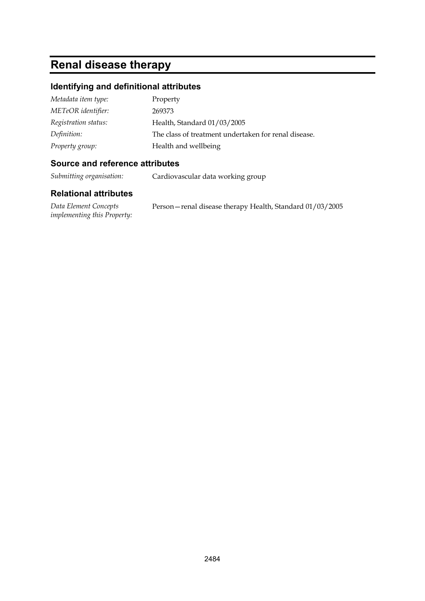# **Renal disease therapy**

#### **Identifying and definitional attributes**

| Metadata item type:  | Property                                             |
|----------------------|------------------------------------------------------|
| METeOR identifier:   | 269373                                               |
| Registration status: | Health, Standard 01/03/2005                          |
| Definition:          | The class of treatment undertaken for renal disease. |
| Property group:      | Health and wellbeing                                 |

#### **Source and reference attributes**

*Submitting organisation:* Cardiovascular data working group

#### **Relational attributes**

*Data Element Concepts implementing this Property:* Person—renal disease therapy Health, Standard 01/03/2005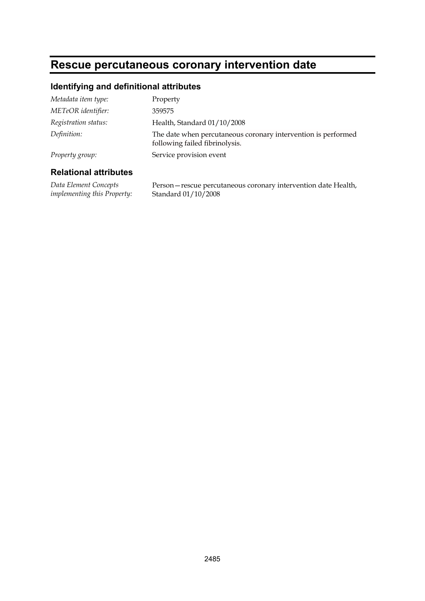# **Rescue percutaneous coronary intervention date**

#### **Identifying and definitional attributes**

| Metadata item type:  | Property                                                                                        |
|----------------------|-------------------------------------------------------------------------------------------------|
| METeOR identifier:   | 359575                                                                                          |
| Registration status: | Health, Standard 01/10/2008                                                                     |
| Definition:          | The date when percutaneous coronary intervention is performed<br>following failed fibrinolysis. |
| Property group:      | Service provision event                                                                         |
|                      |                                                                                                 |

#### **Relational attributes**

*Data Element Concepts implementing this Property:* Person—rescue percutaneous coronary intervention date Health, Standard 01/10/2008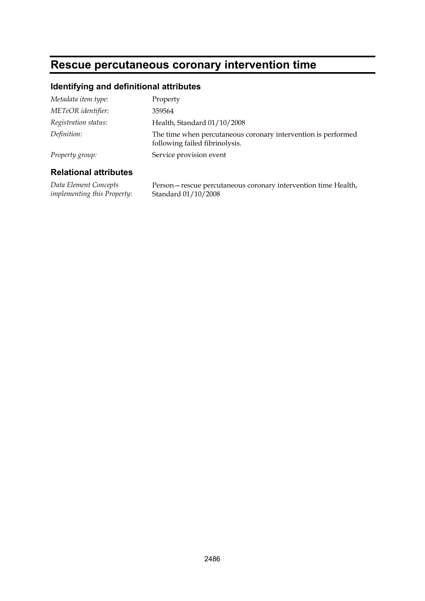# **Rescue percutaneous coronary intervention time**

#### **Identifying and definitional attributes**

| Metadata item type:  | Property                                                                                        |
|----------------------|-------------------------------------------------------------------------------------------------|
| METeOR identifier:   | 359564                                                                                          |
| Registration status: | Health, Standard 01/10/2008                                                                     |
| Definition:          | The time when percutaneous coronary intervention is performed<br>following failed fibrinolysis. |
| Property group:      | Service provision event                                                                         |
|                      |                                                                                                 |

#### **Relational attributes**

*Data Element Concepts implementing this Property:* Person—rescue percutaneous coronary intervention time Health, Standard 01/10/2008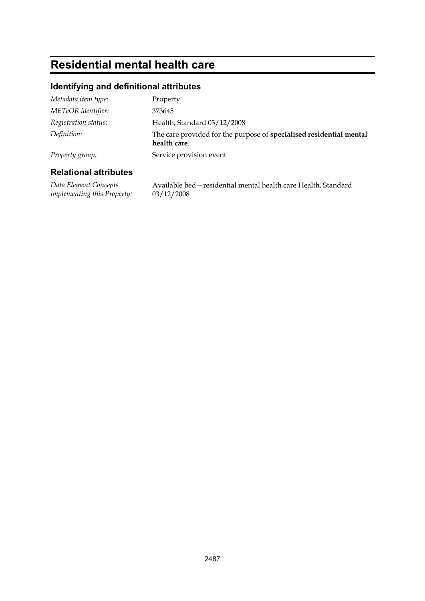# **Residential mental health care**

### **Identifying and definitional attributes**

| Metadata item type:  | Property                                                                            |
|----------------------|-------------------------------------------------------------------------------------|
| METeOR identifier:   | 373645                                                                              |
| Registration status: | Health, Standard 03/12/2008                                                         |
| Definition:          | The care provided for the purpose of specialised residential mental<br>health care. |
| Property group:      | Service provision event                                                             |

#### **Relational attributes**

*Data Element Concepts implementing this Property:*

Available bed—residential mental health care Health, Standard 03/12/2008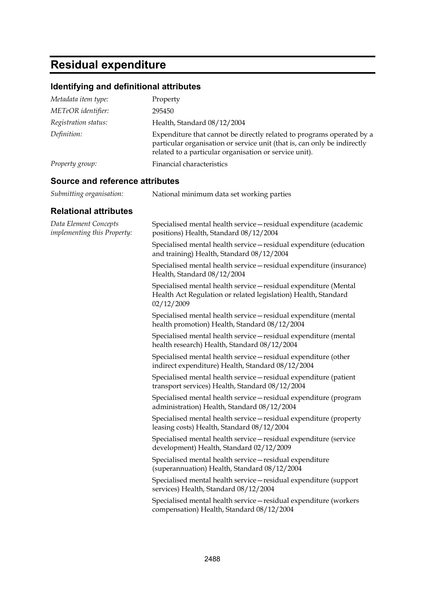# **Residual expenditure**

#### **Identifying and definitional attributes**

| Metadata item type:  | Property                                                                                                                                                                                                    |
|----------------------|-------------------------------------------------------------------------------------------------------------------------------------------------------------------------------------------------------------|
| METeOR identifier:   | 295450                                                                                                                                                                                                      |
| Registration status: | Health, Standard 08/12/2004                                                                                                                                                                                 |
| Definition:          | Expenditure that cannot be directly related to programs operated by a<br>particular organisation or service unit (that is, can only be indirectly<br>related to a particular organisation or service unit). |
| Property group:      | Financial characteristics                                                                                                                                                                                   |

*Submitting organisation:* National minimum data set working parties

#### **Source and reference attributes**

| <b>Relational attributes</b>                                |                                                                                                                                                  |
|-------------------------------------------------------------|--------------------------------------------------------------------------------------------------------------------------------------------------|
| Data Element Concepts<br><i>implementing this Property:</i> | Specialised mental health service – residual expenditure (academic<br>positions) Health, Standard 08/12/2004                                     |
|                                                             | Specialised mental health service - residual expenditure (education<br>and training) Health, Standard 08/12/2004                                 |
|                                                             | Specialised mental health service - residual expenditure (insurance)<br>Health, Standard 08/12/2004                                              |
|                                                             | Specialised mental health service - residual expenditure (Mental<br>Health Act Regulation or related legislation) Health, Standard<br>02/12/2009 |
|                                                             | Specialised mental health service - residual expenditure (mental<br>health promotion) Health, Standard 08/12/2004                                |
|                                                             | Specialised mental health service - residual expenditure (mental<br>health research) Health, Standard 08/12/2004                                 |
|                                                             | Specialised mental health service - residual expenditure (other<br>indirect expenditure) Health, Standard 08/12/2004                             |
|                                                             | Specialised mental health service - residual expenditure (patient<br>transport services) Health, Standard 08/12/2004                             |
|                                                             | Specialised mental health service - residual expenditure (program<br>administration) Health, Standard 08/12/2004                                 |
|                                                             | Specialised mental health service – residual expenditure (property<br>leasing costs) Health, Standard 08/12/2004                                 |
|                                                             | Specialised mental health service - residual expenditure (service<br>development) Health, Standard 02/12/2009                                    |
|                                                             | Specialised mental health service - residual expenditure<br>(superannuation) Health, Standard 08/12/2004                                         |
|                                                             | Specialised mental health service - residual expenditure (support<br>services) Health, Standard 08/12/2004                                       |
|                                                             | Specialised mental health service-residual expenditure (workers<br>compensation) Health, Standard 08/12/2004                                     |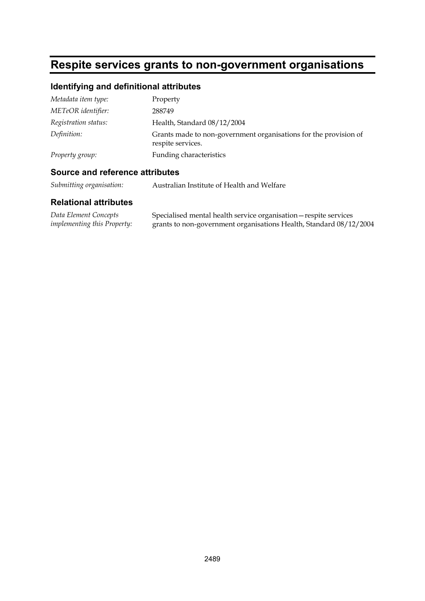# **Respite services grants to non-government organisations**

#### **Identifying and definitional attributes**

| Metadata item type:  | Property                                                                              |
|----------------------|---------------------------------------------------------------------------------------|
| METeOR identifier:   | 288749                                                                                |
| Registration status: | Health, Standard 08/12/2004                                                           |
| Definition:          | Grants made to non-government organisations for the provision of<br>respite services. |
| Property group:      | <b>Funding characteristics</b>                                                        |

#### **Source and reference attributes**

*Submitting organisation:* Australian Institute of Health and Welfare

| Data Element Concepts              | Specialised mental health service organisation - respite services  |
|------------------------------------|--------------------------------------------------------------------|
| <i>implementing this Property:</i> | grants to non-government organisations Health, Standard 08/12/2004 |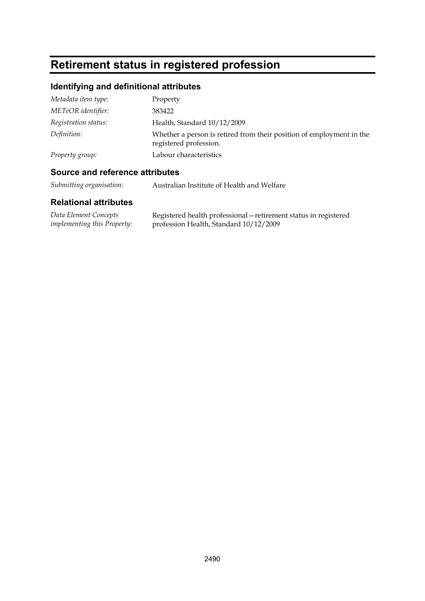# **Retirement status in registered profession**

### **Identifying and definitional attributes**

| Metadata item type:  | Property                                                                                       |
|----------------------|------------------------------------------------------------------------------------------------|
| METeOR identifier:   | 383422                                                                                         |
| Registration status: | Health, Standard 10/12/2009                                                                    |
| Definition:          | Whether a person is retired from their position of employment in the<br>registered profession. |
| Property group:      | Labour characteristics                                                                         |

#### **Source and reference attributes**

*Submitting organisation:* Australian Institute of Health and Welfare

| Data Element Concepts              | Registered health professional – retirement status in registered |
|------------------------------------|------------------------------------------------------------------|
| <i>implementing this Property:</i> | profession Health, Standard 10/12/2009                           |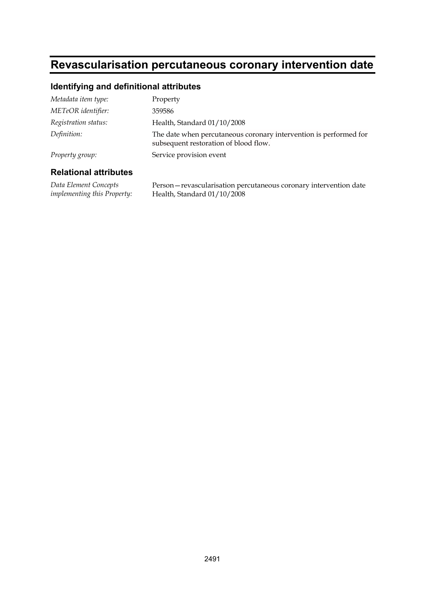### **Revascularisation percutaneous coronary intervention date**

#### **Identifying and definitional attributes**

| Metadata item type:  | Property                                                                                                   |
|----------------------|------------------------------------------------------------------------------------------------------------|
| METeOR identifier:   | 359586                                                                                                     |
| Registration status: | Health, Standard 01/10/2008                                                                                |
| Definition:          | The date when percutaneous coronary intervention is performed for<br>subsequent restoration of blood flow. |
| Property group:      | Service provision event                                                                                    |
|                      |                                                                                                            |

#### **Relational attributes**

*Data Element Concepts implementing this Property:* Person—revascularisation percutaneous coronary intervention date Health, Standard 01/10/2008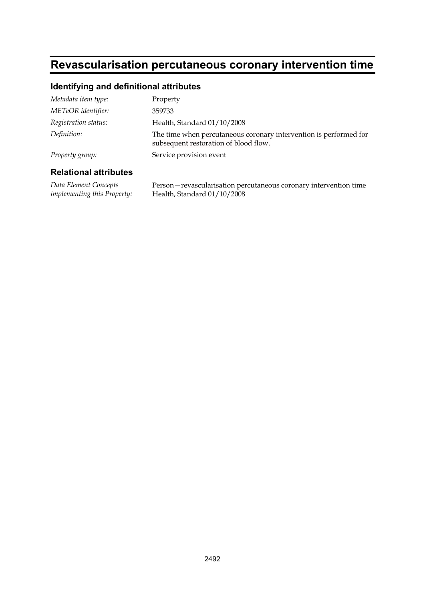### **Revascularisation percutaneous coronary intervention time**

#### **Identifying and definitional attributes**

| Metadata item type:  | Property                                                                                                   |
|----------------------|------------------------------------------------------------------------------------------------------------|
| METeOR identifier:   | 359733                                                                                                     |
| Registration status: | Health, Standard 01/10/2008                                                                                |
| Definition:          | The time when percutaneous coronary intervention is performed for<br>subsequent restoration of blood flow. |
| Property group:      | Service provision event                                                                                    |
|                      |                                                                                                            |

#### **Relational attributes**

*Data Element Concepts implementing this Property:* Person—revascularisation percutaneous coronary intervention time Health, Standard 01/10/2008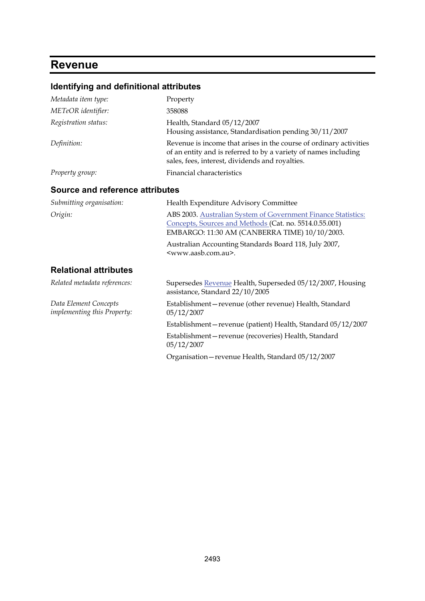# **Revenue**

### **Identifying and definitional attributes**

| Metadata item type:                                  | Property                                                                                                                                                                                 |
|------------------------------------------------------|------------------------------------------------------------------------------------------------------------------------------------------------------------------------------------------|
| METeOR identifier:                                   | 358088                                                                                                                                                                                   |
| Registration status:                                 | Health, Standard 05/12/2007<br>Housing assistance, Standardisation pending 30/11/2007                                                                                                    |
| Definition:                                          | Revenue is income that arises in the course of ordinary activities<br>of an entity and is referred to by a variety of names including<br>sales, fees, interest, dividends and royalties. |
| Property group:                                      | Financial characteristics                                                                                                                                                                |
| <b>Source and reference attributes</b>               |                                                                                                                                                                                          |
| Submitting organisation:                             | Health Expenditure Advisory Committee                                                                                                                                                    |
| Origin:                                              | ABS 2003. Australian System of Government Finance Statistics:<br>Concepts, Sources and Methods (Cat. no. 5514.0.55.001)<br>EMBARGO: 11:30 AM (CANBERRA TIME) 10/10/2003.                 |
|                                                      | Australian Accounting Standards Board 118, July 2007,<br><www.aasb.com.au>.</www.aasb.com.au>                                                                                            |
| <b>Relational attributes</b>                         |                                                                                                                                                                                          |
| Related metadata references:                         | Supersedes Revenue Health, Superseded 05/12/2007, Housing<br>assistance, Standard 22/10/2005                                                                                             |
| Data Element Concepts<br>implementing this Property: | Establishment-revenue (other revenue) Health, Standard<br>05/12/2007                                                                                                                     |
|                                                      | Establishment-revenue (patient) Health, Standard 05/12/2007                                                                                                                              |
|                                                      | Establishment-revenue (recoveries) Health, Standard<br>05/12/2007                                                                                                                        |
|                                                      | Organisation - revenue Health, Standard 05/12/2007                                                                                                                                       |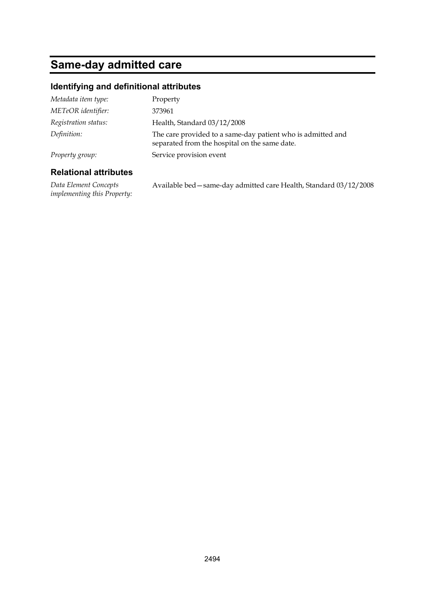# **Same-day admitted care**

#### **Identifying and definitional attributes**

| Metadata item type:  | Property                                                                                                     |
|----------------------|--------------------------------------------------------------------------------------------------------------|
| METeOR identifier:   | 373961                                                                                                       |
| Registration status: | Health, Standard 03/12/2008                                                                                  |
| Definition:          | The care provided to a same-day patient who is admitted and<br>separated from the hospital on the same date. |
| Property group:      | Service provision event                                                                                      |
|                      |                                                                                                              |

#### **Relational attributes**

*Data Element Concepts implementing this Property:* Available bed—same-day admitted care Health, Standard 03/12/2008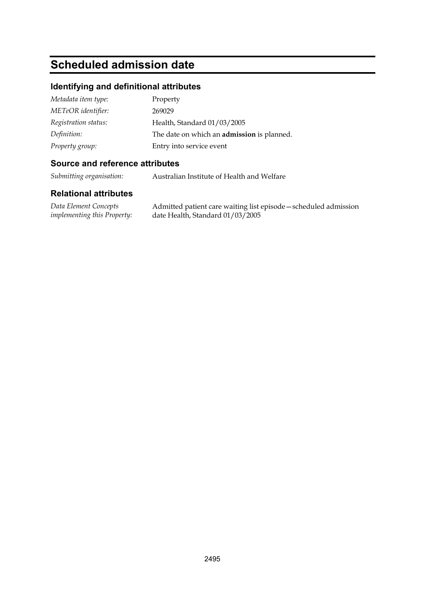# **Scheduled admission date**

#### **Identifying and definitional attributes**

| Metadata item type:  | Property                                          |
|----------------------|---------------------------------------------------|
| METeOR identifier:   | 269029                                            |
| Registration status: | Health, Standard 01/03/2005                       |
| Definition:          | The date on which an <b>admission</b> is planned. |
| Property group:      | Entry into service event                          |

#### **Source and reference attributes**

*Submitting organisation:* Australian Institute of Health and Welfare

#### **Relational attributes**

*Data Element Concepts implementing this Property:* Admitted patient care waiting list episode—scheduled admission date Health, Standard 01/03/2005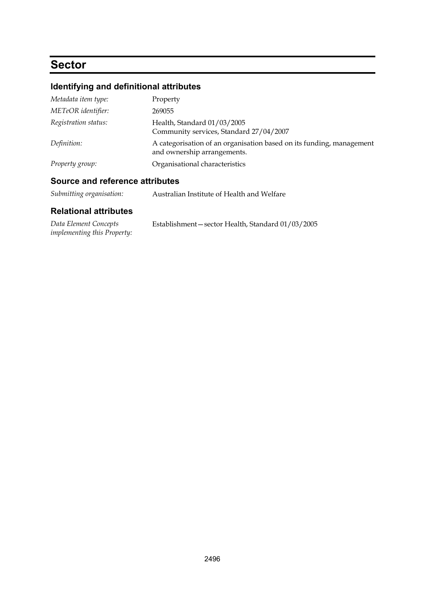## **Sector**

### **Identifying and definitional attributes**

| Metadata item type:  | Property                                                                                            |
|----------------------|-----------------------------------------------------------------------------------------------------|
| METeOR identifier:   | 269055                                                                                              |
| Registration status: | Health, Standard 01/03/2005<br>Community services, Standard 27/04/2007                              |
| Definition:          | A categorisation of an organisation based on its funding, management<br>and ownership arrangements. |
| Property group:      | Organisational characteristics                                                                      |

#### **Source and reference attributes**

| Submitting organisation: | Australian Institute of Health and Welfare |
|--------------------------|--------------------------------------------|
|--------------------------|--------------------------------------------|

| Data Element Concepts              | Establishment-sector Health, Standard 01/03/2005 |
|------------------------------------|--------------------------------------------------|
| <i>implementing this Property:</i> |                                                  |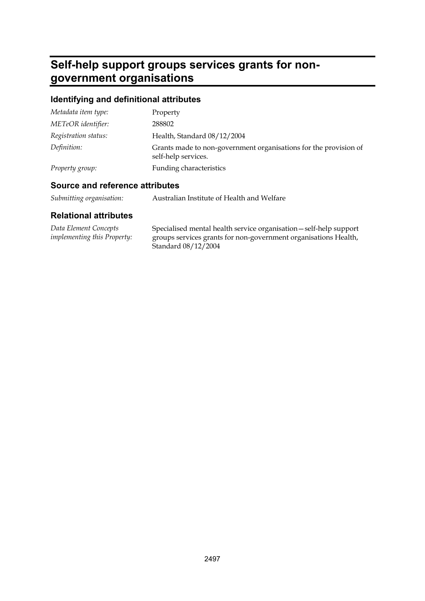# **Self-help support groups services grants for nongovernment organisations**

### **Identifying and definitional attributes**

| Metadata item type:  | Property                                                                                |
|----------------------|-----------------------------------------------------------------------------------------|
| METeOR identifier:   | 288802                                                                                  |
| Registration status: | Health, Standard 08/12/2004                                                             |
| Definition:          | Grants made to non-government organisations for the provision of<br>self-help services. |
| Property group:      | Funding characteristics                                                                 |

#### **Source and reference attributes**

| Submitting organisation: |  | Australian Institute of Health and Welfare |
|--------------------------|--|--------------------------------------------|
|--------------------------|--|--------------------------------------------|

| Data Element Concepts              | Specialised mental health service organisation - self-help support |
|------------------------------------|--------------------------------------------------------------------|
| <i>implementing this Property:</i> | groups services grants for non-government organisations Health,    |
|                                    | Standard 08/12/2004                                                |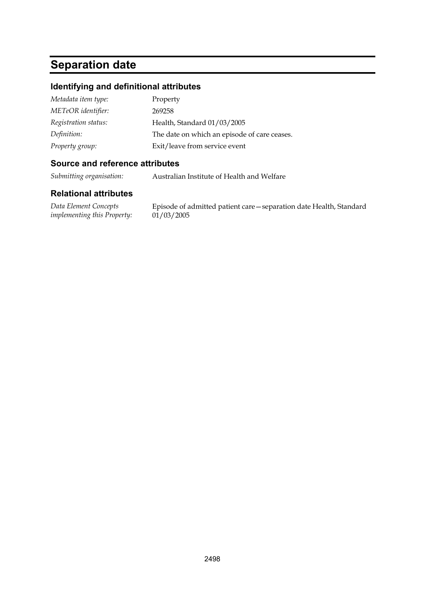# **Separation date**

#### **Identifying and definitional attributes**

| Metadata item type:  | Property                                     |
|----------------------|----------------------------------------------|
| METeOR identifier:   | 269258                                       |
| Registration status: | Health, Standard 01/03/2005                  |
| Definition:          | The date on which an episode of care ceases. |
| Property group:      | Exit/leave from service event                |

#### **Source and reference attributes**

*Submitting organisation:* Australian Institute of Health and Welfare

#### **Relational attributes**

*Data Element Concepts implementing this Property:*

Episode of admitted patient care—separation date Health, Standard  $01/03/2005$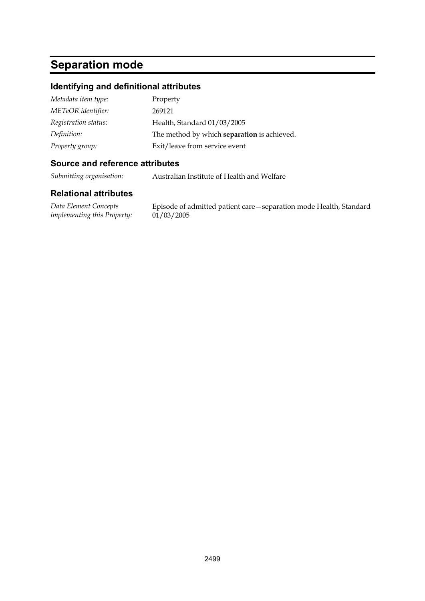# **Separation mode**

#### **Identifying and definitional attributes**

| Metadata item type:  | Property                                    |
|----------------------|---------------------------------------------|
| METeOR identifier:   | 269121                                      |
| Registration status: | Health, Standard 01/03/2005                 |
| Definition:          | The method by which separation is achieved. |
| Property group:      | Exit/leave from service event               |

#### **Source and reference attributes**

*Submitting organisation:* Australian Institute of Health and Welfare

#### **Relational attributes**

*Data Element Concepts implementing this Property:*

Episode of admitted patient care—separation mode Health, Standard  $01/03/2005$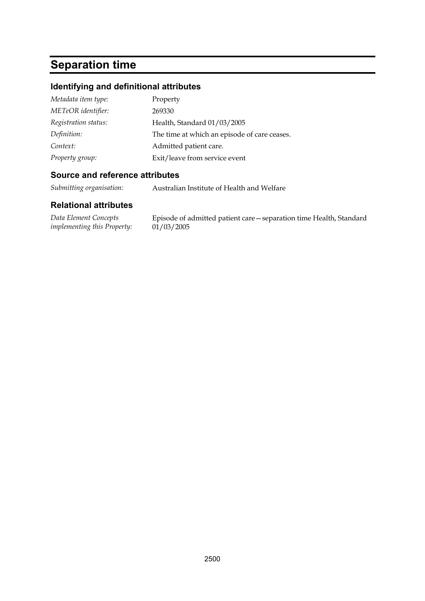# **Separation time**

### **Identifying and definitional attributes**

| Metadata item type:  | Property                                     |
|----------------------|----------------------------------------------|
| METeOR identifier:   | 269330                                       |
| Registration status: | Health, Standard 01/03/2005                  |
| Definition:          | The time at which an episode of care ceases. |
| Context:             | Admitted patient care.                       |
| Property group:      | Exit/leave from service event                |

#### **Source and reference attributes**

*Submitting organisation:* Australian Institute of Health and Welfare

| Data Element Concepts              | Episode of admitted patient care—separation time Health, Standard |
|------------------------------------|-------------------------------------------------------------------|
| <i>implementing this Property:</i> | 01/03/2005                                                        |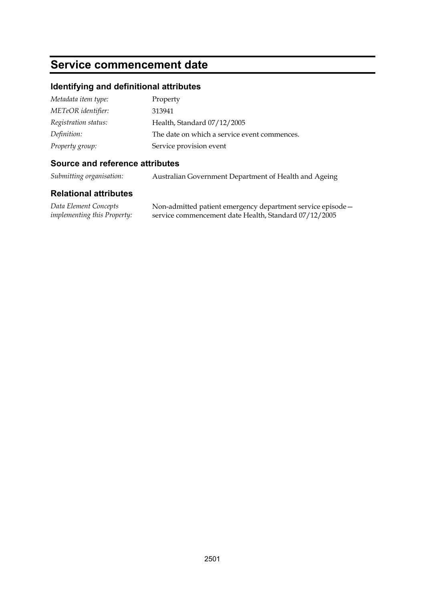### **Service commencement date**

#### **Identifying and definitional attributes**

| Metadata item type:  | Property                                     |
|----------------------|----------------------------------------------|
| METeOR identifier:   | 313941                                       |
| Registration status: | Health, Standard 07/12/2005                  |
| Definition:          | The date on which a service event commences. |
| Property group:      | Service provision event                      |

#### **Source and reference attributes**

*Submitting organisation:* Australian Government Department of Health and Ageing

#### **Relational attributes**

*Data Element Concepts implementing this Property:*

Non-admitted patient emergency department service episode service commencement date Health, Standard 07/12/2005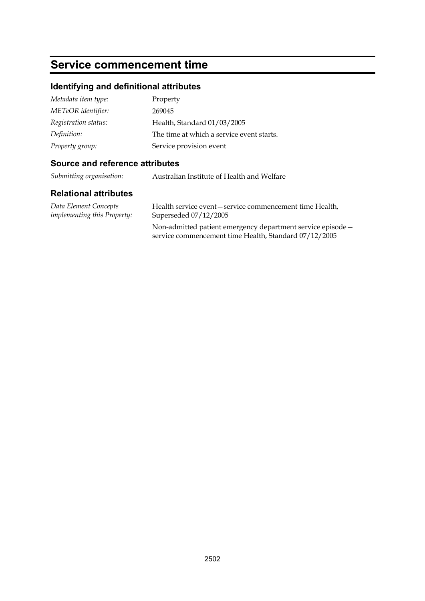### **Service commencement time**

#### **Identifying and definitional attributes**

| Metadata item type:  | Property                                  |
|----------------------|-------------------------------------------|
| METeOR identifier:   | 269045                                    |
| Registration status: | Health, Standard 01/03/2005               |
| Definition:          | The time at which a service event starts. |
| Property group:      | Service provision event                   |

#### **Source and reference attributes**

*Submitting organisation:* Australian Institute of Health and Welfare

#### **Relational attributes**

*Data Element Concepts implementing this Property:* Health service event—service commencement time Health, Superseded 07/12/2005

Non-admitted patient emergency department service episode service commencement time Health, Standard 07/12/2005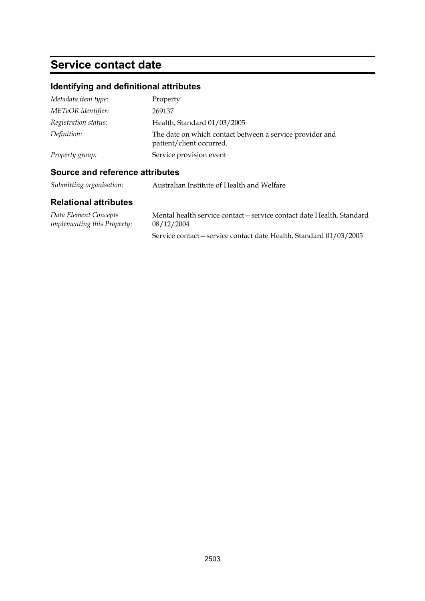## **Service contact date**

## **Identifying and definitional attributes**

| Metadata item type:  | Property                                                                             |
|----------------------|--------------------------------------------------------------------------------------|
| METeOR identifier:   | 269137                                                                               |
| Registration status: | Health, Standard 01/03/2005                                                          |
| Definition:          | The date on which contact between a service provider and<br>patient/client occurred. |
| Property group:      | Service provision event                                                              |

#### **Source and reference attributes**

*Submitting organisation:* Australian Institute of Health and Welfare

| Data Element Concepts       | Mental health service contact – service contact date Health, Standard |
|-----------------------------|-----------------------------------------------------------------------|
| implementing this Property: | 08/12/2004                                                            |
|                             | Service contact – service contact date Health, Standard 01/03/2005    |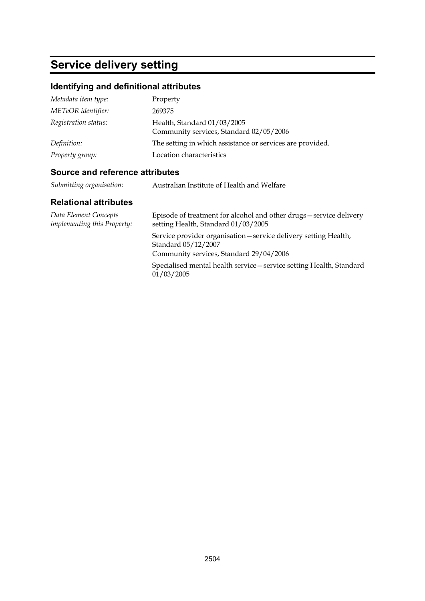# **Service delivery setting**

## **Identifying and definitional attributes**

| Metadata item type:  | Property                                                               |
|----------------------|------------------------------------------------------------------------|
| METeOR identifier:   | 269375                                                                 |
| Registration status: | Health, Standard 01/03/2005<br>Community services, Standard 02/05/2006 |
| Definition:          | The setting in which assistance or services are provided.              |
| Property group:      | Location characteristics                                               |

## **Source and reference attributes**

| Submitting organisation: | Australian Institute of Health and Welfare |
|--------------------------|--------------------------------------------|
|--------------------------|--------------------------------------------|

| Data Element Concepts<br><i>implementing this Property:</i> | Episode of treatment for alcohol and other drugs-service delivery<br>setting Health, Standard 01/03/2005                           |
|-------------------------------------------------------------|------------------------------------------------------------------------------------------------------------------------------------|
|                                                             | Service provider organisation – service delivery setting Health,<br>Standard 05/12/2007<br>Community services, Standard 29/04/2006 |
|                                                             | Specialised mental health service - service setting Health, Standard<br>01/03/2005                                                 |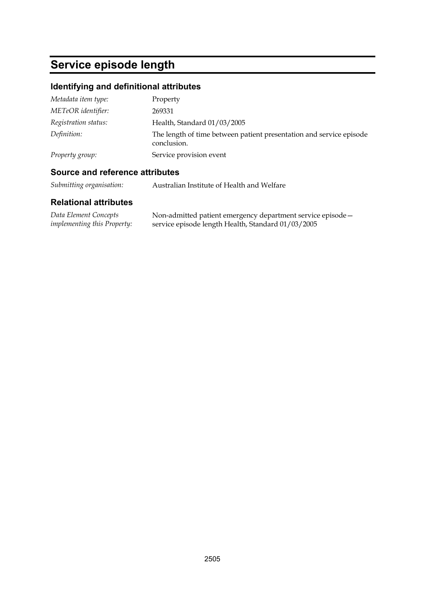# **Service episode length**

## **Identifying and definitional attributes**

| Metadata item type:  | Property                                                                           |
|----------------------|------------------------------------------------------------------------------------|
| METeOR identifier:   | 269331                                                                             |
| Registration status: | Health, Standard 01/03/2005                                                        |
| Definition:          | The length of time between patient presentation and service episode<br>conclusion. |
| Property group:      | Service provision event                                                            |

## **Source and reference attributes**

*Submitting organisation:* Australian Institute of Health and Welfare

| Data Element Concepts              | Non-admitted patient emergency department service episode - |
|------------------------------------|-------------------------------------------------------------|
| <i>implementing this Property:</i> | service episode length Health, Standard 01/03/2005          |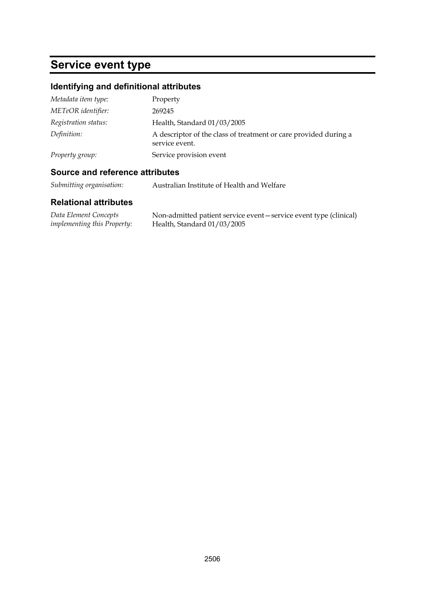# **Service event type**

## **Identifying and definitional attributes**

| Metadata item type:  | Property                                                                           |
|----------------------|------------------------------------------------------------------------------------|
| METeOR identifier:   | 269245                                                                             |
| Registration status: | Health, Standard 01/03/2005                                                        |
| Definition:          | A descriptor of the class of treatment or care provided during a<br>service event. |
| Property group:      | Service provision event                                                            |

## **Source and reference attributes**

*Submitting organisation:* Australian Institute of Health and Welfare

| Data Element Concepts              | Non-admitted patient service event – service event type (clinical) |
|------------------------------------|--------------------------------------------------------------------|
| <i>implementing this Property:</i> | Health, Standard 01/03/2005                                        |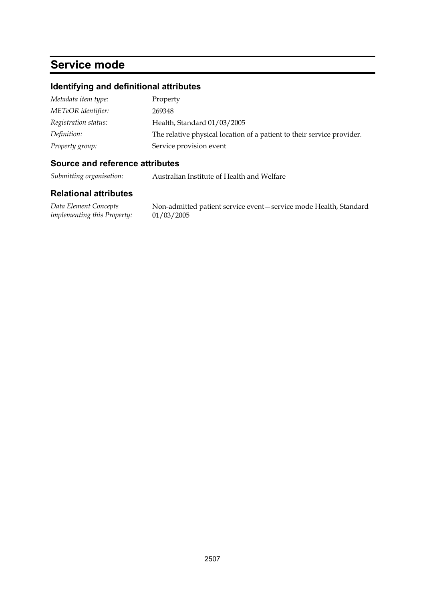## **Service mode**

## **Identifying and definitional attributes**

| Metadata item type:  | Property                                                               |
|----------------------|------------------------------------------------------------------------|
| METeOR identifier:   | 269348                                                                 |
| Registration status: | Health, Standard 01/03/2005                                            |
| Definition:          | The relative physical location of a patient to their service provider. |
| Property group:      | Service provision event                                                |

#### **Source and reference attributes**

*Submitting organisation:* Australian Institute of Health and Welfare

#### **Relational attributes**

*Data Element Concepts implementing this Property:* Non-admitted patient service event—service mode Health, Standard 01/03/2005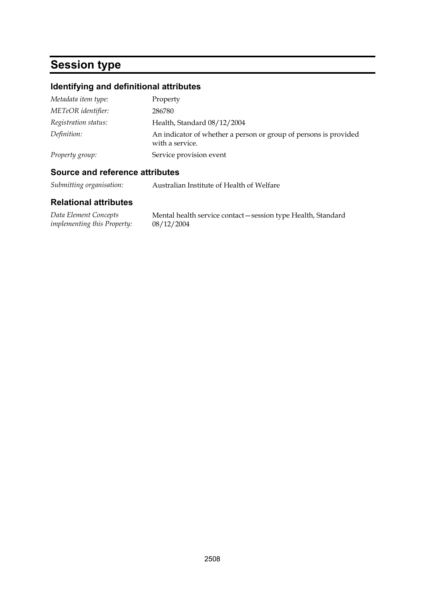# **Session type**

## **Identifying and definitional attributes**

| Metadata item type:  | Property                                                                            |
|----------------------|-------------------------------------------------------------------------------------|
| METeOR identifier:   | 286780                                                                              |
| Registration status: | Health, Standard 08/12/2004                                                         |
| Definition:          | An indicator of whether a person or group of persons is provided<br>with a service. |
| Property group:      | Service provision event                                                             |

## **Source and reference attributes**

*Submitting organisation:* Australian Institute of Health of Welfare

| Data Element Concepts       | Mental health service contact - session type Health, Standard |
|-----------------------------|---------------------------------------------------------------|
| implementing this Property: | 08/12/2004                                                    |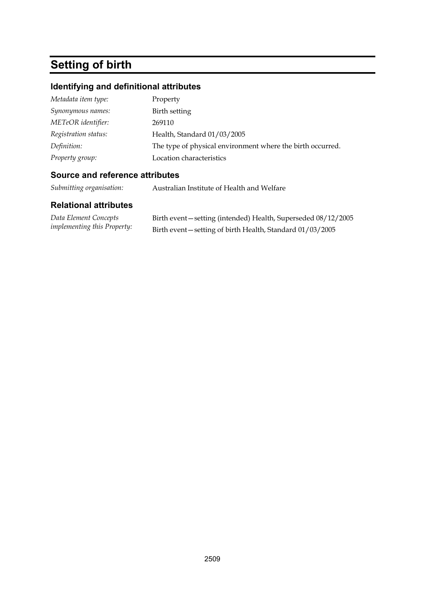# **Setting of birth**

## **Identifying and definitional attributes**

| Metadata item type:  | Property                                                   |
|----------------------|------------------------------------------------------------|
| Synonymous names:    | Birth setting                                              |
| METeOR identifier:   | 269110                                                     |
| Registration status: | Health, Standard 01/03/2005                                |
| Definition:          | The type of physical environment where the birth occurred. |
| Property group:      | Location characteristics                                   |

#### **Source and reference attributes**

*Submitting organisation:* Australian Institute of Health and Welfare

| Data Element Concepts              | Birth event-setting (intended) Health, Superseded 08/12/2005 |
|------------------------------------|--------------------------------------------------------------|
| <i>implementing this Property:</i> | Birth event—setting of birth Health, Standard 01/03/2005     |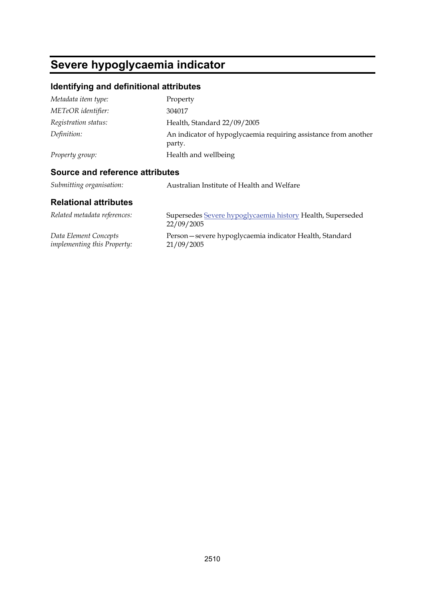# **Severe hypoglycaemia indicator**

## **Identifying and definitional attributes**

| Metadata item type:  | Property                                                                  |
|----------------------|---------------------------------------------------------------------------|
| METeOR identifier:   | 304017                                                                    |
| Registration status: | Health, Standard 22/09/2005                                               |
| Definition:          | An indicator of hypoglycaemia requiring assistance from another<br>party. |
| Property group:      | Health and wellbeing                                                      |
|                      |                                                                           |

## **Source and reference attributes**

| Submitting organisation: | Australian Institute of Health and Welfare |
|--------------------------|--------------------------------------------|
|--------------------------|--------------------------------------------|

| Related metadata references:       | Supersedes Severe hypoglycaemia history Health, Superseded<br>22/09/2005 |
|------------------------------------|--------------------------------------------------------------------------|
| Data Element Concepts              | Person-severe hypoglycaemia indicator Health, Standard                   |
| <i>implementing this Property:</i> | 21/09/2005                                                               |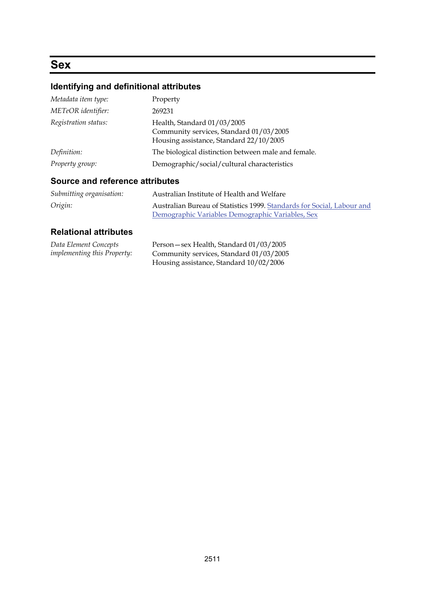## **Sex**

## **Identifying and definitional attributes**

| Metadata item type:  | Property                                                                                                          |
|----------------------|-------------------------------------------------------------------------------------------------------------------|
| METeOR identifier:   | 269231                                                                                                            |
| Registration status: | Health, Standard 01/03/2005<br>Community services, Standard 01/03/2005<br>Housing assistance, Standard 22/10/2005 |
| Definition:          | The biological distinction between male and female.                                                               |
| Property group:      | Demographic/social/cultural characteristics                                                                       |

## **Source and reference attributes**

| Submitting organisation: | Australian Institute of Health and Welfare                             |
|--------------------------|------------------------------------------------------------------------|
| Origin:                  | Australian Bureau of Statistics 1999. Standards for Social, Labour and |
|                          | Demographic Variables Demographic Variables, Sex                       |

| Data Element Concepts              | Person - sex Health, Standard 01/03/2005 |
|------------------------------------|------------------------------------------|
| <i>implementing this Property:</i> | Community services, Standard 01/03/2005  |
|                                    | Housing assistance, Standard 10/02/2006  |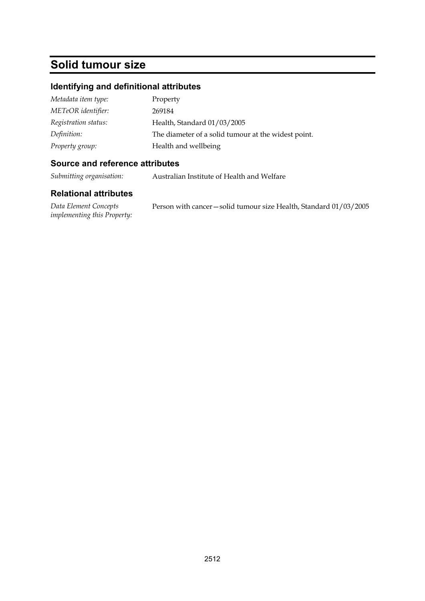## **Solid tumour size**

## **Identifying and definitional attributes**

| Metadata item type:  | Property                                            |
|----------------------|-----------------------------------------------------|
| METeOR identifier:   | 269184                                              |
| Registration status: | Health, Standard 01/03/2005                         |
| Definition:          | The diameter of a solid tumour at the widest point. |
| Property group:      | Health and wellbeing                                |

#### **Source and reference attributes**

*Submitting organisation:* Australian Institute of Health and Welfare

#### **Relational attributes**

*Data Element Concepts implementing this Property:* Person with cancer—solid tumour size Health, Standard 01/03/2005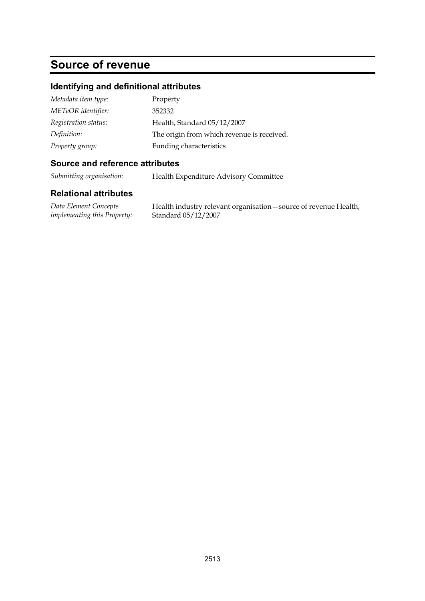## **Source of revenue**

#### **Identifying and definitional attributes**

| Metadata item type:  | Property                                   |
|----------------------|--------------------------------------------|
| METeOR identifier:   | 352332                                     |
| Registration status: | Health, Standard 05/12/2007                |
| Definition:          | The origin from which revenue is received. |
| Property group:      | Funding characteristics                    |

#### **Source and reference attributes**

*Submitting organisation:* Health Expenditure Advisory Committee

#### **Relational attributes**

*Data Element Concepts implementing this Property:*

Health industry relevant organisation—source of revenue Health, Standard 05/12/2007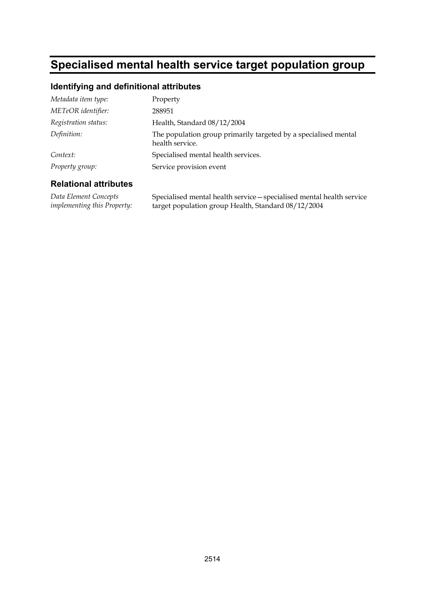# **Specialised mental health service target population group**

#### **Identifying and definitional attributes**

| Metadata item type:  | Property                                                                           |
|----------------------|------------------------------------------------------------------------------------|
| METeOR identifier:   | 288951                                                                             |
| Registration status: | Health, Standard 08/12/2004                                                        |
| Definition:          | The population group primarily targeted by a specialised mental<br>health service. |
| Context:             | Specialised mental health services.                                                |
| Property group:      | Service provision event                                                            |

#### **Relational attributes**

*Data Element Concepts implementing this Property:* Specialised mental health service—specialised mental health service target population group Health, Standard 08/12/2004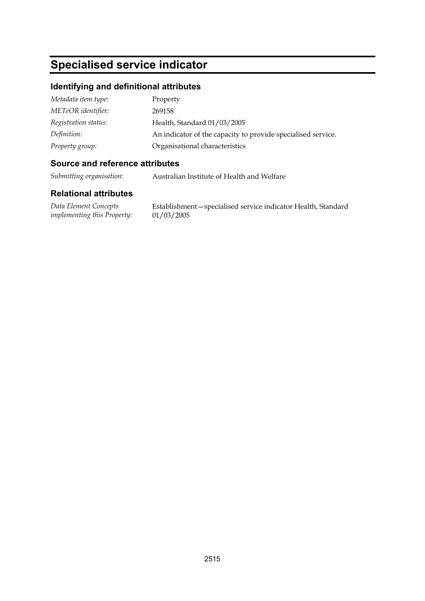# **Specialised service indicator**

#### **Identifying and definitional attributes**

| Metadata item type:  | Property                                                     |
|----------------------|--------------------------------------------------------------|
| METeOR identifier:   | 269158                                                       |
| Registration status: | Health, Standard 01/03/2005                                  |
| Definition:          | An indicator of the capacity to provide specialised service. |
| Property group:      | Organisational characteristics                               |

#### **Source and reference attributes**

*Submitting organisation:* Australian Institute of Health and Welfare

#### **Relational attributes**

*Data Element Concepts implementing this Property:*

Establishment—specialised service indicator Health, Standard 01/03/2005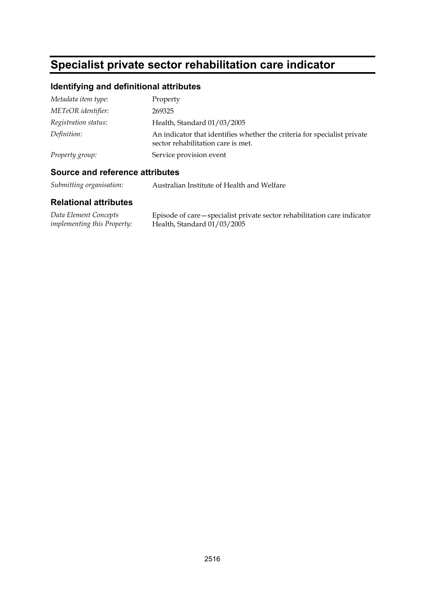# **Specialist private sector rehabilitation care indicator**

## **Identifying and definitional attributes**

| Metadata item type:  | Property                                                                                                       |
|----------------------|----------------------------------------------------------------------------------------------------------------|
| METeOR identifier:   | 269325                                                                                                         |
| Registration status: | Health, Standard 01/03/2005                                                                                    |
| Definition:          | An indicator that identifies whether the criteria for specialist private<br>sector rehabilitation care is met. |
| Property group:      | Service provision event                                                                                        |

#### **Source and reference attributes**

*Submitting organisation:* Australian Institute of Health and Welfare

| Data Element Concepts              | Episode of care – specialist private sector rehabilitation care indicator |
|------------------------------------|---------------------------------------------------------------------------|
| <i>implementing this Property:</i> | Health, Standard $01/03/2005$                                             |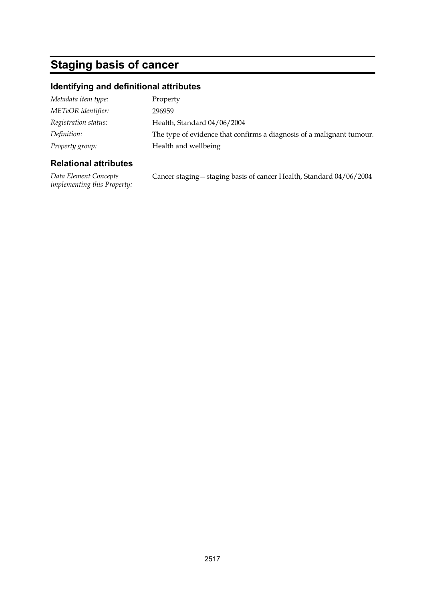# **Staging basis of cancer**

## **Identifying and definitional attributes**

| Metadata item type:  | Property                                                              |
|----------------------|-----------------------------------------------------------------------|
| METeOR identifier:   | 296959                                                                |
| Registration status: | Health, Standard 04/06/2004                                           |
| Definition:          | The type of evidence that confirms a diagnosis of a malignant tumour. |
| Property group:      | Health and wellbeing                                                  |
|                      |                                                                       |

## **Relational attributes**

*Data Element Concepts implementing this Property:*

Cancer staging—staging basis of cancer Health, Standard 04/06/2004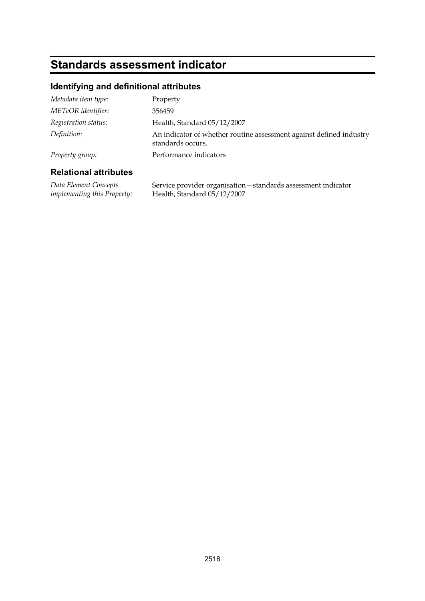# **Standards assessment indicator**

## **Identifying and definitional attributes**

| Property group:      | Performance indicators                                                                   |
|----------------------|------------------------------------------------------------------------------------------|
| Definition:          | An indicator of whether routine assessment against defined industry<br>standards occurs. |
| Registration status: | Health, Standard 05/12/2007                                                              |
| METeOR identifier:   | 356459                                                                                   |
| Metadata item type:  | Property                                                                                 |

#### **Relational attributes**

*Data Element Concepts implementing this Property:* Service provider organisation—standards assessment indicator Health, Standard 05/12/2007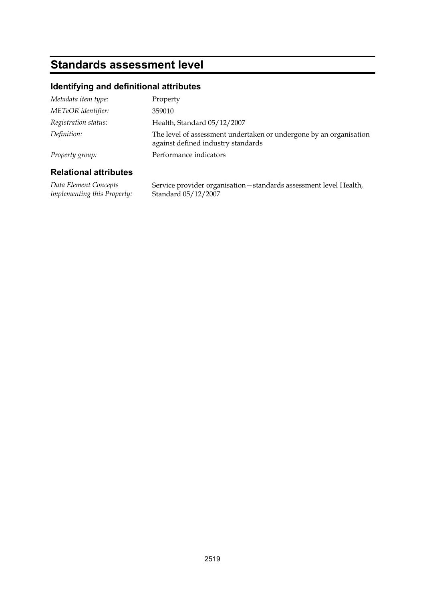## **Standards assessment level**

## **Identifying and definitional attributes**

| Metadata item type:  | Property                                                                                                 |
|----------------------|----------------------------------------------------------------------------------------------------------|
| METeOR identifier:   | 359010                                                                                                   |
| Registration status: | Health, Standard 05/12/2007                                                                              |
| Definition:          | The level of assessment undertaken or undergone by an organisation<br>against defined industry standards |
| Property group:      | Performance indicators                                                                                   |
|                      |                                                                                                          |

#### **Relational attributes**

*Data Element Concepts implementing this Property:*

Service provider organisation—standards assessment level Health, Standard 05/12/2007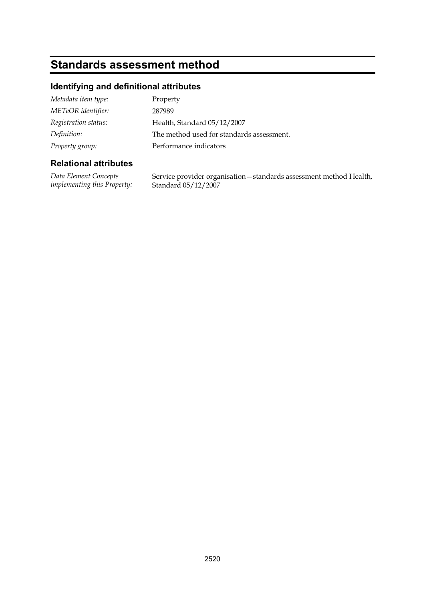## **Standards assessment method**

## **Identifying and definitional attributes**

| Metadata item type:  | Property                                  |
|----------------------|-------------------------------------------|
| METeOR identifier:   | 287989                                    |
| Registration status: | Health, Standard 05/12/2007               |
| Definition:          | The method used for standards assessment. |
| Property group:      | Performance indicators                    |

#### **Relational attributes**

*Data Element Concepts implementing this Property:* Service provider organisation—standards assessment method Health, Standard 05/12/2007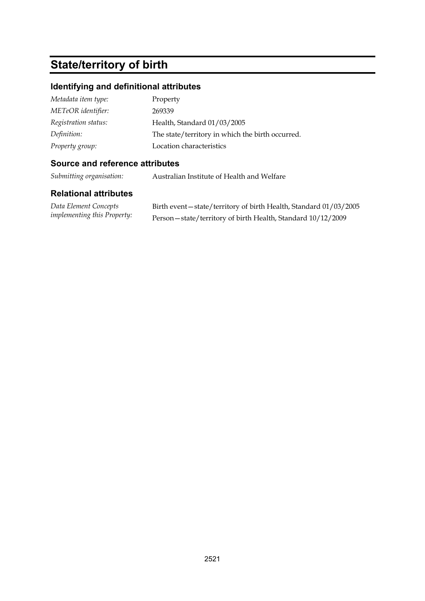# **State/territory of birth**

## **Identifying and definitional attributes**

| Metadata item type:  | Property                                         |
|----------------------|--------------------------------------------------|
| METeOR identifier:   | 269339                                           |
| Registration status: | Health, Standard 01/03/2005                      |
| Definition:          | The state/territory in which the birth occurred. |
| Property group:      | Location characteristics                         |

## **Source and reference attributes**

*Submitting organisation:* Australian Institute of Health and Welfare

| Data Element Concepts         | Birth event – state/territory of birth Health, Standard 01/03/2005 |
|-------------------------------|--------------------------------------------------------------------|
| implementing this Property: \ | Person-state/territory of birth Health, Standard 10/12/2009        |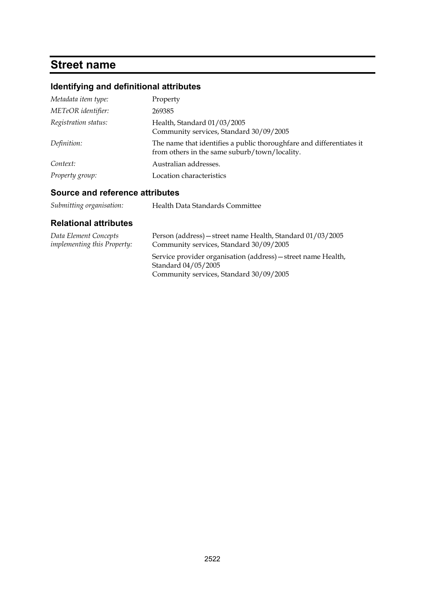## **Street name**

## **Identifying and definitional attributes**

| Metadata item type:  | Property                                                                                                              |
|----------------------|-----------------------------------------------------------------------------------------------------------------------|
| METeOR identifier:   | 269385                                                                                                                |
| Registration status: | Health, Standard 01/03/2005<br>Community services, Standard 30/09/2005                                                |
| Definition:          | The name that identifies a public thoroughfare and differentiates it<br>from others in the same suburb/town/locality. |
| Context:             | Australian addresses.                                                                                                 |
| Property group:      | Location characteristics                                                                                              |

## **Source and reference attributes**

| Data Element Concepts              | Person (address) – street name Health, Standard 01/03/2005                                                                      |
|------------------------------------|---------------------------------------------------------------------------------------------------------------------------------|
| <i>implementing this Property:</i> | Community services, Standard 30/09/2005                                                                                         |
|                                    | Service provider organisation (address) - street name Health,<br>Standard 04/05/2005<br>Community services, Standard 30/09/2005 |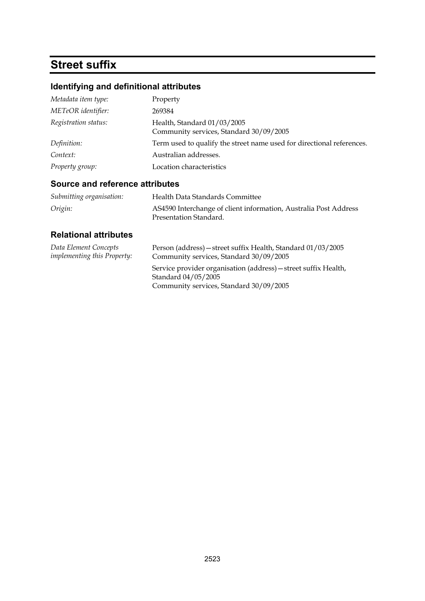# **Street suffix**

## **Identifying and definitional attributes**

| Metadata item type:  | Property                                                               |
|----------------------|------------------------------------------------------------------------|
| METeOR identifier:   | 269384                                                                 |
| Registration status: | Health, Standard 01/03/2005<br>Community services, Standard 30/09/2005 |
| Definition:          | Term used to qualify the street name used for directional references.  |
| Context:             | Australian addresses.                                                  |
| Property group:      | Location characteristics                                               |

## **Source and reference attributes**

| Submitting organisation: | Health Data Standards Committee                                  |
|--------------------------|------------------------------------------------------------------|
| Origin:                  | AS4590 Interchange of client information, Australia Post Address |
|                          | Presentation Standard.                                           |

| Data Element Concepts              | Person (address) – street suffix Health, Standard 01/03/2005                                                                      |
|------------------------------------|-----------------------------------------------------------------------------------------------------------------------------------|
| <i>implementing this Property:</i> | Community services, Standard 30/09/2005                                                                                           |
|                                    | Service provider organisation (address) - street suffix Health,<br>Standard 04/05/2005<br>Community services, Standard 30/09/2005 |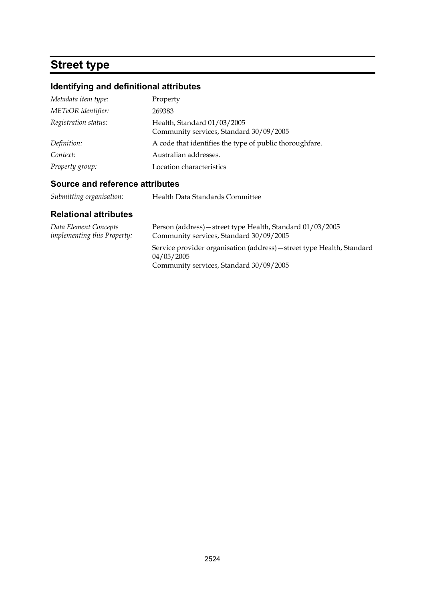## **Street type**

## **Identifying and definitional attributes**

| Metadata item type:  | Property                                                               |
|----------------------|------------------------------------------------------------------------|
| METeOR identifier:   | 269383                                                                 |
| Registration status: | Health, Standard 01/03/2005<br>Community services, Standard 30/09/2005 |
| Definition:          | A code that identifies the type of public thorough fare.               |
| Context:             | Australian addresses.                                                  |
| Property group:      | Location characteristics                                               |

#### **Source and reference attributes**

*Submitting organisation:* Health Data Standards Committee

| Data Element Concepts              | Person (address) – street type Health, Standard 01/03/2005                                                                      |
|------------------------------------|---------------------------------------------------------------------------------------------------------------------------------|
| <i>implementing this Property:</i> | Community services, Standard 30/09/2005                                                                                         |
|                                    | Service provider organisation (address) – street type Health, Standard<br>04/05/2005<br>Community services, Standard 30/09/2005 |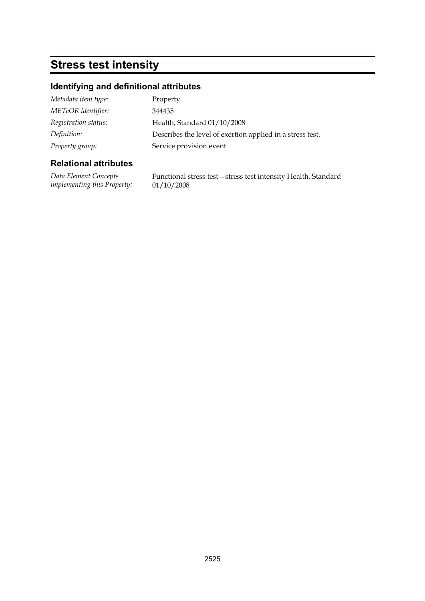## **Stress test intensity**

## **Identifying and definitional attributes**

| Metadata item type:  | Property                                                  |
|----------------------|-----------------------------------------------------------|
| METeOR identifier:   | 344435                                                    |
| Registration status: | Health, Standard 01/10/2008                               |
| Definition:          | Describes the level of exertion applied in a stress test. |
| Property group:      | Service provision event                                   |

### **Relational attributes**

*Data Element Concepts implementing this Property:* Functional stress test—stress test intensity Health, Standard 01/10/2008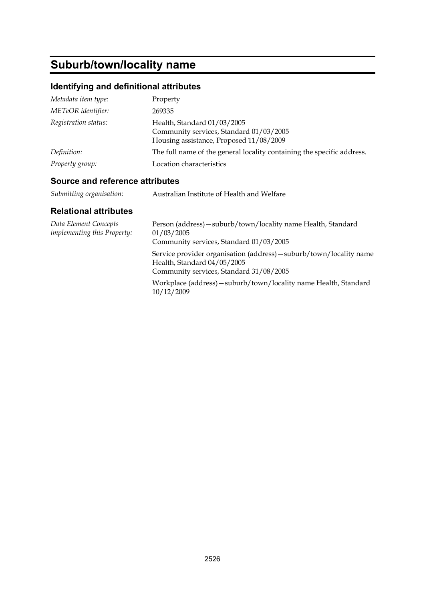# **Suburb/town/locality name**

## **Identifying and definitional attributes**

| Metadata item type:  | Property                                                                                                          |
|----------------------|-------------------------------------------------------------------------------------------------------------------|
| METeOR identifier:   | 269335                                                                                                            |
| Registration status: | Health, Standard 01/03/2005<br>Community services, Standard 01/03/2005<br>Housing assistance, Proposed 11/08/2009 |
| Definition:          | The full name of the general locality containing the specific address.                                            |
| Property group:      | Location characteristics                                                                                          |

## **Source and reference attributes**

| Submitting organisation: | Australian Institute of Health and Welfare |
|--------------------------|--------------------------------------------|
|                          |                                            |

| Data Element Concepts<br>implementing this Property: | Person (address) - suburb/town/locality name Health, Standard<br>01/03/2005<br>Community services, Standard 01/03/2005                        |
|------------------------------------------------------|-----------------------------------------------------------------------------------------------------------------------------------------------|
|                                                      | Service provider organisation (address) - suburb/town/locality name<br>Health, Standard 04/05/2005<br>Community services, Standard 31/08/2005 |
|                                                      | Workplace (address) - suburb/town/locality name Health, Standard<br>10/12/2009                                                                |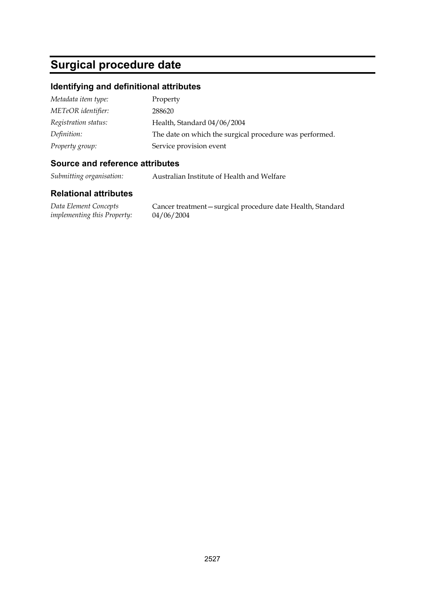# **Surgical procedure date**

#### **Identifying and definitional attributes**

| Metadata item type:  | Property                                                |
|----------------------|---------------------------------------------------------|
| METeOR identifier:   | 288620                                                  |
| Registration status: | Health, Standard 04/06/2004                             |
| Definition:          | The date on which the surgical procedure was performed. |
| Property group:      | Service provision event                                 |

#### **Source and reference attributes**

*Submitting organisation:* Australian Institute of Health and Welfare

#### **Relational attributes**

*Data Element Concepts implementing this Property:*

Cancer treatment—surgical procedure date Health, Standard 04/06/2004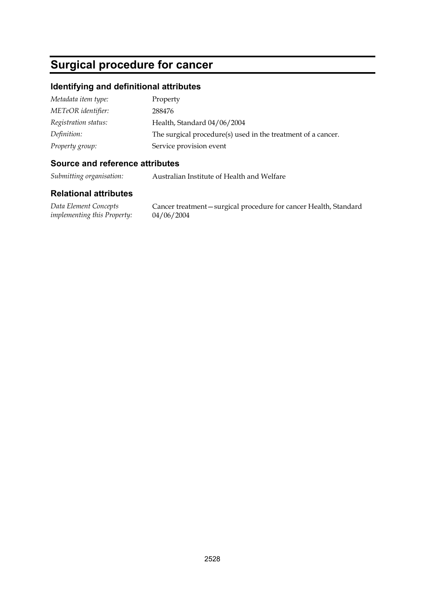## **Surgical procedure for cancer**

#### **Identifying and definitional attributes**

| Metadata item type:  | Property                                                     |
|----------------------|--------------------------------------------------------------|
| METeOR identifier:   | 288476                                                       |
| Registration status: | Health, Standard 04/06/2004                                  |
| Definition:          | The surgical procedure(s) used in the treatment of a cancer. |
| Property group:      | Service provision event                                      |

#### **Source and reference attributes**

*Submitting organisation:* Australian Institute of Health and Welfare

#### **Relational attributes**

*Data Element Concepts implementing this Property:*

Cancer treatment—surgical procedure for cancer Health, Standard 04/06/2004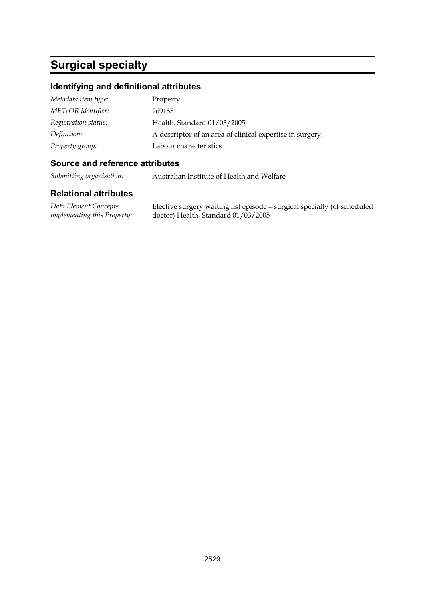## **Surgical specialty**

#### **Identifying and definitional attributes**

| Metadata item type:  | Property                                                  |
|----------------------|-----------------------------------------------------------|
| METeOR identifier:   | 269155                                                    |
| Registration status: | Health, Standard 01/03/2005                               |
| Definition:          | A descriptor of an area of clinical expertise in surgery. |
| Property group:      | Labour characteristics                                    |

#### **Source and reference attributes**

*Submitting organisation:* Australian Institute of Health and Welfare

#### **Relational attributes**

*Data Element Concepts implementing this Property:* Elective surgery waiting list episode—surgical specialty (of scheduled doctor) Health, Standard 01/03/2005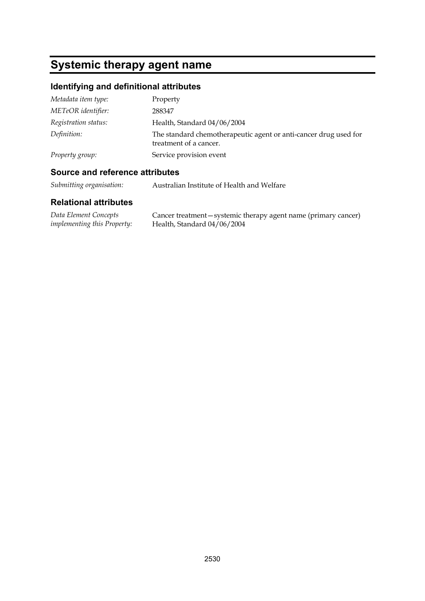# **Systemic therapy agent name**

## **Identifying and definitional attributes**

| Metadata item type:  | Property                                                                                   |
|----------------------|--------------------------------------------------------------------------------------------|
| METeOR identifier:   | 288347                                                                                     |
| Registration status: | Health, Standard 04/06/2004                                                                |
| Definition:          | The standard chemotherapeutic agent or anti-cancer drug used for<br>treatment of a cancer. |
| Property group:      | Service provision event                                                                    |

#### **Source and reference attributes**

*Submitting organisation:* Australian Institute of Health and Welfare

| Data Element Concepts              | Cancer treatment – systemic therapy agent name (primary cancer) |
|------------------------------------|-----------------------------------------------------------------|
| <i>implementing this Property:</i> | Health, Standard 04/06/2004                                     |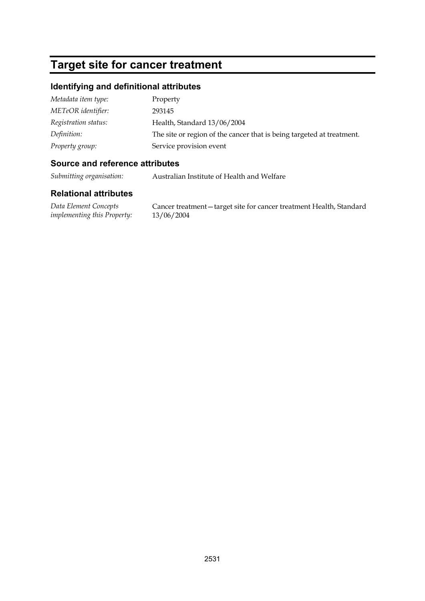## **Target site for cancer treatment**

#### **Identifying and definitional attributes**

| Metadata item type:  | Property                                                              |
|----------------------|-----------------------------------------------------------------------|
| METeOR identifier:   | 293145                                                                |
| Registration status: | Health, Standard 13/06/2004                                           |
| Definition:          | The site or region of the cancer that is being targeted at treatment. |
| Property group:      | Service provision event                                               |

#### **Source and reference attributes**

*Submitting organisation:* Australian Institute of Health and Welfare

#### **Relational attributes**

*Data Element Concepts implementing this Property:* Cancer treatment—target site for cancer treatment Health, Standard 13/06/2004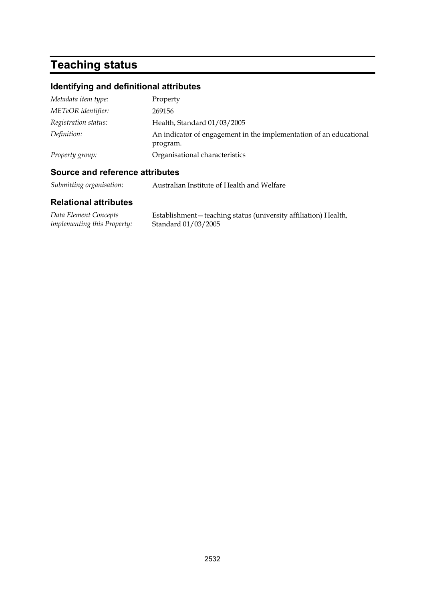# **Teaching status**

## **Identifying and definitional attributes**

| Metadata item type:  | Property                                                                       |
|----------------------|--------------------------------------------------------------------------------|
| METeOR identifier:   | 269156                                                                         |
| Registration status: | Health, Standard 01/03/2005                                                    |
| Definition:          | An indicator of engagement in the implementation of an educational<br>program. |
| Property group:      | Organisational characteristics                                                 |

## **Source and reference attributes**

*Submitting organisation:* Australian Institute of Health and Welfare

| Data Element Concepts              | Establishment - teaching status (university affiliation) Health, |  |  |
|------------------------------------|------------------------------------------------------------------|--|--|
| <i>implementing this Property:</i> | Standard 01/03/2005                                              |  |  |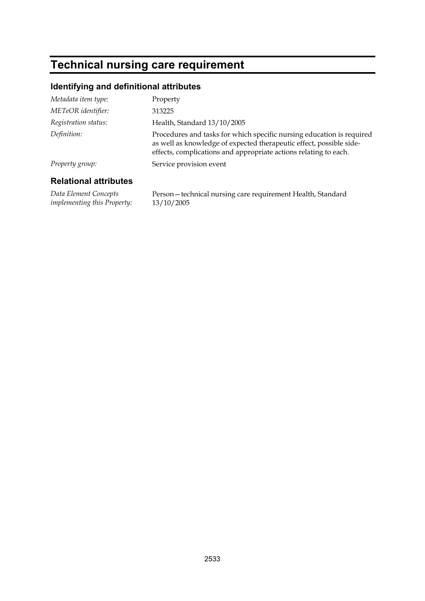# **Technical nursing care requirement**

## **Identifying and definitional attributes**

| Metadata item type:          | Property                                                                                                                                                                                                         |
|------------------------------|------------------------------------------------------------------------------------------------------------------------------------------------------------------------------------------------------------------|
| METeOR identifier:           | 313225                                                                                                                                                                                                           |
| Registration status:         | Health, Standard 13/10/2005                                                                                                                                                                                      |
| Definition:                  | Procedures and tasks for which specific nursing education is required<br>as well as knowledge of expected therapeutic effect, possible side-<br>effects, complications and appropriate actions relating to each. |
| Property group:              | Service provision event                                                                                                                                                                                          |
| <b>Relational attributes</b> |                                                                                                                                                                                                                  |

*Data Element Concepts implementing this Property:* Person—technical nursing care requirement Health, Standard 13/10/2005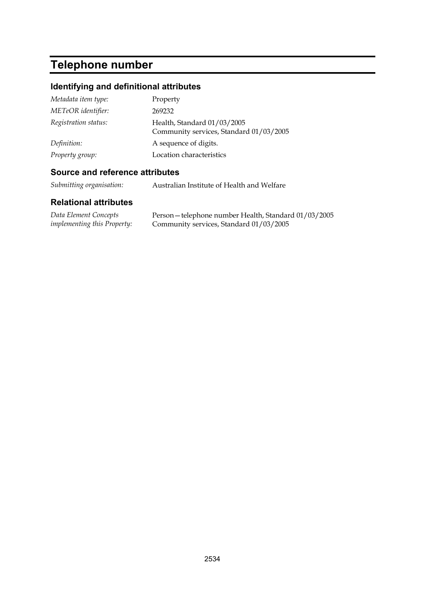# **Telephone number**

## **Identifying and definitional attributes**

| Metadata item type:  | Property                                                               |
|----------------------|------------------------------------------------------------------------|
| METeOR identifier:   | 269232                                                                 |
| Registration status: | Health, Standard 01/03/2005<br>Community services, Standard 01/03/2005 |
| Definition:          | A sequence of digits.                                                  |
| Property group:      | Location characteristics                                               |

## **Source and reference attributes**

*Submitting organisation:* Australian Institute of Health and Welfare

| Data Element Concepts              | Person - telephone number Health, Standard 01/03/2005 |
|------------------------------------|-------------------------------------------------------|
| <i>implementing this Property:</i> | Community services, Standard 01/03/2005               |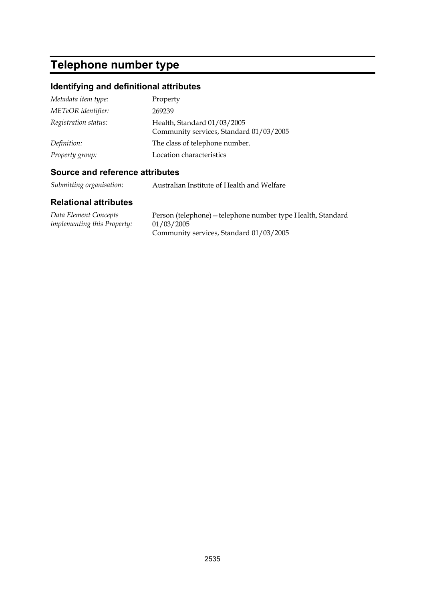# **Telephone number type**

## **Identifying and definitional attributes**

| Metadata item type:  | Property                                                               |
|----------------------|------------------------------------------------------------------------|
| METeOR identifier:   | 269239                                                                 |
| Registration status: | Health, Standard 01/03/2005<br>Community services, Standard 01/03/2005 |
| Definition:          | The class of telephone number.                                         |
| Property group:      | Location characteristics                                               |

#### **Source and reference attributes**

*Submitting organisation:* Australian Institute of Health and Welfare

| Data Element Concepts              | Person (telephone) - telephone number type Health, Standard |
|------------------------------------|-------------------------------------------------------------|
| <i>implementing this Property:</i> | 01/03/2005                                                  |
|                                    | Community services, Standard 01/03/2005                     |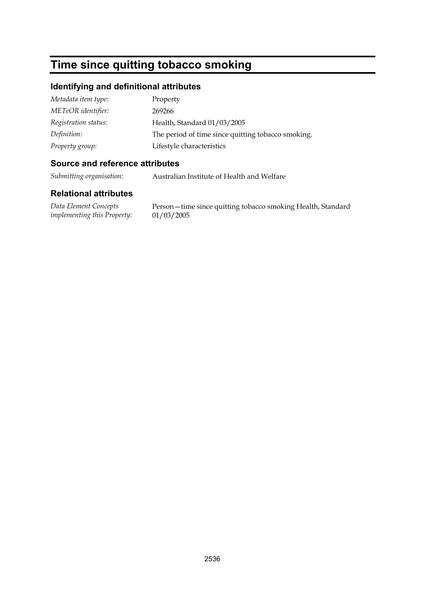## **Time since quitting tobacco smoking**

#### **Identifying and definitional attributes**

| Metadata item type:  | Property                                           |
|----------------------|----------------------------------------------------|
| METeOR identifier:   | 269266                                             |
| Registration status: | Health, Standard 01/03/2005                        |
| Definition:          | The period of time since quitting tobacco smoking. |
| Property group:      | Lifestyle characteristics                          |

#### **Source and reference attributes**

*Submitting organisation:* Australian Institute of Health and Welfare

#### **Relational attributes**

*Data Element Concepts implementing this Property:*

Person—time since quitting tobacco smoking Health, Standard 01/03/2005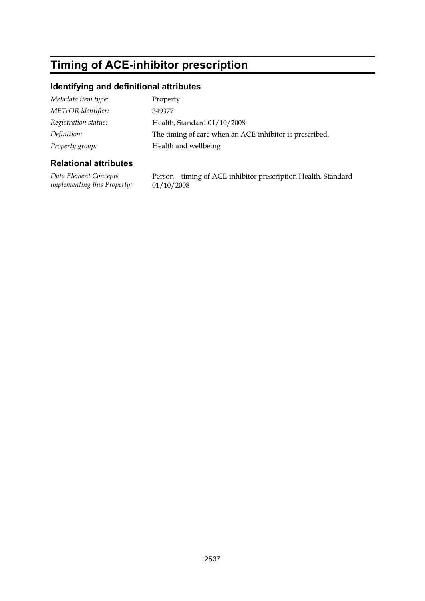# **Timing of ACE-inhibitor prescription**

## **Identifying and definitional attributes**

| Metadata item type:  | Property                                                |
|----------------------|---------------------------------------------------------|
| METeOR identifier:   | 349377                                                  |
| Registration status: | Health, Standard 01/10/2008                             |
| Definition:          | The timing of care when an ACE-inhibitor is prescribed. |
| Property group:      | Health and wellbeing                                    |

### **Relational attributes**

*Data Element Concepts implementing this Property:* Person—timing of ACE-inhibitor prescription Health, Standard 01/10/2008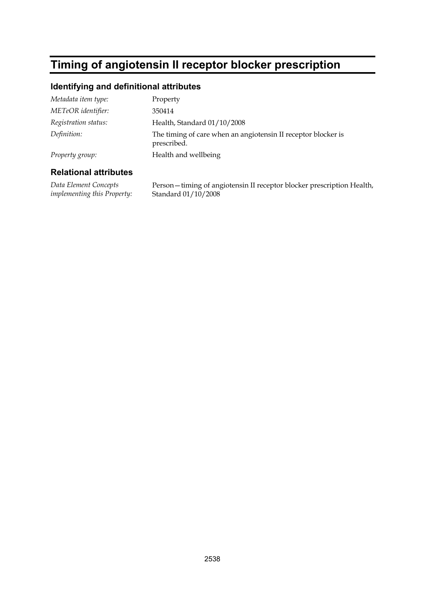## **Timing of angiotensin II receptor blocker prescription**

## **Identifying and definitional attributes**

| Metadata item type:  | Property                                                                     |
|----------------------|------------------------------------------------------------------------------|
| METeOR identifier:   | 350414                                                                       |
| Registration status: | Health, Standard 01/10/2008                                                  |
| Definition:          | The timing of care when an angiotensin II receptor blocker is<br>prescribed. |
| Property group:      | Health and wellbeing                                                         |

#### **Relational attributes**

*Data Element Concepts implementing this Property:* Person—timing of angiotensin II receptor blocker prescription Health, Standard 01/10/2008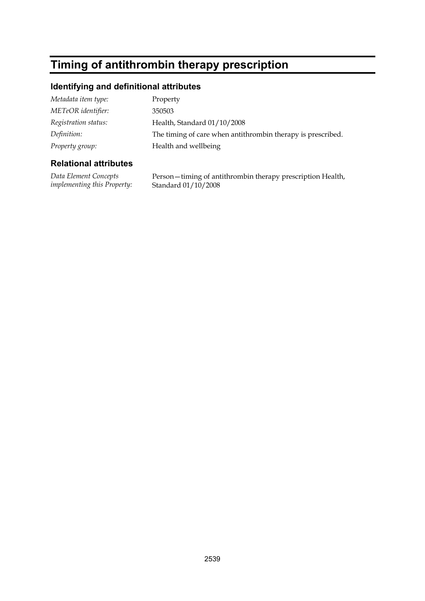# **Timing of antithrombin therapy prescription**

## **Identifying and definitional attributes**

| Metadata item type:  | Property                                                    |
|----------------------|-------------------------------------------------------------|
| METeOR identifier:   | 350503                                                      |
| Registration status: | Health, Standard 01/10/2008                                 |
| Definition:          | The timing of care when antithrombin therapy is prescribed. |
| Property group:      | Health and wellbeing                                        |

### **Relational attributes**

*Data Element Concepts implementing this Property:* Person—timing of antithrombin therapy prescription Health, Standard 01/10/2008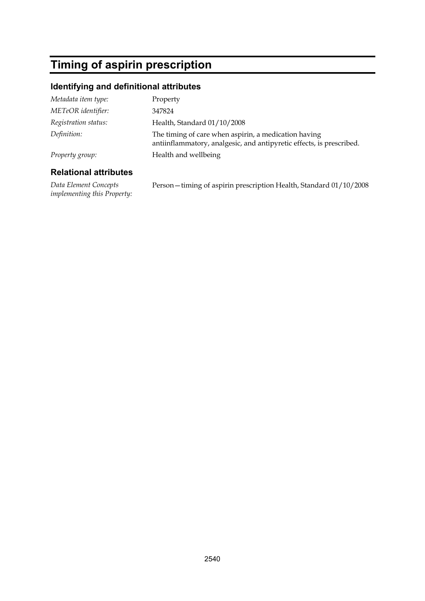## **Timing of aspirin prescription**

## **Identifying and definitional attributes**

| Metadata item type:  | Property                                                                                                                     |
|----------------------|------------------------------------------------------------------------------------------------------------------------------|
| METeOR identifier:   | 347824                                                                                                                       |
| Registration status: | Health, Standard 01/10/2008                                                                                                  |
| Definition:          | The timing of care when aspirin, a medication having<br>antiinflammatory, analgesic, and antipyretic effects, is prescribed. |
| Property group:      | Health and wellbeing                                                                                                         |
|                      |                                                                                                                              |

### **Relational attributes**

*Data Element Concepts implementing this Property:* Person—timing of aspirin prescription Health, Standard 01/10/2008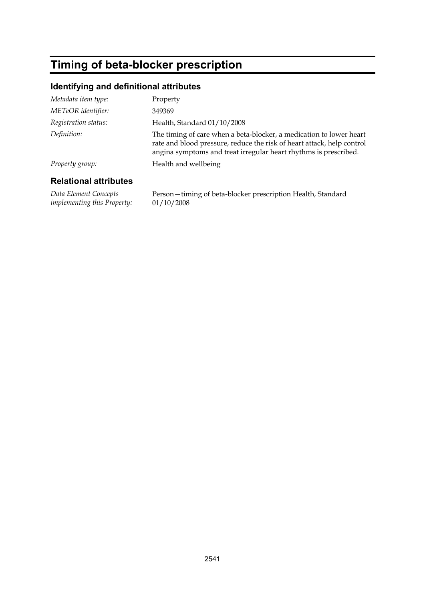# **Timing of beta-blocker prescription**

## **Identifying and definitional attributes**

| Metadata item type:   | Property                                                                                                                                                                                                          |
|-----------------------|-------------------------------------------------------------------------------------------------------------------------------------------------------------------------------------------------------------------|
| METeOR identifier:    | 349369                                                                                                                                                                                                            |
| Registration status:  | Health, Standard 01/10/2008                                                                                                                                                                                       |
| Definition:           | The timing of care when a beta-blocker, a medication to lower heart<br>rate and blood pressure, reduce the risk of heart attack, help control<br>angina symptoms and treat irregular heart rhythms is prescribed. |
| Property group:       | Health and wellbeing                                                                                                                                                                                              |
| Dalational ottributos |                                                                                                                                                                                                                   |

#### **Relational attributes**

*Data Element Concepts implementing this Property:* Person—timing of beta-blocker prescription Health, Standard 01/10/2008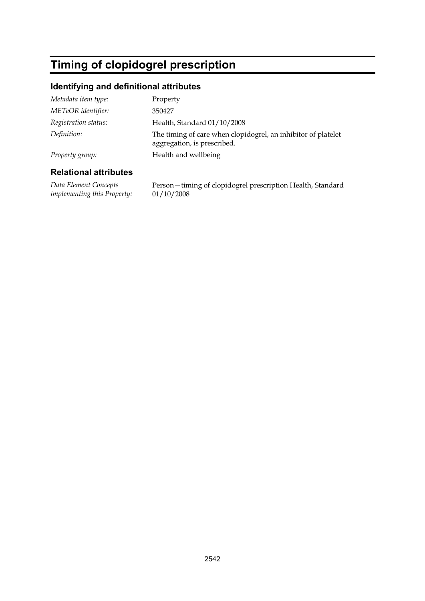# **Timing of clopidogrel prescription**

## **Identifying and definitional attributes**

| Metadata item type:  | Property                                                                                     |
|----------------------|----------------------------------------------------------------------------------------------|
| METeOR identifier:   | 350427                                                                                       |
| Registration status: | Health, Standard 01/10/2008                                                                  |
| Definition:          | The timing of care when clopidogrel, an inhibitor of platelet<br>aggregation, is prescribed. |
| Property group:      | Health and wellbeing                                                                         |

#### **Relational attributes**

*Data Element Concepts implementing this Property:* Person—timing of clopidogrel prescription Health, Standard 01/10/2008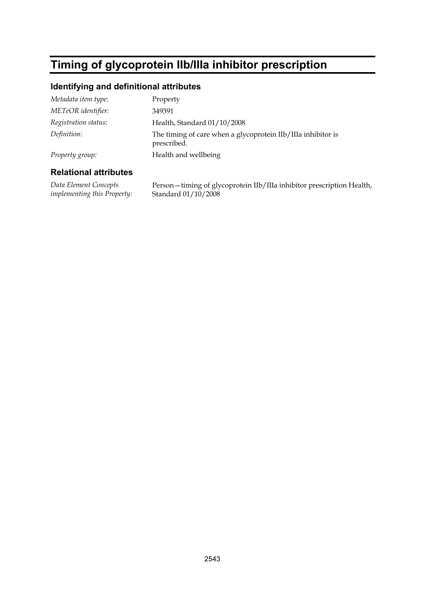# **Timing of glycoprotein IIb/IIIa inhibitor prescription**

## **Identifying and definitional attributes**

| Metadata item type:  | Property                                                                    |
|----------------------|-----------------------------------------------------------------------------|
| METeOR identifier:   | 349391                                                                      |
| Registration status: | Health, Standard 01/10/2008                                                 |
| Definition:          | The timing of care when a glycoprotein IIb/IIIa inhibitor is<br>prescribed. |
| Property group:      | Health and wellbeing                                                        |

#### **Relational attributes**

*Data Element Concepts implementing this Property:* Person—timing of glycoprotein IIb/IIIa inhibitor prescription Health, Standard 01/10/2008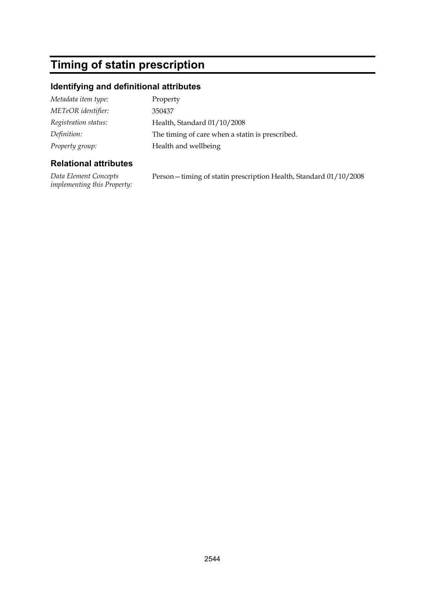# **Timing of statin prescription**

## **Identifying and definitional attributes**

| Property                                        |
|-------------------------------------------------|
| 350437                                          |
| Health, Standard 01/10/2008                     |
| The timing of care when a statin is prescribed. |
| Health and wellbeing                            |
|                                                 |

## **Relational attributes**

*Data Element Concepts implementing this Property:* Person—timing of statin prescription Health, Standard 01/10/2008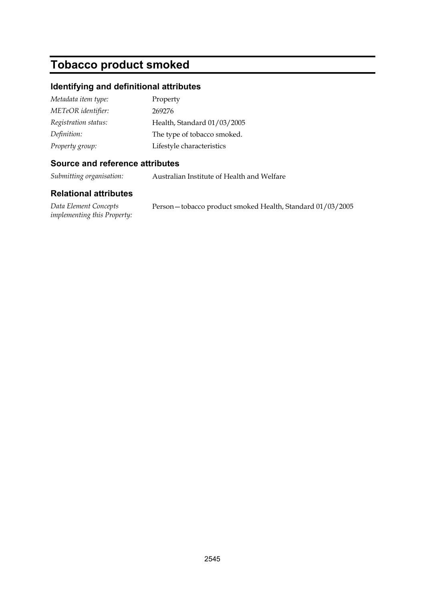# **Tobacco product smoked**

#### **Identifying and definitional attributes**

| Metadata item type:  | Property                    |
|----------------------|-----------------------------|
| METeOR identifier:   | 269276                      |
| Registration status: | Health, Standard 01/03/2005 |
| Definition:          | The type of tobacco smoked. |
| Property group:      | Lifestyle characteristics   |

#### **Source and reference attributes**

*Submitting organisation:* Australian Institute of Health and Welfare

#### **Relational attributes**

*Data Element Concepts implementing this Property:* Person—tobacco product smoked Health, Standard 01/03/2005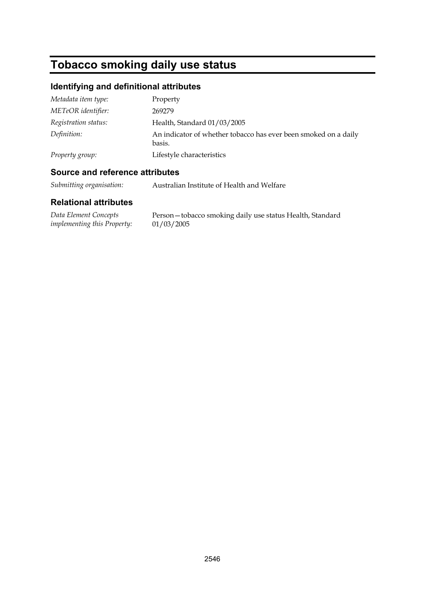# **Tobacco smoking daily use status**

## **Identifying and definitional attributes**

| Metadata item type:  | Property                                                                  |
|----------------------|---------------------------------------------------------------------------|
| METeOR identifier:   | 269279                                                                    |
| Registration status: | Health, Standard 01/03/2005                                               |
| Definition:          | An indicator of whether tobacco has ever been smoked on a daily<br>basis. |
| Property group:      | Lifestyle characteristics                                                 |

## **Source and reference attributes**

*Submitting organisation:* Australian Institute of Health and Welfare

| Data Element Concepts       | Person - tobacco smoking daily use status Health, Standard |
|-----------------------------|------------------------------------------------------------|
| implementing this Property: | 01/03/2005                                                 |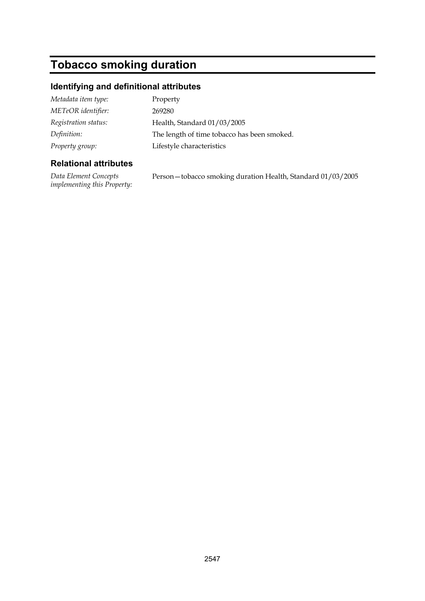# **Tobacco smoking duration**

## **Identifying and definitional attributes**

| Metadata item type:  | Property                                    |
|----------------------|---------------------------------------------|
| METeOR identifier:   | 269280                                      |
| Registration status: | Health, Standard 01/03/2005                 |
| Definition:          | The length of time tobacco has been smoked. |
| Property group:      | Lifestyle characteristics                   |

### **Relational attributes**

*Data Element Concepts implementing this Property:* Person—tobacco smoking duration Health, Standard 01/03/2005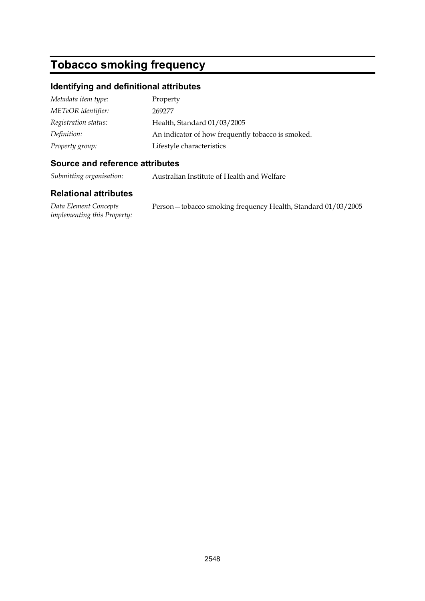## **Tobacco smoking frequency**

#### **Identifying and definitional attributes**

| Metadata item type:  | Property                                          |
|----------------------|---------------------------------------------------|
| METeOR identifier:   | 269277                                            |
| Registration status: | Health, Standard 01/03/2005                       |
| Definition:          | An indicator of how frequently tobacco is smoked. |
| Property group:      | Lifestyle characteristics                         |

#### **Source and reference attributes**

*Submitting organisation:* Australian Institute of Health and Welfare

#### **Relational attributes**

*Data Element Concepts implementing this Property:* Person—tobacco smoking frequency Health, Standard 01/03/2005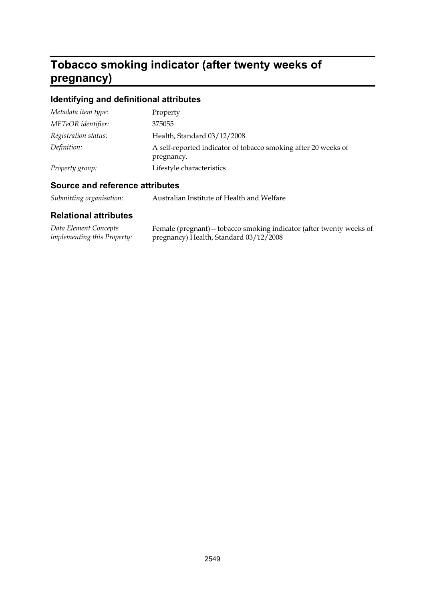#### **Tobacco smoking indicator (after twenty weeks of pregnancy)**

## **Identifying and definitional attributes**

| Metadata item type:  | Property                                                                     |
|----------------------|------------------------------------------------------------------------------|
| METeOR identifier:   | 375055                                                                       |
| Registration status: | Health, Standard 03/12/2008                                                  |
| Definition:          | A self-reported indicator of tobacco smoking after 20 weeks of<br>pregnancy. |
| Property group:      | Lifestyle characteristics                                                    |

## **Source and reference attributes**

| Submitting organisation: |  | Australian Institute of Health and Welfare |
|--------------------------|--|--------------------------------------------|
|--------------------------|--|--------------------------------------------|

| Data Element Concepts              | Female (pregnant) – tobacco smoking indicator (after twenty weeks of |
|------------------------------------|----------------------------------------------------------------------|
| <i>implementing this Property:</i> | pregnancy) Health, Standard 03/12/2008                               |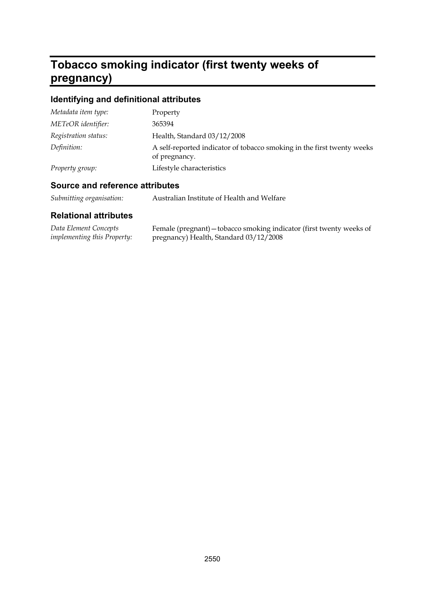#### **Tobacco smoking indicator (first twenty weeks of pregnancy)**

## **Identifying and definitional attributes**

| Metadata item type:  | Property                                                                                |
|----------------------|-----------------------------------------------------------------------------------------|
| METeOR identifier:   | 365394                                                                                  |
| Registration status: | Health, Standard 03/12/2008                                                             |
| Definition:          | A self-reported indicator of tobacco smoking in the first twenty weeks<br>of pregnancy. |
| Property group:      | Lifestyle characteristics                                                               |

## **Source and reference attributes**

| Submitting organisation:<br>Australian Institute of Health and Welfare |  |  |
|------------------------------------------------------------------------|--|--|
|------------------------------------------------------------------------|--|--|

| Data Element Concepts              | Female (pregnant) – tobacco smoking indicator (first twenty weeks of |
|------------------------------------|----------------------------------------------------------------------|
| <i>implementing this Property:</i> | pregnancy) Health, Standard 03/12/2008                               |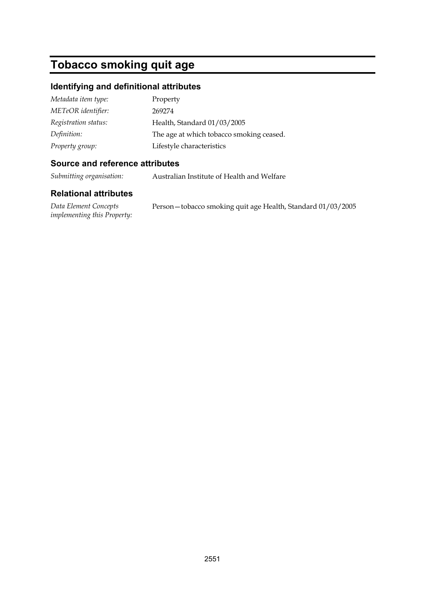# **Tobacco smoking quit age**

## **Identifying and definitional attributes**

| Metadata item type:  | Property                                 |
|----------------------|------------------------------------------|
| METeOR identifier:   | 269274                                   |
| Registration status: | Health, Standard 01/03/2005              |
| Definition:          | The age at which tobacco smoking ceased. |
| Property group:      | Lifestyle characteristics                |

#### **Source and reference attributes**

*Submitting organisation:* Australian Institute of Health and Welfare

#### **Relational attributes**

*Data Element Concepts implementing this Property:* Person—tobacco smoking quit age Health, Standard 01/03/2005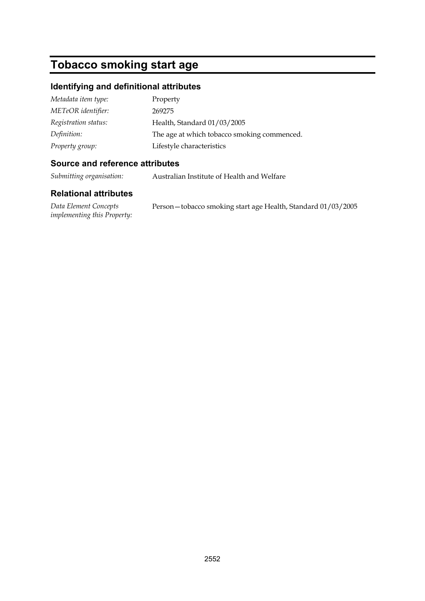## **Tobacco smoking start age**

#### **Identifying and definitional attributes**

| Metadata item type:  | Property                                    |
|----------------------|---------------------------------------------|
| METeOR identifier:   | 269275                                      |
| Registration status: | Health, Standard 01/03/2005                 |
| Definition:          | The age at which tobacco smoking commenced. |
| Property group:      | Lifestyle characteristics                   |

#### **Source and reference attributes**

*Submitting organisation:* Australian Institute of Health and Welfare

### **Relational attributes**

*Data Element Concepts implementing this Property:* Person—tobacco smoking start age Health, Standard 01/03/2005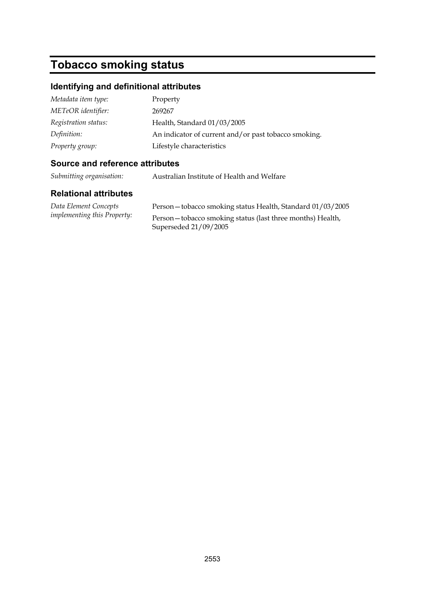## **Tobacco smoking status**

#### **Identifying and definitional attributes**

| Metadata item type:  | Property                                             |
|----------------------|------------------------------------------------------|
| METeOR identifier:   | 269267                                               |
| Registration status: | Health, Standard 01/03/2005                          |
| Definition:          | An indicator of current and/or past tobacco smoking. |
| Property group:      | Lifestyle characteristics                            |

#### **Source and reference attributes**

*Submitting organisation:* Australian Institute of Health and Welfare

#### **Relational attributes**

| Data Element Concepts              |  |
|------------------------------------|--|
| <i>implementing this Property:</i> |  |

Person—tobacco smoking status Health, Standard 01/03/2005 Person—tobacco smoking status (last three months) Health, Superseded 21/09/2005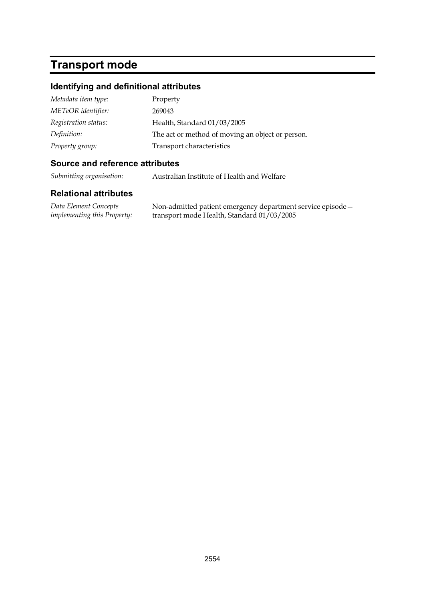# **Transport mode**

## **Identifying and definitional attributes**

| Metadata item type:  | Property                                         |
|----------------------|--------------------------------------------------|
| METeOR identifier:   | 269043                                           |
| Registration status: | Health, Standard 01/03/2005                      |
| Definition:          | The act or method of moving an object or person. |
| Property group:      | Transport characteristics                        |

## **Source and reference attributes**

*Submitting organisation:* Australian Institute of Health and Welfare

| Data Element Concepts              | Non-admitted patient emergency department service episode - |
|------------------------------------|-------------------------------------------------------------|
| <i>implementing this Property:</i> | transport mode Health, Standard 01/03/2005                  |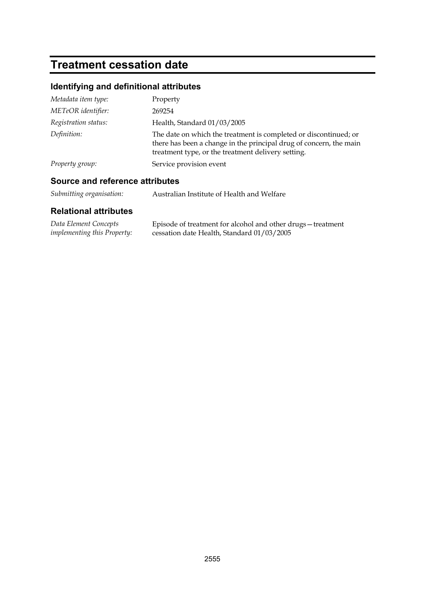# **Treatment cessation date**

## **Identifying and definitional attributes**

| Metadata item type:  | Property                                                                                                                                                                                     |
|----------------------|----------------------------------------------------------------------------------------------------------------------------------------------------------------------------------------------|
| METeOR identifier:   | 269254                                                                                                                                                                                       |
| Registration status: | Health, Standard 01/03/2005                                                                                                                                                                  |
| Definition:          | The date on which the treatment is completed or discontinued; or<br>there has been a change in the principal drug of concern, the main<br>treatment type, or the treatment delivery setting. |
| Property group:      | Service provision event                                                                                                                                                                      |

## **Source and reference attributes**

| Submitting organisation: | Australian Institute of Health and Welfare |
|--------------------------|--------------------------------------------|
|--------------------------|--------------------------------------------|

| Data Element Concepts              | Episode of treatment for alcohol and other drugs – treatment |
|------------------------------------|--------------------------------------------------------------|
| <i>implementing this Property:</i> | cessation date Health, Standard 01/03/2005                   |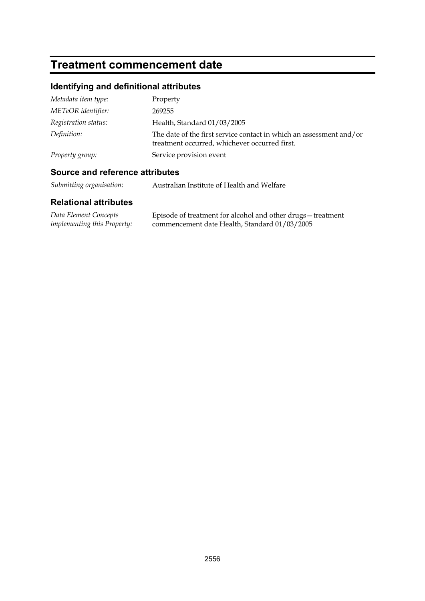## **Treatment commencement date**

## **Identifying and definitional attributes**

| Metadata item type:  | Property                                                                                                             |
|----------------------|----------------------------------------------------------------------------------------------------------------------|
| METeOR identifier:   | 269255                                                                                                               |
| Registration status: | Health, Standard 01/03/2005                                                                                          |
| Definition:          | The date of the first service contact in which an assessment and/or<br>treatment occurred, whichever occurred first. |
| Property group:      | Service provision event                                                                                              |

## **Source and reference attributes**

*Submitting organisation:* Australian Institute of Health and Welfare

| Data Element Concepts              | Episode of treatment for alcohol and other drugs - treatment |
|------------------------------------|--------------------------------------------------------------|
| <i>implementing this Property:</i> | commencement date Health, Standard 01/03/2005                |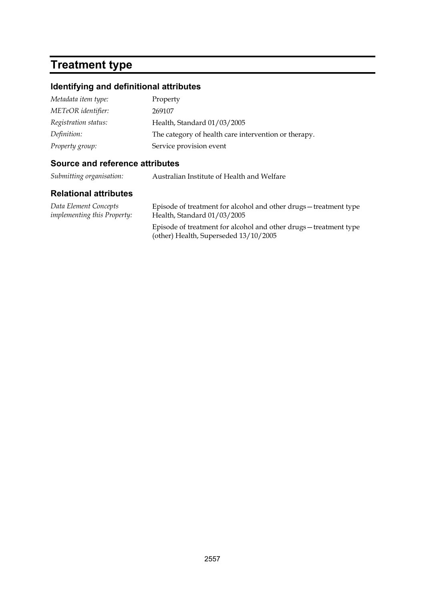# **Treatment type**

## **Identifying and definitional attributes**

| Metadata item type:  | Property                                             |
|----------------------|------------------------------------------------------|
| METeOR identifier:   | 269107                                               |
| Registration status: | Health, Standard 01/03/2005                          |
| Definition:          | The category of health care intervention or therapy. |
| Property group:      | Service provision event                              |

## **Source and reference attributes**

*Submitting organisation:* Australian Institute of Health and Welfare

| Data Element Concepts              | Episode of treatment for alcohol and other drugs-treatment type                                          |
|------------------------------------|----------------------------------------------------------------------------------------------------------|
| <i>implementing this Property:</i> | Health, Standard 01/03/2005                                                                              |
|                                    | Episode of treatment for alcohol and other drugs-treatment type<br>(other) Health, Superseded 13/10/2005 |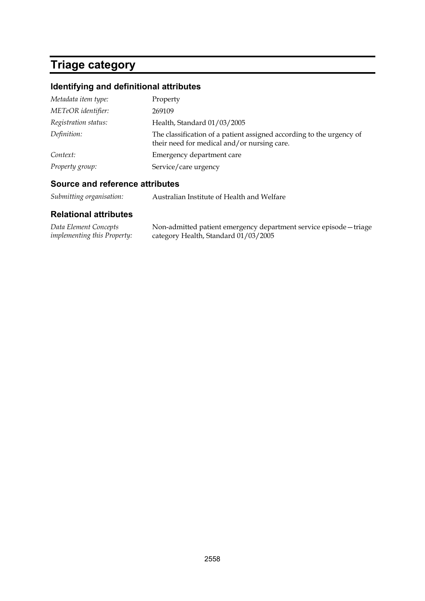# **Triage category**

## **Identifying and definitional attributes**

| Metadata item type:  | Property                                                                                                            |
|----------------------|---------------------------------------------------------------------------------------------------------------------|
| METeOR identifier:   | 269109                                                                                                              |
| Registration status: | Health, Standard 01/03/2005                                                                                         |
| Definition:          | The classification of a patient assigned according to the urgency of<br>their need for medical and/or nursing care. |
| Context:             | Emergency department care                                                                                           |
| Property group:      | Service/care urgency                                                                                                |

## **Source and reference attributes**

| Submitting organisation: | Australian Institute of Health and Welfare |
|--------------------------|--------------------------------------------|
|--------------------------|--------------------------------------------|

| Data Element Concepts              | Non-admitted patient emergency department service episode - triage |
|------------------------------------|--------------------------------------------------------------------|
| <i>implementing this Property:</i> | category Health, Standard 01/03/2005                               |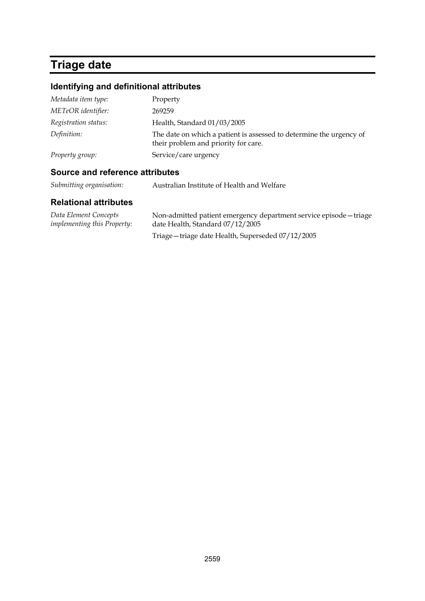# **Triage date**

## **Identifying and definitional attributes**

| Property                                                                                                    |
|-------------------------------------------------------------------------------------------------------------|
| 269259                                                                                                      |
| Health, Standard 01/03/2005                                                                                 |
| The date on which a patient is assessed to determine the urgency of<br>their problem and priority for care. |
| Service/care urgency                                                                                        |
|                                                                                                             |

#### **Source and reference attributes**

*Submitting organisation:* Australian Institute of Health and Welfare

| Data Element Concepts<br><i>implementing this Property:</i> | Non-admitted patient emergency department service episode - triage |
|-------------------------------------------------------------|--------------------------------------------------------------------|
|                                                             | date Health, Standard 07/12/2005                                   |
|                                                             | Triage - triage date Health, Superseded 07/12/2005                 |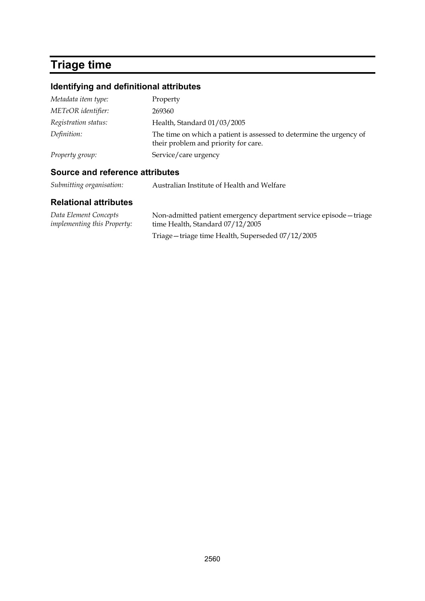# **Triage time**

## **Identifying and definitional attributes**

| Metadata item type:  | Property                                                                                                    |
|----------------------|-------------------------------------------------------------------------------------------------------------|
| METeOR identifier:   | 269360                                                                                                      |
| Registration status: | Health, Standard 01/03/2005                                                                                 |
| Definition:          | The time on which a patient is assessed to determine the urgency of<br>their problem and priority for care. |
| Property group:      | Service/care urgency                                                                                        |

## **Source and reference attributes**

| Submitting organisation: | Australian Institute of Health and Welfare |
|--------------------------|--------------------------------------------|
|--------------------------|--------------------------------------------|

| Data Element Concepts<br><i>implementing this Property:</i> | Non-admitted patient emergency department service episode - triage<br>time Health, Standard 07/12/2005 |
|-------------------------------------------------------------|--------------------------------------------------------------------------------------------------------|
|                                                             |                                                                                                        |
|                                                             | Triage - triage time Health, Superseded 07/12/2005                                                     |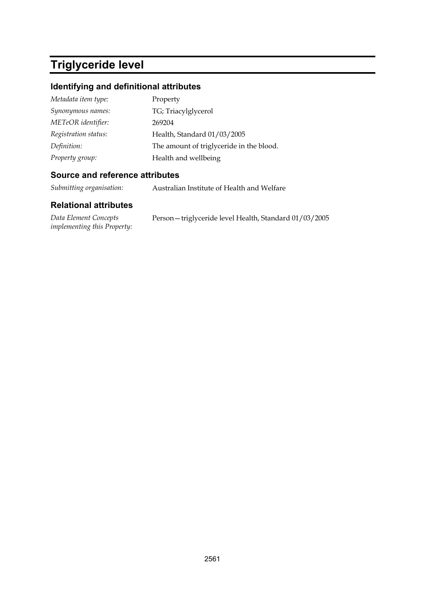# **Triglyceride level**

## **Identifying and definitional attributes**

| Metadata item type:  | Property                                 |
|----------------------|------------------------------------------|
| Synonymous names:    | TG; Triacylglycerol                      |
| METeOR identifier:   | 269204                                   |
| Registration status: | Health, Standard 01/03/2005              |
| Definition:          | The amount of triglyceride in the blood. |
| Property group:      | Health and wellbeing                     |

#### **Source and reference attributes**

*Submitting organisation:* Australian Institute of Health and Welfare

| Data Element Concepts              | Person-triglyceride level Health, Standard 01/03/2005 |
|------------------------------------|-------------------------------------------------------|
| <i>implementing this Property:</i> |                                                       |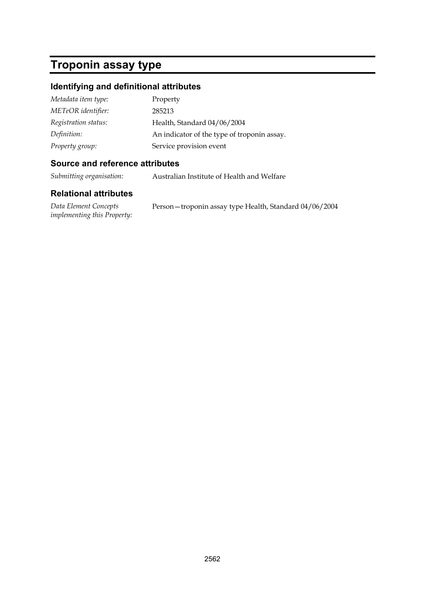# **Troponin assay type**

## **Identifying and definitional attributes**

| Metadata item type:  | Property                                    |
|----------------------|---------------------------------------------|
| METeOR identifier:   | 285213                                      |
| Registration status: | Health, Standard 04/06/2004                 |
| Definition:          | An indicator of the type of troponin assay. |
| Property group:      | Service provision event                     |

### **Source and reference attributes**

*Submitting organisation:* Australian Institute of Health and Welfare

| Data Element Concepts              | Person - troponin assay type Health, Standard 04/06/2004 |
|------------------------------------|----------------------------------------------------------|
| <i>implementing this Property:</i> |                                                          |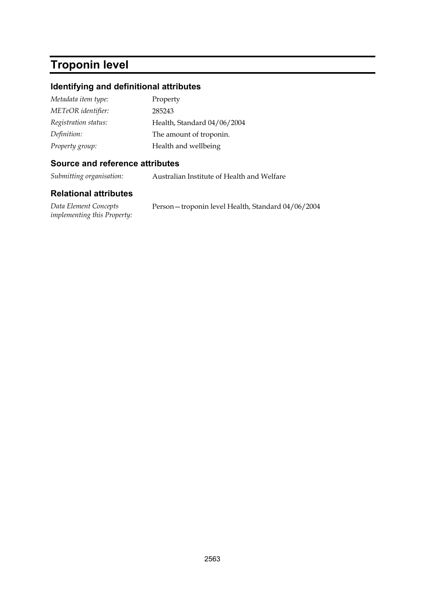# **Troponin level**

### **Identifying and definitional attributes**

| Metadata item type:  | Property                    |
|----------------------|-----------------------------|
| METeOR identifier:   | 285243                      |
| Registration status: | Health, Standard 04/06/2004 |
| Definition:          | The amount of troponin.     |
| Property group:      | Health and wellbeing        |

#### **Source and reference attributes**

*Submitting organisation:* Australian Institute of Health and Welfare

### **Relational attributes**

*Data Element Concepts implementing this Property:* Person—troponin level Health, Standard 04/06/2004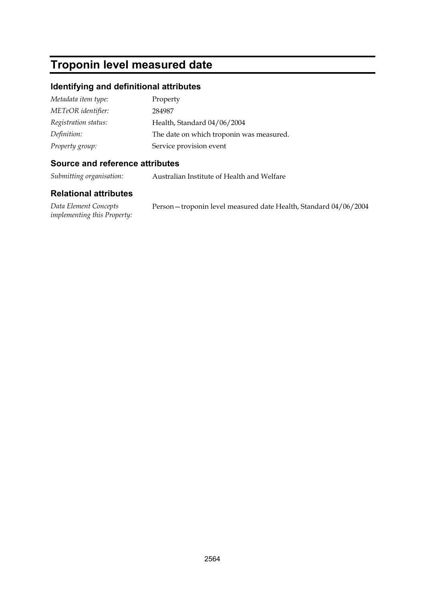## **Troponin level measured date**

#### **Identifying and definitional attributes**

| Metadata item type:  | Property                                 |
|----------------------|------------------------------------------|
| METeOR identifier:   | 284987                                   |
| Registration status: | Health, Standard 04/06/2004              |
| Definition:          | The date on which troponin was measured. |
| Property group:      | Service provision event                  |

#### **Source and reference attributes**

*Submitting organisation:* Australian Institute of Health and Welfare

#### **Relational attributes**

*Data Element Concepts implementing this Property:* Person—troponin level measured date Health, Standard 04/06/2004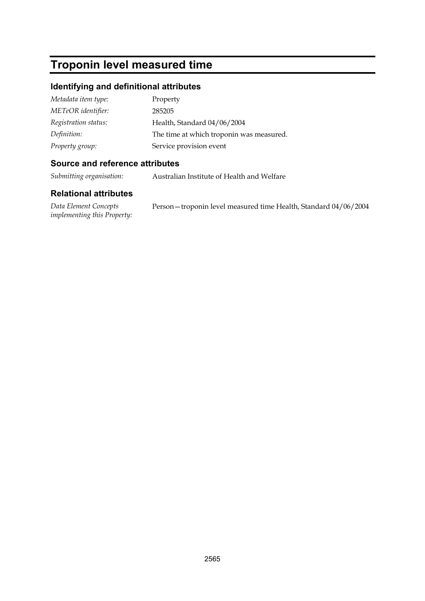# **Troponin level measured time**

## **Identifying and definitional attributes**

| Metadata item type:  | Property                                 |
|----------------------|------------------------------------------|
| METeOR identifier:   | 285205                                   |
| Registration status: | Health, Standard 04/06/2004              |
| Definition:          | The time at which troponin was measured. |
| Property group:      | Service provision event                  |

#### **Source and reference attributes**

*Submitting organisation:* Australian Institute of Health and Welfare

| Data Element Concepts              | Person-troponin level measured time Health, Standard 04/06/2004 |
|------------------------------------|-----------------------------------------------------------------|
| <i>implementing this Property:</i> |                                                                 |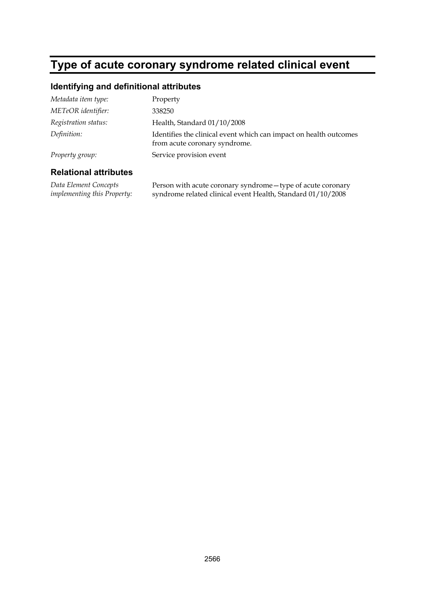# **Type of acute coronary syndrome related clinical event**

#### **Identifying and definitional attributes**

| Metadata item type:  | Property                                                                                           |
|----------------------|----------------------------------------------------------------------------------------------------|
| METeOR identifier:   | 338250                                                                                             |
| Registration status: | Health, Standard 01/10/2008                                                                        |
| Definition:          | Identifies the clinical event which can impact on health outcomes<br>from acute coronary syndrome. |
| Property group:      | Service provision event                                                                            |

#### **Relational attributes**

*Data Element Concepts implementing this Property:* Person with acute coronary syndrome—type of acute coronary syndrome related clinical event Health, Standard 01/10/2008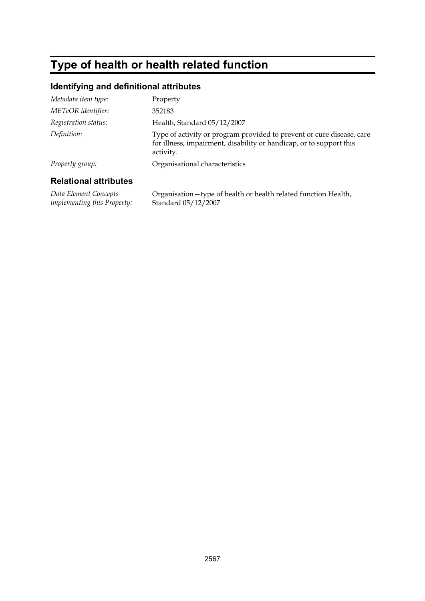# **Type of health or health related function**

## **Identifying and definitional attributes**

| Dalational attributog |                                                                                                                                                           |
|-----------------------|-----------------------------------------------------------------------------------------------------------------------------------------------------------|
| Property group:       | Organisational characteristics                                                                                                                            |
| Definition:           | Type of activity or program provided to prevent or cure disease, care<br>for illness, impairment, disability or handicap, or to support this<br>activity. |
| Registration status:  | Health, Standard 05/12/2007                                                                                                                               |
| METeOR identifier:    | 352183                                                                                                                                                    |
| Metadata item type:   | Property                                                                                                                                                  |

| Data Element Concepts              | Organisation - type of health or health related function Health, |
|------------------------------------|------------------------------------------------------------------|
| <i>implementing this Property:</i> | Standard 05/12/2007                                              |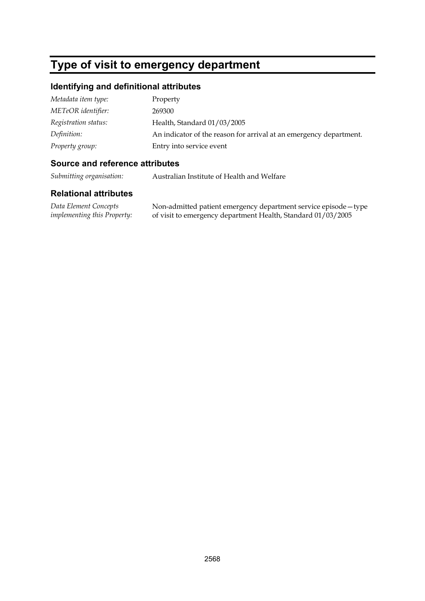## **Type of visit to emergency department**

#### **Identifying and definitional attributes**

| Metadata item type:  | Property                                                           |
|----------------------|--------------------------------------------------------------------|
| METeOR identifier:   | 269300                                                             |
| Registration status: | Health, Standard 01/03/2005                                        |
| Definition:          | An indicator of the reason for arrival at an emergency department. |
| Property group:      | Entry into service event                                           |

### **Source and reference attributes**

*Submitting organisation:* Australian Institute of Health and Welfare

#### **Relational attributes**

*Data Element Concepts implementing this Property:* Non-admitted patient emergency department service episode—type of visit to emergency department Health, Standard 01/03/2005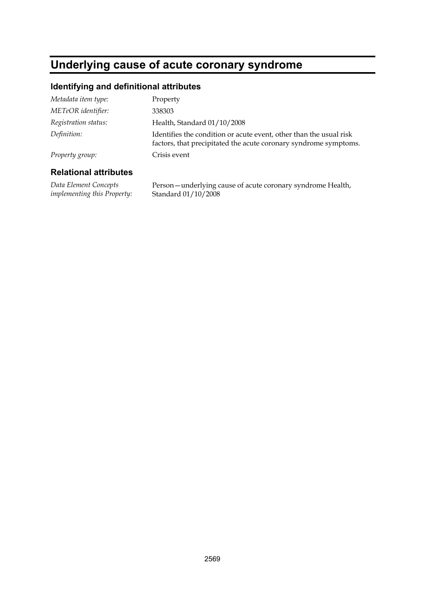## **Underlying cause of acute coronary syndrome**

## **Identifying and definitional attributes**

| Metadata item type:  | Property                                                                                                                               |
|----------------------|----------------------------------------------------------------------------------------------------------------------------------------|
| METeOR identifier:   | 338303                                                                                                                                 |
| Registration status: | Health, Standard 01/10/2008                                                                                                            |
| Definition:          | Identifies the condition or acute event, other than the usual risk<br>factors, that precipitated the acute coronary syndrome symptoms. |
| Property group:      | Crisis event                                                                                                                           |

#### **Relational attributes**

*Data Element Concepts implementing this Property:* Person—underlying cause of acute coronary syndrome Health, Standard 01/10/2008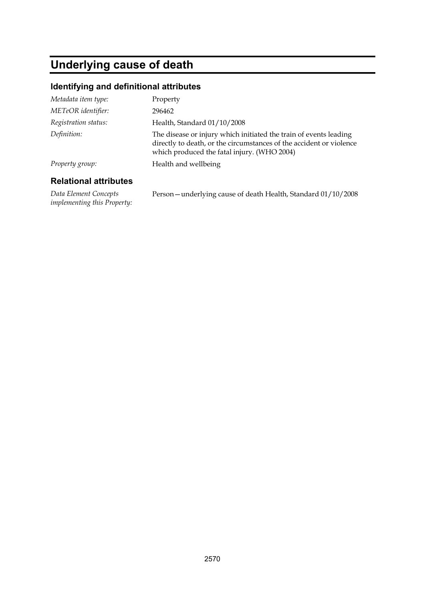# **Underlying cause of death**

## **Identifying and definitional attributes**

| Metadata item type:  | Property                                                                                                                                                                                |
|----------------------|-----------------------------------------------------------------------------------------------------------------------------------------------------------------------------------------|
| METeOR identifier:   | 296462                                                                                                                                                                                  |
| Registration status: | Health, Standard 01/10/2008                                                                                                                                                             |
| Definition:          | The disease or injury which initiated the train of events leading<br>directly to death, or the circumstances of the accident or violence<br>which produced the fatal injury. (WHO 2004) |
| Property group:      | Health and wellbeing                                                                                                                                                                    |
|                      |                                                                                                                                                                                         |

#### **Relational attributes**

*Data Element Concepts implementing this Property:* Person—underlying cause of death Health, Standard 01/10/2008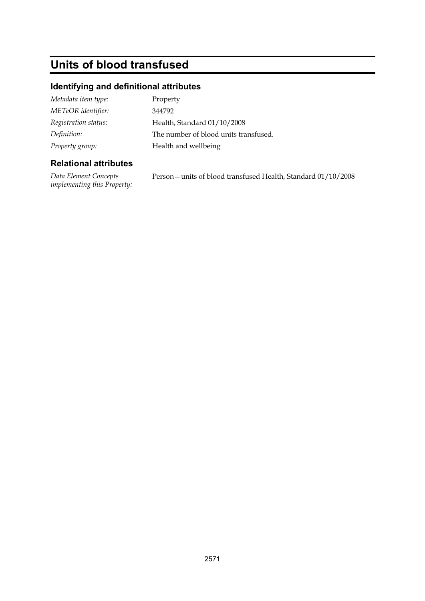# **Units of blood transfused**

## **Identifying and definitional attributes**

| Metadata item type:  | Property                              |
|----------------------|---------------------------------------|
| METeOR identifier:   | 344792                                |
| Registration status: | Health, Standard 01/10/2008           |
| Definition:          | The number of blood units transfused. |
| Property group:      | Health and wellbeing                  |

### **Relational attributes**

*Data Element Concepts implementing this Property:* Person—units of blood transfused Health, Standard 01/10/2008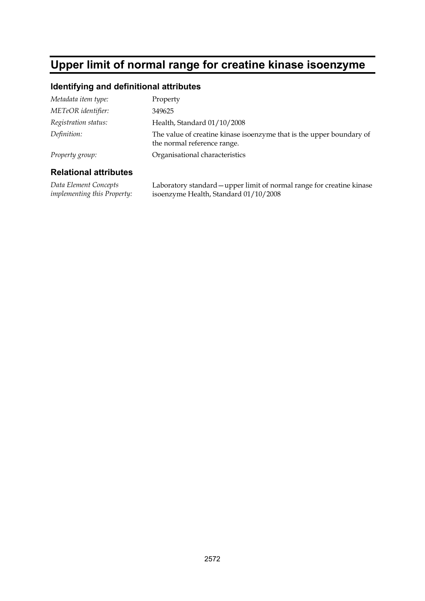## **Upper limit of normal range for creatine kinase isoenzyme**

#### **Identifying and definitional attributes**

| Metadata item type:  | Property                                                                                            |
|----------------------|-----------------------------------------------------------------------------------------------------|
| METeOR identifier:   | 349625                                                                                              |
| Registration status: | Health, Standard 01/10/2008                                                                         |
| Definition:          | The value of creatine kinase isoenzyme that is the upper boundary of<br>the normal reference range. |
| Property group:      | Organisational characteristics                                                                      |
|                      |                                                                                                     |

#### **Relational attributes**

*Data Element Concepts implementing this Property:* Laboratory standard—upper limit of normal range for creatine kinase isoenzyme Health, Standard 01/10/2008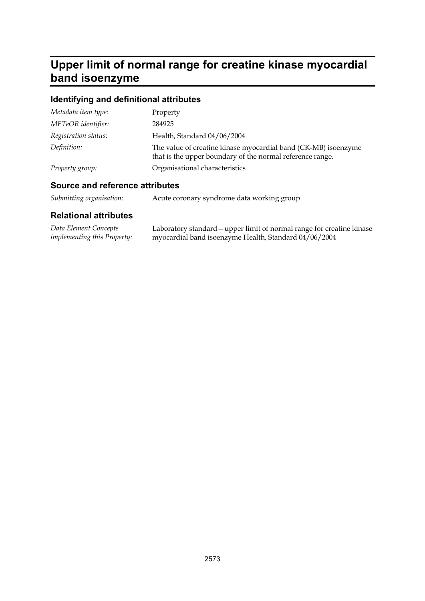## **Upper limit of normal range for creatine kinase myocardial band isoenzyme**

## **Identifying and definitional attributes**

| Metadata item type:  | Property                                                                                                                    |
|----------------------|-----------------------------------------------------------------------------------------------------------------------------|
| METeOR identifier:   | 284925                                                                                                                      |
| Registration status: | Health, Standard 04/06/2004                                                                                                 |
| Definition:          | The value of creatine kinase myocardial band (CK-MB) isoenzyme<br>that is the upper boundary of the normal reference range. |
| Property group:      | Organisational characteristics                                                                                              |

## **Source and reference attributes**

| Submitting organisation: | Acute coronary syndrome data working group |
|--------------------------|--------------------------------------------|
|                          |                                            |

| Data Element Concepts              | Laboratory standard – upper limit of normal range for creatine kinase |
|------------------------------------|-----------------------------------------------------------------------|
| <i>implementing this Property:</i> | myocardial band isoenzyme Health, Standard 04/06/2004                 |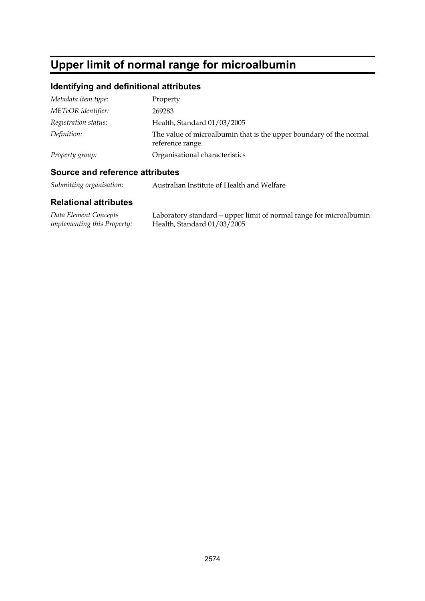# **Upper limit of normal range for microalbumin**

## **Identifying and definitional attributes**

| Metadata item type:  | Property                                                                               |
|----------------------|----------------------------------------------------------------------------------------|
| METeOR identifier:   | 269283                                                                                 |
| Registration status: | Health, Standard 01/03/2005                                                            |
| Definition:          | The value of microalbumin that is the upper boundary of the normal<br>reference range. |
| Property group:      | Organisational characteristics                                                         |

## **Source and reference attributes**

*Submitting organisation:* Australian Institute of Health and Welfare

| Data Element Concepts              | Laboratory standard – upper limit of normal range for microalbumin |
|------------------------------------|--------------------------------------------------------------------|
| <i>implementing this Property:</i> | Health, Standard 01/03/2005                                        |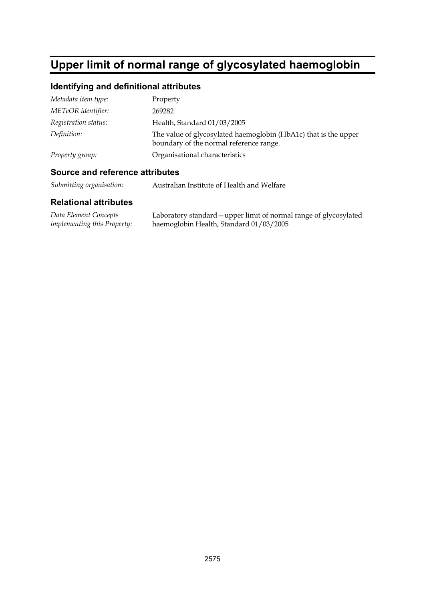# **Upper limit of normal range of glycosylated haemoglobin**

# **Identifying and definitional attributes**

| Metadata item type:  | Property                                                                                                   |
|----------------------|------------------------------------------------------------------------------------------------------------|
| METeOR identifier:   | 269282                                                                                                     |
| Registration status: | Health, Standard 01/03/2005                                                                                |
| Definition:          | The value of glycosylated haemoglobin (HbA1c) that is the upper<br>boundary of the normal reference range. |
| Property group:      | Organisational characteristics                                                                             |
|                      |                                                                                                            |

#### **Source and reference attributes**

*Submitting organisation:* Australian Institute of Health and Welfare

| Data Element Concepts              | Laboratory standard – upper limit of normal range of glycosylated |
|------------------------------------|-------------------------------------------------------------------|
| <i>implementing this Property:</i> | haemoglobin Health, Standard 01/03/2005                           |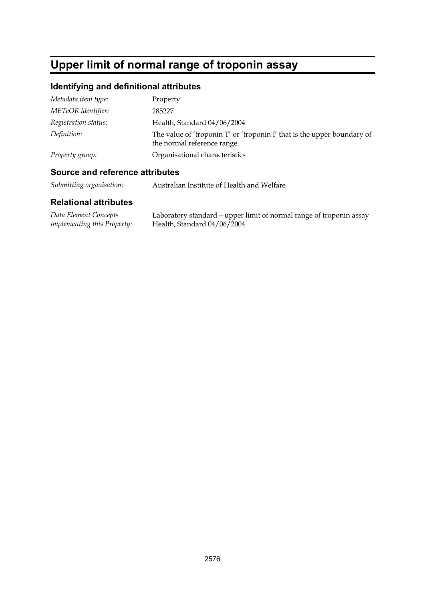# **Upper limit of normal range of troponin assay**

# **Identifying and definitional attributes**

| Metadata item type:  | Property                                                                                               |
|----------------------|--------------------------------------------------------------------------------------------------------|
| METeOR identifier:   | 285227                                                                                                 |
| Registration status: | Health, Standard 04/06/2004                                                                            |
| Definition:          | The value of 'troponin T' or 'troponin I' that is the upper boundary of<br>the normal reference range. |
| Property group:      | Organisational characteristics                                                                         |

## **Source and reference attributes**

*Submitting organisation:* Australian Institute of Health and Welfare

| Data Element Concepts              | Laboratory standard – upper limit of normal range of troponin assay |
|------------------------------------|---------------------------------------------------------------------|
| <i>implementing this Property:</i> | Health, Standard 04/06/2004                                         |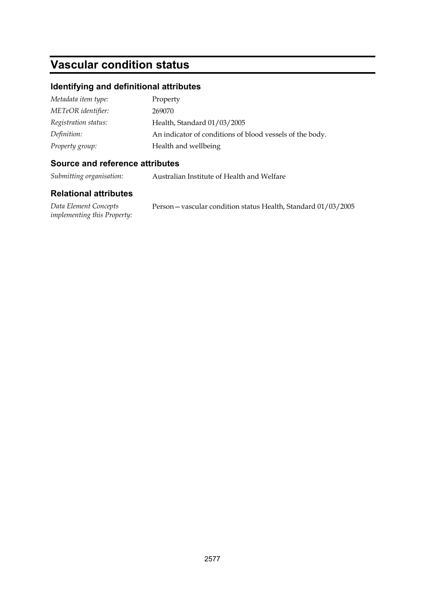# **Vascular condition status**

### **Identifying and definitional attributes**

| Metadata item type:  | Property                                                 |
|----------------------|----------------------------------------------------------|
| METeOR identifier:   | 269070                                                   |
| Registration status: | Health, Standard 01/03/2005                              |
| Definition:          | An indicator of conditions of blood vessels of the body. |
| Property group:      | Health and wellbeing                                     |

### **Source and reference attributes**

*Submitting organisation:* Australian Institute of Health and Welfare

### **Relational attributes**

*Data Element Concepts implementing this Property:* Person—vascular condition status Health, Standard 01/03/2005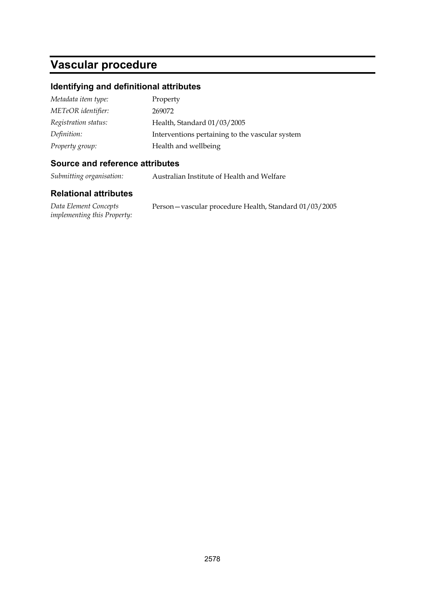# **Vascular procedure**

# **Identifying and definitional attributes**

| Metadata item type:  | Property                                        |
|----------------------|-------------------------------------------------|
| METeOR identifier:   | 269072                                          |
| Registration status: | Health, Standard 01/03/2005                     |
| Definition:          | Interventions pertaining to the vascular system |
| Property group:      | Health and wellbeing                            |

### **Source and reference attributes**

*Submitting organisation:* Australian Institute of Health and Welfare

#### **Relational attributes**

| Data Element Concepts              |  |
|------------------------------------|--|
| <i>implementing this Property:</i> |  |

Person—vascular procedure Health, Standard 01/03/2005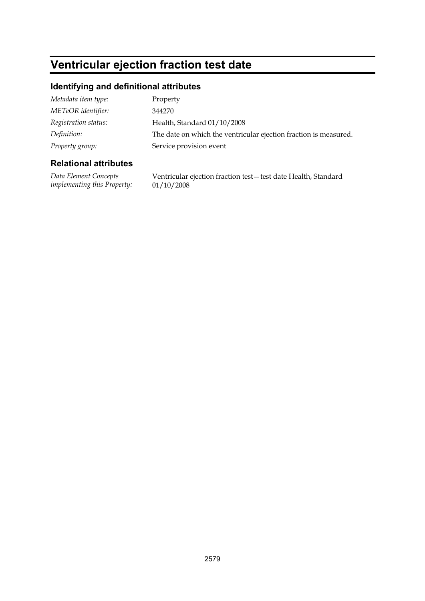# **Ventricular ejection fraction test date**

### **Identifying and definitional attributes**

| Metadata item type:  | Property                                                         |
|----------------------|------------------------------------------------------------------|
| METeOR identifier:   | 344270                                                           |
| Registration status: | Health, Standard 01/10/2008                                      |
| Definition:          | The date on which the ventricular ejection fraction is measured. |
| Property group:      | Service provision event                                          |
|                      |                                                                  |

### **Relational attributes**

*Data Element Concepts implementing this Property:*

Ventricular ejection fraction test—test date Health, Standard 01/10/2008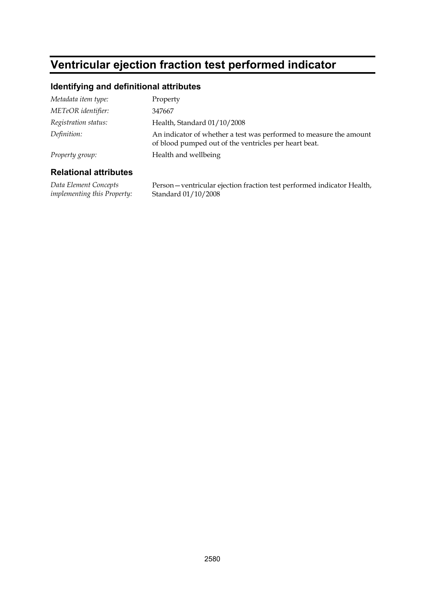# **Ventricular ejection fraction test performed indicator**

### **Identifying and definitional attributes**

| Metadata item type:  | Property                                                                                                                    |
|----------------------|-----------------------------------------------------------------------------------------------------------------------------|
| METeOR identifier:   | 347667                                                                                                                      |
| Registration status: | Health, Standard 01/10/2008                                                                                                 |
| Definition:          | An indicator of whether a test was performed to measure the amount<br>of blood pumped out of the ventricles per heart beat. |
| Property group:      | Health and wellbeing                                                                                                        |
|                      |                                                                                                                             |

#### **Relational attributes**

*Data Element Concepts implementing this Property:* Person—ventricular ejection fraction test performed indicator Health, Standard 01/10/2008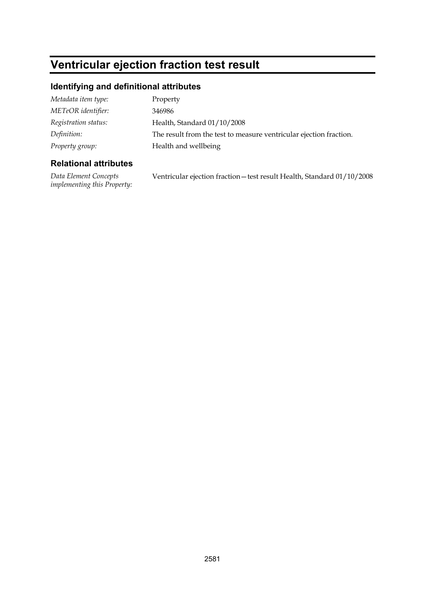# **Ventricular ejection fraction test result**

### **Identifying and definitional attributes**

| Metadata item type:  | Property                                                           |
|----------------------|--------------------------------------------------------------------|
| METeOR identifier:   | 346986                                                             |
| Registration status: | Health, Standard 01/10/2008                                        |
| Definition:          | The result from the test to measure ventricular ejection fraction. |
| Property group:      | Health and wellbeing                                               |

### **Relational attributes**

*Data Element Concepts implementing this Property:* Ventricular ejection fraction—test result Health, Standard 01/10/2008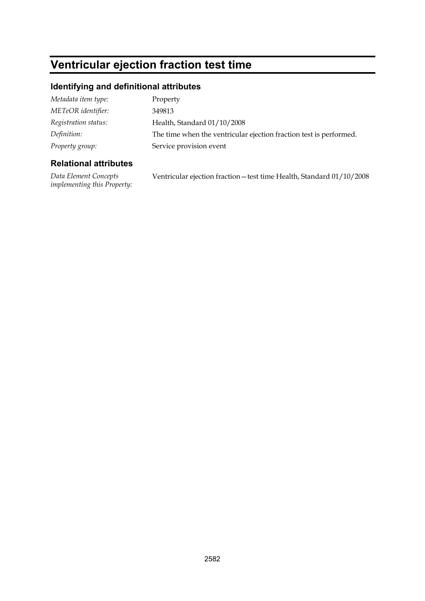# **Ventricular ejection fraction test time**

### **Identifying and definitional attributes**

| Metadata item type:  | Property                                                           |
|----------------------|--------------------------------------------------------------------|
| METeOR identifier:   | 349813                                                             |
| Registration status: | Health, Standard 01/10/2008                                        |
| Definition:          | The time when the ventricular ejection fraction test is performed. |
| Property group:      | Service provision event                                            |

### **Relational attributes**

*Data Element Concepts implementing this Property:* Ventricular ejection fraction—test time Health, Standard 01/10/2008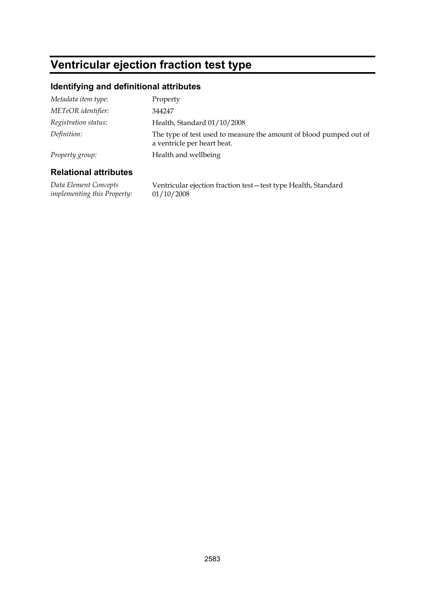# **Ventricular ejection fraction test type**

### **Identifying and definitional attributes**

| Relational attributes |                                                                                                   |
|-----------------------|---------------------------------------------------------------------------------------------------|
| Property group:       | Health and wellbeing                                                                              |
| Definition:           | The type of test used to measure the amount of blood pumped out of<br>a ventricle per heart beat. |
| Registration status:  | Health, Standard 01/10/2008                                                                       |
| METeOR identifier:    | 344247                                                                                            |
| Metadata item type:   | Property                                                                                          |
|                       |                                                                                                   |

#### **Relational attributes**

*Data Element Concepts implementing this Property:* Ventricular ejection fraction test—test type Health, Standard 01/10/2008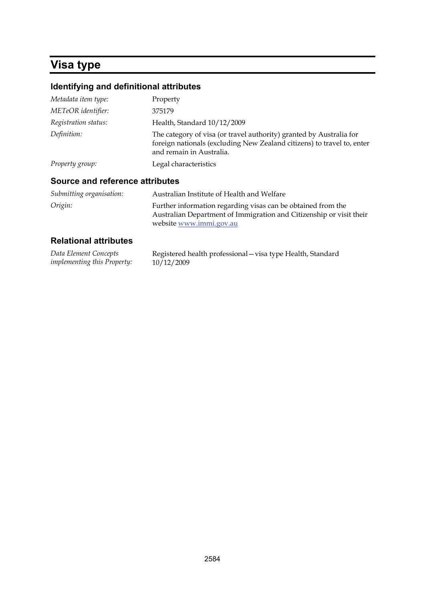# **Visa type**

# **Identifying and definitional attributes**

| Metadata item type:  | Property                                                                                                                                                                  |
|----------------------|---------------------------------------------------------------------------------------------------------------------------------------------------------------------------|
| METeOR identifier:   | 375179                                                                                                                                                                    |
| Registration status: | Health, Standard 10/12/2009                                                                                                                                               |
| Definition:          | The category of visa (or travel authority) granted by Australia for<br>foreign nationals (excluding New Zealand citizens) to travel to, enter<br>and remain in Australia. |
| Property group:      | Legal characteristics                                                                                                                                                     |
|                      |                                                                                                                                                                           |

#### **Source and reference attributes**

| Submitting organisation: | Australian Institute of Health and Welfare                                                                                                                     |
|--------------------------|----------------------------------------------------------------------------------------------------------------------------------------------------------------|
| Origin:                  | Further information regarding visas can be obtained from the<br>Australian Department of Immigration and Citizenship or visit their<br>website www.immi.gov.au |

| Data Element Concepts              | Registered health professional - visa type Health, Standard |
|------------------------------------|-------------------------------------------------------------|
| <i>implementing this Property:</i> | 10/12/2009                                                  |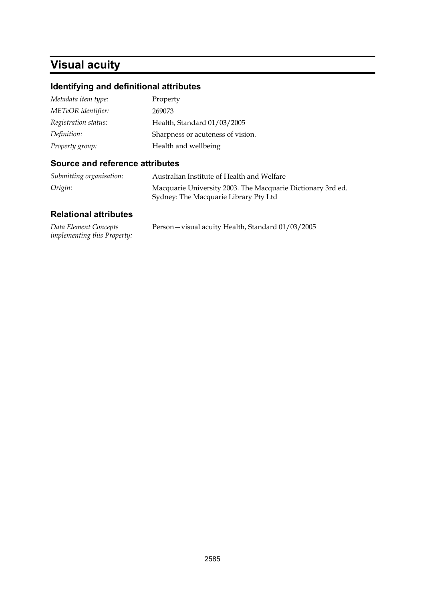# **Visual acuity**

# **Identifying and definitional attributes**

| Metadata item type:  | Property                          |
|----------------------|-----------------------------------|
| METeOR identifier:   | 269073                            |
| Registration status: | Health, Standard 01/03/2005       |
| Definition:          | Sharpness or acuteness of vision. |
| Property group:      | Health and wellbeing              |

### **Source and reference attributes**

| Submitting organisation: | Australian Institute of Health and Welfare                  |
|--------------------------|-------------------------------------------------------------|
| Origin:                  | Macquarie University 2003. The Macquarie Dictionary 3rd ed. |
|                          | Sydney: The Macquarie Library Pty Ltd                       |

| Data Element Concepts              | Person - visual acuity Health, Standard 01/03/2005 |
|------------------------------------|----------------------------------------------------|
| <i>implementing this Property:</i> |                                                    |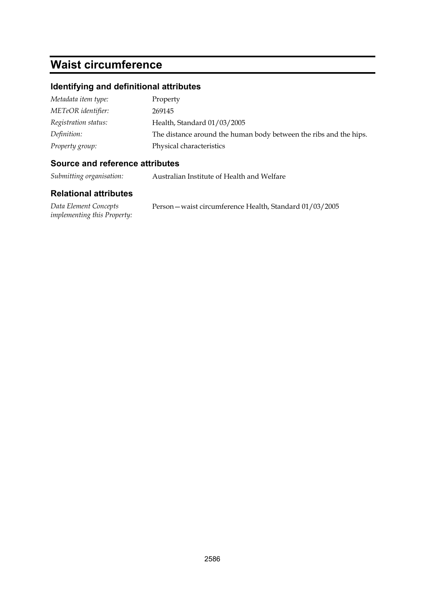# **Waist circumference**

### **Identifying and definitional attributes**

| Metadata item type:  | Property                                                          |
|----------------------|-------------------------------------------------------------------|
| METeOR identifier:   | 269145                                                            |
| Registration status: | Health, Standard 01/03/2005                                       |
| Definition:          | The distance around the human body between the ribs and the hips. |
| Property group:      | Physical characteristics                                          |

### **Source and reference attributes**

*Submitting organisation:* Australian Institute of Health and Welfare

| Data Element Concepts              | Person – waist circumference Health, Standard 01/03/2005 |
|------------------------------------|----------------------------------------------------------|
| <i>implementing this Property:</i> |                                                          |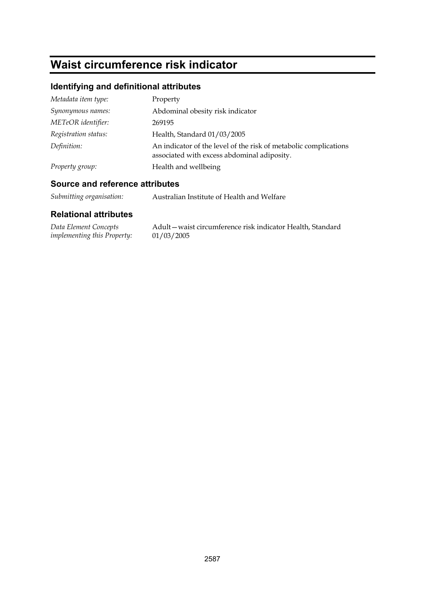# **Waist circumference risk indicator**

# **Identifying and definitional attributes**

| Metadata item type:  | Property                                                                                                        |
|----------------------|-----------------------------------------------------------------------------------------------------------------|
| Synonymous names:    | Abdominal obesity risk indicator                                                                                |
| METeOR identifier:   | 269195                                                                                                          |
| Registration status: | Health, Standard 01/03/2005                                                                                     |
| Definition:          | An indicator of the level of the risk of metabolic complications<br>associated with excess abdominal adiposity. |
| Property group:      | Health and wellbeing                                                                                            |

## **Source and reference attributes**

| Submitting organisation: | Australian Institute of Health and Welfare |
|--------------------------|--------------------------------------------|
|                          |                                            |

| Data Element Concepts       | Adult-waist circumference risk indicator Health, Standard |
|-----------------------------|-----------------------------------------------------------|
| implementing this Property: | 01/03/2005                                                |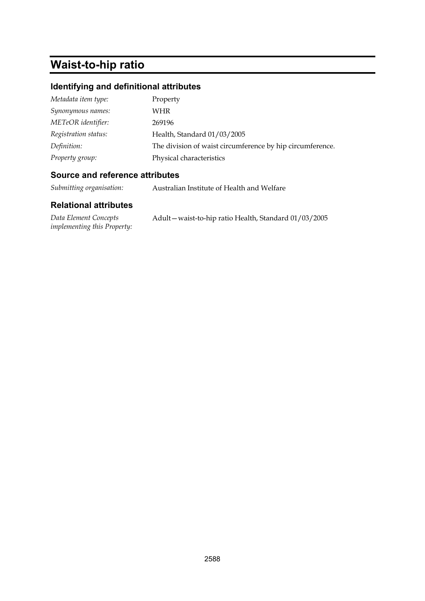# **Waist-to-hip ratio**

# **Identifying and definitional attributes**

| Property                                                  |
|-----------------------------------------------------------|
| WHR                                                       |
| 269196                                                    |
| Health, Standard 01/03/2005                               |
| The division of waist circumference by hip circumference. |
| Physical characteristics                                  |
|                                                           |

#### **Source and reference attributes**

*Submitting organisation:* Australian Institute of Health and Welfare

| Data Element Concepts              | Adult – waist-to-hip ratio Health, Standard 01/03/2005 |
|------------------------------------|--------------------------------------------------------|
| <i>implementing this Property:</i> |                                                        |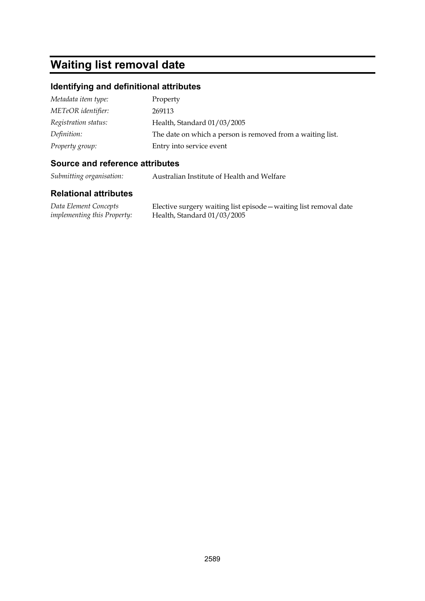# **Waiting list removal date**

#### **Identifying and definitional attributes**

| Metadata item type:  | Property                                                   |
|----------------------|------------------------------------------------------------|
| METeOR identifier:   | 269113                                                     |
| Registration status: | Health, Standard 01/03/2005                                |
| Definition:          | The date on which a person is removed from a waiting list. |
| Property group:      | Entry into service event                                   |

### **Source and reference attributes**

*Submitting organisation:* Australian Institute of Health and Welfare

#### **Relational attributes**

*Data Element Concepts implementing this Property:* Elective surgery waiting list episode—waiting list removal date Health, Standard 01/03/2005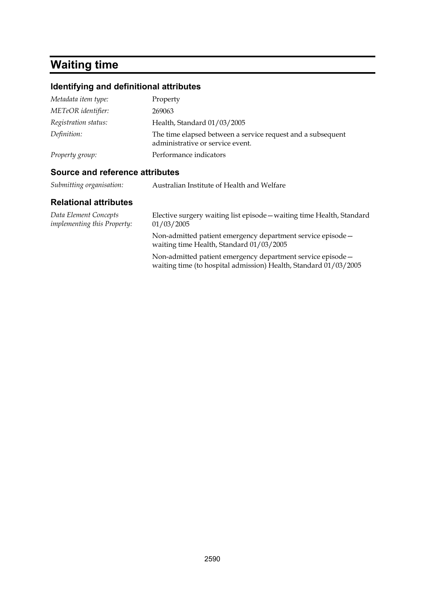# **Waiting time**

#### **Identifying and definitional attributes**

| Metadata item type:  | Property                                                                                        |
|----------------------|-------------------------------------------------------------------------------------------------|
| METeOR identifier:   | 269063                                                                                          |
| Registration status: | Health, Standard 01/03/2005                                                                     |
| Definition:          | The time elapsed between a service request and a subsequent<br>administrative or service event. |
| Property group:      | Performance indicators                                                                          |

#### **Source and reference attributes**

| Submitting organisation: | Australian Institute of Health and Welfare |
|--------------------------|--------------------------------------------|
|--------------------------|--------------------------------------------|

#### **Relational attributes**

*Data Element Concepts implementing this Property:* Elective surgery waiting list episode—waiting time Health, Standard 01/03/2005 Non-admitted patient emergency department service episode waiting time Health, Standard 01/03/2005 Non-admitted patient emergency department service episode waiting time (to hospital admission) Health, Standard 01/03/2005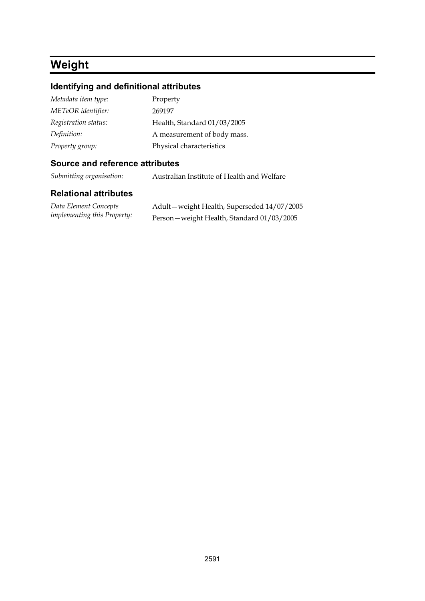# **Weight**

# **Identifying and definitional attributes**

| Metadata item type:  | Property                    |
|----------------------|-----------------------------|
| METeOR identifier:   | 269197                      |
| Registration status: | Health, Standard 01/03/2005 |
| Definition:          | A measurement of body mass. |
| Property group:      | Physical characteristics    |

### **Source and reference attributes**

*Submitting organisation:* Australian Institute of Health and Welfare

| Data Element Concepts              | Adult-weight Health, Superseded 14/07/2005  |
|------------------------------------|---------------------------------------------|
| <i>implementing this Property:</i> | Person - weight Health, Standard 01/03/2005 |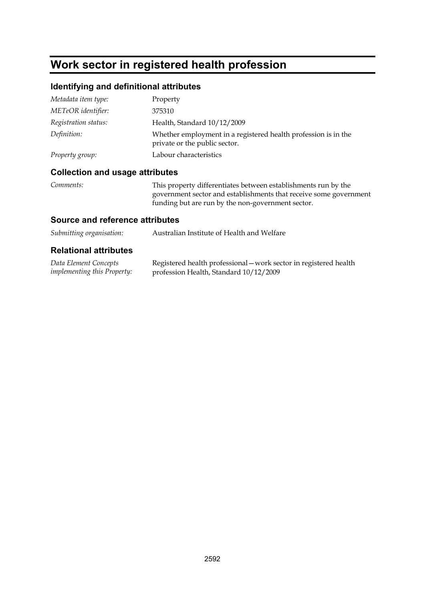# **Work sector in registered health profession**

# **Identifying and definitional attributes**

| Metadata item type:  | Property                                                                                        |
|----------------------|-------------------------------------------------------------------------------------------------|
| METeOR identifier:   | 375310                                                                                          |
| Registration status: | Health, Standard 10/12/2009                                                                     |
| Definition:          | Whether employment in a registered health profession is in the<br>private or the public sector. |
| Property group:      | Labour characteristics                                                                          |

# **Collection and usage attributes**

| Comments: | This property differentiates between establishments run by the    |
|-----------|-------------------------------------------------------------------|
|           | government sector and establishments that receive some government |
|           | funding but are run by the non-government sector.                 |

#### **Source and reference attributes**

| Submitting organisation:     | Australian Institute of Health and Welfare |
|------------------------------|--------------------------------------------|
| <b>Relational attributes</b> |                                            |

| Data Element Concepts              | Registered health professional - work sector in registered health |
|------------------------------------|-------------------------------------------------------------------|
| <i>implementing this Property:</i> | profession Health, Standard 10/12/2009                            |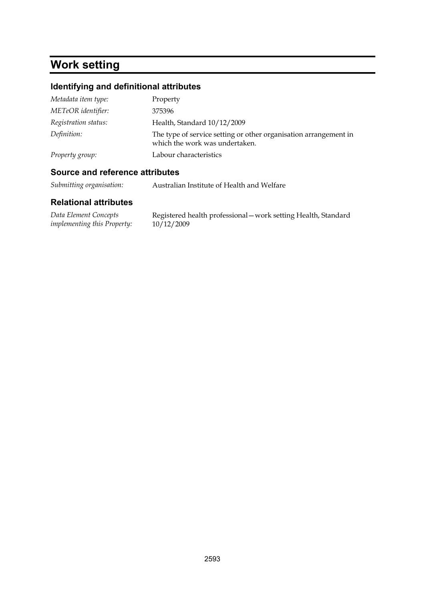# **Work setting**

# **Identifying and definitional attributes**

| Metadata item type:  | Property                                                                                           |
|----------------------|----------------------------------------------------------------------------------------------------|
| METeOR identifier:   | 375396                                                                                             |
| Registration status: | Health, Standard 10/12/2009                                                                        |
| Definition:          | The type of service setting or other organisation arrangement in<br>which the work was undertaken. |
| Property group:      | Labour characteristics                                                                             |

## **Source and reference attributes**

*Submitting organisation:* Australian Institute of Health and Welfare

| Data Element Concepts       | Registered health professional - work setting Health, Standard |
|-----------------------------|----------------------------------------------------------------|
| implementing this Property: | 10/12/2009                                                     |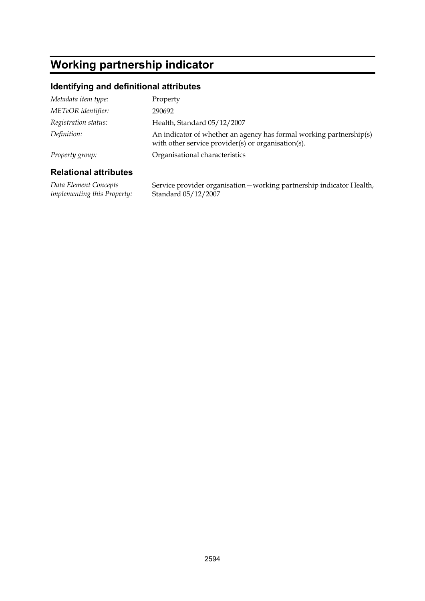# **Working partnership indicator**

### **Identifying and definitional attributes**

| Metadata item type:  | Property                                                                                                                  |
|----------------------|---------------------------------------------------------------------------------------------------------------------------|
| METeOR identifier:   | 290692                                                                                                                    |
| Registration status: | Health, Standard 05/12/2007                                                                                               |
| Definition:          | An indicator of whether an agency has formal working partnership(s)<br>with other service provider(s) or organisation(s). |
| Property group:      | Organisational characteristics                                                                                            |

#### **Relational attributes**

*Data Element Concepts implementing this Property:* Service provider organisation—working partnership indicator Health, Standard 05/12/2007